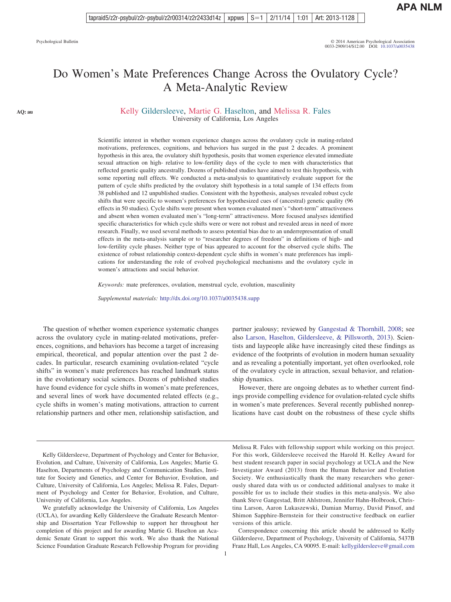# Do Women's Mate Preferences Change Across the Ovulatory Cycle? A Meta-Analytic Review

**AQ: au**

Kelly Gildersleeve, Martie G. Haselton, and Melissa R. Fales University of California, Los Angeles

Scientific interest in whether women experience changes across the ovulatory cycle in mating-related motivations, preferences, cognitions, and behaviors has surged in the past 2 decades. A prominent hypothesis in this area, the ovulatory shift hypothesis, posits that women experience elevated immediate sexual attraction on high- relative to low-fertility days of the cycle to men with characteristics that reflected genetic quality ancestrally. Dozens of published studies have aimed to test this hypothesis, with some reporting null effects. We conducted a meta-analysis to quantitatively evaluate support for the pattern of cycle shifts predicted by the ovulatory shift hypothesis in a total sample of 134 effects from 38 published and 12 unpublished studies. Consistent with the hypothesis, analyses revealed robust cycle shifts that were specific to women's preferences for hypothesized cues of (ancestral) genetic quality (96 effects in 50 studies). Cycle shifts were present when women evaluated men's "short-term" attractiveness and absent when women evaluated men's "long-term" attractiveness. More focused analyses identified specific characteristics for which cycle shifts were or were not robust and revealed areas in need of more research. Finally, we used several methods to assess potential bias due to an underrepresentation of small effects in the meta-analysis sample or to "researcher degrees of freedom" in definitions of high- and low-fertility cycle phases. Neither type of bias appeared to account for the observed cycle shifts. The existence of robust relationship context-dependent cycle shifts in women's mate preferences has implications for understanding the role of evolved psychological mechanisms and the ovulatory cycle in women's attractions and social behavior.

1

*Keywords:* mate preferences, ovulation, menstrual cycle, evolution, masculinity

*Supplemental materials:* http://dx.doi.org[/10.1037/a0035438.supp](http://dx.doi.org/10.1037/a0035438.supp)

The question of whether women experience systematic changes across the ovulatory cycle in mating-related motivations, preferences, cognitions, and behaviors has become a target of increasing empirical, theoretical, and popular attention over the past 2 decades. In particular, research examining ovulation-related "cycle shifts" in women's mate preferences has reached landmark status in the evolutionary social sciences. Dozens of published studies have found evidence for cycle shifts in women's mate preferences, and several lines of work have documented related effects (e.g., cycle shifts in women's mating motivations, attraction to current relationship partners and other men, relationship satisfaction, and

Kelly Gildersleeve, Department of Psychology and Center for Behavior, Evolution, and Culture, University of California, Los Angeles; Martie G. Haselton, Departments of Psychology and Communication Studies, Institute for Society and Genetics, and Center for Behavior, Evolution, and Culture, University of California, Los Angeles; Melissa R. Fales, Department of Psychology and Center for Behavior, Evolution, and Culture, University of California, Los Angeles.

We gratefully acknowledge the University of California, Los Angeles (UCLA), for awarding Kelly Gildersleeve the Graduate Research Mentorship and Dissertation Year Fellowship to support her throughout her completion of this project and for awarding Martie G. Haselton an Academic Senate Grant to support this work. We also thank the National Science Foundation Graduate Research Fellowship Program for providing

partner jealousy; reviewed by [Gangestad & Thornhill, 2008;](#page-51-0) see also [Larson, Haselton, Gildersleeve, & Pillsworth, 2013\)](#page-52-0). Scientists and laypeople alike have increasingly cited these findings as evidence of the footprints of evolution in modern human sexuality and as revealing a potentially important, yet often overlooked, role of the ovulatory cycle in attraction, sexual behavior, and relationship dynamics.

However, there are ongoing debates as to whether current findings provide compelling evidence for ovulation-related cycle shifts in women's mate preferences. Several recently published nonreplications have cast doubt on the robustness of these cycle shifts

Melissa R. Fales with fellowship support while working on this project. For this work, Gildersleeve received the Harold H. Kelley Award for best student research paper in social psychology at UCLA and the New Investigator Award (2013) from the Human Behavior and Evolution Society. We enthusiastically thank the many researchers who generously shared data with us or conducted additional analyses to make it possible for us to include their studies in this meta-analysis. We also thank Steve Gangestad, Britt Ahlstrom, Jennifer Hahn-Holbrook, Christina Larson, Aaron Lukaszewski, Damian Murray, David Pinsof, and Shimon Sapphire-Bernstein for their constructive feedback on earlier versions of this article.

Correspondence concerning this article should be addressed to Kelly Gildersleeve, Department of Psychology, University of California, 5437B Franz Hall, Los Angeles, CA 90095. E-mail: [kellygildersleeve@gmail.com](mailto:kellygildersleeve@gmail.com)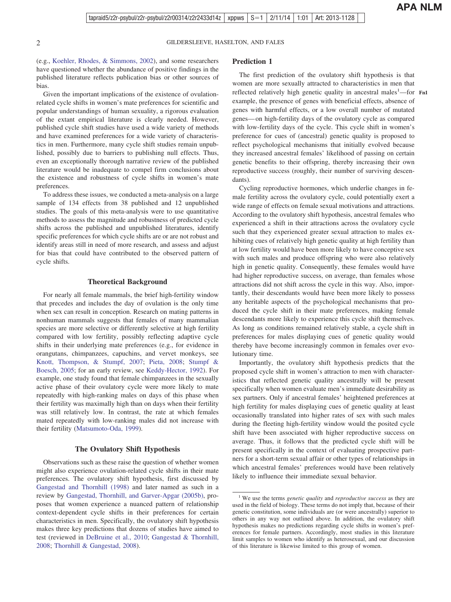(e.g., [Koehler, Rhodes, & Simmons, 2002\)](#page-52-1), and some researchers have questioned whether the abundance of positive findings in the published literature reflects publication bias or other sources of bias.

Given the important implications of the existence of ovulationrelated cycle shifts in women's mate preferences for scientific and popular understandings of human sexuality, a rigorous evaluation of the extant empirical literature is clearly needed. However, published cycle shift studies have used a wide variety of methods and have examined preferences for a wide variety of characteristics in men. Furthermore, many cycle shift studies remain unpublished, possibly due to barriers to publishing null effects. Thus, even an exceptionally thorough narrative review of the published literature would be inadequate to compel firm conclusions about the existence and robustness of cycle shifts in women's mate preferences.

To address these issues, we conducted a meta-analysis on a large sample of 134 effects from 38 published and 12 unpublished studies. The goals of this meta-analysis were to use quantitative methods to assess the magnitude and robustness of predicted cycle shifts across the published and unpublished literatures, identify specific preferences for which cycle shifts are or are not robust and identify areas still in need of more research, and assess and adjust for bias that could have contributed to the observed pattern of cycle shifts.

#### **Theoretical Background**

For nearly all female mammals, the brief high-fertility window that precedes and includes the day of ovulation is the only time when sex can result in conception. Research on mating patterns in nonhuman mammals suggests that females of many mammalian species are more selective or differently selective at high fertility compared with low fertility, possibly reflecting adaptive cycle shifts in their underlying mate preferences (e.g., for evidence in orangutans, chimpanzees, capuchins, and vervet monkeys, see [Knott, Thompson, & Stumpf, 2007;](#page-52-2) [Pieta, 2008;](#page-53-0) [Stumpf &](#page-53-1) [Boesch, 2005;](#page-53-1) for an early review, see [Keddy-Hector, 1992\)](#page-52-3). For example, one study found that female chimpanzees in the sexually active phase of their ovulatory cycle were more likely to mate repeatedly with high-ranking males on days of this phase when their fertility was maximally high than on days when their fertility was still relatively low. In contrast, the rate at which females mated repeatedly with low-ranking males did not increase with their fertility [\(Matsumoto-Oda, 1999\)](#page-52-4).

#### **The Ovulatory Shift Hypothesis**

Observations such as these raise the question of whether women might also experience ovulation-related cycle shifts in their mate preferences. The ovulatory shift hypothesis, first discussed by [Gangestad and Thornhill \(1998\)](#page-51-1) and later named as such in a review by [Gangestad, Thornhill, and Garver-Apgar \(2005b\),](#page-51-2) proposes that women experience a nuanced pattern of relationship context-dependent cycle shifts in their preferences for certain characteristics in men. Specifically, the ovulatory shift hypothesis makes three key predictions that dozens of studies have aimed to test (reviewed in [DeBruine et al., 2010;](#page-50-0) [Gangestad & Thornhill,](#page-51-0) [2008;](#page-51-0) [Thornhill & Gangestad, 2008\)](#page-54-0).

# **Prediction 1**

The first prediction of the ovulatory shift hypothesis is that women are more sexually attracted to characteristics in men that reflected relatively high genetic quality in ancestral males<sup>1</sup>—for Fn1 example, the presence of genes with beneficial effects, absence of genes with harmful effects, or a low overall number of mutated genes— on high-fertility days of the ovulatory cycle as compared with low-fertility days of the cycle. This cycle shift in women's preference for cues of (ancestral) genetic quality is proposed to reflect psychological mechanisms that initially evolved because they increased ancestral females' likelihood of passing on certain genetic benefits to their offspring, thereby increasing their own reproductive success (roughly, their number of surviving descendants).

Cycling reproductive hormones, which underlie changes in female fertility across the ovulatory cycle, could potentially exert a wide range of effects on female sexual motivations and attractions. According to the ovulatory shift hypothesis, ancestral females who experienced a shift in their attractions across the ovulatory cycle such that they experienced greater sexual attraction to males exhibiting cues of relatively high genetic quality at high fertility than at low fertility would have been more likely to have conceptive sex with such males and produce offspring who were also relatively high in genetic quality. Consequently, these females would have had higher reproductive success, on average, than females whose attractions did not shift across the cycle in this way. Also, importantly, their descendants would have been more likely to possess any heritable aspects of the psychological mechanisms that produced the cycle shift in their mate preferences, making female descendants more likely to experience this cycle shift themselves. As long as conditions remained relatively stable, a cycle shift in preferences for males displaying cues of genetic quality would thereby have become increasingly common in females over evolutionary time.

Importantly, the ovulatory shift hypothesis predicts that the proposed cycle shift in women's attraction to men with characteristics that reflected genetic quality ancestrally will be present specifically when women evaluate men's immediate desirability as sex partners. Only if ancestral females' heightened preferences at high fertility for males displaying cues of genetic quality at least occasionally translated into higher rates of sex with such males during the fleeting high-fertility window would the posited cycle shift have been associated with higher reproductive success on average. Thus, it follows that the predicted cycle shift will be present specifically in the context of evaluating prospective partners for a short-term sexual affair or other types of relationships in which ancestral females' preferences would have been relatively likely to influence their immediate sexual behavior.

<sup>1</sup> We use the terms *genetic quality* and *reproductive success* as they are used in the field of biology. These terms do not imply that, because of their genetic constitution, some individuals are (or were ancestrally) superior to others in any way not outlined above. In addition, the ovulatory shift hypothesis makes no predictions regarding cycle shifts in women's preferences for female partners. Accordingly, most studies in this literature limit samples to women who identify as heterosexual, and our discussion of this literature is likewise limited to this group of women.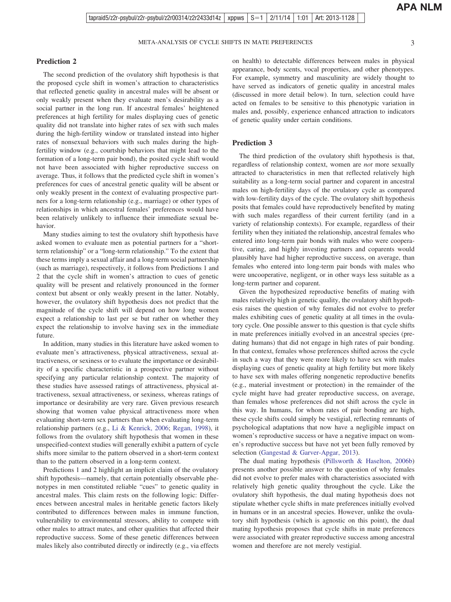# **Prediction 2**

The second prediction of the ovulatory shift hypothesis is that the proposed cycle shift in women's attraction to characteristics that reflected genetic quality in ancestral males will be absent or only weakly present when they evaluate men's desirability as a social partner in the long run. If ancestral females' heightened preferences at high fertility for males displaying cues of genetic quality did not translate into higher rates of sex with such males during the high-fertility window or translated instead into higher rates of nonsexual behaviors with such males during the highfertility window (e.g., courtship behaviors that might lead to the formation of a long-term pair bond), the posited cycle shift would not have been associated with higher reproductive success on average. Thus, it follows that the predicted cycle shift in women's preferences for cues of ancestral genetic quality will be absent or only weakly present in the context of evaluating prospective partners for a long-term relationship (e.g., marriage) or other types of relationships in which ancestral females' preferences would have been relatively unlikely to influence their immediate sexual behavior.

Many studies aiming to test the ovulatory shift hypothesis have asked women to evaluate men as potential partners for a "shortterm relationship" or a "long-term relationship." To the extent that these terms imply a sexual affair and a long-term social partnership (such as marriage), respectively, it follows from Predictions 1 and 2 that the cycle shift in women's attraction to cues of genetic quality will be present and relatively pronounced in the former context but absent or only weakly present in the latter. Notably, however, the ovulatory shift hypothesis does not predict that the magnitude of the cycle shift will depend on how long women expect a relationship to last per se but rather on whether they expect the relationship to involve having sex in the immediate future.

In addition, many studies in this literature have asked women to evaluate men's attractiveness, physical attractiveness, sexual attractiveness, or sexiness or to evaluate the importance or desirability of a specific characteristic in a prospective partner without specifying any particular relationship context. The majority of these studies have assessed ratings of attractiveness, physical attractiveness, sexual attractiveness, or sexiness, whereas ratings of importance or desirability are very rare. Given previous research showing that women value physical attractiveness more when evaluating short-term sex partners than when evaluating long-term relationship partners (e.g., [Li & Kenrick, 2006;](#page-52-5) [Regan, 1998\)](#page-53-2), it follows from the ovulatory shift hypothesis that women in these unspecified-context studies will generally exhibit a pattern of cycle shifts more similar to the pattern observed in a short-term context than to the pattern observed in a long-term context.

Predictions 1 and 2 highlight an implicit claim of the ovulatory shift hypothesis—namely, that certain potentially observable phenotypes in men constituted reliable "cues" to genetic quality in ancestral males. This claim rests on the following logic: Differences between ancestral males in heritable genetic factors likely contributed to differences between males in immune function, vulnerability to environmental stressors, ability to compete with other males to attract mates, and other qualities that affected their reproductive success. Some of these genetic differences between males likely also contributed directly or indirectly (e.g., via effects on health) to detectable differences between males in physical appearance, body scents, vocal properties, and other phenotypes. For example, symmetry and masculinity are widely thought to have served as indicators of genetic quality in ancestral males (discussed in more detail below). In turn, selection could have acted on females to be sensitive to this phenotypic variation in males and, possibly, experience enhanced attraction to indicators of genetic quality under certain conditions.

# **Prediction 3**

The third prediction of the ovulatory shift hypothesis is that, regardless of relationship context, women are *not* more sexually attracted to characteristics in men that reflected relatively high suitability as a long-term social partner and coparent in ancestral males on high-fertility days of the ovulatory cycle as compared with low-fertility days of the cycle. The ovulatory shift hypothesis posits that females could have reproductively benefited by mating with such males regardless of their current fertility (and in a variety of relationship contexts). For example, regardless of their fertility when they initiated the relationship, ancestral females who entered into long-term pair bonds with males who were cooperative, caring, and highly investing partners and coparents would plausibly have had higher reproductive success, on average, than females who entered into long-term pair bonds with males who were uncooperative, negligent, or in other ways less suitable as a long-term partner and coparent.

Given the hypothesized reproductive benefits of mating with males relatively high in genetic quality, the ovulatory shift hypothesis raises the question of why females did not evolve to prefer males exhibiting cues of genetic quality at all times in the ovulatory cycle. One possible answer to this question is that cycle shifts in mate preferences initially evolved in an ancestral species (predating humans) that did not engage in high rates of pair bonding. In that context, females whose preferences shifted across the cycle in such a way that they were more likely to have sex with males displaying cues of genetic quality at high fertility but more likely to have sex with males offering nongenetic reproductive benefits (e.g., material investment or protection) in the remainder of the cycle might have had greater reproductive success, on average, than females whose preferences did not shift across the cycle in this way. In humans, for whom rates of pair bonding are high, these cycle shifts could simply be vestigial, reflecting remnants of psychological adaptations that now have a negligible impact on women's reproductive success or have a negative impact on women's reproductive success but have not yet been fully removed by selection [\(Gangestad & Garver-Apgar, 2013\)](#page-51-3).

The dual mating hypothesis [\(Pillsworth & Haselton, 2006b\)](#page-53-3) presents another possible answer to the question of why females did not evolve to prefer males with characteristics associated with relatively high genetic quality throughout the cycle. Like the ovulatory shift hypothesis, the dual mating hypothesis does not stipulate whether cycle shifts in mate preferences initially evolved in humans or in an ancestral species. However, unlike the ovulatory shift hypothesis (which is agnostic on this point), the dual mating hypothesis proposes that cycle shifts in mate preferences were associated with greater reproductive success among ancestral women and therefore are not merely vestigial.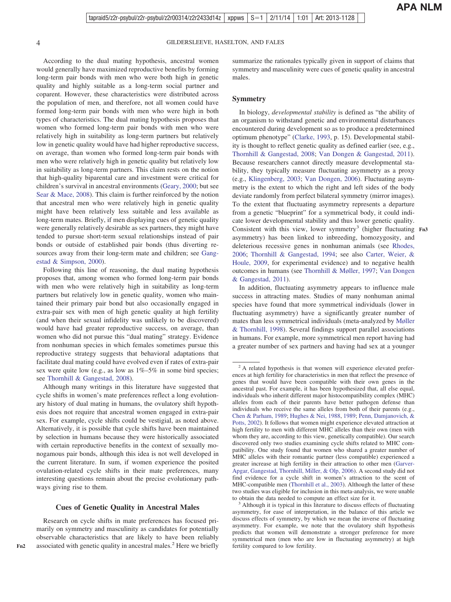According to the dual mating hypothesis, ancestral women would generally have maximized reproductive benefits by forming long-term pair bonds with men who were both high in genetic quality and highly suitable as a long-term social partner and coparent. However, these characteristics were distributed across the population of men, and therefore, not all women could have formed long-term pair bonds with men who were high in both types of characteristics. The dual mating hypothesis proposes that women who formed long-term pair bonds with men who were relatively high in suitability as long-term partners but relatively low in genetic quality would have had higher reproductive success, on average, than women who formed long-term pair bonds with men who were relatively high in genetic quality but relatively low in suitability as long-term partners. This claim rests on the notion that high-quality biparental care and investment were critical for children's survival in ancestral environments [\(Geary, 2000;](#page-51-4) but see [Sear & Mace, 2008\)](#page-53-4). This claim is further reinforced by the notion that ancestral men who were relatively high in genetic quality might have been relatively less suitable and less available as long-term mates. Briefly, if men displaying cues of genetic quality were generally relatively desirable as sex partners, they might have tended to pursue short-term sexual relationships instead of pair bonds or outside of established pair bonds (thus diverting resources away from their long-term mate and children; see [Gang](#page-51-5)[estad & Simpson, 2000\)](#page-51-5).

Following this line of reasoning, the dual mating hypothesis proposes that, among women who formed long-term pair bonds with men who were relatively high in suitability as long-term partners but relatively low in genetic quality, women who maintained their primary pair bond but also occasionally engaged in extra-pair sex with men of high genetic quality at high fertility (and when their sexual infidelity was unlikely to be discovered) would have had greater reproductive success, on average, than women who did not pursue this "dual mating" strategy. Evidence from nonhuman species in which females sometimes pursue this reproductive strategy suggests that behavioral adaptations that facilitate dual mating could have evolved even if rates of extra-pair sex were quite low (e.g., as low as  $1\% - 5\%$  in some bird species; see [Thornhill & Gangestad, 2008\)](#page-54-0).

Although many writings in this literature have suggested that cycle shifts in women's mate preferences reflect a long evolutionary history of dual mating in humans, the ovulatory shift hypothesis does not require that ancestral women engaged in extra-pair sex. For example, cycle shifts could be vestigial, as noted above. Alternatively, it is possible that cycle shifts have been maintained by selection in humans because they were historically associated with certain reproductive benefits in the context of sexually monogamous pair bonds, although this idea is not well developed in the current literature. In sum, if women experience the posited ovulation-related cycle shifts in their mate preferences, many interesting questions remain about the precise evolutionary pathways giving rise to them.

### **Cues of Genetic Quality in Ancestral Males**

Research on cycle shifts in mate preferences has focused primarily on symmetry and masculinity as candidates for potentially observable characteristics that are likely to have been reliably associated with genetic quality in ancestral males.<sup>2</sup> Here we briefly summarize the rationales typically given in support of claims that symmetry and masculinity were cues of genetic quality in ancestral males.

# **Symmetry**

In biology, *developmental stability* is defined as "the ability of an organism to withstand genetic and environmental disturbances encountered during development so as to produce a predetermined optimum phenotype" [\(Clarke, 1993,](#page-50-1) p. 15). Developmental stability is thought to reflect genetic quality as defined earlier (see, e.g., [Thornhill & Gangestad, 2008;](#page-54-0) [Van Dongen & Gangestad, 2011\)](#page-54-1). Because researchers cannot directly measure developmental stability, they typically measure fluctuating asymmetry as a proxy (e.g., [Klingenberg, 2003;](#page-52-6) [Van Dongen, 2006\)](#page-54-2). Fluctuating asymmetry is the extent to which the right and left sides of the body deviate randomly from perfect bilateral symmetry (mirror images). To the extent that fluctuating asymmetry represents a departure from a genetic "blueprint" for a symmetrical body, it could indicate lower developmental stability and thus lower genetic quality. Consistent with this view, lower symmetry<sup>3</sup> (higher fluctuating Fn3 asymmetry) has been linked to inbreeding, homozygosity, and deleterious recessive genes in nonhuman animals (see [Rhodes,](#page-53-5) [2006;](#page-53-5) [Thornhill & Gangestad, 1994;](#page-54-3) see also [Carter, Weier, &](#page-50-2) [Houle, 2009,](#page-50-2) for experimental evidence) and to negative health outcomes in humans (see [Thornhill & Møller, 1997;](#page-54-4) [Van Dongen](#page-54-1) [& Gangestad, 2011\)](#page-54-1).

In addition, fluctuating asymmetry appears to influence male success in attracting mates. Studies of many nonhuman animal species have found that more symmetrical individuals (lower in fluctuating asymmetry) have a significantly greater number of mates than less symmetrical individuals (meta-analyzed by [Møller](#page-52-7) [& Thornhill, 1998\)](#page-52-7). Several findings support parallel associations in humans. For example, more symmetrical men report having had a greater number of sex partners and having had sex at a younger

<sup>&</sup>lt;sup>2</sup> A related hypothesis is that women will experience elevated preferences at high fertility for characteristics in men that reflect the presence of genes that would have been compatible with their own genes in the ancestral past. For example, it has been hypothesized that, all else equal, individuals who inherit different major histocompatibility complex (MHC) alleles from each of their parents have better pathogen defense than individuals who receive the same alleles from both of their parents (e.g., [Chen & Parham, 1989;](#page-50-3) [Hughes & Nei, 1988,](#page-51-6) [1989;](#page-51-7) [Penn, Damjanovich, &](#page-53-6) [Potts, 2002\)](#page-53-6). It follows that women might experience elevated attraction at high fertility to men with different MHC alleles than their own (men with whom they are, according to this view, genetically compatible). Our search discovered only two studies examining cycle shifts related to MHC compatibility. One study found that women who shared a greater number of MHC alleles with their romantic partner (less compatible) experienced a greater increase at high fertility in their attraction to other men [\(Garver-](#page-51-8)[Apgar, Gangestad, Thornhill, Miller, & Olp, 2006\)](#page-51-8). A second study did not find evidence for a cycle shift in women's attraction to the scent of MHC-compatible men [\(Thornhill et al., 2003\)](#page-54-5). Although the latter of these two studies was eligible for inclusion in this meta-analysis, we were unable to obtain the data needed to compute an effect size for it.<br><sup>3</sup> Although it is typical in this literature to discuss effects of fluctuating

asymmetry, for ease of interpretation, in the balance of this article we discuss effects of symmetry, by which we mean the inverse of fluctuating asymmetry. For example, we note that the ovulatory shift hypothesis predicts that women will demonstrate a stronger preference for more symmetrical men (men who are low in fluctuating asymmetry) at high fertility compared to low fertility.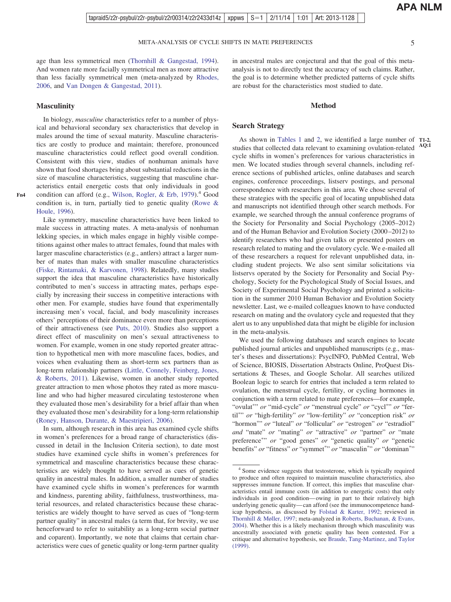META-ANALYSIS OF CYCLE SHIFTS IN MATE PREFERENCES  $\overline{5}$ 

age than less symmetrical men [\(Thornhill & Gangestad, 1994\)](#page-54-3). And women rate more facially symmetrical men as more attractive than less facially symmetrical men (meta-analyzed by [Rhodes,](#page-53-5) [2006,](#page-53-5) and [Van Dongen & Gangestad, 2011\)](#page-54-1).

# **Masculinity**

In biology, *masculine* characteristics refer to a number of physical and behavioral secondary sex characteristics that develop in males around the time of sexual maturity. Masculine characteristics are costly to produce and maintain; therefore, pronounced masculine characteristics could reflect good overall condition. Consistent with this view, studies of nonhuman animals have shown that food shortages bring about substantial reductions in the size of masculine characteristics, suggesting that masculine characteristics entail energetic costs that only individuals in good condition can afford (e.g., [Wilson, Rogler, & Erb, 1979\)](#page-54-6).<sup>4</sup> Good condition is, in turn, partially tied to genetic quality [\(Rowe &](#page-53-7) [Houle, 1996\)](#page-53-7).

Like symmetry, masculine characteristics have been linked to male success in attracting mates. A meta-analysis of nonhuman lekking species, in which males engage in highly visible competitions against other males to attract females, found that males with larger masculine characteristics (e.g., antlers) attract a larger number of mates than males with smaller masculine characteristics [\(Fiske, Rintamaki, & Karvonen, 1998\)](#page-50-4). Relatedly, many studies support the idea that masculine characteristics have historically contributed to men's success in attracting mates, perhaps especially by increasing their success in competitive interactions with other men. For example, studies have found that experimentally increasing men's vocal, facial, and body masculinity increases others' perceptions of their dominance even more than perceptions of their attractiveness (see [Puts, 2010\)](#page-53-8). Studies also support a direct effect of masculinity on men's sexual attractiveness to women. For example, women in one study reported greater attraction to hypothetical men with more masculine faces, bodies, and voices when evaluating them as short-term sex partners than as long-term relationship partners [\(Little, Connely, Feinberg, Jones,](#page-52-8) [& Roberts, 2011\)](#page-52-8). Likewise, women in another study reported greater attraction to men whose photos they rated as more masculine and who had higher measured circulating testosterone when they evaluated those men's desirability for a brief affair than when they evaluated those men's desirability for a long-term relationship [\(Roney, Hanson, Durante, & Maestripieri, 2006\)](#page-53-9).

In sum, although research in this area has examined cycle shifts in women's preferences for a broad range of characteristics (discussed in detail in the Inclusion Criteria section), to date most studies have examined cycle shifts in women's preferences for symmetrical and masculine characteristics because these characteristics are widely thought to have served as cues of genetic quality in ancestral males. In addition, a smaller number of studies have examined cycle shifts in women's preferences for warmth and kindness, parenting ability, faithfulness, trustworthiness, material resources, and related characteristics because these characteristics are widely thought to have served as cues of "long-term partner quality" in ancestral males (a term that, for brevity, we use henceforward to refer to suitability as a long-term social partner and coparent). Importantly, we note that claims that certain characteristics were cues of genetic quality or long-term partner quality

in ancestral males are conjectural and that the goal of this metaanalysis is not to directly test the accuracy of such claims. Rather, the goal is to determine whether predicted patterns of cycle shifts are robust for the characteristics most studied to date.

# **Method**

#### **Search Strategy**

As shown in [Tables 1](#page-5-0) and [2,](#page-18-0) we identified a large number of **T1-2,** studies that collected data relevant to examining ovulation-related cycle shifts in women's preferences for various characteristics in men. We located studies through several channels, including reference sections of published articles, online databases and search engines, conference proceedings, listserv postings, and personal correspondence with researchers in this area. We chose several of these strategies with the specific goal of locating unpublished data and manuscripts not identified through other search methods. For example, we searched through the annual conference programs of the Society for Personality and Social Psychology (2005–2012) and of the Human Behavior and Evolution Society (2000 –2012) to identify researchers who had given talks or presented posters on research related to mating and the ovulatory cycle. We e-mailed all of these researchers a request for relevant unpublished data, including student projects. We also sent similar solicitations via listservs operated by the Society for Personality and Social Psychology, Society for the Psychological Study of Social Issues, and Society of Experimental Social Psychology and printed a solicitation in the summer 2010 Human Behavior and Evolution Society newsletter. Last, we e-mailed colleagues known to have conducted research on mating and the ovulatory cycle and requested that they alert us to any unpublished data that might be eligible for inclusion in the meta-analysis.

We used the following databases and search engines to locate published journal articles and unpublished manuscripts (e.g., master's theses and dissertations): PsycINFO, PubMed Central, Web of Science, BIOSIS, Dissertation Abstracts Online, ProQuest Dissertations & Theses, and Google Scholar. All searches utilized Boolean logic to search for entries that included a term related to ovulation, the menstrual cycle, fertility, or cycling hormones in conjunction with a term related to mate preferences—for example, "ovulat<sup>\*</sup>" *or* "mid-cycle" *or* "menstrual cycle" *or* "cycl<sup>\*</sup>" *or* "fertil<sup>\*\*</sup>" *or* "high-fertility" *or* "low-fertility" *or* "conception risk" *or* "hormon<sup>\*</sup>" *or* "luteal" *or* "follicular" *or* "estrogen" *or* "estradiol" *and* "mate" *or* "mating" *or* "attractive" *or* "partner" *or* "mate preference<sup>\*</sup>" or "good genes" or "genetic quality" or "genetic benefits" or "fitness" or "symmet" or "masculin" or "dominan"

**AQ:1**

<sup>4</sup> Some evidence suggests that testosterone, which is typically required to produce and often required to maintain masculine characteristics, also suppresses immune function. If correct, this implies that masculine characteristics entail immune costs (in addition to energetic costs) that only individuals in good condition— owing in part to their relatively high underlying genetic quality— can afford (see the immunocompetence handicap hypothesis, as discussed by [Folstad & Karter, 1992;](#page-50-5) reviewed in [Thornhill & Møller, 1997;](#page-54-4) meta-analyzed in [Roberts, Buchanan, & Evans,](#page-53-10) [2004\)](#page-53-10). Whether this is a likely mechanism through which masculinity was ancestrally associated with genetic quality has been contested. For a critique and alternative hypothesis, see [Braude, Tang-Martinez, and Taylor](#page-50-6) [\(1999\).](#page-50-6)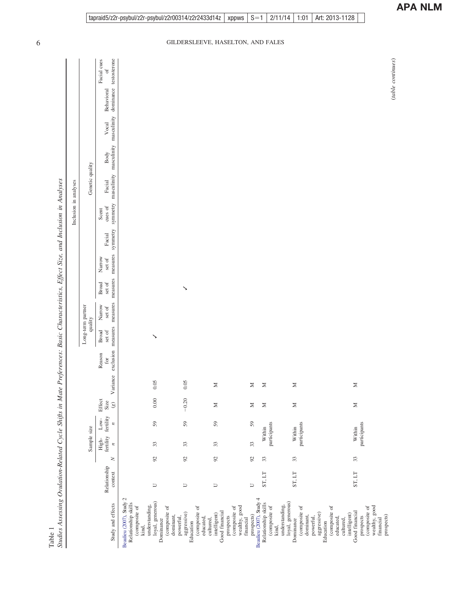<span id="page-5-0"></span>

|                                                                                                                                                     |                         |               |                                                |                                               |                                 |                                        |                              |                                       |                                    |                              |                    |                                        | Inclusion in analyses |                 |                                              |                                |                                  |
|-----------------------------------------------------------------------------------------------------------------------------------------------------|-------------------------|---------------|------------------------------------------------|-----------------------------------------------|---------------------------------|----------------------------------------|------------------------------|---------------------------------------|------------------------------------|------------------------------|--------------------|----------------------------------------|-----------------------|-----------------|----------------------------------------------|--------------------------------|----------------------------------|
|                                                                                                                                                     |                         |               | Sample size                                    |                                               |                                 |                                        |                              | Long-term partner<br>quality          |                                    |                              |                    |                                        |                       | Genetic quality |                                              |                                |                                  |
| Study and effects                                                                                                                                   | Relationship<br>context | $\geq$        | fertility<br>High-<br>$\overline{\phantom{a}}$ | fertility<br>Low-<br>$\overline{\phantom{a}}$ | Effect<br>Size<br>$\circledast$ | exclusion<br>Reason<br>for<br>Variance | <b>Broad</b><br>$\rm set$ of | measures measures<br>Narrow<br>set of | measures<br>set of<br><b>Broad</b> | measures<br>Narrow<br>set of | symmetry<br>Facial | symmetry<br>$c \text{ues of}$<br>Scent | Facial                | <b>Body</b>     | masculinity masculinity masculinity<br>Vocal | dominance<br><b>Behavioral</b> | testosterone<br>Facial cues<br>ð |
| N<br>loyal, generous)<br>Beaulieu (2007), Study<br>Relationship skills<br>understanding,<br>(composite of<br>Dominance<br>kind,                     | $\sqcup$                | 92            | $33$                                           | 59                                            | 0.00                            | 0.05                                   | ↘                            |                                       |                                    |                              |                    |                                        |                       |                 |                                              |                                |                                  |
| (composite of<br>aggressive)<br>dominant,<br>powerful,<br>Education                                                                                 | $\qquad \qquad \Box$    | 92            | 33                                             | $59\,$                                        | $-0.20$                         | 0.05                                   |                              |                                       | ↘                                  |                              |                    |                                        |                       |                 |                                              |                                |                                  |
| (composite of<br>Good financial<br>intelligent)<br>prospects<br>educated,<br>cultured,                                                              | $\Box$                  | $\mathcal{S}$ | $33\,$                                         | $59\,$                                        | Σ                               | $\mathbf{z}$                           |                              |                                       |                                    |                              |                    |                                        |                       |                 |                                              |                                |                                  |
| wealthy, good<br>financial<br>(composite of<br>$pro_{spects}$                                                                                       | $\sqcup$                | $\mathcal{S}$ | 33                                             | $59$                                          | z                               | $\geq$                                 |                              |                                       |                                    |                              |                    |                                        |                       |                 |                                              |                                |                                  |
| Beaulieu (2007), Study 4<br>Relationship skills<br>(composite of<br>kind,                                                                           | ST, LT                  | 33            |                                                | participants<br>Within                        | $\geq$                          | $\geq$                                 |                              |                                       |                                    |                              |                    |                                        |                       |                 |                                              |                                |                                  |
| loyal, generous)<br>understanding,<br>(composite of<br>aggressive)<br>Education<br>dominant,<br>powerful,<br>Dominance                              | $ST,LT$                 | 33            | Within                                         | participants                                  | $\geq$                          | $\geq$                                 |                              |                                       |                                    |                              |                    |                                        |                       |                 |                                              |                                |                                  |
| wealthy, good<br>financial<br>(composite of<br>(composite of<br>Good financial<br>intelligent)<br>prospects)<br>prospects<br>educated,<br>cultured, | $ST,LT$                 | $33$          | participants                                   | Within                                        | $\geq$                          | Σ                                      |                              |                                       |                                    |                              |                    |                                        |                       |                 |                                              |                                |                                  |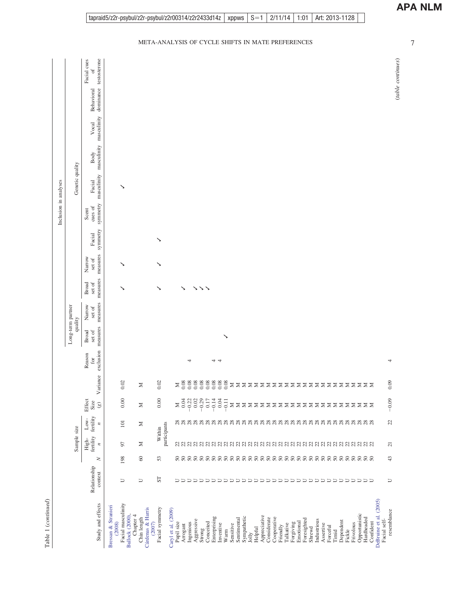Table 1 (continued) Table 1 (*continued*)

|                       |                              |                                                      |                                                                        |                                               | META-ANALYSIS OF CYCLE SHIFTS IN MATE PREFERENCES |                     |                                     |           |            |                     |              |                                                                |         |                                   |             |       |                         |             |             |          |           |           |                          |        |             |           |          |       |                     |           |                                       |            |           |                                        |                |                   |
|-----------------------|------------------------------|------------------------------------------------------|------------------------------------------------------------------------|-----------------------------------------------|---------------------------------------------------|---------------------|-------------------------------------|-----------|------------|---------------------|--------------|----------------------------------------------------------------|---------|-----------------------------------|-------------|-------|-------------------------|-------------|-------------|----------|-----------|-----------|--------------------------|--------|-------------|-----------|----------|-------|---------------------|-----------|---------------------------------------|------------|-----------|----------------------------------------|----------------|-------------------|
|                       |                              | testosterone<br>Facial cues<br>ð                     |                                                                        |                                               |                                                   |                     |                                     |           |            |                     |              |                                                                |         |                                   |             |       |                         |             |             |          |           |           |                          |        |             |           |          |       |                     |           |                                       |            |           |                                        |                | (table continues) |
|                       |                              | dominance<br>Behavioral                              |                                                                        |                                               |                                                   |                     |                                     |           |            |                     |              |                                                                |         |                                   |             |       |                         |             |             |          |           |           |                          |        |             |           |          |       |                     |           |                                       |            |           |                                        |                |                   |
|                       |                              | masculinity<br>Vocal                                 |                                                                        |                                               |                                                   |                     |                                     |           |            |                     |              |                                                                |         |                                   |             |       |                         |             |             |          |           |           |                          |        |             |           |          |       |                     |           |                                       |            |           |                                        |                |                   |
|                       |                              | masculinity masculinity<br><b>Body</b>               |                                                                        |                                               |                                                   |                     |                                     |           |            |                     |              |                                                                |         |                                   |             |       |                         |             |             |          |           |           |                          |        |             |           |          |       |                     |           |                                       |            |           |                                        |                |                   |
|                       | Genetic quality              | Facial                                               | ↘                                                                      |                                               |                                                   |                     |                                     |           |            |                     |              |                                                                |         |                                   |             |       |                         |             |             |          |           |           |                          |        |             |           |          |       |                     |           |                                       |            |           |                                        |                |                   |
| Inclusion in analyses |                              | symmetry<br>cues of<br>Scent                         |                                                                        |                                               |                                                   |                     |                                     |           |            |                     |              |                                                                |         |                                   |             |       |                         |             |             |          |           |           |                          |        |             |           |          |       |                     |           |                                       |            |           |                                        |                |                   |
|                       |                              | symmetry<br>Facial                                   |                                                                        |                                               | ↘                                                 |                     |                                     |           |            |                     |              |                                                                |         |                                   |             |       |                         |             |             |          |           |           |                          |        |             |           |          |       |                     |           |                                       |            |           |                                        |                |                   |
|                       |                              | measures<br>Narrow<br>set of                         | ↘                                                                      |                                               | ↘                                                 |                     |                                     |           |            |                     |              |                                                                |         |                                   |             |       |                         |             |             |          |           |           |                          |        |             |           |          |       |                     |           |                                       |            |           |                                        |                |                   |
|                       |                              | measures<br><b>Broad</b><br>set of                   | ↘                                                                      |                                               | ↘                                                 |                     | ↘                                   |           | 555        |                     |              |                                                                |         |                                   |             |       |                         |             |             |          |           |           |                          |        |             |           |          |       |                     |           |                                       |            |           |                                        |                |                   |
|                       |                              | measures<br>Narrow<br>$\mathop{\rm set}\nolimits$ of |                                                                        |                                               |                                                   |                     |                                     |           |            |                     |              |                                                                |         |                                   |             |       |                         |             |             |          |           |           |                          |        |             |           |          |       |                     |           |                                       |            |           |                                        |                |                   |
|                       | Long-term partner<br>quality | measures<br><b>Broad</b><br>$\rm set$ of             |                                                                        |                                               |                                                   |                     |                                     |           |            |                     |              |                                                                | ↘       |                                   |             |       |                         |             |             |          |           |           |                          |        |             |           |          |       |                     |           |                                       |            |           |                                        |                |                   |
|                       |                              | exclusion<br>Reason<br>for                           |                                                                        |                                               |                                                   |                     |                                     | 4         |            |                     |              | 44                                                             |         |                                   |             |       |                         |             |             |          |           |           |                          |        |             |           |          |       |                     |           |                                       |            |           |                                        | 4              |                   |
|                       |                              | Variance                                             | 0.02                                                                   | $\geq$                                        | $0.02\,$                                          |                     | 0.08<br>$\geq$                      | $0.08\,$  |            |                     |              | $\begin{array}{c} 888880 \\ 0.00000 \\ 0.00000 \\ \end{array}$ |         | $\geq$<br>$\geq$                  |             |       |                         |             |             |          |           |           |                          |        |             |           |          |       |                     |           | <b><i>ZZZZZZZZZZZZZZZZZZZZZZZ</i></b> |            |           |                                        | 0.09           |                   |
|                       |                              | Effect<br>Size<br>$\circledS$                        | 0.00                                                                   | $\geq$                                        | 0.00                                              |                     | 0.04<br>$\geq$                      | $-0.22$   | $0.02\,$   | $-0.29$<br>0.17     | $-0.14$      | $0.04\,$                                                       | $-0.11$ | $\mathbf{z}$<br>$\mathbf{\Sigma}$ | $\geq$      |       |                         |             |             |          |           |           |                          |        |             |           |          |       |                     |           | <i><b>ZZZZZZZZZZZZZZZZZZZZZ</b></i>   |            |           |                                        | $-0.09$        |                   |
|                       |                              | fertility<br>Low-<br>$\overline{r}$                  | 101                                                                    | Σ                                             |                                                   |                     |                                     |           |            |                     |              |                                                                |         |                                   |             |       |                         |             |             |          |           |           |                          |        |             |           |          |       |                     |           |                                       |            |           |                                        | $\mathfrak{L}$ |                   |
|                       | Sample size                  | fertility<br>High-<br>$\overline{r}$                 | 50                                                                     | Σ                                             | participants<br>Within                            |                     |                                     |           |            |                     |              |                                                                |         |                                   |             |       |                         |             |             |          |           |           |                          |        |             |           |          |       |                     |           |                                       |            |           |                                        | $\overline{z}$ |                   |
|                       |                              | z                                                    | 198                                                                    | $\circ$                                       | 53                                                |                     | 88888888888888888888888888888888888 |           |            |                     |              |                                                                |         |                                   |             |       |                         |             |             |          |           |           |                          |        |             |           |          |       |                     |           |                                       |            |           |                                        | 43             |                   |
|                       |                              | Relationship<br>context                              | $\Box$                                                                 | $\cup$                                        | S <sub>T</sub>                                    |                     | Þ<br>⊃                              | $\Box$    |            |                     |              |                                                                |         |                                   |             |       |                         |             |             |          |           |           |                          |        |             |           |          |       |                     |           |                                       |            |           |                                        | $\Box$         |                   |
|                       |                              | Study and effects                                    | Facial masculinity<br>Bressan & Stranieri<br>Bullock (2000),<br>(2008) | Cárdenas & Harris<br>Chapter 4<br>Chin length | Facial symmetry<br>(2007)                         | Caryl et al. (2009) | Pupil size<br>Arrogant              | Ingenious | Aggressive | Conceited<br>Strong | Enterprising | Inventive                                                      | Warm    | Sentimental<br>Sensitive          | Sympathetic | Jolly | Appreciative<br>Helpful | Considerate | Cooperative | Friendly | Talkative | Forgiving | Foresighted<br>Emotional | Shrewd | Industrious | Assertive | Forceful | Timid | Dependent<br>Fickle | Frivolous | Opportunistic                         | Hardheaded | Confident | DeBruine et al. (2005)<br>Facial self- | resemblance    |                   |

Tapraid5/z2r-psybul/z2r-psybul/z2r00314/z2r2433d14z xppws S=1 2/11/14 1:01 Art: 2013-1128

**APA NLM**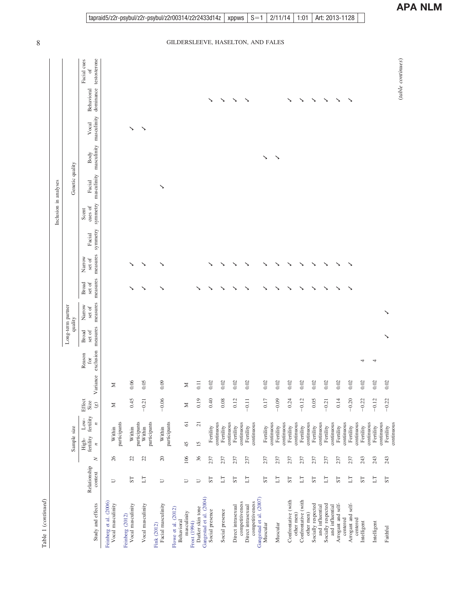|                                                          |                         |        |                                                                                                                     |                                 |      |                                     |                                            |                  |                                          |                              |                    | Inclusion in analyses |                 |                                                      |       |                                      |                   |
|----------------------------------------------------------|-------------------------|--------|---------------------------------------------------------------------------------------------------------------------|---------------------------------|------|-------------------------------------|--------------------------------------------|------------------|------------------------------------------|------------------------------|--------------------|-----------------------|-----------------|------------------------------------------------------|-------|--------------------------------------|-------------------|
|                                                          |                         |        | Sample size                                                                                                         |                                 |      |                                     | Long-term partner<br>quality               |                  |                                          |                              |                    |                       | Genetic quality |                                                      |       |                                      |                   |
| Study and effects                                        | Relationship<br>context | z      | fertility<br>$_{\rm Low-}$<br>$\overline{\phantom{a}}$<br>$_{\rm{ferdity}}^{\rm{Hgh-}}$<br>$\overline{\phantom{a}}$ | Effect<br>Size<br>$\circledast$ |      | Variance exclusion<br>Reason<br>for | measures measures<br>Broad<br>$\rm set$ of | Narrow<br>set of | measures<br><b>Broad</b><br>$\rm set$ of | measures<br>Narrow<br>set of | symmetry<br>Facial | cues of<br>Scent      | Facial          | symmetry masculinity masculinity masculinity<br>Body | Vocal | dominance testosterone<br>Behavioral | Facial cues<br>đ  |
| Feinberg et al. (2006)<br>Vocal masculinity              | $\cup$                  | 26     | Within                                                                                                              | ≍                               | Σ    |                                     |                                            |                  |                                          |                              |                    |                       |                 |                                                      |       |                                      |                   |
| Vocal masculinity<br>Feinberg (2012)                     | $\overline{\text{S}}$   | 22     | participants<br>Within                                                                                              | 0.45                            | 0.06 |                                     |                                            |                  | ↘                                        |                              |                    |                       |                 |                                                      | ↘     |                                      |                   |
| Vocal masculinity                                        | LT.                     | 22     | participants<br>Within                                                                                              | $-0.21$                         | 0.05 |                                     |                                            |                  | ↘                                        | ↘                            |                    |                       |                 |                                                      | ↘     |                                      |                   |
| Facial masculinity<br>Fink (2012)                        | $\sqcup$                | $20\,$ | participants<br>participants<br>Within                                                                              | $-0.06$                         | 0.09 |                                     |                                            |                  | ↘                                        | ↘                            |                    |                       | ↘               |                                                      |       |                                      |                   |
| Flowe et al. (2012)<br>masculinity<br>Behavioral         | $\Box$                  | 106    | 5<br>45                                                                                                             | $\geq$                          | Σ    |                                     |                                            |                  |                                          |                              |                    |                       |                 |                                                      |       |                                      |                   |
| Darker skin tone<br>Frost (1994)                         | $\sqcup$                | 36     | $\overline{\mathbf{c}}$<br>$\overline{15}$                                                                          | 0.19                            | 0.11 |                                     |                                            |                  | ↘                                        |                              |                    |                       |                 |                                                      |       |                                      |                   |
| Gangestad et al. (2004)<br>Social presence               | <b>ST</b>               | 237    | Fertility                                                                                                           | 0.40                            | 0.02 |                                     |                                            |                  | ↘                                        |                              |                    |                       |                 |                                                      |       | ↘                                    |                   |
| Social presence                                          | $\overline{L}$          | 237    | continuous<br>Fertility                                                                                             | 0.08                            | 0.02 |                                     |                                            |                  | ゝ                                        | ↘                            |                    |                       |                 |                                                      |       | ↘                                    |                   |
| Direct intrasexual                                       | <b>ST</b>               | 237    | continuous<br>Fertility                                                                                             | 0.12                            | 0.02 |                                     |                                            |                  |                                          |                              |                    |                       |                 |                                                      |       | ↘                                    |                   |
| competitiveness<br>competitiveness<br>Direct intrasexual | $\overline{L}$          | 237    | continuous<br>continuous<br>Fertility                                                                               | $-0.11$                         | 0.02 |                                     |                                            |                  | ↘                                        |                              |                    |                       |                 |                                                      |       | ↘                                    |                   |
| Gangestad et al. (2007)<br>Muscular                      | $\overline{\text{S}}$   | 237    | Fertility                                                                                                           | 0.17                            | 0.02 |                                     |                                            |                  |                                          |                              |                    |                       |                 | ↘                                                    |       |                                      |                   |
| Muscular                                                 | $\overline{L}$          | 237    | continuous<br>continuous<br>Fertility                                                                               | $-0.09$                         | 0.02 |                                     |                                            |                  | ↘                                        |                              |                    |                       |                 | $\checkmark$                                         |       |                                      |                   |
| Confrontative (with                                      | ${\rm S} {\rm T}$       | 237    | Fertility                                                                                                           | 0.24                            | 0.02 |                                     |                                            |                  | ↘                                        |                              |                    |                       |                 |                                                      |       |                                      |                   |
| Confrontative (with<br>other men)                        | E                       | 237    | continuous<br>Fertility                                                                                             | $-0.12$                         | 0.02 |                                     |                                            |                  | ↘                                        |                              |                    |                       |                 |                                                      |       | ↘                                    |                   |
| Socially respected<br>other men)                         | $\overline{\text{S}}$   | 237    | continuous<br>Fertility                                                                                             | 0.05                            | 0.02 |                                     |                                            |                  | ↘                                        | ↘                            |                    |                       |                 |                                                      |       | ↘                                    |                   |
| Socially respected<br>and influential                    | ΞI                      | 237    | continuous<br>Fertility                                                                                             | $-0.21$                         | 0.02 |                                     |                                            |                  | ↘                                        | ↘                            |                    |                       |                 |                                                      |       | ↘                                    |                   |
| Arrogant and self-<br>and influential                    | <b>ST</b>               | 237    | continuous<br>Fertility                                                                                             | 0.14                            | 0.02 |                                     |                                            |                  | ↘                                        | ↘                            |                    |                       |                 |                                                      |       | ↘                                    |                   |
| Arrogant and self-<br>centered                           | $\Gamma$                | 237    | continuous<br>Fertility                                                                                             | $-0.20$                         | 0.02 |                                     |                                            |                  | ↘                                        | ↘                            |                    |                       |                 |                                                      |       | ↘                                    |                   |
| centered<br>Intelligent                                  | ${\rm S} {\rm T}$       | 243    | continuous<br>Fertility                                                                                             | $-0.22$                         | 0.02 | 4                                   |                                            |                  |                                          |                              |                    |                       |                 |                                                      |       |                                      |                   |
| Intelligent                                              | $\overline{\mathbb{L}}$ | 243    | continuous<br>Fertility                                                                                             | $-0.12$                         | 0.02 | 4                                   |                                            |                  |                                          |                              |                    |                       |                 |                                                      |       |                                      |                   |
| Faithful                                                 | $\overline{\text{S}}$   | 243    | continuous<br>continuous<br>Fertility                                                                               | $-0.22$                         | 0.02 |                                     | ↘                                          | ↘                |                                          |                              |                    |                       |                 |                                                      |       |                                      |                   |
|                                                          |                         |        |                                                                                                                     |                                 |      |                                     |                                            |                  |                                          |                              |                    |                       |                 |                                                      |       |                                      | (table continues) |

**APA NLM**

8 GILDERSLEEVE, HASELTON, AND FALES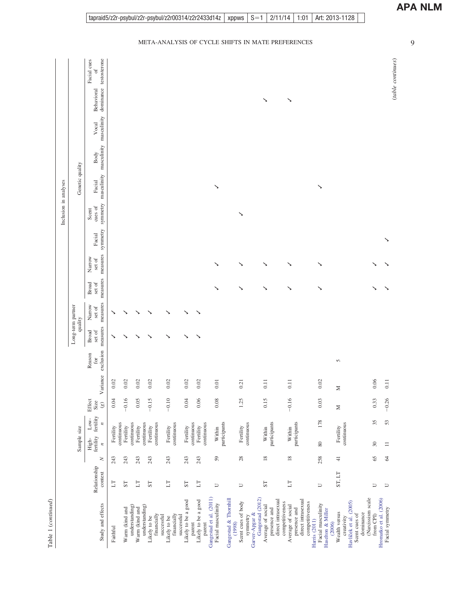| ζ |
|---|
| í |
|   |

|                       |                              |                                                                                                |           |                                  |                         |                                |                           |                             |                                   |                               |                                   |                        |                                 |                         | META-ANALYSIS OF CYCLE SHIFTS IN MATE PREFERENCES |                       |                                    |                                      |                                    |                                  |                                         |                         |                                      |                            |                   |                                                |                   | 9 |
|-----------------------|------------------------------|------------------------------------------------------------------------------------------------|-----------|----------------------------------|-------------------------|--------------------------------|---------------------------|-----------------------------|-----------------------------------|-------------------------------|-----------------------------------|------------------------|---------------------------------|-------------------------|---------------------------------------------------|-----------------------|------------------------------------|--------------------------------------|------------------------------------|----------------------------------|-----------------------------------------|-------------------------|--------------------------------------|----------------------------|-------------------|------------------------------------------------|-------------------|---|
|                       |                              | testosterone<br>Facial cues<br>đ                                                               |           |                                  |                         |                                |                           |                             |                                   |                               |                                   |                        |                                 |                         |                                                   |                       |                                    |                                      |                                    |                                  |                                         |                         |                                      |                            |                   |                                                | (table continues) |   |
|                       |                              | dominance<br>Behavioral                                                                        |           |                                  |                         |                                |                           |                             |                                   |                               |                                   |                        |                                 |                         |                                                   | ↘                     |                                    | ↘                                    |                                    |                                  |                                         |                         |                                      |                            |                   |                                                |                   |   |
|                       |                              | Vocal                                                                                          |           |                                  |                         |                                |                           |                             |                                   |                               |                                   |                        |                                 |                         |                                                   |                       |                                    |                                      |                                    |                                  |                                         |                         |                                      |                            |                   |                                                |                   |   |
|                       |                              | masculinity masculinity<br>Body                                                                |           |                                  |                         |                                |                           |                             |                                   |                               |                                   |                        |                                 |                         |                                                   |                       |                                    |                                      |                                    |                                  |                                         |                         |                                      |                            |                   |                                                |                   |   |
|                       | Genetic quality              | masculinity<br>Facial                                                                          |           |                                  |                         |                                |                           |                             |                                   |                               |                                   | ↘                      |                                 |                         |                                                   |                       |                                    |                                      |                                    |                                  | ↘                                       |                         |                                      |                            |                   |                                                |                   |   |
| Inclusion in analyses |                              | symmetry<br>cues of<br>Scent                                                                   |           |                                  |                         |                                |                           |                             |                                   |                               |                                   |                        |                                 | ↘                       |                                                   |                       |                                    |                                      |                                    |                                  |                                         |                         |                                      |                            |                   |                                                |                   |   |
|                       |                              | symmetry<br>Facial                                                                             |           |                                  |                         |                                |                           |                             |                                   |                               |                                   |                        |                                 |                         |                                                   |                       |                                    |                                      |                                    |                                  |                                         |                         |                                      |                            |                   |                                                | ↘                 |   |
|                       |                              | measures<br>Narrow<br>set of                                                                   |           |                                  |                         |                                |                           |                             |                                   |                               |                                   | ↘                      |                                 | ↘                       |                                                   | ↘                     |                                    | ↘                                    |                                    |                                  | ↘                                       |                         |                                      |                            |                   |                                                | ↘                 |   |
|                       |                              | measures<br><b>Broad</b><br>set of                                                             |           |                                  |                         |                                |                           |                             |                                   |                               |                                   | ↘                      |                                 | ↘                       |                                                   | ↘                     |                                    | ↘                                    |                                    |                                  | ↘                                       |                         |                                      |                            |                   | ↘                                              | ↘                 |   |
|                       | Long-term partner<br>quality | measures<br>Narrow<br>set of                                                                   | ↘         | $\diagdown$                      | ↘                       | ↘                              |                           | ↘                           | ↘                                 | ↘                             |                                   |                        |                                 |                         |                                                   |                       |                                    |                                      |                                    |                                  |                                         |                         |                                      |                            |                   |                                                |                   |   |
|                       |                              | measures<br><b>Broad</b><br>set of                                                             | ↘         | ↘                                |                         | ↘                              |                           | ↘                           | ↘                                 | ゝ                             |                                   |                        |                                 |                         |                                                   |                       |                                    |                                      |                                    |                                  |                                         |                         |                                      |                            |                   |                                                |                   |   |
|                       |                              | exclusion<br>Reason<br>for                                                                     |           |                                  |                         |                                |                           |                             |                                   |                               |                                   |                        |                                 |                         |                                                   |                       |                                    |                                      |                                    |                                  |                                         | 5                       |                                      |                            |                   |                                                |                   |   |
|                       |                              | $\ddot{\circ}$<br>Varianc                                                                      | $0.02\,$  | $0.02\,$                         | $0.02\,$                | 0.02                           |                           | 0.02                        | 0.02                              | $0.02\,$                      |                                   | 0.01                   |                                 | 0.21                    |                                                   | 0.11                  |                                    | 0.11                                 |                                    |                                  | $0.02\,$                                | $\geq$                  |                                      |                            |                   | 0.06                                           | 0.11              |   |
|                       |                              | Effect<br>Size<br>$\circledast$                                                                | 0.04      | $-0.16$                          | 0.05                    | $-0.15$                        |                           | $-0.10$                     | 0.04                              | 0.06                          |                                   | $0.08\,$               |                                 | 1.25                    |                                                   | 0.15                  |                                    | $-0.16$                              |                                    |                                  | 0.03                                    | $\geq$                  |                                      |                            |                   | 0.33                                           | $-0.26$           |   |
|                       | Sample size                  | fertility<br>$_{\rm Low-}$<br>$\overline{a}$<br>fertility<br>High-<br>$\overline{\phantom{a}}$ | Fertility | continuous<br>Fertility          | continuous<br>Fertility | continuous<br>Fertility        | continuous                | continuous<br>Fertility     | Fertility                         | continuous<br>Fertility       | continuous                        | participants<br>Within |                                 | continuous<br>Fertility |                                                   | Within                | participants                       | Within                               | participants                       |                                  | 178<br>$\rm 80$                         | Fertility               | continuous                           |                            |                   | 35<br>$\approx$                                | 53<br>$\equiv$    |   |
|                       |                              | $\geq$                                                                                         | 243       | 243                              | 243                     | 243                            |                           | 243                         | 243                               | 243                           |                                   | $50\,$                 |                                 | 28                      |                                                   | $18\,$                |                                    | $18\,$                               |                                    |                                  | 258                                     | $\pm$                   |                                      |                            |                   | 65                                             | $\mathcal{Z}$     |   |
|                       |                              | Relationship<br>context                                                                        | $\Box$    | $\overline{\text{S}}$            | $\Xi$                   | $\overline{\text{S}}$          |                           | $\overline{\Box}$           | $\overline{\text{S}}$             | $\Box$                        |                                   | $\sqcup$               |                                 | $\Box$                  |                                                   | $\overline{\text{S}}$ |                                    | $\overline{\Box}$                    |                                    |                                  | U                                       | ST, LT                  |                                      |                            |                   | コ                                              | $\Box$            |   |
|                       |                              | Study and effects                                                                              | Faithful  | understanding)<br>Warm (kind and | Warm (kind and          | understanding)<br>Likely to be | financially<br>successful | financially<br>Likely to be | Likely to be a good<br>successful | Likely to be a good<br>parent | Gangestad et al. (2011)<br>parent | Facial masculinity     | Gangestad & Thornhill<br>(1998) | Scent cues of body      | Gangestad (2012)<br>Garver-Apgar &<br>symmetry    | Average of social     | direct intrasexual<br>presence and | competitiveness<br>Average of social | direct intrasexual<br>presence and | competitiveness<br>Harris (2011) | Facial masculinity<br>Haselton & Miller | Wealth versus<br>(2006) | Havlíček et al. (2005)<br>creativity | dominance<br>Scent cues of | (Narcissism scale | Hromatko et al. (2006)<br>from $\mathrm{CPI})$ | Facial symmetry   |   |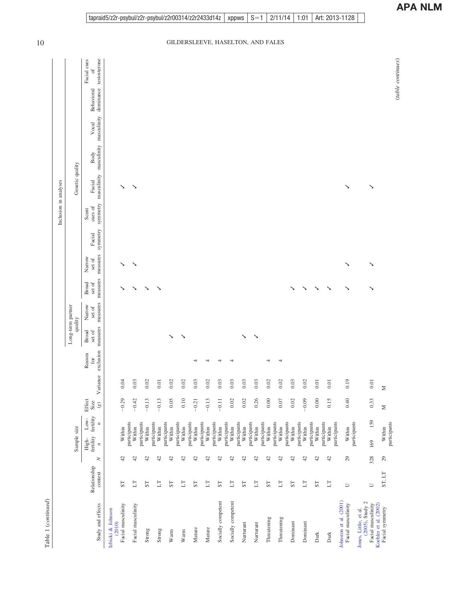| ۰, |  |
|----|--|
|    |  |
|    |  |

| masculinity masculinity<br><b>Body</b><br>Genetic quality<br>masculinity<br>Facial<br>$\checkmark$<br>↘<br>↘<br>↘<br>symmetry<br>cues of<br>Scent<br>symmetry<br>Facial<br>measures<br>Narrow<br>set of<br>↘<br>↘<br>↘<br>↘<br>measures<br>set of<br><b>Broad</b><br>↘<br>↘<br>↘<br>↘<br>↘<br>↘<br>↘<br>↘<br>↘<br>measures<br>Narrow<br>Long-term partner<br>set of<br>quality<br>measures<br><b>Broad</b><br>set of<br>↘<br>$\checkmark$<br>↘<br>$\checkmark$<br>exclusion<br>Reason<br>for<br>4<br>4<br>4<br>4<br>4<br>4<br>Variance<br>0.04<br>0.03<br>$0.02\,$<br>0.02<br>$0.02\,$<br>$0.03\,$<br>0.02<br>0.03<br>0.03<br>0.03<br>0.03<br>$0.02$<br>0.02<br>0.03<br>$0.02$<br>0.19<br>$0.01\,$<br>$0.01$<br>$0.01$<br>0.01<br>0.40<br>$-0.29$<br>$0.10$<br>0.26<br>0.15<br>0.33<br>Effect<br>$-0.42$<br>$-0.13$<br>$-0.13$<br>0.05<br>$-0.13$<br>0.02<br>0.00<br>$0.07$<br>$-0.09$<br>0.00<br>$-0.21$<br>0.02<br>$0.02\,$<br>$-0.11$<br>Size<br>$\circledast$<br>fertility<br>$_{\rm Low-}$<br>159<br>participants<br>participants<br>participants<br>participants<br>participants<br>participants<br>participants<br>participants<br>participants<br>participants<br>participants<br>participants<br>participants<br>participants<br>participants<br>participants<br>participants<br>participants<br>$\overline{\phantom{a}}$<br>participants<br>Within<br>Sample size<br>Within<br>Within<br>Within<br>Within<br>Within<br>Within<br>Within<br>Within<br>Within<br>Within<br>Within<br>Within<br>Within<br>Within<br>Within<br>Within<br>Within<br>Within<br>fertility<br>High-<br>169<br>$\overline{\phantom{a}}$<br>42<br>42<br>42<br>42<br>42<br>$\ddot{ }$<br>$\ddot{ }$<br>$\varphi$<br>42<br>$\overline{r}$<br>42<br>42<br>$4^{\circ}$<br>$\ddot{ }$<br>42<br>42<br>42<br>$29$<br>328<br>$\ddot{ }$<br>$\geq$<br>Relationship<br>context<br>$\Box$<br>$\Xi$<br>$\overline{\text{S}}$<br>$\overline{\mathbb{L}}$<br>$\overline{\text{S}}$<br>$\overline{\mathbb{L}}$<br>$\overline{\Xi}$<br>$\Box$<br>$\overline{\Xi}$<br>$\overline{\Box}$<br>$\overline{\text{S}}$<br>$\overline{\Box}$<br>$\overline{\text{S}}$<br>S <sub>T</sub><br>$\overline{\text{S}}$<br>$\overline{\text{S}}$<br>$\overline{\text{S}}$<br>$\overline{\rm S}$<br>$\Box$<br>$\cup$<br>Johnston et al. (2001)<br>Socially competent<br>Socially competent<br>Jones, Little, et al.<br>$(2005)$ , Study 2<br>Facial masculinity<br>Koehler et al. (2002)<br>Facial masculinity<br>Study and effects<br>Facial masculinity<br>Facial masculinity<br>Izbicki & Johnson<br>Threatening<br>Threatening<br>(2010)<br>Dominant<br>Dominant<br>Nurturant<br>Nurturant<br>Mature<br>Mature<br>Strong<br>Strong<br>Warm<br>Warm<br>$_{\mbox{\scriptsize{Dark}}}$<br>$_{\mbox{\scriptsize{Dark}}}$ |                 |  |  |  |  |  | Inclusion in analyses |  |       |                         |                                  |
|--------------------------------------------------------------------------------------------------------------------------------------------------------------------------------------------------------------------------------------------------------------------------------------------------------------------------------------------------------------------------------------------------------------------------------------------------------------------------------------------------------------------------------------------------------------------------------------------------------------------------------------------------------------------------------------------------------------------------------------------------------------------------------------------------------------------------------------------------------------------------------------------------------------------------------------------------------------------------------------------------------------------------------------------------------------------------------------------------------------------------------------------------------------------------------------------------------------------------------------------------------------------------------------------------------------------------------------------------------------------------------------------------------------------------------------------------------------------------------------------------------------------------------------------------------------------------------------------------------------------------------------------------------------------------------------------------------------------------------------------------------------------------------------------------------------------------------------------------------------------------------------------------------------------------------------------------------------------------------------------------------------------------------------------------------------------------------------------------------------------------------------------------------------------------------------------------------------------------------------------------------------------------------------------------------------------------------------------------------------------------------------------------------------------------------------------------------------------------------------------------------------------------------------------------------------------------------------------------------------------------------------------------------------------------------------------------------------------------------------------------------------------------|-----------------|--|--|--|--|--|-----------------------|--|-------|-------------------------|----------------------------------|
|                                                                                                                                                                                                                                                                                                                                                                                                                                                                                                                                                                                                                                                                                                                                                                                                                                                                                                                                                                                                                                                                                                                                                                                                                                                                                                                                                                                                                                                                                                                                                                                                                                                                                                                                                                                                                                                                                                                                                                                                                                                                                                                                                                                                                                                                                                                                                                                                                                                                                                                                                                                                                                                                                                                                                                          |                 |  |  |  |  |  |                       |  |       |                         |                                  |
|                                                                                                                                                                                                                                                                                                                                                                                                                                                                                                                                                                                                                                                                                                                                                                                                                                                                                                                                                                                                                                                                                                                                                                                                                                                                                                                                                                                                                                                                                                                                                                                                                                                                                                                                                                                                                                                                                                                                                                                                                                                                                                                                                                                                                                                                                                                                                                                                                                                                                                                                                                                                                                                                                                                                                                          |                 |  |  |  |  |  |                       |  | Vocal | dominance<br>Behavioral | testosterone<br>Facial cues<br>ð |
|                                                                                                                                                                                                                                                                                                                                                                                                                                                                                                                                                                                                                                                                                                                                                                                                                                                                                                                                                                                                                                                                                                                                                                                                                                                                                                                                                                                                                                                                                                                                                                                                                                                                                                                                                                                                                                                                                                                                                                                                                                                                                                                                                                                                                                                                                                                                                                                                                                                                                                                                                                                                                                                                                                                                                                          |                 |  |  |  |  |  |                       |  |       |                         |                                  |
|                                                                                                                                                                                                                                                                                                                                                                                                                                                                                                                                                                                                                                                                                                                                                                                                                                                                                                                                                                                                                                                                                                                                                                                                                                                                                                                                                                                                                                                                                                                                                                                                                                                                                                                                                                                                                                                                                                                                                                                                                                                                                                                                                                                                                                                                                                                                                                                                                                                                                                                                                                                                                                                                                                                                                                          |                 |  |  |  |  |  |                       |  |       |                         |                                  |
|                                                                                                                                                                                                                                                                                                                                                                                                                                                                                                                                                                                                                                                                                                                                                                                                                                                                                                                                                                                                                                                                                                                                                                                                                                                                                                                                                                                                                                                                                                                                                                                                                                                                                                                                                                                                                                                                                                                                                                                                                                                                                                                                                                                                                                                                                                                                                                                                                                                                                                                                                                                                                                                                                                                                                                          |                 |  |  |  |  |  |                       |  |       |                         |                                  |
|                                                                                                                                                                                                                                                                                                                                                                                                                                                                                                                                                                                                                                                                                                                                                                                                                                                                                                                                                                                                                                                                                                                                                                                                                                                                                                                                                                                                                                                                                                                                                                                                                                                                                                                                                                                                                                                                                                                                                                                                                                                                                                                                                                                                                                                                                                                                                                                                                                                                                                                                                                                                                                                                                                                                                                          |                 |  |  |  |  |  |                       |  |       |                         |                                  |
|                                                                                                                                                                                                                                                                                                                                                                                                                                                                                                                                                                                                                                                                                                                                                                                                                                                                                                                                                                                                                                                                                                                                                                                                                                                                                                                                                                                                                                                                                                                                                                                                                                                                                                                                                                                                                                                                                                                                                                                                                                                                                                                                                                                                                                                                                                                                                                                                                                                                                                                                                                                                                                                                                                                                                                          |                 |  |  |  |  |  |                       |  |       |                         |                                  |
|                                                                                                                                                                                                                                                                                                                                                                                                                                                                                                                                                                                                                                                                                                                                                                                                                                                                                                                                                                                                                                                                                                                                                                                                                                                                                                                                                                                                                                                                                                                                                                                                                                                                                                                                                                                                                                                                                                                                                                                                                                                                                                                                                                                                                                                                                                                                                                                                                                                                                                                                                                                                                                                                                                                                                                          |                 |  |  |  |  |  |                       |  |       |                         |                                  |
|                                                                                                                                                                                                                                                                                                                                                                                                                                                                                                                                                                                                                                                                                                                                                                                                                                                                                                                                                                                                                                                                                                                                                                                                                                                                                                                                                                                                                                                                                                                                                                                                                                                                                                                                                                                                                                                                                                                                                                                                                                                                                                                                                                                                                                                                                                                                                                                                                                                                                                                                                                                                                                                                                                                                                                          |                 |  |  |  |  |  |                       |  |       |                         |                                  |
|                                                                                                                                                                                                                                                                                                                                                                                                                                                                                                                                                                                                                                                                                                                                                                                                                                                                                                                                                                                                                                                                                                                                                                                                                                                                                                                                                                                                                                                                                                                                                                                                                                                                                                                                                                                                                                                                                                                                                                                                                                                                                                                                                                                                                                                                                                                                                                                                                                                                                                                                                                                                                                                                                                                                                                          |                 |  |  |  |  |  |                       |  |       |                         |                                  |
|                                                                                                                                                                                                                                                                                                                                                                                                                                                                                                                                                                                                                                                                                                                                                                                                                                                                                                                                                                                                                                                                                                                                                                                                                                                                                                                                                                                                                                                                                                                                                                                                                                                                                                                                                                                                                                                                                                                                                                                                                                                                                                                                                                                                                                                                                                                                                                                                                                                                                                                                                                                                                                                                                                                                                                          |                 |  |  |  |  |  |                       |  |       |                         |                                  |
|                                                                                                                                                                                                                                                                                                                                                                                                                                                                                                                                                                                                                                                                                                                                                                                                                                                                                                                                                                                                                                                                                                                                                                                                                                                                                                                                                                                                                                                                                                                                                                                                                                                                                                                                                                                                                                                                                                                                                                                                                                                                                                                                                                                                                                                                                                                                                                                                                                                                                                                                                                                                                                                                                                                                                                          |                 |  |  |  |  |  |                       |  |       |                         |                                  |
|                                                                                                                                                                                                                                                                                                                                                                                                                                                                                                                                                                                                                                                                                                                                                                                                                                                                                                                                                                                                                                                                                                                                                                                                                                                                                                                                                                                                                                                                                                                                                                                                                                                                                                                                                                                                                                                                                                                                                                                                                                                                                                                                                                                                                                                                                                                                                                                                                                                                                                                                                                                                                                                                                                                                                                          |                 |  |  |  |  |  |                       |  |       |                         |                                  |
|                                                                                                                                                                                                                                                                                                                                                                                                                                                                                                                                                                                                                                                                                                                                                                                                                                                                                                                                                                                                                                                                                                                                                                                                                                                                                                                                                                                                                                                                                                                                                                                                                                                                                                                                                                                                                                                                                                                                                                                                                                                                                                                                                                                                                                                                                                                                                                                                                                                                                                                                                                                                                                                                                                                                                                          |                 |  |  |  |  |  |                       |  |       |                         |                                  |
|                                                                                                                                                                                                                                                                                                                                                                                                                                                                                                                                                                                                                                                                                                                                                                                                                                                                                                                                                                                                                                                                                                                                                                                                                                                                                                                                                                                                                                                                                                                                                                                                                                                                                                                                                                                                                                                                                                                                                                                                                                                                                                                                                                                                                                                                                                                                                                                                                                                                                                                                                                                                                                                                                                                                                                          |                 |  |  |  |  |  |                       |  |       |                         |                                  |
|                                                                                                                                                                                                                                                                                                                                                                                                                                                                                                                                                                                                                                                                                                                                                                                                                                                                                                                                                                                                                                                                                                                                                                                                                                                                                                                                                                                                                                                                                                                                                                                                                                                                                                                                                                                                                                                                                                                                                                                                                                                                                                                                                                                                                                                                                                                                                                                                                                                                                                                                                                                                                                                                                                                                                                          |                 |  |  |  |  |  |                       |  |       |                         |                                  |
|                                                                                                                                                                                                                                                                                                                                                                                                                                                                                                                                                                                                                                                                                                                                                                                                                                                                                                                                                                                                                                                                                                                                                                                                                                                                                                                                                                                                                                                                                                                                                                                                                                                                                                                                                                                                                                                                                                                                                                                                                                                                                                                                                                                                                                                                                                                                                                                                                                                                                                                                                                                                                                                                                                                                                                          |                 |  |  |  |  |  |                       |  |       |                         |                                  |
|                                                                                                                                                                                                                                                                                                                                                                                                                                                                                                                                                                                                                                                                                                                                                                                                                                                                                                                                                                                                                                                                                                                                                                                                                                                                                                                                                                                                                                                                                                                                                                                                                                                                                                                                                                                                                                                                                                                                                                                                                                                                                                                                                                                                                                                                                                                                                                                                                                                                                                                                                                                                                                                                                                                                                                          |                 |  |  |  |  |  |                       |  |       |                         |                                  |
|                                                                                                                                                                                                                                                                                                                                                                                                                                                                                                                                                                                                                                                                                                                                                                                                                                                                                                                                                                                                                                                                                                                                                                                                                                                                                                                                                                                                                                                                                                                                                                                                                                                                                                                                                                                                                                                                                                                                                                                                                                                                                                                                                                                                                                                                                                                                                                                                                                                                                                                                                                                                                                                                                                                                                                          |                 |  |  |  |  |  |                       |  |       |                         |                                  |
|                                                                                                                                                                                                                                                                                                                                                                                                                                                                                                                                                                                                                                                                                                                                                                                                                                                                                                                                                                                                                                                                                                                                                                                                                                                                                                                                                                                                                                                                                                                                                                                                                                                                                                                                                                                                                                                                                                                                                                                                                                                                                                                                                                                                                                                                                                                                                                                                                                                                                                                                                                                                                                                                                                                                                                          |                 |  |  |  |  |  |                       |  |       |                         |                                  |
|                                                                                                                                                                                                                                                                                                                                                                                                                                                                                                                                                                                                                                                                                                                                                                                                                                                                                                                                                                                                                                                                                                                                                                                                                                                                                                                                                                                                                                                                                                                                                                                                                                                                                                                                                                                                                                                                                                                                                                                                                                                                                                                                                                                                                                                                                                                                                                                                                                                                                                                                                                                                                                                                                                                                                                          |                 |  |  |  |  |  |                       |  |       |                         |                                  |
|                                                                                                                                                                                                                                                                                                                                                                                                                                                                                                                                                                                                                                                                                                                                                                                                                                                                                                                                                                                                                                                                                                                                                                                                                                                                                                                                                                                                                                                                                                                                                                                                                                                                                                                                                                                                                                                                                                                                                                                                                                                                                                                                                                                                                                                                                                                                                                                                                                                                                                                                                                                                                                                                                                                                                                          |                 |  |  |  |  |  |                       |  |       |                         |                                  |
|                                                                                                                                                                                                                                                                                                                                                                                                                                                                                                                                                                                                                                                                                                                                                                                                                                                                                                                                                                                                                                                                                                                                                                                                                                                                                                                                                                                                                                                                                                                                                                                                                                                                                                                                                                                                                                                                                                                                                                                                                                                                                                                                                                                                                                                                                                                                                                                                                                                                                                                                                                                                                                                                                                                                                                          |                 |  |  |  |  |  |                       |  |       |                         |                                  |
| Σ<br>Σ<br>participants<br>Within<br>$\mathfrak{S}$<br>ST, LT                                                                                                                                                                                                                                                                                                                                                                                                                                                                                                                                                                                                                                                                                                                                                                                                                                                                                                                                                                                                                                                                                                                                                                                                                                                                                                                                                                                                                                                                                                                                                                                                                                                                                                                                                                                                                                                                                                                                                                                                                                                                                                                                                                                                                                                                                                                                                                                                                                                                                                                                                                                                                                                                                                             | Facial symmetry |  |  |  |  |  |                       |  |       |                         |                                  |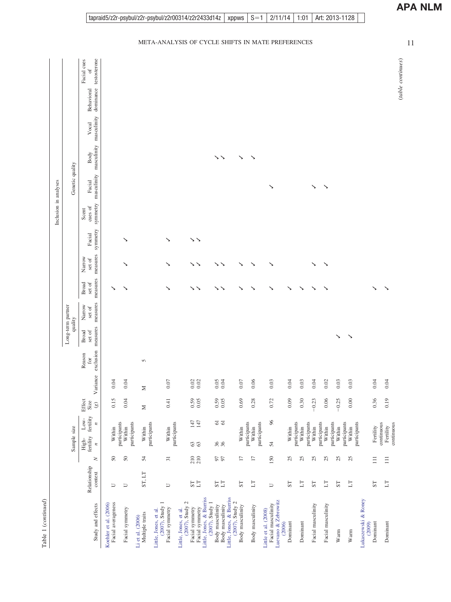| ٠ |
|---|
| ٦ |

Inclusion in analyses

Inclusion in analyses

| testosterone<br>Facial cues<br>of<br>dominance<br>Behavioral<br>masculinity<br>Vocal<br>masculinity<br><b>Body</b><br>ゝゝ<br>↘<br>↘<br>masculinity<br>Facial<br>↘<br>$\checkmark$<br>↘<br>symmetry<br>cues of<br>Scent<br>symmetry<br>Facial<br>↘<br>ゝゝ<br>↘<br>measures<br>Narrow<br>set of<br>↘<br>ゝゝ<br>↘<br>↘<br>ゝゝ<br>↘<br>↘<br>↘<br>↘<br>measures<br><b>Broad</b><br>set of<br>↘<br>↘<br>↘<br>ゝゝ<br>ゝゝ<br>↘<br>ゝ<br>↘<br>↘<br>↘<br>↘<br>↘<br>measures<br>Narrow<br>$\mathop{\rm set}\nolimits$ of<br>measures<br><b>Broad</b><br>$\rm set$ of<br>$\checkmark$<br>$\overline{\phantom{a}}$<br>5 | (table continues)<br>Reason<br>for |                                                                                                                                                                                             |  | Sample size |   |           | Long-term partner<br>quality |  |  | Genetic quality |  |  |
|-----------------------------------------------------------------------------------------------------------------------------------------------------------------------------------------------------------------------------------------------------------------------------------------------------------------------------------------------------------------------------------------------------------------------------------------------------------------------------------------------------------------------------------------------------------------------------------------------------|------------------------------------|---------------------------------------------------------------------------------------------------------------------------------------------------------------------------------------------|--|-------------|---|-----------|------------------------------|--|--|-----------------|--|--|
|                                                                                                                                                                                                                                                                                                                                                                                                                                                                                                                                                                                                     |                                    | Varianc<br>Effect<br>Size<br>$\circledast$<br>fertility<br>$_{\rm Low-}$<br>$\overline{\phantom{a}}$<br>fertility<br>High-<br>$\overline{\phantom{a}}$<br>$\geq$<br>Relationship<br>context |  |             | ă | exclusion |                              |  |  |                 |  |  |
|                                                                                                                                                                                                                                                                                                                                                                                                                                                                                                                                                                                                     |                                    | 0.04<br>0.15<br>Within<br>$50\,$<br>$\qquad \qquad \Box$                                                                                                                                    |  |             |   |           |                              |  |  |                 |  |  |
|                                                                                                                                                                                                                                                                                                                                                                                                                                                                                                                                                                                                     |                                    | 0.04<br>0.04<br>participants<br>participants<br>Within<br>$50\,$<br>$\sqcup$                                                                                                                |  |             |   |           |                              |  |  |                 |  |  |
|                                                                                                                                                                                                                                                                                                                                                                                                                                                                                                                                                                                                     |                                    | Σ<br>Σ<br>participants<br>Within<br>54<br>$ST,LT$                                                                                                                                           |  |             |   |           |                              |  |  |                 |  |  |
|                                                                                                                                                                                                                                                                                                                                                                                                                                                                                                                                                                                                     |                                    | $0.07$<br>0.41<br>participants<br>Within<br>$\overline{31}$<br>$\Box$                                                                                                                       |  |             |   |           |                              |  |  |                 |  |  |
|                                                                                                                                                                                                                                                                                                                                                                                                                                                                                                                                                                                                     |                                    |                                                                                                                                                                                             |  |             |   |           |                              |  |  |                 |  |  |
|                                                                                                                                                                                                                                                                                                                                                                                                                                                                                                                                                                                                     |                                    | $0.02\,$<br>$0.02\,$<br>0.59<br>0.05<br>$\frac{147}{147}$<br>3 <sup>o</sup><br>210<br>210<br>$75\,$                                                                                         |  |             |   |           |                              |  |  |                 |  |  |
|                                                                                                                                                                                                                                                                                                                                                                                                                                                                                                                                                                                                     |                                    |                                                                                                                                                                                             |  |             |   |           |                              |  |  |                 |  |  |
|                                                                                                                                                                                                                                                                                                                                                                                                                                                                                                                                                                                                     |                                    | $0.05$<br>0.04<br>$0.59$<br>0.05<br>$\overline{6}$<br>36 <sub>6</sub><br>57<br>$\overline{\text{L}}$ T                                                                                      |  |             |   |           |                              |  |  |                 |  |  |
|                                                                                                                                                                                                                                                                                                                                                                                                                                                                                                                                                                                                     |                                    | $0.07$<br>0.69<br>Within<br>$\Box$<br>$\overline{\text{S}}$                                                                                                                                 |  |             |   |           |                              |  |  |                 |  |  |
|                                                                                                                                                                                                                                                                                                                                                                                                                                                                                                                                                                                                     |                                    | 0.06<br>0.28<br>participants<br>participants<br>Within<br>$\Box$<br>$\overline{\mathbb{L}}$                                                                                                 |  |             |   |           |                              |  |  |                 |  |  |
|                                                                                                                                                                                                                                                                                                                                                                                                                                                                                                                                                                                                     |                                    | 0.03<br>0.72<br>96<br>54<br>150<br>$\Box$                                                                                                                                                   |  |             |   |           |                              |  |  |                 |  |  |
|                                                                                                                                                                                                                                                                                                                                                                                                                                                                                                                                                                                                     |                                    | 0.04<br>0.09<br>Within<br>25<br>$\overline{\text{S}}\overline{\text{T}}$                                                                                                                    |  |             |   |           |                              |  |  |                 |  |  |
|                                                                                                                                                                                                                                                                                                                                                                                                                                                                                                                                                                                                     |                                    | 0.03<br>0.30<br>participants<br>Within<br>25<br>$\overline{\mathbb{L}}$                                                                                                                     |  |             |   |           |                              |  |  |                 |  |  |
|                                                                                                                                                                                                                                                                                                                                                                                                                                                                                                                                                                                                     |                                    | 0.04<br>$-0.23$<br>participants<br>Within<br>25<br>$\overline{\text{S}}$                                                                                                                    |  |             |   |           |                              |  |  |                 |  |  |
|                                                                                                                                                                                                                                                                                                                                                                                                                                                                                                                                                                                                     |                                    | 0.02<br>0.06<br>participants<br>Within<br>25<br>$\Box$                                                                                                                                      |  |             |   |           |                              |  |  |                 |  |  |
|                                                                                                                                                                                                                                                                                                                                                                                                                                                                                                                                                                                                     |                                    | 0.03<br>$-0.25$<br>participants<br>Within<br>25<br>$\overline{\text{S}}$                                                                                                                    |  |             |   |           |                              |  |  |                 |  |  |
|                                                                                                                                                                                                                                                                                                                                                                                                                                                                                                                                                                                                     |                                    | 0.03<br>0.00<br>participants<br>participants<br>Within<br>25<br>$\overline{\Box}$                                                                                                           |  |             |   |           |                              |  |  |                 |  |  |
|                                                                                                                                                                                                                                                                                                                                                                                                                                                                                                                                                                                                     |                                    |                                                                                                                                                                                             |  |             |   |           |                              |  |  |                 |  |  |
|                                                                                                                                                                                                                                                                                                                                                                                                                                                                                                                                                                                                     |                                    | 0.04<br>0.36<br>Fertility<br>$\Xi$<br>$\overline{\text{S}}$                                                                                                                                 |  |             |   |           |                              |  |  |                 |  |  |
|                                                                                                                                                                                                                                                                                                                                                                                                                                                                                                                                                                                                     |                                    | 0.04<br>0.19<br>continuous<br>Fertility<br>continuous<br>$\Xi$<br>$\overline{\mathbb{L}}$                                                                                                   |  |             |   |           |                              |  |  |                 |  |  |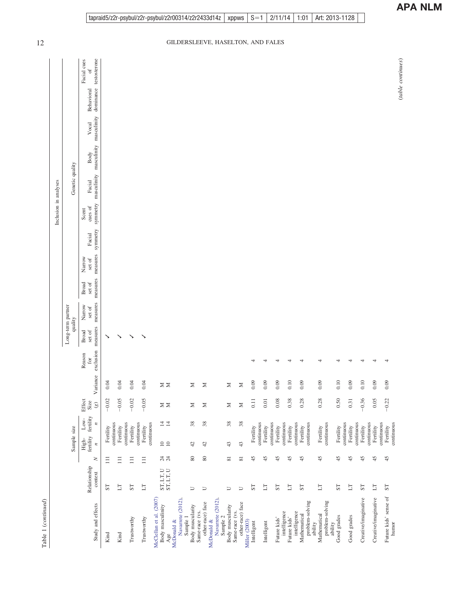| ۰      |  |
|--------|--|
| r<br>٠ |  |

|                              | testosterone<br>Facial cues<br>$\sigma$                |                |                         |                         |                                       |                                             |                   |                   |                              |                                                  |                   |                                                                                            |                  |                              |            |                         |                       |                         |                              |                                          |                            |                         |                            |                                          |                         |            |                                          |                      |                         | (table continues) |
|------------------------------|--------------------------------------------------------|----------------|-------------------------|-------------------------|---------------------------------------|---------------------------------------------|-------------------|-------------------|------------------------------|--------------------------------------------------|-------------------|--------------------------------------------------------------------------------------------|------------------|------------------------------|------------|-------------------------|-----------------------|-------------------------|------------------------------|------------------------------------------|----------------------------|-------------------------|----------------------------|------------------------------------------|-------------------------|------------|------------------------------------------|----------------------|-------------------------|-------------------|
|                              | dominance<br>Behavioral                                |                |                         |                         |                                       |                                             |                   |                   |                              |                                                  |                   |                                                                                            |                  |                              |            |                         |                       |                         |                              |                                          |                            |                         |                            |                                          |                         |            |                                          |                      |                         |                   |
|                              | Vocal                                                  |                |                         |                         |                                       |                                             |                   |                   |                              |                                                  |                   |                                                                                            |                  |                              |            |                         |                       |                         |                              |                                          |                            |                         |                            |                                          |                         |            |                                          |                      |                         |                   |
|                              | masculinity masculinity masculinity<br><b>Body</b>     |                |                         |                         |                                       |                                             |                   |                   |                              |                                                  |                   |                                                                                            |                  |                              |            |                         |                       |                         |                              |                                          |                            |                         |                            |                                          |                         |            |                                          |                      |                         |                   |
| Genetic quality              | Facial                                                 |                |                         |                         |                                       |                                             |                   |                   |                              |                                                  |                   |                                                                                            |                  |                              |            |                         |                       |                         |                              |                                          |                            |                         |                            |                                          |                         |            |                                          |                      |                         |                   |
|                              | symmetry<br>cues of<br>Scent                           |                |                         |                         |                                       |                                             |                   |                   |                              |                                                  |                   |                                                                                            |                  |                              |            |                         |                       |                         |                              |                                          |                            |                         |                            |                                          |                         |            |                                          |                      |                         |                   |
|                              | symmetry<br>Facial                                     |                |                         |                         |                                       |                                             |                   |                   |                              |                                                  |                   |                                                                                            |                  |                              |            |                         |                       |                         |                              |                                          |                            |                         |                            |                                          |                         |            |                                          |                      |                         |                   |
|                              | measures<br>Narrow<br>set of                           |                |                         |                         |                                       |                                             |                   |                   |                              |                                                  |                   |                                                                                            |                  |                              |            |                         |                       |                         |                              |                                          |                            |                         |                            |                                          |                         |            |                                          |                      |                         |                   |
|                              | measures<br><b>Broad</b><br>set of                     |                |                         |                         |                                       |                                             |                   |                   |                              |                                                  |                   |                                                                                            |                  |                              |            |                         |                       |                         |                              |                                          |                            |                         |                            |                                          |                         |            |                                          |                      |                         |                   |
| Long-term partner<br>quality | measures<br>Narrow<br>set of                           |                |                         |                         |                                       |                                             |                   |                   |                              |                                                  |                   |                                                                                            |                  |                              |            |                         |                       |                         |                              |                                          |                            |                         |                            |                                          |                         |            |                                          |                      |                         |                   |
|                              | measures<br><b>Broad</b><br>set of                     | $\checkmark$   | ↘                       | $\check{}$              | $\check{}$                            |                                             |                   |                   |                              |                                                  |                   |                                                                                            |                  |                              |            |                         |                       |                         |                              |                                          |                            |                         |                            |                                          |                         |            |                                          |                      |                         |                   |
|                              | exclusion<br>Reason<br>for                             |                |                         |                         |                                       |                                             |                   |                   |                              |                                                  |                   |                                                                                            |                  | 4                            |            | 4                       | 4                     | 4                       |                              | 4                                        |                            | 4                       |                            | 4                                        | 4                       |            | 4                                        | 4                    | 4                       |                   |
|                              | Variance                                               | 0.04           | 0.04                    | 0.04                    | 0.04                                  |                                             | $\Sigma \geq$     |                   | Σ                            | $\geq$                                           |                   | Σ                                                                                          | $\geq$           | 0.09                         |            | 0.09                    | 0.09                  |                         | $0.10\,$                     | 0.09                                     |                            | 0.09                    |                            | 0.10                                     | 0.09                    |            | 0.10                                     | 0.09                 | 0.09                    |                   |
|                              | Effect<br>Size<br>$\circledast$                        | $-0.02$        | $-0.05$                 | $-0.02$                 | $-0.05$                               |                                             | $\Sigma$          |                   | Σ                            | Σ                                                |                   | Σ                                                                                          | $\geq$           | 0.11                         |            | $0.01$                  | 0.08                  |                         | 0.38                         | 0.28                                     |                            | 0.28                    |                            | 0.50                                     | 0.31                    |            | $-0.36$                                  | 0.05                 | $-0.22$                 |                   |
|                              | fertility<br>$_{\rm Low-}$<br>$\overline{\phantom{a}}$ | Fertility      | continuous<br>Fertility | continuous<br>Fertility | continuous<br>continuous<br>Fertility |                                             | $\overline{4}$    |                   | $38\,$                       | 38                                               |                   | 38                                                                                         | $38\,$           | Fertility                    | continuous | continuous<br>Fertility | Fertility             | continuous<br>Fertility | continuous                   | Fertility                                | continuous                 | Fertility               | continuous                 | Fertility                                | continuous<br>Fertility | continuous | continuous<br>Fertility                  | Fertility            | continuous<br>Fertility | continuous        |
| Sample size                  | fertility<br>High-<br>$\boldsymbol{n}$                 |                |                         |                         |                                       |                                             | $\frac{1}{2}$     |                   | $\overline{4}$               | 42                                               |                   | 43                                                                                         | 43               |                              |            |                         |                       |                         |                              |                                          |                            |                         |                            |                                          |                         |            |                                          |                      |                         |                   |
|                              | $\geq$                                                 | $\Xi$          | $\Xi$                   | $\Xi$                   | $\Xi$                                 |                                             | 74                |                   | $80\,$                       | $80\,$                                           |                   | $\overline{\infty}$                                                                        | $\overline{81}$  | 45                           |            | 45                      | 45                    |                         | 45                           | $45$                                     |                            | $45$                    |                            | 45                                       | 45                      |            | 45                                       | 45                   | 45                      |                   |
|                              | Relationship<br>context                                | S <sub>T</sub> | $\overline{\mathbb{L}}$ | $\overline{\text{S}}$   | $\overline{\mathbb{L}}$               | ST, LT, U                                   | ST, LT, U         |                   | $\cup$                       | $\Box$                                           |                   | $\cup$                                                                                     | $\cup$           | $\mathsf{S}\mathsf{T}$       |            | $\Box$                  | $\overline{\text{S}}$ |                         | $\Gamma\Gamma$               | $\overline{\text{S}}\overline{\text{T}}$ |                            | $\overline{\mathbb{L}}$ |                            | $\overline{\text{S}}\overline{\text{T}}$ | $\Gamma1$               |            | $\overline{\text{S}}\overline{\text{T}}$ | $\Gamma\Gamma$       | $\mathsf{S}\mathsf{T}$  |                   |
|                              | Study and effects                                      | Kind           | Kind                    | Trustworthy             | Trustworthy                           | McClellan et al. (2007)<br>Body masculinity | McDonald &<br>Age | Navarrete (2012), | Sample 1<br>Body muscularity | other-race) face<br>Same-race (vs.<br>McDonald & | Navarrete (2012), | $\begin{array}{c} \mbox{Sample 2}\\ \mbox{Body muscularity} \end{array}$<br>Same-race (vs. | other-race) face | Miller (2003)<br>Intelligent |            | Intelligent             | Future kids'          | intelligence            | intelligence<br>Future kids' | Mathematical                             | problem-solving<br>ability | Mathematical            | problem-solving<br>ability | Good grades                              | Good grades             |            | Creative/imaginative                     | Creative/imaginative | Future kids' sense of   | humor             |

Inclusion in analyses

Inclusion in analyses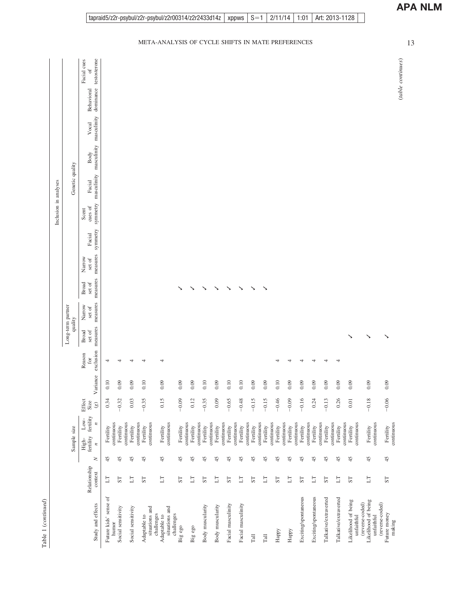Table 1  $(continued)$ Table 1 (*continued*)

Inclusion in analyses

Inclusion in analyses

|                              |                                                                                                      |                       |                             |                         |                                              | META-ANALYSIS OF CYCLE SHIFTS IN MATE PREFERENCES |                         |                |                         |                         |                          |                         |                         |                         |                         |                                       |                         |                         |                         |                         |                                   |                                                                         |                         | 13                |
|------------------------------|------------------------------------------------------------------------------------------------------|-----------------------|-----------------------------|-------------------------|----------------------------------------------|---------------------------------------------------|-------------------------|----------------|-------------------------|-------------------------|--------------------------|-------------------------|-------------------------|-------------------------|-------------------------|---------------------------------------|-------------------------|-------------------------|-------------------------|-------------------------|-----------------------------------|-------------------------------------------------------------------------|-------------------------|-------------------|
|                              | testosterone<br>Facial cues<br>ð                                                                     |                       |                             |                         |                                              |                                                   |                         |                |                         |                         |                          |                         |                         |                         |                         |                                       |                         |                         |                         |                         |                                   |                                                                         |                         | (table continues) |
|                              | dominance<br>Behavioral                                                                              |                       |                             |                         |                                              |                                                   |                         |                |                         |                         |                          |                         |                         |                         |                         |                                       |                         |                         |                         |                         |                                   |                                                                         |                         |                   |
|                              | Vocal                                                                                                |                       |                             |                         |                                              |                                                   |                         |                |                         |                         |                          |                         |                         |                         |                         |                                       |                         |                         |                         |                         |                                   |                                                                         |                         |                   |
|                              | masculinity masculinity masculinity<br>Body                                                          |                       |                             |                         |                                              |                                                   |                         |                |                         |                         |                          |                         |                         |                         |                         |                                       |                         |                         |                         |                         |                                   |                                                                         |                         |                   |
| Genetic quality              | Facial                                                                                               |                       |                             |                         |                                              |                                                   |                         |                |                         |                         |                          |                         |                         |                         |                         |                                       |                         |                         |                         |                         |                                   |                                                                         |                         |                   |
|                              | symmetry<br>cues of<br>Scent                                                                         |                       |                             |                         |                                              |                                                   |                         |                |                         |                         |                          |                         |                         |                         |                         |                                       |                         |                         |                         |                         |                                   |                                                                         |                         |                   |
|                              | symmetry<br>Facial                                                                                   |                       |                             |                         |                                              |                                                   |                         |                |                         |                         |                          |                         |                         |                         |                         |                                       |                         |                         |                         |                         |                                   |                                                                         |                         |                   |
|                              | measures<br>Narrow<br>set of                                                                         |                       |                             |                         |                                              |                                                   |                         |                |                         |                         |                          |                         |                         |                         |                         |                                       |                         |                         |                         |                         |                                   |                                                                         |                         |                   |
|                              | measures<br><b>Broad</b><br>set of                                                                   |                       |                             |                         |                                              |                                                   |                         | ↘              | $\checkmark$            | $\checkmark$            | $\overline{\phantom{a}}$ | $\check{}$              | ↘                       | ↘                       |                         |                                       |                         |                         |                         |                         |                                   |                                                                         |                         |                   |
| Long-term partner<br>quality | measures<br>Narrow<br>set of                                                                         |                       |                             |                         |                                              |                                                   |                         |                |                         |                         |                          |                         |                         |                         |                         |                                       |                         |                         |                         |                         |                                   |                                                                         |                         |                   |
|                              | measures<br><b>Broad</b><br>set of                                                                   |                       |                             |                         |                                              |                                                   |                         |                |                         |                         |                          |                         |                         |                         |                         |                                       |                         |                         |                         |                         | ↘                                 | ↘                                                                       | ↘                       |                   |
|                              | exclusion<br>Reason<br>for                                                                           | 4                     | 4                           | 4                       | 4                                            | 4                                                 |                         |                |                         |                         |                          |                         |                         |                         | 4                       | 4                                     | 4                       | 4                       | 4                       | 4                       |                                   |                                                                         |                         |                   |
|                              | Variance                                                                                             | 0.10                  | 0.09                        | 0.09                    | 0.10                                         | 0.09                                              | 0.09                    | 0.09           | 0.10                    | 0.09                    | 0.10                     | 0.10                    | 0.09                    | 0.09                    | 0.10                    | 0.09                                  | 0.09                    | 0.09                    | 0.09                    | 0.09                    | 0.09                              | 0.09                                                                    | 0.09                    |                   |
|                              | Effect<br>Size<br>$\circledast$                                                                      | 0.34                  | $-0.32$                     | 0.03                    | $-0.35$                                      | 0.15                                              | $-0.09$                 | 0.12           | $-0.35$                 | 0.09                    | $-0.65$                  | $-0.48$                 | $-0.15$                 | $-0.15$                 | $-0.46$                 | $-0.09$                               | $-0.16$                 | 0.24                    | $-0.13$                 | 0.26                    | 0.01                              | $-0.18$                                                                 | $-0.06$                 |                   |
| Sample size                  | fertility<br>Low-<br>$\overline{\phantom{a}}$<br>fertility<br>$\rm High$<br>$\overline{\phantom{a}}$ | Fertility             | continuous<br>Fertility     | continuous<br>Fertility | continuous<br>continuous<br>Fertility        | continuous<br>Fertility                           | continuous<br>Fertility | Fertility      | continuous<br>Fertility | continuous<br>Fertility | continuous<br>Fertility  | continuous<br>Fertility | continuous<br>Fertility | continuous<br>Fertility | continuous<br>Fertility | continuous<br>continuous<br>Fertility | continuous<br>Fertility | continuous<br>Fertility | continuous<br>Fertility | continuous<br>Fertility | continuous<br>Fertility           | continuous<br>Fertility                                                 | continuous<br>Fertility |                   |
|                              | $\geq$                                                                                               | 45                    | 45                          | 45                      | 45                                           | 45                                                | 45                      | 45             | 45                      | 45                      | 45                       | 45                      | 45                      | 45                      | 45                      | 45                                    | 45                      | 45                      | 45                      | 45                      | 45                                | 45                                                                      | $45$                    |                   |
|                              | Relationship<br>context                                                                              | E                     | S <sub>T</sub>              | LT                      | S <sub>T</sub>                               | LT                                                | <b>ST</b>               | $\overline{L}$ | <b>ST</b>               | $\overline{L}$          | S <sub>T</sub>           | $\Box$                  | <b>ST</b>               | $\Box$                  | S <sub>T</sub>          | $\overline{\mathbb{L}}$               | ${\rm S} {\rm T}$       | $\Box$                  | <b>ST</b>               | $\overline{L}$          | S <sub>T</sub>                    | $\Box$                                                                  | $\overline{\rm S}$      |                   |
|                              | Study and effects                                                                                    | Future kids' sense of | Social sensitivity<br>humor | Social sensitivity      | situations and<br>challenges<br>Adaptable to | situations and<br>challenges<br>Adaptable to      | Big ego                 | Big ego        | Body muscularity        | Body muscularity        | Facial masculinity       | Facial masculinity      | $\rm Tall$              | $\rm TaII$              | Happy                   | Happy                                 | Exciting/spontaneous    | Exciting/spontaneous    | Talkative/extraverted   | Talkative/extraverted   | Likelihood of being<br>unfaithful | (reverse-coded)<br>Likelihood of being<br>(reverse-coded)<br>unfaithful | Future money<br>making  |                   |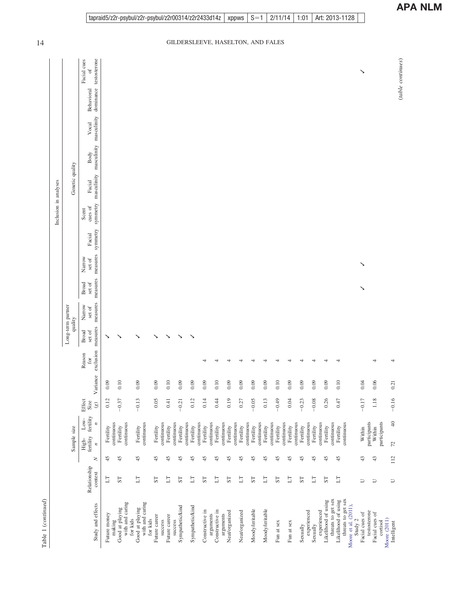| I |
|---|
| ł |
|   |

|                                                          |                         |        | Sample size                                                                                     |                                 |          |                            | Long-term partner<br>quality                      |                  |                                    |                                                      |                    |                  | Genetic quality |                                                      |       |                         |                                  |
|----------------------------------------------------------|-------------------------|--------|-------------------------------------------------------------------------------------------------|---------------------------------|----------|----------------------------|---------------------------------------------------|------------------|------------------------------------|------------------------------------------------------|--------------------|------------------|-----------------|------------------------------------------------------|-------|-------------------------|----------------------------------|
| Study and effects                                        | Relationship<br>context | $\geq$ | fertility<br>Low-<br>$\overline{\phantom{a}}$<br>fertility<br>High-<br>$\overline{\phantom{a}}$ | Effect<br>Size<br>$\circledast$ | Variance | exclusion<br>Reason<br>for | measures measures<br><b>Broad</b><br>$\rm set$ of | Narrow<br>set of | measures<br><b>Broad</b><br>set of | measures<br>Narrow<br>$\mathop{\rm set}\nolimits$ of | symmetry<br>Facial | cues of<br>Scent | Facial          | symmetry masculinity masculinity masculinity<br>Body | Vocal | dominance<br>Behavioral | testosterone<br>Facial cues<br>ð |
| Future money                                             | Ξ                       | 45     | continuous<br>Fertility                                                                         | 0.12                            | 0.09     |                            | ↘                                                 |                  |                                    |                                                      |                    |                  |                 |                                                      |       |                         |                                  |
| with and caring<br>Good at playing<br>for kids<br>making | S <sub>T</sub>          | 45     | continuous<br>Fertility                                                                         | $-0.37$                         | 0.10     |                            | ↘                                                 |                  |                                    |                                                      |                    |                  |                 |                                                      |       |                         |                                  |
| with and caring<br>Good at playing<br>for kids           | $\Box$                  | 45     | continuous<br>Fertility                                                                         | $-0.13$                         | 0.09     |                            | ↘                                                 |                  |                                    |                                                      |                    |                  |                 |                                                      |       |                         |                                  |
| Future career<br>success                                 | S <sub>T</sub>          | 45     | continuous<br>Fertility                                                                         | 0.05                            | 0.09     |                            | ↘                                                 |                  |                                    |                                                      |                    |                  |                 |                                                      |       |                         |                                  |
| Future career                                            | $\Box$                  | 45     | Fertility                                                                                       | 0.41                            | 0.10     |                            | ↘                                                 |                  |                                    |                                                      |                    |                  |                 |                                                      |       |                         |                                  |
| Sympathetic/kind<br>success                              | $\overline{\text{S}}$   | 45     | continuous<br>Fertility                                                                         | $-0.21$                         | 0.09     |                            | ゝ                                                 |                  |                                    |                                                      |                    |                  |                 |                                                      |       |                         |                                  |
| Sympathetic/kind                                         | $\Box$                  | 45     | continuous<br>Fertility                                                                         | 0.12                            | 0.09     |                            | ゝ                                                 |                  |                                    |                                                      |                    |                  |                 |                                                      |       |                         |                                  |
| Constructive in                                          | $\overline{\text{S}}$   | 45     | continuous<br>Fertility                                                                         | 0.14                            | 0.09     | 4                          |                                                   |                  |                                    |                                                      |                    |                  |                 |                                                      |       |                         |                                  |
| Constructive in<br>arguments                             | $\overline{\Box}$       | 45     | continuous<br>Fertility                                                                         | 0.44                            | 0.10     | 4                          |                                                   |                  |                                    |                                                      |                    |                  |                 |                                                      |       |                         |                                  |
| Neat/organized<br>arguments                              | S <sub>T</sub>          | 45     | continuous<br>Fertility                                                                         | 0.19                            | 0.09     | 4                          |                                                   |                  |                                    |                                                      |                    |                  |                 |                                                      |       |                         |                                  |
| Neat/organized                                           | $\Box$                  | 45     | continuous<br>Fertility                                                                         | 0.27                            | 0.09     | 4                          |                                                   |                  |                                    |                                                      |                    |                  |                 |                                                      |       |                         |                                  |
| Moody/irritable                                          | $\overline{\text{S}}$   | 45     | continuous<br>Fertility                                                                         | $-0.05$                         | 0.09     | 4                          |                                                   |                  |                                    |                                                      |                    |                  |                 |                                                      |       |                         |                                  |
| Moody/irritable                                          | $\overline{\Box}$       | 45     | continuous<br>Fertility                                                                         | 0.13                            | 0.09     | 4                          |                                                   |                  |                                    |                                                      |                    |                  |                 |                                                      |       |                         |                                  |
| Fun at sex                                               | $\overline{\text{S}}$   | 45     | continuous<br>continuous<br>Fertility                                                           | $-0.49$                         | 0.10     | 4                          |                                                   |                  |                                    |                                                      |                    |                  |                 |                                                      |       |                         |                                  |
| Fun at sex                                               | $\overline{\Box}$       | 45     | continuous<br>Fertility                                                                         | 0.04                            | 0.09     | 4                          |                                                   |                  |                                    |                                                      |                    |                  |                 |                                                      |       |                         |                                  |
| Sexually                                                 | $\overline{\text{S}}$   | 45     | Fertility                                                                                       | $-0.23$                         | 0.09     | 4                          |                                                   |                  |                                    |                                                      |                    |                  |                 |                                                      |       |                         |                                  |
| experienced<br>Sexually                                  | $\Box$                  | 45     | continuous<br>Fertility                                                                         | $-0.08$                         | 0.09     | 4                          |                                                   |                  |                                    |                                                      |                    |                  |                 |                                                      |       |                         |                                  |
| Likelihood of using<br>experienced                       | S <sub>T</sub>          | 45     | continuous<br>Fertility                                                                         | 0.26                            | 0.09     | 4                          |                                                   |                  |                                    |                                                      |                    |                  |                 |                                                      |       |                         |                                  |
| threats to get sex<br>Likelihood of using                | $\overline{\mathbf{L}}$ | $45$   | continuous<br>Fertility                                                                         | 0.47                            | 0.10     | 4                          |                                                   |                  |                                    |                                                      |                    |                  |                 |                                                      |       |                         |                                  |
| threats to get sex<br>Moore et al. (2011),               |                         |        | continuous                                                                                      |                                 |          |                            |                                                   |                  |                                    |                                                      |                    |                  |                 |                                                      |       |                         |                                  |
| Facial cues of<br>Study 2                                | Þ                       | 43     | Within                                                                                          | $-0.17$                         | 0.04     |                            |                                                   |                  | ↘                                  | ↘                                                    |                    |                  |                 |                                                      |       |                         | ↘                                |
| testosterone<br>Facial cues of<br>cortisol               | $\sqcup$                | $43$   | participants<br>participants<br>Within                                                          | 1.18                            | 0.06     | 4                          |                                                   |                  |                                    |                                                      |                    |                  |                 |                                                      |       |                         |                                  |
| Moore (2011)<br>Intelligent                              | $\sqcup$                | 112    | $\overline{40}$<br>72                                                                           | $-0.16$                         | 0.21     | 4                          |                                                   |                  |                                    |                                                      |                    |                  |                 |                                                      |       |                         | (table continues)                |

Inclusion in analyses

Inclusion in analyses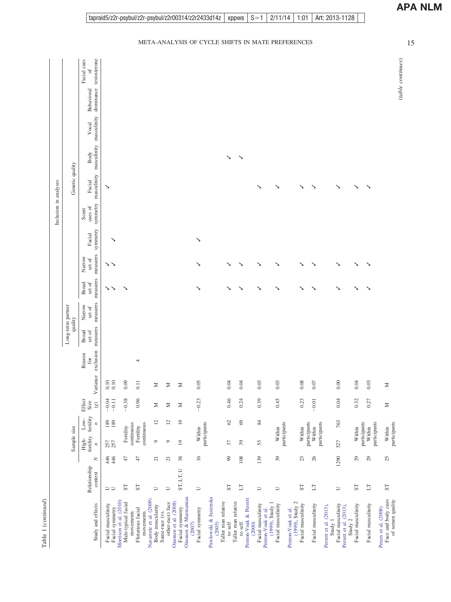${\rm Table\ 1\ (continued)}$ Table 1 (*continued*)

| META-ANALYSIS OF CYCLE SHIFTS IN MATE PREFERENCES<br>15<br>(table continues)<br>testosterone<br>Facial cues<br>đ<br>dominance<br>Behavioral<br>masculinity<br>Vocal<br>masculinity masculinity<br><b>Body</b><br>$\checkmark$<br>↘<br>Genetic quality<br>Facial<br>$\checkmark$<br>$\checkmark$<br>↘<br>↘<br>↘<br>↘<br>↘<br>↘<br>symmetry<br>cues of<br>Scent<br>symmetry<br>Facial<br>↘<br>↘<br>measures<br>Narrow<br>set of<br>↘<br>↘<br>ゝ<br>ゝゝ<br>↘<br>↘<br>↘<br>↘<br>↘<br>measures<br><b>Broad</b><br>$\rm set$ of<br>$\checkmark$<br>↘<br>↘<br>$\check{}$<br>$\check{}$<br>ゝゝ<br>↘<br>↘<br>↘<br>↘<br>↘<br>↘<br>measures<br>Narrow<br>Long-term partner<br>set of<br>quality<br>measures<br><b>Broad</b><br>set of<br>exclusion<br>Reason<br>for<br>4<br>Variance<br>$0.10$<br>$0.10$<br>0.09<br>0.05<br>0.04<br>$0.00\,$<br>0.11<br>0.04<br>0.03<br>0.03<br>0.08<br>0.07<br>0.04<br>0.03<br>$\geq$<br>Σ<br>Σ<br>Σ<br>$-0.23$<br>0.46<br>0.45<br>Effect<br>$-0.38$<br>0.96<br>0.24<br>0.39<br>0.23<br>$0.04$<br>$-0.04$<br>$-0.11$<br>$-0.01$<br>0.32<br>0.27<br>Size<br>$\circledast$<br>Σ<br>$\geq$<br>Σ<br>Σ<br>fertility<br>$_{\rm Low-}$<br>$^{189}_{189}$<br>$\overline{c}$<br>$\overline{19}$<br>$\degree$<br>$\overline{c}$<br>$\ensuremath{\mathcal{C}}$<br>$\frac{84}{3}$<br>763<br>participants<br>participants<br>participants<br>Within<br>participants<br>participants<br>participants<br>participants<br>$\boldsymbol{n}$<br>continuous<br>continuous<br>Fertility<br>Fertility<br>Sample size<br>Within<br>Within<br>Within<br>Within<br>Within<br>Within<br>fertility<br>High-<br>$\circ$<br>$\circ$<br>$\overline{19}$<br>$57\,$<br>$39$<br>55<br>527<br>257<br>257<br>$\overline{r}$<br>446<br>47<br>$38\,$<br>$\approx$<br>99<br>108<br>139<br>$\overline{39}$<br>23<br>26<br>1290<br>$29\,$<br>$29$<br>$25$<br>$\ddot{+}$<br>$\geq$<br>$\overline{c}$<br>$\overline{z}$<br>Relationship<br>ST, LT, U<br>context<br>$\overline{\text{S}}\overline{\text{T}}$<br>$\Gamma1$<br>$\Gamma\Gamma$<br>$\Gamma1$<br>${\rm S} {\rm T}$<br>$\overline{\text{S}}$<br>$\overline{\text{S}}\overline{\text{T}}$<br><b>ST</b><br>$\overline{\text{S}}$<br>$\overline{\phantom{0}}$<br>$\Box$<br>$\Box$<br>$\Box$<br>$\Box$<br>$\cup$<br>$\sqsupset$ $\sqsupset$<br>Face and body cues<br>of semen quality<br>Taller man relative<br>Taller man relative<br>Male-typical facial<br>other-race) face<br>$(1999)$ , Study 2<br>(1999), Study 1<br>Facial masculinity<br>Facial masculinity<br>Facial masculinity<br>Facial masculinity<br>Facial masculinity<br>Facial masculinity<br>Study and effects<br>Facial masculinity<br>Facial masculinity<br>Body muscularity<br>Facial symmetry<br>Facial symmetry<br>Flirtatious facial<br>Facial symmetry<br>movements<br>Same-race (vs.<br>movements<br>Study 2<br>Study 1<br>(2000)<br>(2007)<br>(2005)<br>to self $\,$<br>to self |                        |  |  |  |  |  |  | Inclusion in analyses |  |  |  |
|-------------------------------------------------------------------------------------------------------------------------------------------------------------------------------------------------------------------------------------------------------------------------------------------------------------------------------------------------------------------------------------------------------------------------------------------------------------------------------------------------------------------------------------------------------------------------------------------------------------------------------------------------------------------------------------------------------------------------------------------------------------------------------------------------------------------------------------------------------------------------------------------------------------------------------------------------------------------------------------------------------------------------------------------------------------------------------------------------------------------------------------------------------------------------------------------------------------------------------------------------------------------------------------------------------------------------------------------------------------------------------------------------------------------------------------------------------------------------------------------------------------------------------------------------------------------------------------------------------------------------------------------------------------------------------------------------------------------------------------------------------------------------------------------------------------------------------------------------------------------------------------------------------------------------------------------------------------------------------------------------------------------------------------------------------------------------------------------------------------------------------------------------------------------------------------------------------------------------------------------------------------------------------------------------------------------------------------------------------------------------------------------------------------------------------------------------------------------------------------------------------------------------------------------------------------------------------------------------------------------------------------------------------------------------------------------------------------------------------------------------------------------------------------------------------------------------------------------------------------------------------------------|------------------------|--|--|--|--|--|--|-----------------------|--|--|--|
|                                                                                                                                                                                                                                                                                                                                                                                                                                                                                                                                                                                                                                                                                                                                                                                                                                                                                                                                                                                                                                                                                                                                                                                                                                                                                                                                                                                                                                                                                                                                                                                                                                                                                                                                                                                                                                                                                                                                                                                                                                                                                                                                                                                                                                                                                                                                                                                                                                                                                                                                                                                                                                                                                                                                                                                                                                                                                           |                        |  |  |  |  |  |  |                       |  |  |  |
| Morrison et al. (2010)                                                                                                                                                                                                                                                                                                                                                                                                                                                                                                                                                                                                                                                                                                                                                                                                                                                                                                                                                                                                                                                                                                                                                                                                                                                                                                                                                                                                                                                                                                                                                                                                                                                                                                                                                                                                                                                                                                                                                                                                                                                                                                                                                                                                                                                                                                                                                                                                                                                                                                                                                                                                                                                                                                                                                                                                                                                                    |                        |  |  |  |  |  |  |                       |  |  |  |
|                                                                                                                                                                                                                                                                                                                                                                                                                                                                                                                                                                                                                                                                                                                                                                                                                                                                                                                                                                                                                                                                                                                                                                                                                                                                                                                                                                                                                                                                                                                                                                                                                                                                                                                                                                                                                                                                                                                                                                                                                                                                                                                                                                                                                                                                                                                                                                                                                                                                                                                                                                                                                                                                                                                                                                                                                                                                                           |                        |  |  |  |  |  |  |                       |  |  |  |
|                                                                                                                                                                                                                                                                                                                                                                                                                                                                                                                                                                                                                                                                                                                                                                                                                                                                                                                                                                                                                                                                                                                                                                                                                                                                                                                                                                                                                                                                                                                                                                                                                                                                                                                                                                                                                                                                                                                                                                                                                                                                                                                                                                                                                                                                                                                                                                                                                                                                                                                                                                                                                                                                                                                                                                                                                                                                                           |                        |  |  |  |  |  |  |                       |  |  |  |
| Navarrete et al. (2009)                                                                                                                                                                                                                                                                                                                                                                                                                                                                                                                                                                                                                                                                                                                                                                                                                                                                                                                                                                                                                                                                                                                                                                                                                                                                                                                                                                                                                                                                                                                                                                                                                                                                                                                                                                                                                                                                                                                                                                                                                                                                                                                                                                                                                                                                                                                                                                                                                                                                                                                                                                                                                                                                                                                                                                                                                                                                   |                        |  |  |  |  |  |  |                       |  |  |  |
|                                                                                                                                                                                                                                                                                                                                                                                                                                                                                                                                                                                                                                                                                                                                                                                                                                                                                                                                                                                                                                                                                                                                                                                                                                                                                                                                                                                                                                                                                                                                                                                                                                                                                                                                                                                                                                                                                                                                                                                                                                                                                                                                                                                                                                                                                                                                                                                                                                                                                                                                                                                                                                                                                                                                                                                                                                                                                           |                        |  |  |  |  |  |  |                       |  |  |  |
|                                                                                                                                                                                                                                                                                                                                                                                                                                                                                                                                                                                                                                                                                                                                                                                                                                                                                                                                                                                                                                                                                                                                                                                                                                                                                                                                                                                                                                                                                                                                                                                                                                                                                                                                                                                                                                                                                                                                                                                                                                                                                                                                                                                                                                                                                                                                                                                                                                                                                                                                                                                                                                                                                                                                                                                                                                                                                           |                        |  |  |  |  |  |  |                       |  |  |  |
|                                                                                                                                                                                                                                                                                                                                                                                                                                                                                                                                                                                                                                                                                                                                                                                                                                                                                                                                                                                                                                                                                                                                                                                                                                                                                                                                                                                                                                                                                                                                                                                                                                                                                                                                                                                                                                                                                                                                                                                                                                                                                                                                                                                                                                                                                                                                                                                                                                                                                                                                                                                                                                                                                                                                                                                                                                                                                           |                        |  |  |  |  |  |  |                       |  |  |  |
| Oinonen & Mazmanian<br>Pawlowski & Jasienska<br>Peters et al. (2008)<br>Penton-Voak et al.                                                                                                                                                                                                                                                                                                                                                                                                                                                                                                                                                                                                                                                                                                                                                                                                                                                                                                                                                                                                                                                                                                                                                                                                                                                                                                                                                                                                                                                                                                                                                                                                                                                                                                                                                                                                                                                                                                                                                                                                                                                                                                                                                                                                                                                                                                                                                                                                                                                                                                                                                                                                                                                                                                                                                                                                | Oinonen et al. (2008)  |  |  |  |  |  |  |                       |  |  |  |
|                                                                                                                                                                                                                                                                                                                                                                                                                                                                                                                                                                                                                                                                                                                                                                                                                                                                                                                                                                                                                                                                                                                                                                                                                                                                                                                                                                                                                                                                                                                                                                                                                                                                                                                                                                                                                                                                                                                                                                                                                                                                                                                                                                                                                                                                                                                                                                                                                                                                                                                                                                                                                                                                                                                                                                                                                                                                                           |                        |  |  |  |  |  |  |                       |  |  |  |
|                                                                                                                                                                                                                                                                                                                                                                                                                                                                                                                                                                                                                                                                                                                                                                                                                                                                                                                                                                                                                                                                                                                                                                                                                                                                                                                                                                                                                                                                                                                                                                                                                                                                                                                                                                                                                                                                                                                                                                                                                                                                                                                                                                                                                                                                                                                                                                                                                                                                                                                                                                                                                                                                                                                                                                                                                                                                                           |                        |  |  |  |  |  |  |                       |  |  |  |
|                                                                                                                                                                                                                                                                                                                                                                                                                                                                                                                                                                                                                                                                                                                                                                                                                                                                                                                                                                                                                                                                                                                                                                                                                                                                                                                                                                                                                                                                                                                                                                                                                                                                                                                                                                                                                                                                                                                                                                                                                                                                                                                                                                                                                                                                                                                                                                                                                                                                                                                                                                                                                                                                                                                                                                                                                                                                                           |                        |  |  |  |  |  |  |                       |  |  |  |
|                                                                                                                                                                                                                                                                                                                                                                                                                                                                                                                                                                                                                                                                                                                                                                                                                                                                                                                                                                                                                                                                                                                                                                                                                                                                                                                                                                                                                                                                                                                                                                                                                                                                                                                                                                                                                                                                                                                                                                                                                                                                                                                                                                                                                                                                                                                                                                                                                                                                                                                                                                                                                                                                                                                                                                                                                                                                                           |                        |  |  |  |  |  |  |                       |  |  |  |
|                                                                                                                                                                                                                                                                                                                                                                                                                                                                                                                                                                                                                                                                                                                                                                                                                                                                                                                                                                                                                                                                                                                                                                                                                                                                                                                                                                                                                                                                                                                                                                                                                                                                                                                                                                                                                                                                                                                                                                                                                                                                                                                                                                                                                                                                                                                                                                                                                                                                                                                                                                                                                                                                                                                                                                                                                                                                                           |                        |  |  |  |  |  |  |                       |  |  |  |
|                                                                                                                                                                                                                                                                                                                                                                                                                                                                                                                                                                                                                                                                                                                                                                                                                                                                                                                                                                                                                                                                                                                                                                                                                                                                                                                                                                                                                                                                                                                                                                                                                                                                                                                                                                                                                                                                                                                                                                                                                                                                                                                                                                                                                                                                                                                                                                                                                                                                                                                                                                                                                                                                                                                                                                                                                                                                                           |                        |  |  |  |  |  |  |                       |  |  |  |
|                                                                                                                                                                                                                                                                                                                                                                                                                                                                                                                                                                                                                                                                                                                                                                                                                                                                                                                                                                                                                                                                                                                                                                                                                                                                                                                                                                                                                                                                                                                                                                                                                                                                                                                                                                                                                                                                                                                                                                                                                                                                                                                                                                                                                                                                                                                                                                                                                                                                                                                                                                                                                                                                                                                                                                                                                                                                                           | Penton-Voak & Perrett  |  |  |  |  |  |  |                       |  |  |  |
|                                                                                                                                                                                                                                                                                                                                                                                                                                                                                                                                                                                                                                                                                                                                                                                                                                                                                                                                                                                                                                                                                                                                                                                                                                                                                                                                                                                                                                                                                                                                                                                                                                                                                                                                                                                                                                                                                                                                                                                                                                                                                                                                                                                                                                                                                                                                                                                                                                                                                                                                                                                                                                                                                                                                                                                                                                                                                           |                        |  |  |  |  |  |  |                       |  |  |  |
|                                                                                                                                                                                                                                                                                                                                                                                                                                                                                                                                                                                                                                                                                                                                                                                                                                                                                                                                                                                                                                                                                                                                                                                                                                                                                                                                                                                                                                                                                                                                                                                                                                                                                                                                                                                                                                                                                                                                                                                                                                                                                                                                                                                                                                                                                                                                                                                                                                                                                                                                                                                                                                                                                                                                                                                                                                                                                           | Penton-Voak et al.     |  |  |  |  |  |  |                       |  |  |  |
|                                                                                                                                                                                                                                                                                                                                                                                                                                                                                                                                                                                                                                                                                                                                                                                                                                                                                                                                                                                                                                                                                                                                                                                                                                                                                                                                                                                                                                                                                                                                                                                                                                                                                                                                                                                                                                                                                                                                                                                                                                                                                                                                                                                                                                                                                                                                                                                                                                                                                                                                                                                                                                                                                                                                                                                                                                                                                           |                        |  |  |  |  |  |  |                       |  |  |  |
|                                                                                                                                                                                                                                                                                                                                                                                                                                                                                                                                                                                                                                                                                                                                                                                                                                                                                                                                                                                                                                                                                                                                                                                                                                                                                                                                                                                                                                                                                                                                                                                                                                                                                                                                                                                                                                                                                                                                                                                                                                                                                                                                                                                                                                                                                                                                                                                                                                                                                                                                                                                                                                                                                                                                                                                                                                                                                           |                        |  |  |  |  |  |  |                       |  |  |  |
|                                                                                                                                                                                                                                                                                                                                                                                                                                                                                                                                                                                                                                                                                                                                                                                                                                                                                                                                                                                                                                                                                                                                                                                                                                                                                                                                                                                                                                                                                                                                                                                                                                                                                                                                                                                                                                                                                                                                                                                                                                                                                                                                                                                                                                                                                                                                                                                                                                                                                                                                                                                                                                                                                                                                                                                                                                                                                           |                        |  |  |  |  |  |  |                       |  |  |  |
|                                                                                                                                                                                                                                                                                                                                                                                                                                                                                                                                                                                                                                                                                                                                                                                                                                                                                                                                                                                                                                                                                                                                                                                                                                                                                                                                                                                                                                                                                                                                                                                                                                                                                                                                                                                                                                                                                                                                                                                                                                                                                                                                                                                                                                                                                                                                                                                                                                                                                                                                                                                                                                                                                                                                                                                                                                                                                           |                        |  |  |  |  |  |  |                       |  |  |  |
|                                                                                                                                                                                                                                                                                                                                                                                                                                                                                                                                                                                                                                                                                                                                                                                                                                                                                                                                                                                                                                                                                                                                                                                                                                                                                                                                                                                                                                                                                                                                                                                                                                                                                                                                                                                                                                                                                                                                                                                                                                                                                                                                                                                                                                                                                                                                                                                                                                                                                                                                                                                                                                                                                                                                                                                                                                                                                           |                        |  |  |  |  |  |  |                       |  |  |  |
|                                                                                                                                                                                                                                                                                                                                                                                                                                                                                                                                                                                                                                                                                                                                                                                                                                                                                                                                                                                                                                                                                                                                                                                                                                                                                                                                                                                                                                                                                                                                                                                                                                                                                                                                                                                                                                                                                                                                                                                                                                                                                                                                                                                                                                                                                                                                                                                                                                                                                                                                                                                                                                                                                                                                                                                                                                                                                           | Perrett et al. (2013), |  |  |  |  |  |  |                       |  |  |  |
|                                                                                                                                                                                                                                                                                                                                                                                                                                                                                                                                                                                                                                                                                                                                                                                                                                                                                                                                                                                                                                                                                                                                                                                                                                                                                                                                                                                                                                                                                                                                                                                                                                                                                                                                                                                                                                                                                                                                                                                                                                                                                                                                                                                                                                                                                                                                                                                                                                                                                                                                                                                                                                                                                                                                                                                                                                                                                           | Perrett et al. (2013), |  |  |  |  |  |  |                       |  |  |  |
|                                                                                                                                                                                                                                                                                                                                                                                                                                                                                                                                                                                                                                                                                                                                                                                                                                                                                                                                                                                                                                                                                                                                                                                                                                                                                                                                                                                                                                                                                                                                                                                                                                                                                                                                                                                                                                                                                                                                                                                                                                                                                                                                                                                                                                                                                                                                                                                                                                                                                                                                                                                                                                                                                                                                                                                                                                                                                           |                        |  |  |  |  |  |  |                       |  |  |  |
|                                                                                                                                                                                                                                                                                                                                                                                                                                                                                                                                                                                                                                                                                                                                                                                                                                                                                                                                                                                                                                                                                                                                                                                                                                                                                                                                                                                                                                                                                                                                                                                                                                                                                                                                                                                                                                                                                                                                                                                                                                                                                                                                                                                                                                                                                                                                                                                                                                                                                                                                                                                                                                                                                                                                                                                                                                                                                           |                        |  |  |  |  |  |  |                       |  |  |  |
|                                                                                                                                                                                                                                                                                                                                                                                                                                                                                                                                                                                                                                                                                                                                                                                                                                                                                                                                                                                                                                                                                                                                                                                                                                                                                                                                                                                                                                                                                                                                                                                                                                                                                                                                                                                                                                                                                                                                                                                                                                                                                                                                                                                                                                                                                                                                                                                                                                                                                                                                                                                                                                                                                                                                                                                                                                                                                           |                        |  |  |  |  |  |  |                       |  |  |  |
|                                                                                                                                                                                                                                                                                                                                                                                                                                                                                                                                                                                                                                                                                                                                                                                                                                                                                                                                                                                                                                                                                                                                                                                                                                                                                                                                                                                                                                                                                                                                                                                                                                                                                                                                                                                                                                                                                                                                                                                                                                                                                                                                                                                                                                                                                                                                                                                                                                                                                                                                                                                                                                                                                                                                                                                                                                                                                           |                        |  |  |  |  |  |  |                       |  |  |  |
|                                                                                                                                                                                                                                                                                                                                                                                                                                                                                                                                                                                                                                                                                                                                                                                                                                                                                                                                                                                                                                                                                                                                                                                                                                                                                                                                                                                                                                                                                                                                                                                                                                                                                                                                                                                                                                                                                                                                                                                                                                                                                                                                                                                                                                                                                                                                                                                                                                                                                                                                                                                                                                                                                                                                                                                                                                                                                           |                        |  |  |  |  |  |  |                       |  |  |  |

Tapraid5/z2r-psybul/z2r-psybul/z2r00314/z2r2433d14z | xppws | S=1 | 2/11/14 | 1:01 | Art: 2013-1128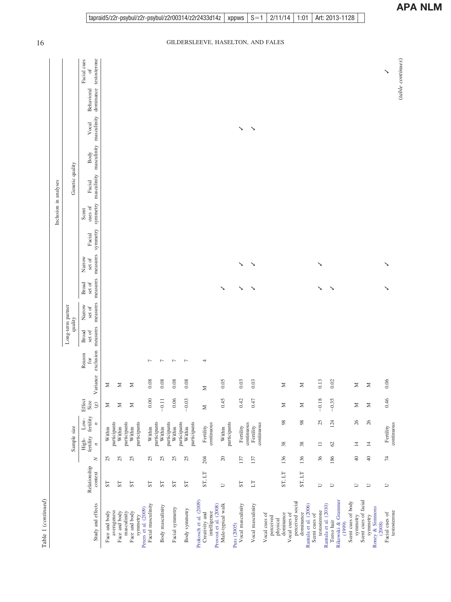| ٠<br>ı |
|--------|
| ı      |

|                                            |                                          |                |                                                |                                                        |                                 |          |                            |                                          |                              |                                    |                              |                    | Inclusion in analyses |                 |             |                                                       |                         |                                         |
|--------------------------------------------|------------------------------------------|----------------|------------------------------------------------|--------------------------------------------------------|---------------------------------|----------|----------------------------|------------------------------------------|------------------------------|------------------------------------|------------------------------|--------------------|-----------------------|-----------------|-------------|-------------------------------------------------------|-------------------------|-----------------------------------------|
|                                            |                                          |                | Sample size                                    |                                                        |                                 |          |                            | Long-term partner<br>quality             |                              |                                    |                              |                    |                       | Genetic quality |             |                                                       |                         |                                         |
| Study and effects                          | Relationship<br>context                  | $\geq$         | fertility<br>High-<br>$\overline{\phantom{a}}$ | fertility<br>$_{\rm Low-}$<br>$\overline{\phantom{a}}$ | Effect<br>Size<br>$\circledast$ | Variance | exclusion<br>Reason<br>for | measures<br><b>Broad</b><br>$\rm set$ of | measures<br>Narrow<br>set of | measures<br><b>Broad</b><br>set of | measures<br>Narrow<br>set of | symmetry<br>Facial | cues of<br>Scent      | Facial          | <b>Body</b> | symmetry masculinity masculinity masculinity<br>Vocal | dominance<br>Behavioral | testosterone<br>Facial cues<br>$\delta$ |
| Face and body                              | S <sub>T</sub>                           | 25             | Within                                         |                                                        | z                               | $\geq$   |                            |                                          |                              |                                    |                              |                    |                       |                 |             |                                                       |                         |                                         |
| averageness<br>Face and body               | $\overline{\text{S}}$                    | 25             | participants<br>Within                         |                                                        | Σ                               | Σ        |                            |                                          |                              |                                    |                              |                    |                       |                 |             |                                                       |                         |                                         |
| Face and body<br>masculinity               | $\overline{\text{S}}$                    | 25             | participants<br>Within                         |                                                        | Σ                               | Σ        |                            |                                          |                              |                                    |                              |                    |                       |                 |             |                                                       |                         |                                         |
| Peters et al. (2009)<br>symmetry           |                                          |                | participants                                   |                                                        |                                 |          |                            |                                          |                              |                                    |                              |                    |                       |                 |             |                                                       |                         |                                         |
| Facial masculinity                         | $\overline{\text{S}}$                    | 25             | Within                                         |                                                        | 0.00                            | $0.08\,$ | $\overline{\phantom{m}}$   |                                          |                              |                                    |                              |                    |                       |                 |             |                                                       |                         |                                         |
| Body masculinity                           | S <sub>T</sub>                           | 25             | participants<br>Within                         |                                                        | $-0.11$                         | $0.08$   | $\overline{ }$             |                                          |                              |                                    |                              |                    |                       |                 |             |                                                       |                         |                                         |
| Facial symmetry                            | $\overline{\text{S}}$                    | 25             | participants<br>Within                         |                                                        | 0.06                            | $0.08\,$ | 7                          |                                          |                              |                                    |                              |                    |                       |                 |             |                                                       |                         |                                         |
| Body symmetry                              | $\overline{\text{S}}\overline{\text{T}}$ | 25             | participants<br>Within                         |                                                        | $-0.03$                         | $0.08\,$ | $\overline{ }$             |                                          |                              |                                    |                              |                    |                       |                 |             |                                                       |                         |                                         |
| Prokosch et al. (2009)                     |                                          |                | participants                                   |                                                        |                                 |          |                            |                                          |                              |                                    |                              |                    |                       |                 |             |                                                       |                         |                                         |
| intelligence<br>Creativity and             | ST, LT                                   | 204            | continuous<br>Fertility                        |                                                        | Σ                               | Σ        | 4                          |                                          |                              |                                    |                              |                    |                       |                 |             |                                                       |                         |                                         |
| Male-typical walk<br>Provost et al. (2008) | $\Box$                                   | $20\,$         | participants<br>Within                         |                                                        | 0.45                            | 0.05     |                            |                                          |                              | ↘                                  |                              |                    |                       |                 |             |                                                       |                         |                                         |
| Puts (2005)                                |                                          |                |                                                |                                                        |                                 |          |                            |                                          |                              |                                    |                              |                    |                       |                 |             |                                                       |                         |                                         |
| Vocal masculinity                          | $\overline{\text{S}}$                    | 137            | continuous<br>Fertility                        |                                                        | 0.42                            | 0.03     |                            |                                          |                              | ↘                                  | ↘                            |                    |                       |                 |             | ↘                                                     |                         |                                         |
| Vocal masculinity                          | $\overline{\mathbb{L}}$                  | 137            | continuous<br>Fertility                        |                                                        | 0.47                            | 0.03     |                            |                                          |                              | ↘                                  | ↘                            |                    |                       |                 |             | ↘                                                     |                         |                                         |
| Vocal cues of<br>perceived                 |                                          |                |                                                |                                                        |                                 |          |                            |                                          |                              |                                    |                              |                    |                       |                 |             |                                                       |                         |                                         |
| dominance<br>physical                      | ST, LT                                   | 136            | 38                                             | 98                                                     | $\geq$                          | Σ        |                            |                                          |                              |                                    |                              |                    |                       |                 |             |                                                       |                         |                                         |
| perceived social<br>Vocal cues of          |                                          |                |                                                |                                                        |                                 |          |                            |                                          |                              |                                    |                              |                    |                       |                 |             |                                                       |                         |                                         |
| dominance                                  | ST, LT                                   | 136            | 38                                             | $^{98}$                                                | Σ                               | Σ        |                            |                                          |                              |                                    |                              |                    |                       |                 |             |                                                       |                         |                                         |
| Rantala et al. (2006)<br>Scent cues of     |                                          |                |                                                |                                                        |                                 |          |                            |                                          |                              |                                    |                              |                    |                       |                 |             |                                                       |                         |                                         |
| testosterone                               | $\qquad \qquad \Box$                     | 36             | $\equiv$                                       | 25                                                     | $-0.18$                         | 0.13     |                            |                                          |                              | ↘                                  | ↘                            |                    |                       |                 |             |                                                       |                         |                                         |
| Rantala et al. (2010)<br>Torso hair        | $\cup$                                   | 186            | $\infty$                                       | 124                                                    | $-0.35$                         | 0.02     |                            |                                          |                              | ↘                                  |                              |                    |                       |                 |             |                                                       |                         |                                         |
| Rikowski & Grammer<br>(1999)               |                                          |                |                                                |                                                        |                                 |          |                            |                                          |                              |                                    |                              |                    |                       |                 |             |                                                       |                         |                                         |
| Scent cues of body                         |                                          |                |                                                |                                                        |                                 |          |                            |                                          |                              |                                    |                              |                    |                       |                 |             |                                                       |                         |                                         |
| Scent cues of facial<br>symmetry           | $\sqcup$                                 | $\oplus$       | $\overline{4}$                                 | 26                                                     | $\geq$                          | Σ        |                            |                                          |                              |                                    |                              |                    |                       |                 |             |                                                       |                         |                                         |
| Roney & Simmons<br>symmetry                | $\cup$                                   | $\frac{1}{2}$  | $\overline{4}$                                 | $26$                                                   | z                               | Σ        |                            |                                          |                              |                                    |                              |                    |                       |                 |             |                                                       |                         |                                         |
| (2008)                                     | $\qquad \qquad \Box$                     | $\overline{7}$ |                                                |                                                        | 0.46                            | 0.06     |                            |                                          |                              |                                    |                              |                    |                       |                 |             |                                                       |                         | ↘                                       |
| testosterone<br>Facial cues of             |                                          |                | continuous<br>Fertility                        |                                                        |                                 |          |                            |                                          |                              | ↘                                  |                              |                    |                       |                 |             |                                                       |                         | (table continues)                       |
|                                            |                                          |                |                                                |                                                        |                                 |          |                            |                                          |                              |                                    |                              |                    |                       |                 |             |                                                       |                         |                                         |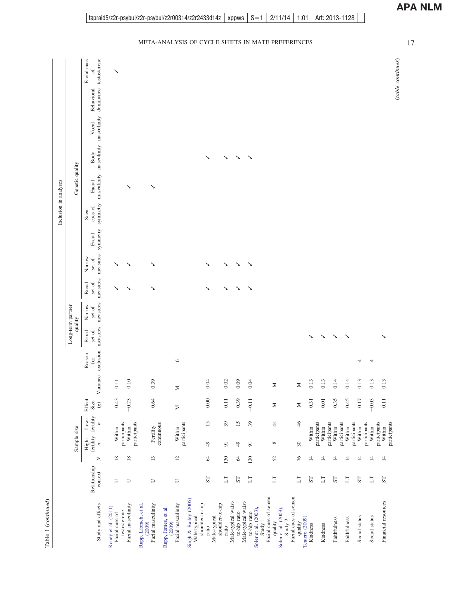|                                                                                                      |                         |                     |                                                |                                                                                           |          |                            |                                    |                              |                                    |                              |                    | Inclusion in analyses        |                       |                            |                      |                         |                                  |                                                   |
|------------------------------------------------------------------------------------------------------|-------------------------|---------------------|------------------------------------------------|-------------------------------------------------------------------------------------------|----------|----------------------------|------------------------------------|------------------------------|------------------------------------|------------------------------|--------------------|------------------------------|-----------------------|----------------------------|----------------------|-------------------------|----------------------------------|---------------------------------------------------|
|                                                                                                      |                         |                     | Sample size                                    |                                                                                           |          |                            | Long-term partner<br>quality       |                              |                                    |                              |                    |                              | Genetic quality       |                            |                      |                         |                                  |                                                   |
| Study and effects                                                                                    | Relationship<br>context | z                   | fertility<br>High-<br>$\overline{\phantom{a}}$ | Effect<br>Size<br>$\mathcal{S}$<br>fertility<br>$_{\rm Low-}$<br>$\overline{\phantom{a}}$ | Variance | exclusion<br>Reason<br>for | measures<br><b>Broad</b><br>set of | measures<br>Narrow<br>set of | measures<br><b>Broad</b><br>set of | measures<br>Narrow<br>set of | symmetry<br>Facial | symmetry<br>cues of<br>Scent | masculinity<br>Facial | masculinity<br><b>Body</b> | masculinity<br>Vocal | dominance<br>Behavioral | testosterone<br>Facial cues<br>ð |                                                   |
| Roney et al. (2011)<br>Facial cues of                                                                | Þ                       | $\overline{18}$     | Within                                         | 0.43                                                                                      | 0.11     |                            |                                    |                              | ↘                                  | ↘                            |                    |                              |                       |                            |                      |                         | ↘                                |                                                   |
| Facial masculinity<br>testosterone                                                                   | コ                       | $\overline{18}$     | participants<br>Within                         | $-0.23$                                                                                   | 0.10     |                            |                                    |                              | ↘                                  | ↘                            |                    |                              | ↘                     |                            |                      |                         |                                  |                                                   |
| Rupp, Librach, et al.<br>(2009)<br>Facial masculinity                                                | $\cup$                  | $\overline{13}$     | participants<br>continuous<br>Fertility        | $-0.64$                                                                                   | 0.39     |                            |                                    |                              | ↘                                  | ↘                            |                    |                              | ↘                     |                            |                      |                         |                                  |                                                   |
| Facial masculinity<br>Rupp, James, et al.<br>(2009)                                                  | $\sqcup$                | $\overline{\omega}$ | participants<br>Within                         | $\mathbf{\Sigma}$                                                                         | Σ        | $\circ$                    |                                    |                              |                                    |                              |                    |                              |                       |                            |                      |                         |                                  |                                                   |
| Singh & Bailey (2006)<br>Male-typical<br>shoulder-to-hip<br>shoulder-to-hip<br>Male-typical<br>ratio | $\mathbf{S}\mathbf{T}$  | $\mathcal{R}$       | $\overline{4}$                                 | $0.00$<br>$\overline{15}$                                                                 | 0.04     |                            |                                    |                              | ↘                                  | ↘                            |                    |                              |                       | ↘                          |                      |                         |                                  | META-ANALYSIS OF CYCLE SHIFTS IN MATE PREFERENCES |
| ratio                                                                                                | $\overline{\mathbb{L}}$ | 130                 | $\overline{5}$                                 | 0.11<br>$39$                                                                              | 0.02     |                            |                                    |                              | ↘                                  | ↘                            |                    |                              |                       | ↘                          |                      |                         |                                  |                                                   |
| Male-typical waist-<br>to-hip ratio                                                                  | $\overline{\text{S}}$   | 2                   | $\frac{49}{5}$                                 | 0.39<br>$\overline{15}$                                                                   | 0.09     |                            |                                    |                              | ↘                                  | ↘                            |                    |                              |                       | $\overline{\phantom{a}}$   |                      |                         |                                  |                                                   |
| Male-typical waist-<br>to-hip ratio<br>Soler et al. (2003),                                          | <b>FI</b>               | 130                 | $\overline{5}$                                 | $-0.11$<br>$39$                                                                           | 0.04     |                            |                                    |                              | ↘                                  | ↘                            |                    |                              |                       | $\checkmark$               |                      |                         |                                  |                                                   |
| Facial cues of semen<br>quality<br>Soler et al. (2003),<br>Study 2<br>Study 1                        | $\overline{\mathbb{L}}$ | 52                  | $\infty$                                       | $\geq$<br>$\ddot{4}$                                                                      | $\geq$   |                            |                                    |                              |                                    |                              |                    |                              |                       |                            |                      |                         |                                  |                                                   |
| Facial cues of semen                                                                                 | $\overline{\Xi}$        | $\%$                | $\overline{30}$                                | $\geq$<br>46                                                                              | Σ        |                            |                                    |                              |                                    |                              |                    |                              |                       |                            |                      |                         |                                  |                                                   |
| quality<br>Teatero (2009)<br>Kindness                                                                | $\overline{\text{S}}$   | $\overline{4}$      | Within                                         | 0.31                                                                                      | 0.13     |                            | ↘                                  |                              |                                    |                              |                    |                              |                       |                            |                      |                         |                                  |                                                   |
| Kindness                                                                                             | $\Box$                  | $\overline{4}$      | participants<br>Within                         | $0.01$                                                                                    | 0.13     |                            | $\checkmark$                       |                              |                                    |                              |                    |                              |                       |                            |                      |                         |                                  |                                                   |
| Faithfulness                                                                                         | $\overline{\text{S}}$   | $\overline{4}$      | participants<br>Within                         | 0.35                                                                                      | 0.14     |                            | $\searrow$                         |                              |                                    |                              |                    |                              |                       |                            |                      |                         |                                  |                                                   |
| Faithfulness                                                                                         | $\overline{\Box}$       | $\overline{4}$      | participants<br>Within                         | 0.45                                                                                      | 0.14     |                            | $\checkmark$                       |                              |                                    |                              |                    |                              |                       |                            |                      |                         |                                  |                                                   |
| Social status                                                                                        | $\overline{\text{S}}$   | $\overline{1}$      | participants<br>Within                         | $0.17\,$                                                                                  | 0.13     | 4                          |                                    |                              |                                    |                              |                    |                              |                       |                            |                      |                         |                                  |                                                   |
| Social status                                                                                        | $\overline{\mathbb{L}}$ | $\overline{4}$      | participants<br>Within                         | $-0.03$                                                                                   | 0.13     | 4                          |                                    |                              |                                    |                              |                    |                              |                       |                            |                      |                         |                                  |                                                   |
| Financial resources                                                                                  | $\mathsf{S}\mathsf{T}$  | $\Xi$               | participants<br>participants<br>Within         | 0.11                                                                                      | 0.13     |                            | ↘                                  |                              |                                    |                              |                    |                              |                       |                            |                      |                         |                                  |                                                   |
|                                                                                                      |                         |                     |                                                |                                                                                           |          |                            |                                    |                              |                                    |                              |                    |                              |                       |                            |                      |                         | (table continues)                |                                                   |
|                                                                                                      |                         |                     |                                                |                                                                                           |          |                            |                                    |                              |                                    |                              |                    |                              |                       |                            |                      |                         |                                  | 17                                                |

Tapraid5/z2r-psybul/z2r-psybul/z2r00314/z2r2433d14z xppws S=1 2/11/14 1:01 Art: 2013-1128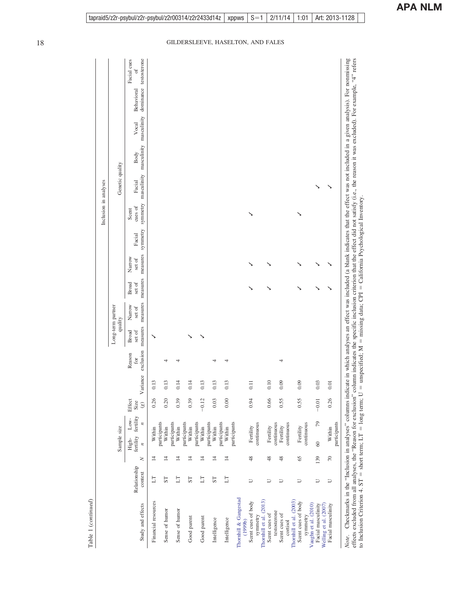|                                                                |                          |                |                                                                                                                                                                                              |                           |      |                                     |                                    |                              |                                    |                              |                    | Inclusion in analyses        |                                                                                                                                                 |                                             |       |                                |                                         |
|----------------------------------------------------------------|--------------------------|----------------|----------------------------------------------------------------------------------------------------------------------------------------------------------------------------------------------|---------------------------|------|-------------------------------------|------------------------------------|------------------------------|------------------------------------|------------------------------|--------------------|------------------------------|-------------------------------------------------------------------------------------------------------------------------------------------------|---------------------------------------------|-------|--------------------------------|-----------------------------------------|
|                                                                |                          |                | Sample size                                                                                                                                                                                  |                           |      |                                     | Long-term partner                  | quality                      |                                    |                              |                    |                              | Genetic quality                                                                                                                                 |                                             |       |                                |                                         |
| Study and effects                                              | Relationship<br>context  | $\geq$         | fertility<br>Low-<br>$\tilde{z}$<br>fertility<br>High-<br>$\overline{\phantom{a}}$                                                                                                           | Effect<br>Size<br>$\odot$ |      | Variance exclusion<br>Reason<br>for | measures<br><b>Broad</b><br>set of | measures<br>Narrow<br>set of | measures<br><b>Broad</b><br>set of | measures<br>Narrow<br>set of | symmetry<br>Facial | symmetry<br>cues of<br>Scent | Facial                                                                                                                                          | masculinity masculinity masculinity<br>Body | Vocal | dominance<br><b>Behavioral</b> | testosterone<br>Facial cues<br>$\sigma$ |
| Financial resources                                            | EI                       | $\overline{4}$ | Within                                                                                                                                                                                       | 0.26                      | 0.13 |                                     |                                    |                              |                                    |                              |                    |                              |                                                                                                                                                 |                                             |       |                                |                                         |
| Sense of humor                                                 | <b>ST</b>                | 4              | participants<br>Within                                                                                                                                                                       | 0.20                      | 0.13 | 4                                   |                                    |                              |                                    |                              |                    |                              |                                                                                                                                                 |                                             |       |                                |                                         |
| Sense of humor                                                 | LT                       | 14             | participants<br>Within                                                                                                                                                                       | 0.39                      | 0.14 | 4                                   |                                    |                              |                                    |                              |                    |                              |                                                                                                                                                 |                                             |       |                                |                                         |
| Good parent                                                    | ST <sub></sub>           | 4              | participants<br>Within                                                                                                                                                                       | 0.39                      | 0.14 |                                     |                                    |                              |                                    |                              |                    |                              |                                                                                                                                                 |                                             |       |                                |                                         |
| Good parent                                                    | LT                       | 14             | participants<br>Within                                                                                                                                                                       | $-0.12$                   | 0.13 |                                     |                                    |                              |                                    |                              |                    |                              |                                                                                                                                                 |                                             |       |                                |                                         |
| Intelligence                                                   | S <sub>T</sub>           | $\overline{4}$ | participants<br>Within                                                                                                                                                                       | 0.03                      | 0.13 | 4                                   |                                    |                              |                                    |                              |                    |                              |                                                                                                                                                 |                                             |       |                                |                                         |
| Intelligence                                                   | E                        | $\overline{4}$ | participants<br>Within                                                                                                                                                                       | 0.00                      | 0.13 | 4                                   |                                    |                              |                                    |                              |                    |                              |                                                                                                                                                 |                                             |       |                                |                                         |
|                                                                |                          |                | participants                                                                                                                                                                                 |                           |      |                                     |                                    |                              |                                    |                              |                    |                              |                                                                                                                                                 |                                             |       |                                |                                         |
| Thornhill & Gangestad<br>(1999b)                               |                          |                |                                                                                                                                                                                              |                           |      |                                     |                                    |                              |                                    |                              |                    |                              |                                                                                                                                                 |                                             |       |                                |                                         |
| Scent cues of body                                             | $\cup$                   | 48             | Fertility                                                                                                                                                                                    | 0.94                      | 0.11 |                                     |                                    |                              |                                    |                              |                    |                              |                                                                                                                                                 |                                             |       |                                |                                         |
| Thornhill et al. (2013)<br>symmetry                            |                          |                | continuous                                                                                                                                                                                   |                           |      |                                     |                                    |                              |                                    |                              |                    |                              |                                                                                                                                                 |                                             |       |                                |                                         |
| Scent cues of                                                  | $\overline{\phantom{0}}$ | 48             | Fertility                                                                                                                                                                                    | 0.66                      | 0.10 |                                     |                                    |                              |                                    |                              |                    |                              |                                                                                                                                                 |                                             |       |                                |                                         |
| testosterone                                                   |                          |                | continuous                                                                                                                                                                                   |                           |      |                                     |                                    |                              |                                    |                              |                    |                              |                                                                                                                                                 |                                             |       |                                |                                         |
| Scent cues of                                                  | Þ                        | $\frac{8}{3}$  | Fertility                                                                                                                                                                                    | 0.55                      | 0.09 | 4                                   |                                    |                              |                                    |                              |                    |                              |                                                                                                                                                 |                                             |       |                                |                                         |
| Thornhill et al. (2003)<br>cortisol                            |                          |                | continuous                                                                                                                                                                                   |                           |      |                                     |                                    |                              |                                    |                              |                    |                              |                                                                                                                                                 |                                             |       |                                |                                         |
| Scent cues of body                                             | $\cup$                   | 65             | Fertility                                                                                                                                                                                    | 0.55                      | 0.09 |                                     |                                    |                              |                                    |                              |                    |                              |                                                                                                                                                 |                                             |       |                                |                                         |
| symmetry                                                       |                          |                | continuous                                                                                                                                                                                   |                           |      |                                     |                                    |                              |                                    |                              |                    |                              |                                                                                                                                                 |                                             |       |                                |                                         |
| Vaughn et al. (2010)                                           |                          |                |                                                                                                                                                                                              |                           |      |                                     |                                    |                              |                                    |                              |                    |                              |                                                                                                                                                 |                                             |       |                                |                                         |
| Facial masculinity<br>Welling et al. (2007)                    | U                        | 139            | 79<br>$\otimes$                                                                                                                                                                              | $-0.01$                   | 0.03 |                                     |                                    |                              |                                    |                              |                    |                              |                                                                                                                                                 |                                             |       |                                |                                         |
| Facial masculinity                                             | $\cup$                   | $\approx$      | participants<br>Within                                                                                                                                                                       | 0.26                      | 0.01 |                                     |                                    |                              |                                    |                              |                    |                              |                                                                                                                                                 |                                             |       |                                |                                         |
| Note.                                                          |                          |                | Checkmarks in the "Inclusion in analyses" columns indicate in which analyses an effect was included (a blank indicates that the effect was not included in a given analysis). For nonmissing |                           |      |                                     |                                    |                              |                                    |                              |                    |                              |                                                                                                                                                 |                                             |       |                                |                                         |
| effects excluded from all analyses, the "Reason for exclusion" |                          |                |                                                                                                                                                                                              |                           |      |                                     |                                    |                              |                                    |                              |                    |                              | ' column indicates the specific inclusion criterion that the effect did not satisfy (i.e., the reason it was excluded). For example, "4" refers |                                             |       |                                |                                         |

Table 1 (continued) Table 1 (*continued*)

 $\frac{1}{2}$ tapraid5/z2r-psybul/z2r-psybul/z2r00314/z2r2433d14z | xppws  $\frac{1}{5}$  S=1 | 2/11/14 | 1:01 | Art: 2013-1128

to Inclusion Criterion 4. ST

short term; LT

long term; U

unspecified; M

missing data; CPI

California Psychological Inventory.

18 GILDERSLEEVE, HASELTON, AND FALES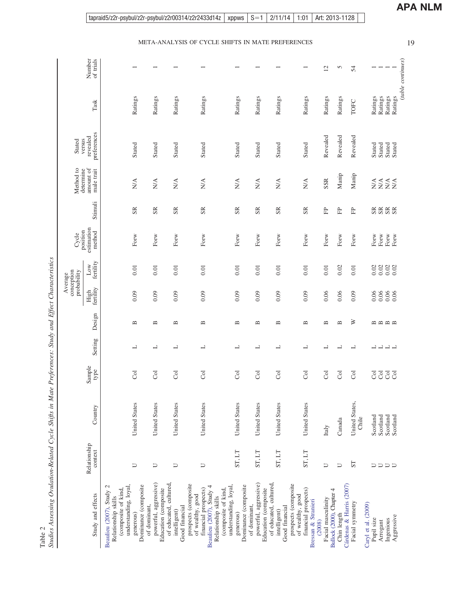<span id="page-18-0"></span>Table 2<br>Studies Assessing Ovulation-Related Cycle Shifts in Mate Preferences: Study and Effect Characteristics Studies Assessing Ovulation-Related Cycle Shifts in Mate Preferences: Study and Effect Characteristics

| versus<br>Stated<br>Method to<br>determine | Number<br>of trials<br>Task<br>preferences<br>revealed<br>amount of<br>male trait |                                                                                                 |                                                   | Ratings<br>Stated<br>N/A                                                | Ratings<br>Stated<br>$\frac{\triangleleft}{\triangle}$ | Ratings<br>Stated<br>$\frac{\triangleleft}{\triangle}$ | Ratings<br>Stated<br>$\frac{\triangleleft}{\triangle}$                                                             | Ratings<br>Stated<br>$\frac{\lambda}{2}$                                   | Ratings<br>Stated<br>$N\!A$                   | Ratings<br>Stated<br>$\frac{\triangleleft}{\triangle}$                           | Ratings<br>Stated<br>$N\!A$                                     | $\overline{c}$<br>Ratings<br>Revealed<br>SSR | 5<br>Ratings<br>Revealed<br>Manip        | 54<br>TOFC<br>Revealed<br>Manip             | Ratings<br>Ratings<br>Stated<br>Stated<br>N/A<br>N/A | Ratings<br>Ratings<br>Stated<br>Stated<br>N/A<br>N/A |
|--------------------------------------------|-----------------------------------------------------------------------------------|-------------------------------------------------------------------------------------------------|---------------------------------------------------|-------------------------------------------------------------------------|--------------------------------------------------------|--------------------------------------------------------|--------------------------------------------------------------------------------------------------------------------|----------------------------------------------------------------------------|-----------------------------------------------|----------------------------------------------------------------------------------|-----------------------------------------------------------------|----------------------------------------------|------------------------------------------|---------------------------------------------|------------------------------------------------------|------------------------------------------------------|
|                                            | Stimuli                                                                           |                                                                                                 | S <sub>R</sub>                                    | SR                                                                      |                                                        | S <sub>R</sub>                                         | SR                                                                                                                 | SR                                                                         | S <sub>R</sub>                                | SR                                                                               | S <sub>R</sub>                                                  | 丘                                            | 丘                                        | 仓                                           | SR<br>SR                                             | $S_{R}$<br>S <sub>R</sub>                            |
| position<br>Cycle                          | estimation<br>method                                                              |                                                                                                 | Forw                                              | $_{\rm Forw}$                                                           |                                                        | Forw                                                   | $_{\rm Forw}$                                                                                                      | Forw                                                                       | Forw                                          | Forw                                                                             | Forw                                                            | Forw                                         | Forw                                     | Forw                                        | Forw<br>Forw                                         | Forw<br>Forw                                         |
| conception<br>probability                  | fertility<br>$_{\rm Low}$                                                         |                                                                                                 | 0.01                                              | 0.01                                                                    |                                                        | 0.01                                                   | 0.01                                                                                                               | 0.01                                                                       | 0.01                                          | 0.01                                                                             | 0.01                                                            | 0.01                                         | 0.02                                     | 0.01                                        | 0.02<br>0.02                                         | 0.02<br>0.02                                         |
|                                            | High<br>fertility                                                                 |                                                                                                 | 0.09                                              | 0.09                                                                    | 0.09                                                   |                                                        | 0.09                                                                                                               | 0.09                                                                       | 0.09                                          | 0.09                                                                             | 0.09                                                            | 0.06                                         | 0.06                                     | 0.09                                        | 0.06<br>0.06                                         | 0.06<br>0.06                                         |
|                                            | Design                                                                            |                                                                                                 | $\mathbf{m}$                                      | $\mathbf{u}$                                                            | $\mathbf{u}$                                           |                                                        | $\mathbf{u}$                                                                                                       | $\mathbf{u}$                                                               | $\mathbf{u}$                                  | $\mathbf{u}$                                                                     | $\mathbf{\underline{\square}}$                                  | $\mathbf{u}$                                 | $\mathbf{u}$                             | ≽                                           |                                                      | $m \n  m$                                            |
|                                            | Setting                                                                           |                                                                                                 | 凵                                                 | 凵                                                                       | 凵                                                      |                                                        | 凵                                                                                                                  | 凵                                                                          | 凵                                             | 凵                                                                                | ┙                                                               | 凵                                            | L                                        | 凵                                           |                                                      | ココココ                                                 |
|                                            | Sample<br>type                                                                    |                                                                                                 | 5 <sub>o</sub>                                    | 5 <sub>0</sub>                                                          | <b>Col</b>                                             |                                                        | <b>Col</b>                                                                                                         | 5 <sub>o</sub>                                                             | <b>Col</b>                                    | <b>Col</b>                                                                       | <b>Col</b>                                                      | <b>Col</b>                                   | <b>Col</b>                               | 5 <sub>o</sub>                              | <b>Col</b><br><b>Col</b>                             | $\overline{c}$<br>5                                  |
|                                            | Country                                                                           |                                                                                                 | United States                                     | <b>United States</b>                                                    | <b>United States</b>                                   |                                                        | <b>United States</b>                                                                                               | United States                                                              | United States                                 | United States                                                                    | United States                                                   | Italy                                        | Canada                                   | United States,<br>Chile                     | Scotland<br>Scotland                                 | Scotland<br>Scotland                                 |
|                                            | Relationship<br>context                                                           |                                                                                                 | コ                                                 | $\cup$                                                                  | J                                                      |                                                        | $\cup$                                                                                                             | ST, LT                                                                     | ST, LT                                        | ST, LT                                                                           | ST, LT                                                          | J                                            | Þ                                        | S <sub>T</sub>                              | $\Box$<br>コ                                          | $\cup$<br>$\Box$                                     |
|                                            | Study and effects                                                                 | understanding, loyal,<br>Beaulieu (2007), Study 2<br>(composite of kind,<br>Relationship skills | Dominance (composite<br>of dominant,<br>generous) | powerful, aggressive)<br>of educated, cultured,<br>Education (composite | intelligent)                                           | prospects (composite<br>Good financial                 | Beaulieu (2007), Study 4<br>(composite of kind,<br>financial prospects)<br>of wealthy, good<br>Relationship skills | understanding, loyal,<br>Dominance (composite<br>of dominant,<br>generous) | powerful, aggressive)<br>Education (composite | of educated, cultured,<br>prospects (composite<br>Good financial<br>intelligent) | financial prospects)<br>of wealthy, good<br>Bressan & Stranieri | Facial masculinity<br>(2008)                 | Bullock (2000), Chapter 4<br>Chin length | Cárdenas & Harris (2007)<br>Facial symmetry | Caryl et al. (2009)<br>Pupil size<br>Arrogant        | Aggressive<br>Ingenious                              |

META-ANALYSIS OF CYCLE SHIFTS IN MATE PREFERENCES 19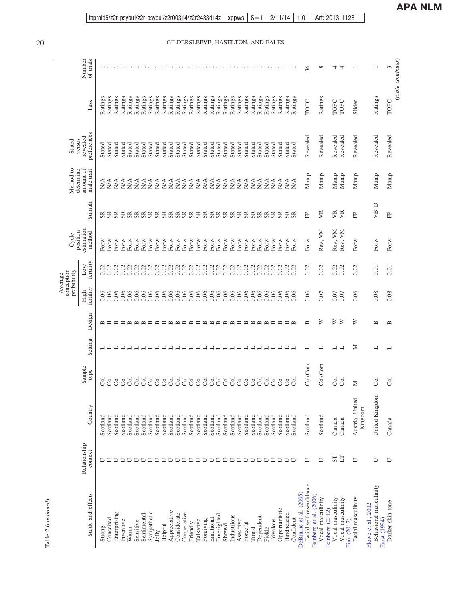|                                                   |                         |                      |                |         |                   | conception<br>probability<br>Average |                  | Cycle                            |                                  | Method to                            | Stated                            |                    |                     |
|---------------------------------------------------|-------------------------|----------------------|----------------|---------|-------------------|--------------------------------------|------------------|----------------------------------|----------------------------------|--------------------------------------|-----------------------------------|--------------------|---------------------|
| Study and effects                                 | Relationship<br>context | Country              | Sample<br>type | Setting | Design            | High<br>fertility                    | fertility<br>Low | estimation<br>position<br>method | Stimuli                          | amount of<br>determine<br>male trait | preferences<br>revealed<br>versus | Task               | of trials<br>Number |
| Strong                                            | ⊃                       | Scotland             | යි             | 凵       | ≃                 | 0.06                                 | 0.02             | Forw                             | S <sub>R</sub>                   | $\sum_{i=1}^{n}$                     | Stated                            | Ratings            |                     |
| Conceited                                         |                         | Scotland             | ි              | ب       | ≃                 | 0.06                                 | 0.02             | Forw                             | S <sub>R</sub>                   | $\sum_{i=1}^{n}$                     | Stated                            | Ratings            |                     |
| Enterprising                                      | ⊃                       | Scotland             | 3              |         | $\approx$         | 0.06                                 | 0.02             | Forw                             | SR                               | $\sum_{i=1}^{n}$                     | Stated                            | Ratings            |                     |
| Inventive                                         | ⊃                       | Scotland             | ි              |         | $\mathbf{D}$      | 0.06                                 | 0.02             | Forw                             | SR                               | $\sum_{i=1}^{n}$                     | Stated                            | Ratings            |                     |
| Warm                                              |                         | Scotland             | ි              | ᆜ       | ≃                 | 0.06                                 | 0.02             | Forw                             | SR                               | $\sum_{i=1}^{n}$                     | Stated                            | Ratings            |                     |
| Sensitive                                         | □                       | Scotland             | ි              | ᆜ       | ≃                 | 0.06                                 | 0.02             | Forw                             | S <sub>R</sub>                   | $\sum_{i=1}^{n}$                     | Stated                            | Ratings            |                     |
| Sentimental                                       |                         | Scotland             | 5<br>Col       | ┙       | ≃                 | 0.06                                 | 0.02             | Forw                             | S <sub>R</sub>                   | $\tilde{\ge}$                        | Stated                            | Ratings            |                     |
| Sympathetic                                       | □                       | Scotland             | 5<br>Col       | ᆜ       | ≃                 | 0.06                                 | 0.02             | Forw                             | S <sub>R</sub>                   | $\tilde{\ge}$                        | Stated                            | Ratings            |                     |
| Jolly                                             |                         | Scotland             | 5<br>Col       | ┙       | ≃                 | 0.06                                 | 0.02             | Forw                             | S <sub>R</sub>                   | $\sum_{i=1}^{n}$                     | Stated                            | Ratings            |                     |
| Helpful                                           | □                       | Scotland             | 5<br>Col       | ᆜ       | ≃                 | 0.06                                 | 0.02             | Forw                             | SR                               | $N\mathcal{A}$                       | Stated                            | Ratings            |                     |
| Appreciative                                      | □                       | Scotland             | ි              | ┙       | ≃                 | 0.06                                 | 0.02             | Forw                             | S <sub>R</sub>                   |                                      | Stated                            | Ratings            |                     |
| Considerate                                       | □                       | Scotland             | 5              | ┙       | ≃                 | 0.06                                 | 0.02             | Forw                             | SR                               |                                      | Stated                            | Ratings            |                     |
| Cooperative                                       | □                       | Scotland             | 5              | ┙       | ≃                 | 0.06                                 | 0.02             | Forw                             | SR                               |                                      | Stated                            | Ratings            |                     |
| Friendly                                          | ⊃                       | Scotland             | 5              | ᆜ       | ≏                 | 0.06                                 | 0.02             | $_{\rm Forw}$                    | S <sub>R</sub>                   |                                      | Stated                            | Ratings            |                     |
| Talkative                                         | ⊃                       | Scotland             | 5              | ⊐       | ≏                 | 0.06                                 | 0.02             | Forw                             | SR                               |                                      | Stated                            | Ratings            |                     |
| Emotional<br>Forgiving                            | ⊃<br>⊃                  | Scotland<br>Scotland | 5<br>5         | ᆜ<br>ᆜ  | $\mathbf{m}$<br>≏ | 0.06<br>0.06                         | 0.02<br>0.02     | $_{\rm Forw}$<br>Forw            | S <sub>R</sub><br>S <sub>R</sub> | <b>AAAAAAA</b><br>ZZZZZZZZ           | Stated<br>Stated                  | Ratings            |                     |
|                                                   | ⊃                       | Scotland             | 5              | ᆜ       | $\mathbf{D}$      | 0.06                                 | 0.02             | Forw                             | ${\rm S} {\rm R}$                |                                      | Stated                            | Ratings            |                     |
| Foresighted<br>Shrewd                             | ⊃                       | Scotland             | 5              |         | ≃                 | 0.06                                 | 0.02             | Forw                             | SR                               |                                      | Stated                            | Ratings            |                     |
| Industrious                                       | ⊃                       | Scotland             | S              | ┙<br>凵  | ≏                 | 0.06                                 | 0.02             | Forw                             | S <sub>R</sub>                   | NA<br>NA                             | Stated                            | Ratings<br>Ratings |                     |
| Assertive                                         | ⊃                       | Scotland             | 5<br>Col       | ⊐       | ≃                 | 0.06                                 | 0.02             | Forw                             | S <sub>R</sub>                   | $\sum_{i=1}^{n}$                     | Stated                            | Ratings            |                     |
| Forceful                                          | ⊃                       | Scotland             | S              | 凵       | $\approx$         | 0.06                                 | 0.02             | Forw                             | S <sub>R</sub>                   | $\sum_{i=1}^{n}$                     | Stated                            | Ratings            |                     |
| Timid                                             | ⊃                       | Scotland             | 5<br>Col       | ┙       | ≃                 | 0.06                                 | 0.02             | Forw                             | S <sub>R</sub>                   | N/A                                  | Stated                            | Ratings            |                     |
| Dependent                                         | ⊃                       | Scotland             | 5<br>Col       | ᆜ       | $\mathbf{D}$      | 0.06                                 | 0.02             | Forw                             | SR                               | N/A                                  | Stated                            | Ratings            |                     |
| Fickle                                            | ⊃                       | Scotland             | 5<br>Col       | ┙       | ≃                 | 0.06                                 | 0.02             | Forw                             | S <sub>R</sub>                   | $\frac{1}{2}$                        | Stated                            | Ratings            |                     |
| Frivolous                                         | ⊃                       | Scotland             | 5<br>Col       |         | ≃                 | 0.06                                 | 0.02             | Forw                             | S <sub>R</sub>                   | $\frac{1}{2}$                        | Stated                            | Ratings            |                     |
| Opportunistic                                     |                         | Scotland             | ह              |         | ≃                 | 0.06                                 | 0.02             | Forw                             | S <sub>R</sub>                   | $\frac{1}{2}$                        | Stated                            | Ratings            |                     |
| Hardheaded                                        |                         | Scotland             | ह              |         | ≃                 | 0.06                                 | 0.02             | Forw                             | S <sub>R</sub>                   | $\sum_{i=1}^{n}$                     | Stated                            | Ratings            |                     |
| Confident                                         |                         | Scotland             | ह              |         | ≃                 | 0.06                                 | 0.02             | Forw                             | S <sub>R</sub>                   | $\lessapprox$                        | Stated                            | Ratings            |                     |
| DeBruine et al. (2005)                            |                         |                      |                |         |                   |                                      |                  |                                  |                                  |                                      |                                   |                    |                     |
| Facial self-resemblance<br>Feinberg et al. (2006) | U                       | Scotland             | Col/Com        | ᆜ       | Б                 | 0.06                                 | 0.02             | Forw                             | 丘                                | Manip                                | Revealed                          | TOFC               | 36                  |
| Vocal masculinity                                 | $\Box$                  | Scotland             | Col/Com        |         | ⋧                 | 0.07                                 | 0.02             | Rev, VM                          | Š                                | Manip                                | Revealed                          | Ratings            | $\infty$            |
| Feinberg (2012)                                   |                         |                      |                |         |                   |                                      |                  |                                  |                                  |                                      |                                   |                    |                     |
| Vocal masculinity                                 | S <sub>T</sub>          | Canada               | <b>Col</b>     |         | ≽                 | 0.07                                 | 0.02             | Rev, VM                          | 医                                | Manip                                | Revealed                          | TOFC               | ↤                   |
| Vocal masculinity<br>Fink (2012)                  | $\Box$                  | Canada               | <b>Col</b>     |         | ⋗                 | 0.07                                 | 0.02             | Rev, VM                          | $\approx$                        | Manip                                | Revealed                          | TOFC               |                     |
| Facial masculinity                                | $\Box$                  | Austria, United      | ≍              | ⋝       | ≽                 | 0.06                                 | 0.02             | Forw                             | 丘                                | Manip                                | Revealed                          | Slider             |                     |
| Flowe et al., 2012                                |                         | Kingdom              |                |         |                   |                                      |                  |                                  |                                  |                                      |                                   |                    |                     |
| Behavioral masculinity<br>Frost (1994)            | J                       | United Kingdom       | Col            | ┙       | B                 | 0.08                                 | 0.01             | $_{\rm Forw}$                    | VB, D                            | Manip                                | Revealed                          | Ratings            |                     |
| Darker skin tone                                  | J                       | Canada               | Col            |         | ≃                 | 0.08                                 | 0.01             | Forw                             | 丘                                | Manip                                | Revealed                          | TOFC               | 3                   |
|                                                   |                         |                      |                |         |                   |                                      |                  |                                  |                                  |                                      |                                   |                    | (table continues)   |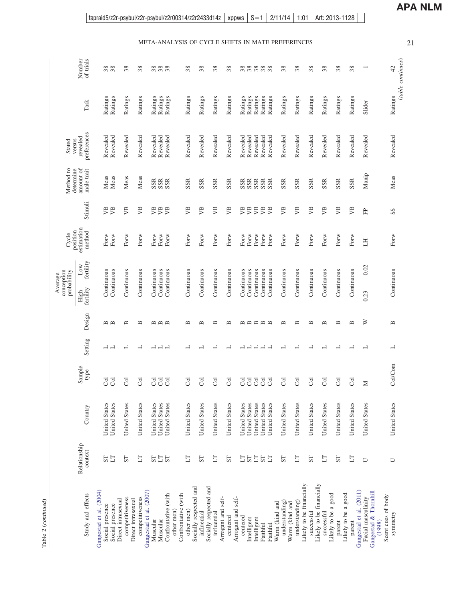$Table~2~(continued)$ Table 2 (*continued*)

|                                      | of trials<br>Number<br>$\rm{Task}$    | 38<br>Ratings<br>Ratings                                      |                    | 38<br>Ratings                         | 38<br>Ratings   |                                     |                       | Ratings             | 8888<br>Ratings<br>Ratings        |               | 38<br>Ratings                         | 38<br>Ratings          |               | 38<br>Ratings                  | 38<br>Ratings        |                         | Ratings       | Ratings              | Ratings        | <b>888888</b><br>Ratings<br>Ratings |                                  | 38<br>Ratings                              | 38<br>Ratings | 38<br>Ratings     | 38<br>Ratings                          |                     | 38<br>Ratings            | 38<br>Ratings                 | Slider                                        |                                                       |
|--------------------------------------|---------------------------------------|---------------------------------------------------------------|--------------------|---------------------------------------|-----------------|-------------------------------------|-----------------------|---------------------|-----------------------------------|---------------|---------------------------------------|------------------------|---------------|--------------------------------|----------------------|-------------------------|---------------|----------------------|----------------|-------------------------------------|----------------------------------|--------------------------------------------|---------------|-------------------|----------------------------------------|---------------------|--------------------------|-------------------------------|-----------------------------------------------|-------------------------------------------------------|
| versus<br>Stated                     | preferences<br>revealed               | Revealed<br>Revealed                                          |                    | Revealed                              | Revealed        | Revealed                            | Revealed              | Revealed            |                                   | Revealed      | Revealed                              |                        | Revealed      | Revealed                       | Revealed             | Revealed                | Revealed      | Revealed             | Revealed       |                                     |                                  | Revealed                                   | Revealed      | Revealed          | Revealed                               |                     | Revealed                 | Revealed                      | Revealed                                      |                                                       |
| Method to<br>determine               | amount of<br>male trait               | Meas<br>Meas                                                  |                    | Meas                                  | Meas            | SSR                                 | SSR                   | SSR                 |                                   | SSR           | SSR                                   |                        | SSR           | SSR                            | SSR                  | SSR                     | SSR           | SSR                  | SSR            |                                     |                                  | SSR                                        | SSR           | SSR               | SSR                                    |                     | SSR                      | SSR                           | Manip                                         |                                                       |
|                                      | Stimuli                               | ĴВ<br>$\mathbb{R}$                                            |                    | УB                                    | УB              | ĴВ                                  | $\mathbb{R}$          | $\sqrt{B}$          |                                   | УB            | УB                                    |                        | УB            | УB                             | УB                   | $\mathbb{R}$            | УB            | $\mathbb{R}$         | $\mathfrak{B}$ |                                     | УB                               |                                            | УB            | УB                | УB                                     |                     | $\mathbb{R}$             | УB                            | 丘                                             |                                                       |
| position<br>Cycle                    | estimation<br>method                  | Forw<br>Forw                                                  |                    | Forw                                  | $_{\rm Forw}$   | Forw                                | Forw                  | Forw                |                                   | $_{\rm Forw}$ | Forw                                  |                        | $_{\rm Forw}$ | Forw                           | Forw                 | Forw                    | Forw          | Forw                 | Forw           |                                     | Forw                             |                                            | Forw          | Forw              | $_{\rm Forw}$                          |                     | Forw                     | Forw                          | H                                             |                                                       |
| conception<br>probability<br>Average | fertility<br>Low<br>fertility<br>High | Continuous<br>Continuous                                      |                    | Continuous                            | Continuous      | Continuous                          | Continuous            | Continuous          |                                   | Continuous    | Continuous                            |                        | Continuous    | Continuous                     | Continuous           | Continuous              | Continuous    | Continuous           | Continuous     |                                     | Continuous                       |                                            | Continuous    | Continuous        | Continuous                             |                     | Continuous               | Continuous                    | 0.02<br>0.23                                  |                                                       |
|                                      | Design                                | $m \nightharpoonup$                                           |                    | ≃                                     | ≏               |                                     | $m \nightharpoonup m$ |                     |                                   | ≃             | ≃                                     |                        | ≃             | ≏                              |                      |                         | m m m m       |                      |                |                                     | ≏                                |                                            | $\mathbf{r}$  | $\mathbf{\Omega}$ | $\mathbf{r}$                           |                     | $\approx$                | B                             | ⋧                                             |                                                       |
|                                      | Setting                               | ココ                                                            |                    | ┙                                     | L               | L                                   |                       | ب ب                 |                                   | L             | 凵                                     |                        | 凵             | L                              | L                    | L                       | 凵             | 凵                    | ロ              |                                     | 凵                                |                                            | 凵             | 凵                 | 凵                                      |                     | $\overline{\phantom{a}}$ | $\overline{\phantom{a}}$      | L                                             |                                                       |
|                                      | Sample<br>type                        | Col<br>ි                                                      |                    | <b>Col</b>                            | Col             | ි ර                                 | ි                     | ි ර                 |                                   | <b>Col</b>    | <b>Col</b>                            |                        | <b>Col</b>    | <b>Col</b>                     | 5<br>Col             | <b>Col</b>              | <b>Col</b>    | <b>Col</b>           | 5<br>Col       | <b>Col</b>                          |                                  | <b>Col</b>                                 |               | <b>Col</b>        | Col                                    |                     | <b>Col</b>               | <b>Col</b>                    | $\geq$                                        |                                                       |
|                                      | Country                               | United States<br>United States                                |                    | United States                         | United States   | <b>United States</b>                | United States         | United States       |                                   | United States | United States                         |                        | United States | United States                  | <b>United States</b> | United States           | United States | <b>United States</b> | United States  |                                     | United States                    | United States                              |               | United States     | United States                          |                     | United States            | United States                 | United States                                 |                                                       |
|                                      | Relationship<br>context               | S <sub>T</sub><br>$\Box$                                      |                    | <b>ST</b>                             | E               | S <sub>T</sub>                      |                       | 7E                  |                                   | $\Box$        | <b>ST</b>                             |                        | ГI            | S <sub>T</sub>                 | E                    | S <sub>T</sub>          | E             | S <sub>T</sub>       | $\Box$         | S <sub>T</sub>                      |                                  | $\Box$                                     |               | S <sub>T</sub>    | $\Box$                                 |                     | S <sub>T</sub>           | EТ                            | $\Box$                                        |                                                       |
|                                      | Study and effects                     | Gangestad et al. (2004)<br>Social presence<br>Social presence | Direct intrasexual | competitiveness<br>Direct intrasexual | competitiveness | Gangestad et al. (2007)<br>Muscular | Muscular              | Confrontative (with | Confrontative (with<br>other men) | other men)    | Socially respected and<br>influential | Socially respected and | influential   | Arrogant and self-<br>centered | Arrogant and self-   | centered<br>Intelligent | Intelligent   | Faithful             | Faithful       | Warm (kind and                      | understanding)<br>Warm (kind and | Likely to be financially<br>understanding) |               | successful        | Likely to be financially<br>successful | Likely to be a good | parent                   | Likely to be a good<br>parent | Gangestad et al. (2011)<br>Facial masculinity | Gangestad & Thornhill<br>Scent cues of body<br>(1998) |

**APA NLM**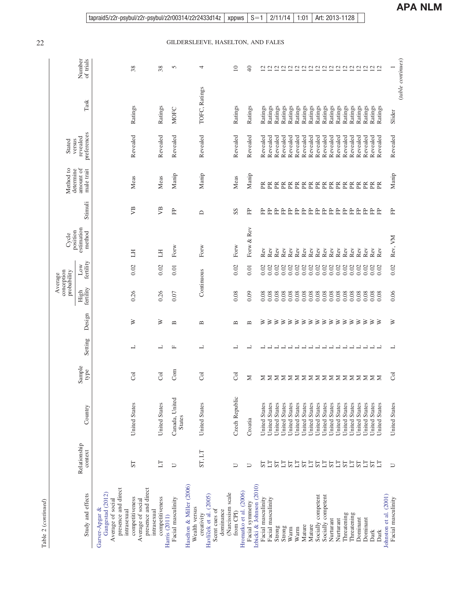|                                      | Number<br>of trials               |                                                                                               | 38                                                                         | 38                               | 5                               |                                           | 4                                                                                       | $\overline{10}$                     | $\Theta$                                    |                    |                      |                                       |                  |               |                          |                          |                                          | $\overline{a}$ $\overline{a}$ |               | $\overline{2}$ $\overline{2}$ | $\overline{\omega}$ $\overline{\omega}$ |                          | $\overline{\omega}$ $\overline{\omega}$ |                          | $\overline{\mathbf{C}}$        |                    | (table continues) |
|--------------------------------------|-----------------------------------|-----------------------------------------------------------------------------------------------|----------------------------------------------------------------------------|----------------------------------|---------------------------------|-------------------------------------------|-----------------------------------------------------------------------------------------|-------------------------------------|---------------------------------------------|--------------------|----------------------|---------------------------------------|------------------|---------------|--------------------------|--------------------------|------------------------------------------|-------------------------------|---------------|-------------------------------|-----------------------------------------|--------------------------|-----------------------------------------|--------------------------|--------------------------------|--------------------|-------------------|
|                                      | Task                              |                                                                                               | Ratings                                                                    | Ratings                          | MOFC                            |                                           | TOFC, Ratings                                                                           | Ratings                             | Ratings                                     | Ratings            | Ratings              | Ratings<br>Ratings                    | Ratings          | Ratings       | Ratings                  | Ratings                  | Ratings<br>Ratings                       | Ratings                       | Ratings       | Ratings                       | Ratings                                 | Ratings                  | Ratings                                 | Ratings                  | Ratings                        | Slider             |                   |
| Stated                               | preferences<br>revealed<br>versus |                                                                                               | Revealed                                                                   | Revealed                         | Revealed                        |                                           | Revealed                                                                                | Revealed                            | Revealed                                    | Revealed           | Revealed             | Revealed<br>Revealed                  | Revealed         | Revealed      | Revealed                 | Revealed                 | Revealed<br>Revealed                     | Revealed                      | Revealed      | Revealed                      | Revealed                                | Revealed                 | Revealed                                | Revealed                 | Revealed                       | Revealed           |                   |
| Method to<br>determine               | amount of<br>male trait           |                                                                                               | Meas                                                                       | Meas                             | Manip                           |                                           | Manip                                                                                   | Meas                                | Manip                                       | PR                 | <b>R</b>             | <b>PR</b><br>Æ                        | Æ                | Æ             | Æ                        | $\mathbb{R}$             | PŘ<br><b>PK</b>                          | <b>PK</b>                     | <b>PK</b>     | Æ                             | <b>PK</b>                               | <b>PK</b>                | <b>PK</b>                               | <b>PK</b>                | Æ                              | Manip              |                   |
|                                      | Stimuli                           |                                                                                               | УB                                                                         | УB                               | 丘                               |                                           | $\mathbf{D}$                                                                            | SS                                  | 丘                                           | È                  | 丘                    | 丘<br>丘                                | 丘                | 丘             | 丘                        | 丘                        | 丘<br>丘                                   | 丘                             | 丘             | 丘                             | 丘                                       | 丘                        | 丘                                       | 出                        | 出                              | 丘                  |                   |
| position<br>Cycle                    | estimation<br>method              |                                                                                               | H                                                                          | H                                | Forw                            |                                           | Forw                                                                                    | $_{\rm Forw}$                       | Forw & Rev                                  | Rev                | Rev                  | Rev<br>Rev                            | Rev              | Rev           | Rev                      | Rev                      | Rev<br>Rev                               | Rev                           | Rev           | Rev                           | Rev                                     | Rev                      | Rev                                     | Rev                      | Rev                            | Rev, VM            |                   |
|                                      | fertility<br>$_{\text{Low}}$      |                                                                                               | 0.02                                                                       | 0.02                             | 0.01                            |                                           |                                                                                         | 0.02                                | 0.01                                        | 0.02               | 0.02                 | 0.02<br>0.02                          | 0.02             | 0.02          | 0.02                     | 0.02                     | 0.02<br>0.02                             | 0.02                          | 0.02          | 0.02                          | 0.02                                    | 0.02                     | 0.02                                    | 0.02                     | 0.02                           | 0.02               |                   |
| conception<br>probability<br>Average | fertility<br>High                 |                                                                                               | 0.26                                                                       | 0.26                             | 0.07                            |                                           | Continuous                                                                              | 0.08                                | 0.09                                        | 0.08               | 0.08                 | 0.08<br>0.08                          | 0.08             | 0.08          | 0.08                     | 0.08                     | 0.08<br>0.08                             | 0.08                          | 0.08          | 0.08                          | 0.08                                    | 0.08                     | 0.08                                    | 0.08                     | 0.08                           | 0.06               |                   |
|                                      | Design                            |                                                                                               | ≽                                                                          | ≽                                | $\mathbf{p}$                    |                                           | $\mathbf{\Omega}$                                                                       | $\mathbf{r}$                        | $\mathbf{\Omega}$                           | ≽                  | ⋧                    | ⋗<br>≽                                | ≽                | ⋗             | $\geq$                   | $\geq$                   | ≽<br>$\geq$                              | ⋗                             | ⋗             | ≽                             | ⋗                                       | ⋗                        | ⋗                                       | ⋗                        | ⋧                              | ≽                  |                   |
|                                      | Setting                           |                                                                                               | 凵                                                                          | ┙                                | Щ                               |                                           | ┙                                                                                       | 凵                                   | 凵                                           | ┙                  | 凵                    | 凵<br>$\overline{\phantom{0}}$         |                  | ہے ہے         | $\overline{\phantom{0}}$ | $\overline{\phantom{0}}$ | $\overline{\phantom{0}}$<br>凵            | 凵                             | 凵             | 凵                             | 凵                                       | $\overline{\phantom{0}}$ | 凵                                       | $\overline{\phantom{0}}$ |                                | 凵                  |                   |
|                                      | Sample<br>type                    |                                                                                               | <b>Col</b>                                                                 | Col                              | $\mathbb{C}$ om                 |                                           | Gol                                                                                     | <b>Col</b>                          | Σ                                           | ⋝                  | Σ                    |                                       |                  |               |                          |                          | <b>SSSSSSSSSSS</b>                       |                               |               |                               | $\Sigma$                                |                          | $\sum$                                  | $\sum$                   | Σ                              | <b>Col</b>         |                   |
|                                      | Country                           |                                                                                               | United States                                                              | United States                    | Canada, United<br><b>States</b> |                                           | United States                                                                           | Czech Republic                      | Croatia                                     | United States      | <b>United States</b> | United States<br><b>United States</b> | United States    | United States | United States            | United States            | United States<br>United States           | United States                 | United States | United States                 | <b>United States</b>                    | United States            | United States                           | United States            | United States                  | United States      |                   |
|                                      | Relationship<br>context           |                                                                                               | S <sub>T</sub>                                                             | $\overline{\Box}$                | $\Box$                          |                                           | ST, LT                                                                                  | $\cup$                              | U                                           | S <sub>T</sub>     | E                    | S <sub>T</sub>                        | EST <sub>1</sub> |               |                          | 5555                     |                                          |                               | <b>HELE</b>   |                               | <b>ES</b>                               |                          | $\Box$                                  | S <sub>T</sub>           | 5                              | $\cup$             |                   |
|                                      | Study and effects                 | presence and direct<br>Gangestad (2012)<br>Average of social<br>Garver-Apgar &<br>intrasexual | presence and direct<br>competitiveness<br>Average of social<br>intrasexual | competitiveness<br>Harris (2011) | Facial masculinity              | Haselton & Miller (2006)<br>Wealth versus | (Narcissism scale<br>Havlíček et al. (2005)<br>Scent cues of<br>dominance<br>creativity | Hromatko et al. (2006)<br>from CPI) | Izbicki & Johnson (2010)<br>Facial symmetry | Facial masculinity | Facial masculinity   | Strong<br>Strong                      | Warm             | Warm          | Mature                   | Mature                   | Socially competent<br>Socially competent | Nurturant                     | Nurturant     | Threatening                   | Threatening                             | Dominant                 | Dominant                                | Dark                     | Johnston et al. (2001)<br>Dark | Facial masculinity |                   |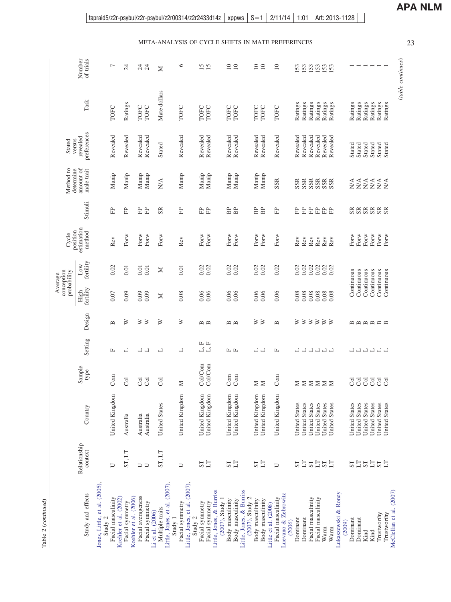${\bf Table ~2}~(continued)$ Table 2 (*continued*)

| Number<br>of trials<br>$\circ$<br>$\overline{10}$<br>$\overline{10}$<br>10<br>$\overline{ }$<br>24<br>24<br>15<br>$\approx$<br>$\overline{10}$<br><b>53</b><br>153<br>153<br>153<br>153<br>153<br>Σ<br>Mate dollars<br>Task<br>Ratings<br>Ratings<br>Ratings<br>Ratings<br>Ratings<br>Ratings<br>Ratings<br>Ratings<br>Ratings<br>Ratings<br>Ratings<br>Ratings<br>Ratings<br>TOFC<br>TOFC<br>TOFC<br>TOFC<br>TOFC<br>TOFC<br>TOFC<br>TOFC<br>TOFC<br>TOFC<br>TOFC<br>preferences<br>Revealed<br>Revealed<br>Revealed<br>Revealed<br>Revealed<br>Revealed<br>Revealed<br>Revealed<br>Revealed<br>Revealed<br>Revealed<br>Revealed<br>Revealed<br>Revealed<br>Revealed<br>Revealed<br>Revealed<br>Revealed<br>revealed<br>Stated<br>Stated<br>Stated<br>Stated<br>Stated<br>Stated<br>Stated<br>amount of<br>male trait<br>Manip<br>Manip<br>Manip<br>Manip<br>Manip<br>Manip<br>Manip<br>Manip<br>Manip<br>Manip<br>Manip<br>SSR<br>SSR<br>SSR<br>SSR<br>SSR<br>SSR<br>N/A<br>SSR<br>⋖⋖⋖⋖⋖⋖<br>∑∑∑∑∑<br>Stimuli<br>BP<br>BP<br>BP<br>BP<br>$\mathbb S$<br>\$55<br>$S_{R}$<br>SR<br>SR<br>丘<br>出<br>仓<br>仓<br>仓<br>出<br>丘<br>丘<br>E<br>丘<br>丘<br>丘<br>丘<br>出<br>estimation<br>method<br>Forw<br>Forw<br>Forw<br>Forw<br>Forw<br>Forw<br>Forw<br>Forw<br>Forw<br>Forw<br>Forw<br>$_{\rm Forw}$<br>Forw<br>Forw<br>Forw<br>Forw<br>Forw<br>Rev<br>Rev<br>Rev<br>Rev<br>Rev<br>Rev<br>Rev<br>Rev<br>fertility<br>Low<br>0.02<br>0.02<br>0.02<br>0.02<br>0.02<br>0.02<br>0.02<br>0.02<br>0.02<br>0.01<br>0.02<br>0.02<br>0.02<br>0.02<br>0.02<br>0.01<br>0.01<br>0.01<br>Z<br>Continuous<br>Continuous<br>Continuous<br>Continuous<br>Continuous<br>Continuous<br>fertility<br>High<br>0.06<br>0.06<br>0.09<br>0.09<br>0.09<br>0.08<br>0.06<br>0.06<br>0.06<br>0.06<br>0.06<br>0.07<br>0.08<br>0.08<br>0.08<br>0.08<br>0.08<br>0.08<br>Σ<br>Design<br>≽<br>≽≽<br>$\geq$<br>≽<br>⋗<br>≽≽<br>≥ ≥ ≥<br>⋗<br>⋗<br>$\overline{B}$<br>m m m m<br>$\mathbf{\Omega}$<br>മ മ<br>മ മ<br>B<br>Setting<br>щщ<br>ئے ئے<br>$\mathbb{L}$ $\mathbb{L}$<br>ココココココ<br>コココココ<br>Щ<br>ココ<br>凵<br>凵<br>ココ<br>$\mathbf{L}$<br>┙<br>凵<br>Col/Com<br>Col/Com<br>Sample<br>type<br>Com<br>Com<br>Com<br>Com<br><b>Col</b><br><b>Col</b><br><b>Col</b><br><b>Col</b><br><b>Col</b><br>Col<br><b>Col</b><br>ි<br>Col<br>ි ර<br>Σ<br>⋝<br>⊠<br>⋝<br>Σ<br>Σ<br>Σ<br>Σ<br>Σ<br>United Kingdom<br>United Kingdom<br>United Kingdom<br>United Kingdom<br>United Kingdom<br>United Kingdom<br>United Kingdom<br>United Kingdom<br>United Kingdom<br><b>United States</b><br><b>States</b><br><b>States</b><br><b>States</b><br><b>United States</b><br><b>United States</b><br><b>States</b><br>United States<br><b>States</b><br><b>United States</b><br>United States<br><b>States</b><br><b>States</b><br>Country<br>Australia<br>Australia<br>Australia<br>United<br>United<br>United<br>United<br>United !<br>United<br>United<br>Relationship<br>context<br>ST, LT<br>ST, LT<br>${\rm S} {\rm T}$<br>$\Box$<br>$12 \text{ }\mathrm{E}$<br><b>ESE</b><br>$\overline{\Box}$<br>${\rm S} {\rm T}$<br>$\overline{\mathbf{L}}$<br>$12 \text{ m}$<br>$\Box$<br>S <sub>T</sub><br>S <sub>T</sub><br>S <sub>T</sub><br>S <sub>T</sub><br>$\Box$<br>$\Box$<br>$\cup$<br>U<br>$\cup$<br>$\qquad \qquad \Box$<br>Jones, Little, et al. (2005),<br>Little, Jones, et al. (2007),<br>Little, Jones, et al. (2007),<br>Little, Jones, & Burriss<br>Little, Jones, & Burriss<br>McClellan et al. (2007)<br>Lukaszewski & Roney<br>Study and effects<br>Luevano & Zebrowitz<br>Facial averageness<br>Koehler et al. (2006)<br>Facial masculinity<br>Koehler et al. (2002)<br>$(2007)$ , Study 2<br>Facial masculinity<br>$(2007)$ , Study 1<br>Facial masculinity<br>Facial masculinity<br>Body masculinity<br>Body masculinity<br>Body masculinity<br>Body masculinity<br>Facial symmetry<br>Facial symmetry<br>Facial symmetry<br>Facial symmetry<br>Facial symmetry<br>Little et al. (2008)<br>Multiple traits<br>Li et al. (2006)<br>Trustworthy<br>Trustworthy<br>Study 2<br>Study 2<br>Study 1<br>Dominant<br>Dominant<br>Dominant<br>Dominant<br>(2006)<br>(2009) |  |  |  | conception<br>probability<br>Average | position<br>Cycle | Method to<br>determine | versus<br>Stated |  |
|--------------------------------------------------------------------------------------------------------------------------------------------------------------------------------------------------------------------------------------------------------------------------------------------------------------------------------------------------------------------------------------------------------------------------------------------------------------------------------------------------------------------------------------------------------------------------------------------------------------------------------------------------------------------------------------------------------------------------------------------------------------------------------------------------------------------------------------------------------------------------------------------------------------------------------------------------------------------------------------------------------------------------------------------------------------------------------------------------------------------------------------------------------------------------------------------------------------------------------------------------------------------------------------------------------------------------------------------------------------------------------------------------------------------------------------------------------------------------------------------------------------------------------------------------------------------------------------------------------------------------------------------------------------------------------------------------------------------------------------------------------------------------------------------------------------------------------------------------------------------------------------------------------------------------------------------------------------------------------------------------------------------------------------------------------------------------------------------------------------------------------------------------------------------------------------------------------------------------------------------------------------------------------------------------------------------------------------------------------------------------------------------------------------------------------------------------------------------------------------------------------------------------------------------------------------------------------------------------------------------------------------------------------------------------------------------------------------------------------------------------------------------------------------------------------------------------------------------------------------------------------------------------------------------------------------------------------------------------------------------------------------------------------------------------------------------------------------------------------------------------------------------------------------------------------------------------------------------------------------------------------------------------------------------------------------------------------------------------------------------------------------------------------------------------------------------------------------------------------------------------------------------------------------------------------------------------------------------------------------------------------------------------------------------------------------------------------------------------------------------------------------------------------------------------------------------------------------------------------------------------------------------------------------------------------------------------------------------------------------------------------------------------------------------------------------------------------------------------------------------------|--|--|--|--------------------------------------|-------------------|------------------------|------------------|--|
|                                                                                                                                                                                                                                                                                                                                                                                                                                                                                                                                                                                                                                                                                                                                                                                                                                                                                                                                                                                                                                                                                                                                                                                                                                                                                                                                                                                                                                                                                                                                                                                                                                                                                                                                                                                                                                                                                                                                                                                                                                                                                                                                                                                                                                                                                                                                                                                                                                                                                                                                                                                                                                                                                                                                                                                                                                                                                                                                                                                                                                                                                                                                                                                                                                                                                                                                                                                                                                                                                                                                                                                                                                                                                                                                                                                                                                                                                                                                                                                                                                                                                                                          |  |  |  |                                      |                   |                        |                  |  |
|                                                                                                                                                                                                                                                                                                                                                                                                                                                                                                                                                                                                                                                                                                                                                                                                                                                                                                                                                                                                                                                                                                                                                                                                                                                                                                                                                                                                                                                                                                                                                                                                                                                                                                                                                                                                                                                                                                                                                                                                                                                                                                                                                                                                                                                                                                                                                                                                                                                                                                                                                                                                                                                                                                                                                                                                                                                                                                                                                                                                                                                                                                                                                                                                                                                                                                                                                                                                                                                                                                                                                                                                                                                                                                                                                                                                                                                                                                                                                                                                                                                                                                                          |  |  |  |                                      |                   |                        |                  |  |
|                                                                                                                                                                                                                                                                                                                                                                                                                                                                                                                                                                                                                                                                                                                                                                                                                                                                                                                                                                                                                                                                                                                                                                                                                                                                                                                                                                                                                                                                                                                                                                                                                                                                                                                                                                                                                                                                                                                                                                                                                                                                                                                                                                                                                                                                                                                                                                                                                                                                                                                                                                                                                                                                                                                                                                                                                                                                                                                                                                                                                                                                                                                                                                                                                                                                                                                                                                                                                                                                                                                                                                                                                                                                                                                                                                                                                                                                                                                                                                                                                                                                                                                          |  |  |  |                                      |                   |                        |                  |  |
|                                                                                                                                                                                                                                                                                                                                                                                                                                                                                                                                                                                                                                                                                                                                                                                                                                                                                                                                                                                                                                                                                                                                                                                                                                                                                                                                                                                                                                                                                                                                                                                                                                                                                                                                                                                                                                                                                                                                                                                                                                                                                                                                                                                                                                                                                                                                                                                                                                                                                                                                                                                                                                                                                                                                                                                                                                                                                                                                                                                                                                                                                                                                                                                                                                                                                                                                                                                                                                                                                                                                                                                                                                                                                                                                                                                                                                                                                                                                                                                                                                                                                                                          |  |  |  |                                      |                   |                        |                  |  |
|                                                                                                                                                                                                                                                                                                                                                                                                                                                                                                                                                                                                                                                                                                                                                                                                                                                                                                                                                                                                                                                                                                                                                                                                                                                                                                                                                                                                                                                                                                                                                                                                                                                                                                                                                                                                                                                                                                                                                                                                                                                                                                                                                                                                                                                                                                                                                                                                                                                                                                                                                                                                                                                                                                                                                                                                                                                                                                                                                                                                                                                                                                                                                                                                                                                                                                                                                                                                                                                                                                                                                                                                                                                                                                                                                                                                                                                                                                                                                                                                                                                                                                                          |  |  |  |                                      |                   |                        |                  |  |
|                                                                                                                                                                                                                                                                                                                                                                                                                                                                                                                                                                                                                                                                                                                                                                                                                                                                                                                                                                                                                                                                                                                                                                                                                                                                                                                                                                                                                                                                                                                                                                                                                                                                                                                                                                                                                                                                                                                                                                                                                                                                                                                                                                                                                                                                                                                                                                                                                                                                                                                                                                                                                                                                                                                                                                                                                                                                                                                                                                                                                                                                                                                                                                                                                                                                                                                                                                                                                                                                                                                                                                                                                                                                                                                                                                                                                                                                                                                                                                                                                                                                                                                          |  |  |  |                                      |                   |                        |                  |  |
|                                                                                                                                                                                                                                                                                                                                                                                                                                                                                                                                                                                                                                                                                                                                                                                                                                                                                                                                                                                                                                                                                                                                                                                                                                                                                                                                                                                                                                                                                                                                                                                                                                                                                                                                                                                                                                                                                                                                                                                                                                                                                                                                                                                                                                                                                                                                                                                                                                                                                                                                                                                                                                                                                                                                                                                                                                                                                                                                                                                                                                                                                                                                                                                                                                                                                                                                                                                                                                                                                                                                                                                                                                                                                                                                                                                                                                                                                                                                                                                                                                                                                                                          |  |  |  |                                      |                   |                        |                  |  |
|                                                                                                                                                                                                                                                                                                                                                                                                                                                                                                                                                                                                                                                                                                                                                                                                                                                                                                                                                                                                                                                                                                                                                                                                                                                                                                                                                                                                                                                                                                                                                                                                                                                                                                                                                                                                                                                                                                                                                                                                                                                                                                                                                                                                                                                                                                                                                                                                                                                                                                                                                                                                                                                                                                                                                                                                                                                                                                                                                                                                                                                                                                                                                                                                                                                                                                                                                                                                                                                                                                                                                                                                                                                                                                                                                                                                                                                                                                                                                                                                                                                                                                                          |  |  |  |                                      |                   |                        |                  |  |
|                                                                                                                                                                                                                                                                                                                                                                                                                                                                                                                                                                                                                                                                                                                                                                                                                                                                                                                                                                                                                                                                                                                                                                                                                                                                                                                                                                                                                                                                                                                                                                                                                                                                                                                                                                                                                                                                                                                                                                                                                                                                                                                                                                                                                                                                                                                                                                                                                                                                                                                                                                                                                                                                                                                                                                                                                                                                                                                                                                                                                                                                                                                                                                                                                                                                                                                                                                                                                                                                                                                                                                                                                                                                                                                                                                                                                                                                                                                                                                                                                                                                                                                          |  |  |  |                                      |                   |                        |                  |  |
|                                                                                                                                                                                                                                                                                                                                                                                                                                                                                                                                                                                                                                                                                                                                                                                                                                                                                                                                                                                                                                                                                                                                                                                                                                                                                                                                                                                                                                                                                                                                                                                                                                                                                                                                                                                                                                                                                                                                                                                                                                                                                                                                                                                                                                                                                                                                                                                                                                                                                                                                                                                                                                                                                                                                                                                                                                                                                                                                                                                                                                                                                                                                                                                                                                                                                                                                                                                                                                                                                                                                                                                                                                                                                                                                                                                                                                                                                                                                                                                                                                                                                                                          |  |  |  |                                      |                   |                        |                  |  |
|                                                                                                                                                                                                                                                                                                                                                                                                                                                                                                                                                                                                                                                                                                                                                                                                                                                                                                                                                                                                                                                                                                                                                                                                                                                                                                                                                                                                                                                                                                                                                                                                                                                                                                                                                                                                                                                                                                                                                                                                                                                                                                                                                                                                                                                                                                                                                                                                                                                                                                                                                                                                                                                                                                                                                                                                                                                                                                                                                                                                                                                                                                                                                                                                                                                                                                                                                                                                                                                                                                                                                                                                                                                                                                                                                                                                                                                                                                                                                                                                                                                                                                                          |  |  |  |                                      |                   |                        |                  |  |
|                                                                                                                                                                                                                                                                                                                                                                                                                                                                                                                                                                                                                                                                                                                                                                                                                                                                                                                                                                                                                                                                                                                                                                                                                                                                                                                                                                                                                                                                                                                                                                                                                                                                                                                                                                                                                                                                                                                                                                                                                                                                                                                                                                                                                                                                                                                                                                                                                                                                                                                                                                                                                                                                                                                                                                                                                                                                                                                                                                                                                                                                                                                                                                                                                                                                                                                                                                                                                                                                                                                                                                                                                                                                                                                                                                                                                                                                                                                                                                                                                                                                                                                          |  |  |  |                                      |                   |                        |                  |  |
|                                                                                                                                                                                                                                                                                                                                                                                                                                                                                                                                                                                                                                                                                                                                                                                                                                                                                                                                                                                                                                                                                                                                                                                                                                                                                                                                                                                                                                                                                                                                                                                                                                                                                                                                                                                                                                                                                                                                                                                                                                                                                                                                                                                                                                                                                                                                                                                                                                                                                                                                                                                                                                                                                                                                                                                                                                                                                                                                                                                                                                                                                                                                                                                                                                                                                                                                                                                                                                                                                                                                                                                                                                                                                                                                                                                                                                                                                                                                                                                                                                                                                                                          |  |  |  |                                      |                   |                        |                  |  |
|                                                                                                                                                                                                                                                                                                                                                                                                                                                                                                                                                                                                                                                                                                                                                                                                                                                                                                                                                                                                                                                                                                                                                                                                                                                                                                                                                                                                                                                                                                                                                                                                                                                                                                                                                                                                                                                                                                                                                                                                                                                                                                                                                                                                                                                                                                                                                                                                                                                                                                                                                                                                                                                                                                                                                                                                                                                                                                                                                                                                                                                                                                                                                                                                                                                                                                                                                                                                                                                                                                                                                                                                                                                                                                                                                                                                                                                                                                                                                                                                                                                                                                                          |  |  |  |                                      |                   |                        |                  |  |
|                                                                                                                                                                                                                                                                                                                                                                                                                                                                                                                                                                                                                                                                                                                                                                                                                                                                                                                                                                                                                                                                                                                                                                                                                                                                                                                                                                                                                                                                                                                                                                                                                                                                                                                                                                                                                                                                                                                                                                                                                                                                                                                                                                                                                                                                                                                                                                                                                                                                                                                                                                                                                                                                                                                                                                                                                                                                                                                                                                                                                                                                                                                                                                                                                                                                                                                                                                                                                                                                                                                                                                                                                                                                                                                                                                                                                                                                                                                                                                                                                                                                                                                          |  |  |  |                                      |                   |                        |                  |  |
|                                                                                                                                                                                                                                                                                                                                                                                                                                                                                                                                                                                                                                                                                                                                                                                                                                                                                                                                                                                                                                                                                                                                                                                                                                                                                                                                                                                                                                                                                                                                                                                                                                                                                                                                                                                                                                                                                                                                                                                                                                                                                                                                                                                                                                                                                                                                                                                                                                                                                                                                                                                                                                                                                                                                                                                                                                                                                                                                                                                                                                                                                                                                                                                                                                                                                                                                                                                                                                                                                                                                                                                                                                                                                                                                                                                                                                                                                                                                                                                                                                                                                                                          |  |  |  |                                      |                   |                        |                  |  |
|                                                                                                                                                                                                                                                                                                                                                                                                                                                                                                                                                                                                                                                                                                                                                                                                                                                                                                                                                                                                                                                                                                                                                                                                                                                                                                                                                                                                                                                                                                                                                                                                                                                                                                                                                                                                                                                                                                                                                                                                                                                                                                                                                                                                                                                                                                                                                                                                                                                                                                                                                                                                                                                                                                                                                                                                                                                                                                                                                                                                                                                                                                                                                                                                                                                                                                                                                                                                                                                                                                                                                                                                                                                                                                                                                                                                                                                                                                                                                                                                                                                                                                                          |  |  |  |                                      |                   |                        |                  |  |
|                                                                                                                                                                                                                                                                                                                                                                                                                                                                                                                                                                                                                                                                                                                                                                                                                                                                                                                                                                                                                                                                                                                                                                                                                                                                                                                                                                                                                                                                                                                                                                                                                                                                                                                                                                                                                                                                                                                                                                                                                                                                                                                                                                                                                                                                                                                                                                                                                                                                                                                                                                                                                                                                                                                                                                                                                                                                                                                                                                                                                                                                                                                                                                                                                                                                                                                                                                                                                                                                                                                                                                                                                                                                                                                                                                                                                                                                                                                                                                                                                                                                                                                          |  |  |  |                                      |                   |                        |                  |  |
|                                                                                                                                                                                                                                                                                                                                                                                                                                                                                                                                                                                                                                                                                                                                                                                                                                                                                                                                                                                                                                                                                                                                                                                                                                                                                                                                                                                                                                                                                                                                                                                                                                                                                                                                                                                                                                                                                                                                                                                                                                                                                                                                                                                                                                                                                                                                                                                                                                                                                                                                                                                                                                                                                                                                                                                                                                                                                                                                                                                                                                                                                                                                                                                                                                                                                                                                                                                                                                                                                                                                                                                                                                                                                                                                                                                                                                                                                                                                                                                                                                                                                                                          |  |  |  |                                      |                   |                        |                  |  |
|                                                                                                                                                                                                                                                                                                                                                                                                                                                                                                                                                                                                                                                                                                                                                                                                                                                                                                                                                                                                                                                                                                                                                                                                                                                                                                                                                                                                                                                                                                                                                                                                                                                                                                                                                                                                                                                                                                                                                                                                                                                                                                                                                                                                                                                                                                                                                                                                                                                                                                                                                                                                                                                                                                                                                                                                                                                                                                                                                                                                                                                                                                                                                                                                                                                                                                                                                                                                                                                                                                                                                                                                                                                                                                                                                                                                                                                                                                                                                                                                                                                                                                                          |  |  |  |                                      |                   |                        |                  |  |
|                                                                                                                                                                                                                                                                                                                                                                                                                                                                                                                                                                                                                                                                                                                                                                                                                                                                                                                                                                                                                                                                                                                                                                                                                                                                                                                                                                                                                                                                                                                                                                                                                                                                                                                                                                                                                                                                                                                                                                                                                                                                                                                                                                                                                                                                                                                                                                                                                                                                                                                                                                                                                                                                                                                                                                                                                                                                                                                                                                                                                                                                                                                                                                                                                                                                                                                                                                                                                                                                                                                                                                                                                                                                                                                                                                                                                                                                                                                                                                                                                                                                                                                          |  |  |  |                                      |                   |                        |                  |  |
|                                                                                                                                                                                                                                                                                                                                                                                                                                                                                                                                                                                                                                                                                                                                                                                                                                                                                                                                                                                                                                                                                                                                                                                                                                                                                                                                                                                                                                                                                                                                                                                                                                                                                                                                                                                                                                                                                                                                                                                                                                                                                                                                                                                                                                                                                                                                                                                                                                                                                                                                                                                                                                                                                                                                                                                                                                                                                                                                                                                                                                                                                                                                                                                                                                                                                                                                                                                                                                                                                                                                                                                                                                                                                                                                                                                                                                                                                                                                                                                                                                                                                                                          |  |  |  |                                      |                   |                        |                  |  |
|                                                                                                                                                                                                                                                                                                                                                                                                                                                                                                                                                                                                                                                                                                                                                                                                                                                                                                                                                                                                                                                                                                                                                                                                                                                                                                                                                                                                                                                                                                                                                                                                                                                                                                                                                                                                                                                                                                                                                                                                                                                                                                                                                                                                                                                                                                                                                                                                                                                                                                                                                                                                                                                                                                                                                                                                                                                                                                                                                                                                                                                                                                                                                                                                                                                                                                                                                                                                                                                                                                                                                                                                                                                                                                                                                                                                                                                                                                                                                                                                                                                                                                                          |  |  |  |                                      |                   |                        |                  |  |

META-ANALYSIS OF CYCLE SHIFTS IN MATE PREFERENCES 23

**APA NLM**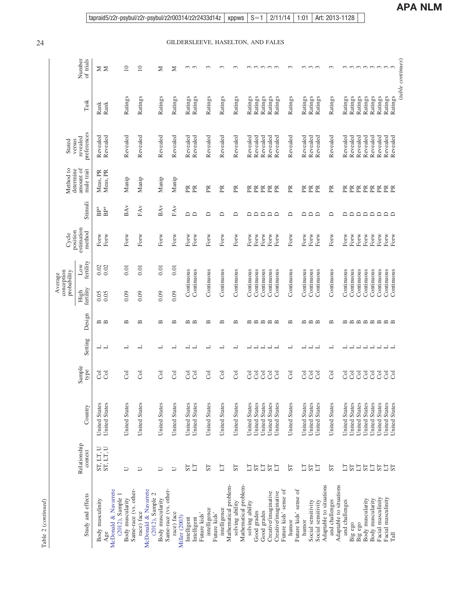|                                               |                          |                                          |                       |          |                         | conception<br>probability<br>Average |                  | Cycle                            |                                                                                                                                                                                                                                                                                                                                                                                                                                                                                                                                                       | Method to                            | Stated                            |                    |                     |
|-----------------------------------------------|--------------------------|------------------------------------------|-----------------------|----------|-------------------------|--------------------------------------|------------------|----------------------------------|-------------------------------------------------------------------------------------------------------------------------------------------------------------------------------------------------------------------------------------------------------------------------------------------------------------------------------------------------------------------------------------------------------------------------------------------------------------------------------------------------------------------------------------------------------|--------------------------------------|-----------------------------------|--------------------|---------------------|
| Study and effects                             | Relationship<br>context  | Country                                  | Sample<br>type        | Setting  | Design                  | High<br>fertility                    | fertility<br>Low | estimation<br>position<br>method | Stimuli                                                                                                                                                                                                                                                                                                                                                                                                                                                                                                                                               | amount of<br>determine<br>male trait | preferences<br>revealed<br>versus | Task               | of trials<br>Number |
| Body masculinity<br>Age                       | ST, LT, U<br>ST, LT, U   | United States<br>United States           | 5 <sub>o</sub><br>Gol | ココ       | $m \nightharpoonup$     | 0.05<br>0.05                         | 0.02<br>0.02     | $_{\rm Forw}$<br>$_{\rm Forw}$   | $BP^a$<br>$BP^a$                                                                                                                                                                                                                                                                                                                                                                                                                                                                                                                                      | Meas, PR<br>Meas, PR                 | Revealed<br>Revealed              | Rank<br>Rank       | ΣZ                  |
| McDonald & Navarrete<br>(2012), Sample 1      |                          |                                          |                       |          |                         |                                      |                  |                                  |                                                                                                                                                                                                                                                                                                                                                                                                                                                                                                                                                       |                                      |                                   |                    |                     |
| Body muscularity                              | $\cup$                   | United States                            | Gol                   | 凵        | $\mathbf{\Omega}$       | 0.09                                 | 0.01             | Forw                             | BAV                                                                                                                                                                                                                                                                                                                                                                                                                                                                                                                                                   | Manip                                | Revealed                          | Ratings            | $\supseteq$         |
| Same-race (vs. other-<br>race) face           | コ                        | United States                            | ටි                    | 凵        | $\mathbf{\Omega}$       | 0.09                                 | 0.01             | Forw                             | FAv                                                                                                                                                                                                                                                                                                                                                                                                                                                                                                                                                   | Manip                                | Revealed                          | Ratings            | $\overline{10}$     |
| McDonald & Navarrete                          |                          |                                          |                       |          |                         |                                      |                  |                                  |                                                                                                                                                                                                                                                                                                                                                                                                                                                                                                                                                       |                                      |                                   |                    |                     |
| (2012), Sample 2<br>Body muscularity          | $\cup$                   | United States                            | 5                     | 凵        | ≃                       | 0.09                                 | 0.01             | $_{\rm Forw}$                    | BAV                                                                                                                                                                                                                                                                                                                                                                                                                                                                                                                                                   | Manip                                | Revealed                          | Ratings            | Σ                   |
| Same-race (vs. other-<br>race) face           | コ                        | United States                            | 5                     | ᆜ        | ≃                       | 0.09                                 | 0.01             | $_{\rm Forw}$                    | FAv                                                                                                                                                                                                                                                                                                                                                                                                                                                                                                                                                   | Manip                                | Revealed                          | Ratings            | ≍                   |
| Miller (2003)                                 |                          |                                          |                       |          |                         |                                      |                  |                                  |                                                                                                                                                                                                                                                                                                                                                                                                                                                                                                                                                       |                                      |                                   |                    |                     |
| Intelligent<br>Intelligent                    | EI<br>S <sub>T</sub>     | United States<br>United States           | ි<br>Gol              | 凵<br>L   | $m \nightharpoonup$     | Continuous<br>Continuous             |                  | Forw<br>Forw                     | $\cap$                                                                                                                                                                                                                                                                                                                                                                                                                                                                                                                                                | Æ<br><b>R</b>                        | Revealed<br>Revealed              | Ratings<br>Ratings | ოო                  |
| Future kids'                                  |                          |                                          |                       |          |                         |                                      |                  |                                  |                                                                                                                                                                                                                                                                                                                                                                                                                                                                                                                                                       |                                      |                                   |                    |                     |
| intelligence<br>Future kids'                  | S <sub>T</sub>           | United States                            | ටි                    | L        | $\mathbf{r}$            | Continuous                           |                  | Forw                             | ≏                                                                                                                                                                                                                                                                                                                                                                                                                                                                                                                                                     | <b>R</b>                             | Revealed                          | Ratings            | 3                   |
| intelligence                                  | E                        | United States                            | Gol                   | 凵        | $\mathbf{\Omega}$       | Continuous                           |                  | Forw                             | ≏                                                                                                                                                                                                                                                                                                                                                                                                                                                                                                                                                     | Æ                                    | Revealed                          | Ratings            | 3                   |
| Mathematical problem-<br>solving ability      | S <sub>T</sub>           | United States                            | Gol                   | $\sqcup$ | $\mathbf{r}$            | Continuous                           |                  | $_{\rm Forw}$                    | ≏                                                                                                                                                                                                                                                                                                                                                                                                                                                                                                                                                     | Æ                                    | Revealed                          | Ratings            | 3                   |
| Mathematical problem-                         |                          |                                          |                       |          |                         |                                      |                  |                                  |                                                                                                                                                                                                                                                                                                                                                                                                                                                                                                                                                       |                                      |                                   |                    |                     |
| solving ability                               | E                        | United States                            | ය                     | L        | ≏                       | Continuous                           |                  | Forw                             | ≏                                                                                                                                                                                                                                                                                                                                                                                                                                                                                                                                                     | Æ                                    | Revealed                          | Ratings            |                     |
| Good grades                                   | S <sub>T</sub>           | United States                            | 5                     | L        | $\mathbf{m}$            | Continuous                           |                  | Forw                             | $\Box$                                                                                                                                                                                                                                                                                                                                                                                                                                                                                                                                                | <b>PK</b>                            | Revealed                          | Ratings            |                     |
| Good grades                                   | EI                       | United States                            | 5                     |          |                         | Continuous                           |                  | $_{\rm Forw}$                    | $\Box$                                                                                                                                                                                                                                                                                                                                                                                                                                                                                                                                                | Æ                                    | Revealed                          | Ratings            |                     |
| Creative/imaginative                          | S <sub>T</sub>           | United States                            | <b>Col</b>            | コココ      | $m \nightharpoonup m$   | Continuous                           |                  | $_{\rm Forw}$                    | $\cap$                                                                                                                                                                                                                                                                                                                                                                                                                                                                                                                                                | Æ                                    | Revealed                          | Ratings            | ოოოოო               |
| Future kids' sense of<br>Creative/imaginative | E                        | United States                            | 5                     |          |                         | Continuous                           |                  | Forw                             |                                                                                                                                                                                                                                                                                                                                                                                                                                                                                                                                                       | Æ                                    | Revealed                          | Ratings            |                     |
| humor                                         | S <sub>T</sub>           | United States                            | Gol                   | L        | $\mathbf{r}$            | Continuous                           |                  | $_{\rm Forw}$                    | ≏                                                                                                                                                                                                                                                                                                                                                                                                                                                                                                                                                     | PR                                   | Revealed                          | Ratings            | 3                   |
| Future kids' sense of                         |                          |                                          |                       |          |                         |                                      |                  |                                  |                                                                                                                                                                                                                                                                                                                                                                                                                                                                                                                                                       |                                      |                                   |                    |                     |
| humor                                         | E                        | <b>United States</b>                     | 3                     |          |                         | Continuous                           |                  | Forw                             | $\Box$                                                                                                                                                                                                                                                                                                                                                                                                                                                                                                                                                | Æ                                    | Revealed                          | Ratings            |                     |
| Social sensitivity<br>Social sensitivity      | E<br>S <sub>T</sub>      | <b>States</b><br>United States<br>United | ටි<br>ය               | コココ      | $m \nightharpoonup m$   | Continuous<br>Continuous             |                  | Forw<br>Forw                     | $\mathsf{A} \mathsf{B}$                                                                                                                                                                                                                                                                                                                                                                                                                                                                                                                               | Æ<br>$\mathbb{R}$                    | Revealed<br>Revealed              | Ratings            | ოოო                 |
| Adaptable to situations                       |                          |                                          |                       |          |                         |                                      |                  |                                  |                                                                                                                                                                                                                                                                                                                                                                                                                                                                                                                                                       |                                      |                                   | Ratings            |                     |
| and challenges                                | S <sub>T</sub>           | United States                            | Gol                   | 凵        | ≏                       | Continuous                           |                  | Forw                             | ≏                                                                                                                                                                                                                                                                                                                                                                                                                                                                                                                                                     | Æ                                    | Revealed                          | Ratings            | 3                   |
| Adaptable to situations                       |                          |                                          |                       |          |                         |                                      |                  |                                  |                                                                                                                                                                                                                                                                                                                                                                                                                                                                                                                                                       |                                      |                                   |                    |                     |
| and challenges                                | E                        | United States                            | 5 <sub>o</sub>        | 山        | ≃                       | Continuous                           |                  | $_{\rm Forw}$                    | ≏                                                                                                                                                                                                                                                                                                                                                                                                                                                                                                                                                     | <b>R</b>                             | Revealed                          | Ratings            |                     |
| Big ego                                       | S <sub>T</sub>           | <b>United States</b>                     | 5 <sub>o</sub>        | ب ب      |                         | Continuous                           |                  | $_{\rm Forw}$                    | $\Box$                                                                                                                                                                                                                                                                                                                                                                                                                                                                                                                                                | Æ                                    | Revealed                          | Ratings            |                     |
| Big ego                                       | $\Box$                   | United States                            | $\overline{c}$        |          |                         | Continuous                           |                  | Forw                             | $\Box$                                                                                                                                                                                                                                                                                                                                                                                                                                                                                                                                                | <b>PK</b>                            | Revealed                          | Ratings            |                     |
| Body muscularity                              | S <sub>T</sub>           | United States                            | $\overline{c}$        |          |                         | Continuous                           |                  | $_{\rm Forw}$                    |                                                                                                                                                                                                                                                                                                                                                                                                                                                                                                                                                       | <b>PK</b>                            | Revealed                          | Ratings            |                     |
| Body muscularity                              | $\Box$                   | <b>States</b><br>United                  | $\overline{c}$        |          |                         | Continuous                           |                  | Forw                             |                                                                                                                                                                                                                                                                                                                                                                                                                                                                                                                                                       | <b>PK</b>                            | Revealed                          | Ratings            |                     |
| Facial masculinity<br>Facial masculinity      | S <sub>T</sub><br>$\Box$ | United States<br><b>States</b><br>United | $\overline{c}$<br>5   | コココココ    | $m$ $m$ $m$ $m$ $m$ $m$ | Continuous<br>Continuous             |                  | Forw<br>Forw                     | $\begin{array}{c} \n \bigcap_{\alpha} \bigcap_{\alpha} \bigcap_{\alpha} \bigcap_{\alpha} \bigcap_{\alpha} \bigcap_{\alpha} \bigcap_{\alpha} \bigcap_{\alpha} \bigcap_{\alpha} \bigcap_{\alpha} \bigcap_{\alpha} \bigcap_{\alpha} \bigcap_{\alpha} \bigcap_{\alpha} \bigcap_{\alpha} \bigcap_{\alpha} \bigcap_{\alpha} \bigcap_{\alpha} \bigcap_{\alpha} \bigcap_{\alpha} \bigcap_{\alpha} \bigcap_{\alpha} \bigcap_{\alpha} \bigcap_{\alpha} \bigcap_{\alpha} \bigcap_{\alpha} \bigcap_{\alpha} \bigcap_{\alpha} \bigcap_{\alpha} \bigcap_{\alpha} \$ | $\mathbb{R}$<br>$\mathbb{R}$         | Revealed<br>Revealed              | Ratings<br>Ratings | mmmmmmm             |
| Tall                                          | S <sub>T</sub>           | United States                            | G                     |          |                         | Continuous                           |                  | Forw                             |                                                                                                                                                                                                                                                                                                                                                                                                                                                                                                                                                       | Æ                                    | Revealed                          | Ratings            |                     |
|                                               |                          |                                          |                       |          |                         |                                      |                  |                                  |                                                                                                                                                                                                                                                                                                                                                                                                                                                                                                                                                       |                                      |                                   |                    | (table continues)   |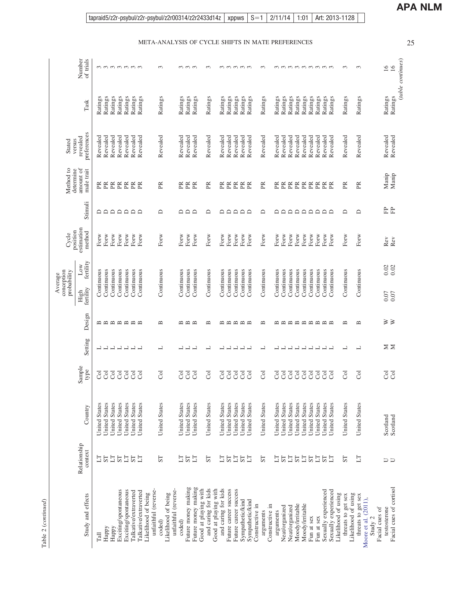$Table~2~(continued)$ Table 2 (*continued*)

|                                             |                         |                           |                |                          |                               | conception<br>probability<br>Average |                  | position<br>Cycle    |                                                                                                                                                                                                                                                                                                                                                                                          | Method to<br>determine  | Stated                            |                    |                     |
|---------------------------------------------|-------------------------|---------------------------|----------------|--------------------------|-------------------------------|--------------------------------------|------------------|----------------------|------------------------------------------------------------------------------------------------------------------------------------------------------------------------------------------------------------------------------------------------------------------------------------------------------------------------------------------------------------------------------------------|-------------------------|-----------------------------------|--------------------|---------------------|
| Study and effects                           | Relationship<br>context | Country                   | Sample<br>type | Setting                  | Design                        | fertility<br>High                    | fertility<br>Low | estimation<br>method | Stimuli                                                                                                                                                                                                                                                                                                                                                                                  | amount of<br>male trait | preferences<br>revealed<br>versus | Task               | Number<br>of trials |
| Tall                                        | E                       | United States             | G              | 凵                        | ≃                             | Continuous                           |                  | Forw                 | ≏                                                                                                                                                                                                                                                                                                                                                                                        | Æ                       | Revealed                          | Ratings            |                     |
| Happy                                       | S <sub>T</sub>          | United States             | 5              | $\overline{a}$           | $\approx$                     | Continuous                           |                  | Forw                 | $\mathbf{a}$                                                                                                                                                                                                                                                                                                                                                                             | ΕŘ                      | Revealed                          | Ratings            |                     |
| Happy                                       | $\Box$                  | <b>States</b><br>United   | <b>Col</b>     |                          | $\mathbf{\underline{\infty}}$ | Continuous                           |                  | Forw                 |                                                                                                                                                                                                                                                                                                                                                                                          | $\mathbb{R}$            | Revealed                          | Ratings            | mmmmmm              |
| Exciting/spontaneous                        | ${\rm S} {\rm T}$       | <b>States</b><br>United   | <b>Col</b>     |                          | $\mathbf{m}$                  | Continuous                           |                  | Forw                 |                                                                                                                                                                                                                                                                                                                                                                                          | Æ                       | Revealed                          | Ratings            |                     |
| Exciting/spontaneous                        | $\Box$                  | <b>States</b><br>United   | <b>Col</b>     | ココココ                     | $\mathbf{p}$                  | Continuous                           |                  | $_{\rm Forw}$        | $\begin{array}{c}\n\bigcap\{1,2,3,4\} \\ \bigcap\{1,3,4,5\}\n\end{array}$                                                                                                                                                                                                                                                                                                                | <b>PK</b>               | Revealed                          | Ratings            |                     |
| Talkative/extraverted                       | 51                      | United States             | 5              |                          | $\mathbf{m}$                  | Continuous                           |                  | ${\rm Forw}$         |                                                                                                                                                                                                                                                                                                                                                                                          | Æ                       | Revealed                          | Ratings            |                     |
| Talkative/extraverted                       |                         | United States             | Gol            |                          | $\mathbf{p}$                  | Continuous                           |                  | Forw                 |                                                                                                                                                                                                                                                                                                                                                                                          | Æ                       | Revealed                          | Ratings            |                     |
| unfaithful (reverse-<br>Likelihood of being |                         |                           |                |                          |                               |                                      |                  |                      |                                                                                                                                                                                                                                                                                                                                                                                          |                         |                                   |                    |                     |
| coded)                                      | S <sub>T</sub>          | United States             | <b>Col</b>     | 凵                        | ≏                             | Continuous                           |                  | Forw                 | ≏                                                                                                                                                                                                                                                                                                                                                                                        | Æ                       | Revealed                          | Ratings            | 3                   |
| Likelihood of being                         |                         |                           |                |                          |                               |                                      |                  |                      |                                                                                                                                                                                                                                                                                                                                                                                          |                         |                                   |                    |                     |
| unfaithful (reverse-                        |                         |                           |                |                          |                               |                                      |                  |                      |                                                                                                                                                                                                                                                                                                                                                                                          |                         |                                   |                    |                     |
| coded)                                      | 7E                      | United States             | Gol            |                          | മ മ                           | Continuous                           |                  | Forw                 |                                                                                                                                                                                                                                                                                                                                                                                          | Æ                       | Revealed                          | Ratings            |                     |
| Future money making                         |                         | United States             | Gol            | コココ                      |                               | Continuous                           |                  | Forw                 | $\cap$ $\cap$ $\cap$                                                                                                                                                                                                                                                                                                                                                                     | ΡŘ                      | Revealed                          | Ratings            | ოოო                 |
| Future money making                         | $\Box$                  | United States             | Gol            |                          | $\mathbf{D}$                  | Continuous                           |                  | Forw                 |                                                                                                                                                                                                                                                                                                                                                                                          | <b>EK</b>               | Revealed                          | Ratings            |                     |
| Good at playing with                        | S <sub>T</sub>          | United States             | Gol            | 凵                        | $\mathbf{r}$                  | Continuous                           |                  | Forw                 | ≏                                                                                                                                                                                                                                                                                                                                                                                        | Æ                       | Revealed                          |                    | $\infty$            |
| and caring for kids<br>Good at playing with |                         |                           |                |                          |                               |                                      |                  |                      |                                                                                                                                                                                                                                                                                                                                                                                          |                         |                                   | Ratings            |                     |
| and caring for kids                         |                         | United States             | Gol            |                          | ≃                             | Continuous                           |                  | Forw                 | ≏                                                                                                                                                                                                                                                                                                                                                                                        | Æ                       | Revealed                          | Ratings            |                     |
| Future career success                       | ES<br>T                 | <b>States</b><br>United   | යි             | ココ                       | $\approx$                     | Continuous                           |                  | Forw                 | $\supseteq$                                                                                                                                                                                                                                                                                                                                                                              | Æ                       | Revealed                          | Ratings            |                     |
| Future career success                       | $\Box$                  | United States             | 5              | $\overline{\phantom{0}}$ | $\mathbf{m}$                  | Continuous                           |                  | Forw                 |                                                                                                                                                                                                                                                                                                                                                                                          | Æ                       | Revealed                          | Ratings            |                     |
| Sympathetic/kind                            |                         | <b>States</b><br>United   | 5              |                          | $\mathbf{r}$                  | Continuous                           |                  | Forw                 | $\begin{array}{c}\n\Box \\ \Box \\ \Box\n\end{array}$                                                                                                                                                                                                                                                                                                                                    | Æ                       | Revealed                          | Ratings            | ოოოოო               |
| Sympathetic/kind                            | 125                     | United States             | Gol            | ہے ہے                    | $\mathbf{p}$                  | Continuous                           |                  | Forw                 |                                                                                                                                                                                                                                                                                                                                                                                          | Æ                       | Revealed                          | Ratings            |                     |
| Constructive in                             |                         |                           |                |                          |                               |                                      |                  |                      |                                                                                                                                                                                                                                                                                                                                                                                          |                         |                                   |                    |                     |
| Constructive in<br>arguments                | S <sub>T</sub>          | United States             | Gol            | 凵                        | ≏                             | Continuous                           |                  | $_{\rm Forw}$        | ≏                                                                                                                                                                                                                                                                                                                                                                                        | <b>PR</b>               | Revealed                          | Ratings            | $\sim$              |
| arguments                                   | E                       | United States             | G              |                          | ≃                             | Continuous                           |                  | Forw                 | ≏                                                                                                                                                                                                                                                                                                                                                                                        | Æ                       | Revealed                          | Ratings            |                     |
| Neat/organized                              | S <sub>T</sub>          | <b>States</b><br>United ! | G              |                          | $\mathbf{r}$                  | Continuous                           |                  | Forw                 | $\supseteq$                                                                                                                                                                                                                                                                                                                                                                              | Æ                       | Revealed                          | Ratings            |                     |
| Neat/organized                              | $\Box$                  | United States             | $\overline{c}$ |                          | $\mathbf{r}$                  | Continuous                           |                  | Forw                 |                                                                                                                                                                                                                                                                                                                                                                                          | <b>PK</b>               | Revealed                          | Ratings            |                     |
| Moody/irritable                             | S <sub>T</sub>          | <b>States</b><br>United   | <b>Col</b>     | ココココ                     | $\mathbf{m}$                  | Continuous                           |                  | Forw                 | $\cap$                                                                                                                                                                                                                                                                                                                                                                                   | Æ                       | Revealed                          | Ratings            |                     |
| Moody/irritable                             | <b>TT</b>               | <b>States</b><br>United   | 5              | コココココ                    | $m$ $m$                       | Continuous                           |                  | Forw                 | $\begin{array}{c}\n\bigcap\bigcap\{0,1\} \cup \bigcap\{1,2\} \cup \bigcap\{1,3\} \cup \bigcap\{1,4\} \cup \bigcap\{1,3\} \cup \bigcap\{1,4\} \cup \bigcap\{1,5\} \cup \bigcap\{1,5\} \cup \bigcap\{1,5\} \cup \bigcap\{1,5\} \cup \bigcap\{1,5\} \cup \bigcap\{1,5\} \cup \bigcap\{1,5\} \cup \bigcap\{1,5\} \cup \bigcap\{1,5\} \cup \bigcap\{1,5\} \cup \bigcap\{1,5\} \cup \bigcap\{$ | Æ                       | Revealed                          | Ratings            | mmmmmmmm            |
| Fun at sex                                  |                         | <b>States</b><br>United   | 5 <sub>c</sub> |                          |                               | Continuous                           |                  | Forw                 |                                                                                                                                                                                                                                                                                                                                                                                          | Æ                       | Revealed                          | Ratings            |                     |
| Fun at sex                                  |                         | <b>States</b><br>United   | 5              |                          | $\mathbf{r}$                  | Continuous                           |                  | Forw                 |                                                                                                                                                                                                                                                                                                                                                                                          | Æ                       | Revealed                          | Ratings            |                     |
| Sexually experienced                        | <b>EZ</b>               | <b>States</b><br>United   | G              |                          | $\mathbf{D}$                  | Continuous                           |                  | Forw                 |                                                                                                                                                                                                                                                                                                                                                                                          | Æ                       | Revealed                          | Ratings            |                     |
| Sexually experienced<br>Likelihood of using | 5                       | United States             | 3              |                          | $\approx$                     | Continuous                           |                  | Forw                 | $\supseteq$                                                                                                                                                                                                                                                                                                                                                                              | Æ                       | Revealed                          | Ratings            |                     |
| threats to get sex                          | S <sub>T</sub>          | United States             | 5              | 凵                        | ≏                             | Continuous                           |                  | Forw                 | ≏                                                                                                                                                                                                                                                                                                                                                                                        | Æ                       | Revealed                          | Ratings            | $\sim$              |
| Likelihood of using                         |                         |                           |                |                          |                               |                                      |                  |                      |                                                                                                                                                                                                                                                                                                                                                                                          |                         |                                   |                    |                     |
| threats to get sex                          | $\Box$                  | <b>United States</b>      | යි             | L                        | $\mathbf{\Xi}$                | Continuous                           |                  | Forw                 | $\Box$                                                                                                                                                                                                                                                                                                                                                                                   | <b>PR</b>               | Revealed                          | Ratings            | 3                   |
| Moore et al. (2011),<br>Study 2             |                         |                           |                |                          |                               |                                      |                  |                      |                                                                                                                                                                                                                                                                                                                                                                                          |                         |                                   |                    |                     |
| Facial cues of                              |                         | Scotland                  | <b>Col</b>     |                          |                               |                                      | 0.02             | Rev                  |                                                                                                                                                                                                                                                                                                                                                                                          | Manip                   | Revealed                          |                    | $\overline{16}$     |
| Facial cues of cortisol<br>testosterone     | ココ                      | Scotland                  | $\overline{c}$ | $\Sigma \Sigma$          | ≽≽                            | T0.07                                | 0.02             | Rev                  | 日                                                                                                                                                                                                                                                                                                                                                                                        | Manip                   | Revealed                          | Ratings<br>Ratings | 16                  |
|                                             |                         |                           |                |                          |                               |                                      |                  |                      |                                                                                                                                                                                                                                                                                                                                                                                          |                         |                                   |                    | (table continues)   |

META-ANALYSIS OF CYCLE SHIFTS IN MATE PREFERENCES 25

**APA NLM**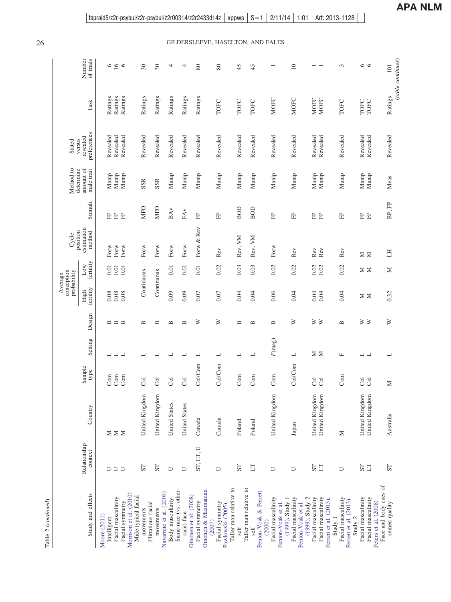**APA NLM**

 $\lceil \frac{\text{tapraid5}}{22r-\text{psybul/22r-\text{psybul/22r00314}}/22r2433d14z} \rceil$  xppws  $\lceil \frac{\text{S}}{1 \cdot \text{S}} \rceil$  2/11/14  $\lceil \frac{\text{1:01}}{1 \cdot \text{S}} \rceil$  Art: 2013-1128

| 26                  |                                      |                                      |              |             |                                                       |                                               |                                           |                   |                                             |                                     |                                                                 |                           |                                            |                       |                                                         | GILDERSLEEVE, HASELTON, AND FALES                  |                 |                                                             |                                          |                                   |                                              |                               |                                            |                                        |
|---------------------|--------------------------------------|--------------------------------------|--------------|-------------|-------------------------------------------------------|-----------------------------------------------|-------------------------------------------|-------------------|---------------------------------------------|-------------------------------------|-----------------------------------------------------------------|---------------------------|--------------------------------------------|-----------------------|---------------------------------------------------------|----------------------------------------------------|-----------------|-------------------------------------------------------------|------------------------------------------|-----------------------------------|----------------------------------------------|-------------------------------|--------------------------------------------|----------------------------------------|
|                     |                                      | Number<br>of trials                  |              | 6           | $\frac{6}{6}$                                         |                                               | 30                                        | 30                | 4                                           | 4                                   | 80                                                              | 80                        |                                            | 45                    | 45                                                      |                                                    |                 | $\overline{10}$                                             |                                          |                                   | 3                                            |                               | $\circ$                                    | (table continues)<br>101               |
|                     |                                      | Task                                 |              | Ratings     | Ratings<br>Ratings                                    |                                               | Ratings                                   | Ratings           | Ratings                                     | Ratings                             | Ratings                                                         | TOFC                      |                                            | TOFC                  | TOFC                                                    | MOFC                                               |                 | <b>MOFC</b>                                                 | <b>MOFC</b><br><b>MOFC</b>               |                                   | TOFC                                         | TOFC                          | TOFC                                       | Ratings                                |
|                     | Stated                               | preferences<br>revealed<br>versus    |              | Revealed    | Revealed<br>Revealed                                  |                                               | Revealed                                  | Revealed          | Revealed                                    | Revealed                            | Revealed                                                        | Revealed                  |                                            | Revealed              | Revealed                                                | Revealed                                           |                 | Revealed                                                    | Revealed<br>Revealed                     |                                   | Revealed                                     | Revealed                      | Revealed                                   | Revealed                               |
|                     | Method to                            | amount of<br>determine<br>male trait |              | Manip       | Manip<br>Manip                                        |                                               | SSR                                       | SSR               | Manip                                       | Manip                               | Manip                                                           | Manip                     |                                            | Manip                 | Manip                                                   | Manip                                              |                 | Manip                                                       | Manip<br>Manip                           |                                   | Manip                                        | Manip                         | Manip                                      | Meas                                   |
|                     |                                      | Stimuli                              |              | 丘           | 丘<br>丘                                                |                                               | <b>MFO</b>                                | <b>MFO</b>        | BAV                                         | FAv                                 | 丘                                                               | 丘                         |                                            | BOD                   | BOD                                                     | 丘                                                  |                 | 丘                                                           | <b>丘</b> 丘                               |                                   | 丘                                            |                               | <b>E</b> E                                 | BP, FP                                 |
|                     | Cycle                                | estimation<br>position<br>method     |              | Forw        | Forw<br>$_{\rm Forw}$                                 |                                               | Forw                                      | $_{\rm Forw}$     | Forw                                        | Forw                                | Forw & Rev                                                      | Rev                       |                                            | Rev, VM               | Rev, VM                                                 | $_{\rm Forw}$                                      |                 | Rev                                                         | Rev<br>Rev                               |                                   | Rev                                          |                               | $\Sigma \geq$                              | H                                      |
|                     |                                      | fertility<br>Low                     |              | 0.01        | 0.01<br>0.01                                          |                                               |                                           |                   | 0.01                                        | 0.01                                | 0.01                                                            | 0.02                      |                                            | 0.03                  | 0.03                                                    | 0.02                                               |                 | 0.02                                                        | 0.02<br>0.02                             |                                   | 0.02                                         |                               | ΣZ                                         | $\geq$                                 |
|                     | conception<br>probability<br>Average | fertility<br>High                    |              | 0.08        | 0.08<br>0.08                                          |                                               | Continuous                                | Continuous        | 0.09                                        | 0.09                                | 0.07                                                            | 0.07                      |                                            | 0.04                  | 0.04                                                    | 0.06                                               |                 | 0.04                                                        | 0.04<br>0.04                             |                                   | 0.04                                         |                               | ΣZ                                         | 0.32                                   |
|                     |                                      | Design                               |              | $m$ $m$     | $\mathbf{p}$                                          |                                               | $\mathbf{\underline{\underline{\alpha}}}$ | $\mathbf{\Omega}$ | $\mathbf{\Omega}$                           | $\mathbf{\Omega}$                   | ≽                                                               | ≽                         |                                            | B                     | $\mathbf{m}$                                            | $\mathbf{\underline{\mathsf{m}}}$                  |                 | ≽                                                           | ≽<br>⋗                                   |                                   | $\mathbf{r}$                                 |                               | ≽≽                                         | ≽                                      |
|                     |                                      | Setting                              |              | L           | $\overline{\phantom{0}}$<br>L                         |                                               | $\overline{\phantom{a}}$                  | ┙                 | ┙                                           | ┙                                   | 凵                                                               | L                         |                                            | L                     | 凵                                                       | $F(\rm{mag})$                                      |                 | 凵                                                           | $\mathbb{Z} \mathbb{Z}$                  |                                   | $\mathbf{L}$                                 |                               | ココ                                         | L                                      |
|                     |                                      | Sample<br>type                       |              |             | $\begin{smallmatrix}&&6\\5&6\\0&0&0\end{smallmatrix}$ |                                               | Co                                        | Co                | Co                                          | $_{\rm{Col}}$                       | Col/Com                                                         | Col/Com                   |                                            | Com                   | Com                                                     | Com                                                |                 | Col/Com                                                     | <b>E</b><br>Co                           |                                   | Com                                          |                               | $\overline{c}$ $\overline{c}$              | Z                                      |
|                     |                                      | Country                              |              |             | $\Sigma \Sigma$                                       |                                               | United Kingdom                            | United Kingdom    | United States                               | United States                       | Canada                                                          | Canada                    |                                            | Poland                | Poland                                                  | United Kingdom                                     |                 | Japan                                                       | United Kingdom<br>United Kingdom         |                                   | $\geq$                                       | United Kingdom                | United Kingdom                             | Australia                              |
|                     |                                      | Relationship<br>context              |              | コ           | $\Box$                                                |                                               | S <sub>T</sub>                            | S <sub>T</sub>    | $\Box$                                      | $\cup$                              | ST, LT, U                                                       | U                         |                                            | $\overline{\text{S}}$ | $\Box$                                                  | $\qquad \qquad \Box$                               |                 | $\qquad \qquad \Box$                                        | $12 \text{ m}$                           |                                   | $\qquad \qquad \Box$                         |                               | $75\,$                                     | S <sub>T</sub>                         |
| Table 2 (continued) |                                      | Study and effects                    | Moore (2011) | Intelligent | Facial masculinity<br>Facial symmetry                 | Morrison et al. (2010)<br>Male-typical facial | Flirtatious facial<br>movements           | movements         | Navarrete et al. (2009)<br>Body muscularity | Same-race (vs. other-<br>race) face | Oinonen & Mazmanian<br>Oinonen et al. (2008)<br>Facial symmetry | Facial symmetry<br>(2007) | Taller man relative to<br>Pawlowski (2005) | self                  | Taller man relative to<br>Penton-Voak & Perrett<br>self | Facial masculinity<br>Penton-Voak et al.<br>(2000) | (1999), Study 1 | Facial masculinity<br>(1999), Study 2<br>Penton-Voak et al. | Facial masculinity<br>Facial masculinity | Perrett et al. (2013),<br>Study 1 | Facial masculinity<br>Perrett et al. (2013), | Facial masculinity<br>Study 2 | Facial masculinity<br>Peters et al. (2008) | Face and body cues of<br>semen quality |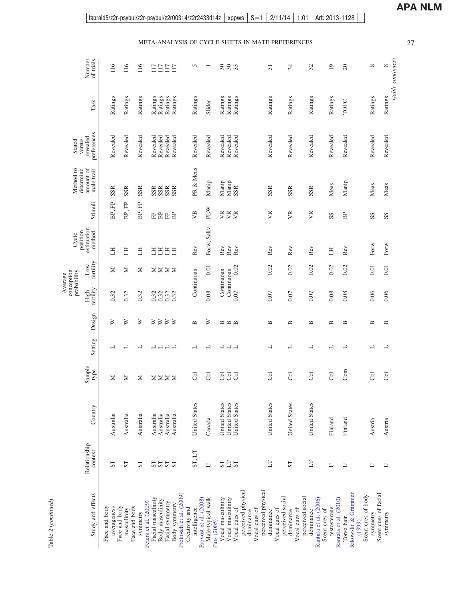$Table~2~(continued)$ Table 2 (*continued*)

|                                      |                         |                              |               |                              |                |                                            |                          |                 |                                         |                |                                       | META-ANALYSIS OF CYCLE SHIFTS IN MATE PREFERENCES |                   |                          |                          |                    |                            |                    |                 |               |                  |                 |                                   |                   |                       |                                           |                       |                      |                              |                    |                                           |                      |                               | 27 |
|--------------------------------------|-------------------------|------------------------------|---------------|------------------------------|----------------|--------------------------------------------|--------------------------|-----------------|-----------------------------------------|----------------|---------------------------------------|---------------------------------------------------|-------------------|--------------------------|--------------------------|--------------------|----------------------------|--------------------|-----------------|---------------|------------------|-----------------|-----------------------------------|-------------------|-----------------------|-------------------------------------------|-----------------------|----------------------|------------------------------|--------------------|-------------------------------------------|----------------------|-------------------------------|----|
|                                      | Number<br>of trials     | 116                          |               | 116                          | 116            | 117                                        | 117                      | 117             | 117                                     |                | 5                                     |                                                   | $30\,$            | $\frac{30}{33}$          |                          |                    |                            |                    | $\overline{31}$ |               |                  | 34              |                                   | 32                |                       | $\overline{19}$                           |                       | $20$                 |                              |                    | ${}^{\circ}$                              |                      | (table continues)<br>$\infty$ |    |
|                                      | Task                    | Ratings                      |               | Ratings                      | Ratings        | Ratings                                    | Ratings                  | Ratings         | Ratings                                 |                | Ratings                               | Slider                                            | Ratings           | Ratings                  | Ratings                  |                    |                            |                    | Ratings         |               |                  | Ratings         |                                   | Ratings           |                       | Ratings                                   |                       | TOFC                 |                              |                    | Ratings                                   |                      | Ratings                       |    |
| versus<br>Stated                     | preferences<br>revealed | Revealed                     |               | Revealed                     | Revealed       | Revealed                                   | Revealed                 | Revealed        | Revealed                                |                | Revealed                              | Revealed                                          | Revealed          | Revealed                 | Revealed                 |                    |                            |                    | Revealed        |               |                  | Revealed        |                                   | Revealed          |                       | Revealed                                  |                       | Revealed             |                              |                    | Revealed                                  |                      | Revealed                      |    |
| Method to<br>determine               | amount of<br>male trait | SSR                          |               | SSR                          | SSR            | SSR                                        | SSR                      | SSR             | SSR                                     |                | PR & Meas                             | Manip                                             | Manip             | Manip                    | SSR                      |                    |                            |                    | SSR             |               |                  | SSR             |                                   | SSR               |                       | Meas                                      |                       | Manip                |                              |                    | Meas                                      |                      | Meas                          |    |
|                                      | Stimuli                 | BP, FP                       |               | BP, FP                       | BP, FP         | 丘                                          | BP                       | 丘               | <b>BP</b>                               |                | <b>S</b>                              | PLW                                               | Ř                 | $\beta$                  | $\mathbb{R}$             |                    |                            |                    | Ř               |               |                  | УŘ              |                                   | JR                |                       | SS                                        |                       | BP                   |                              |                    | SS                                        |                      | SS                            |    |
| position<br>Cycle                    | estimation<br>method    | EЦ                           | Е             |                              | H              | Е                                          | E                        | H               | Е                                       |                | Rev                                   | Forw, Saliv                                       | Rev               | Rev                      | Rev                      |                    |                            |                    | Rev             |               |                  | $\mbox{Re} \nu$ |                                   | Rev               |                       | H                                         |                       | Rev                  |                              |                    | Forw                                      |                      | Forw                          |    |
|                                      | fertility<br>Low        | ⋝                            |               | ⋝                            | ⋝              | ⋝                                          | ⋝                        | $\Sigma \Sigma$ |                                         |                |                                       | 0.01                                              |                   |                          | 0.02                     |                    |                            |                    | 0.02            |               |                  | 0.02            |                                   | 0.02              |                       | 0.02                                      |                       | 0.02                 |                              |                    | 0.01                                      |                      | 0.01                          |    |
| conception<br>probability<br>Average | fertility<br>High       | 0.32                         |               | 0.32                         | 0.32           | 0.32                                       | 0.32                     | 0.32            | 0.32                                    |                | Continuous                            | 0.08                                              | Continuous        | Continuous               | 0.07                     |                    |                            |                    | 0.07            |               |                  | 0.07            |                                   | 0.07              |                       | 0.08                                      |                       | 0.08                 |                              |                    | 0.06                                      |                      | 0.06                          |    |
|                                      | Design                  | ≽                            |               | ⋗                            | ≽              | ≽                                          | ⋗                        | ⋗               | ⋗                                       |                | $\mathbf{\Xi}$                        | ≽                                                 | В                 | $m$ $m$                  |                          |                    |                            |                    | $\mathbf{\Xi}$  |               |                  | B               |                                   | $\mathbf{\Omega}$ |                       | $\mathbf{\underline{\underline{\alpha}}}$ |                       | $\mathbf{\Omega}$    |                              |                    | $\mathbf{\underline{\underline{\alpha}}}$ |                      | $\mathbf{D}$                  |    |
|                                      | Setting                 | ᆜ                            |               | ┙                            | ┙              | ┙                                          | $\overline{\phantom{a}}$ | ب ب             |                                         |                | ┙                                     | ┙                                                 | ┙                 | $\overline{\phantom{0}}$ | $\overline{\phantom{0}}$ |                    |                            |                    | ┙               |               |                  | ┙               |                                   | 凵                 |                       | 凵                                         |                       | 凵                    |                              |                    | 凵                                         |                      | 凵                             |    |
|                                      | Sample<br>type          | ⋝                            |               | ⋝                            | ≍              | ≍                                          | $\geq$                   | $\Sigma \Sigma$ |                                         |                | ह                                     | 5                                                 | δŚ                | $\overline{c}$           | $\overline{\mathrm{c}}$  |                    |                            |                    | ನ               |               |                  | 5               |                                   | 5                 |                       | 5                                         |                       | $\operatorname{Com}$ |                              |                    | 5                                         |                      | $\overline{\mathcal{E}}$      |    |
|                                      | Country                 | Australia                    |               | Australia                    | Australia      | Australia                                  | Australia                | Australia       | Australia                               |                | United States                         | Canada                                            | United States     | United States            | <b>United States</b>     |                    |                            |                    | United States   |               |                  | United States   |                                   | United States     |                       | Finland                                   |                       | Finland              |                              |                    | Austria                                   |                      | Austria                       |    |
|                                      | Relationship<br>context | S <sub>T</sub>               |               | S <sub>T</sub>               | S <sub>T</sub> | S <sub>T</sub>                             | S <sub>T</sub>           | ${\rm S}T$      | ST <sub></sub>                          |                | ST, LT                                | $\cup$                                            | S <sub>T</sub>    | $\Box$                   | S <sub>T</sub>           |                    |                            |                    | $\Box$          |               |                  | TS              |                                   | $\Box$            |                       | $\cup$                                    |                       | U                    |                              |                    | U                                         |                      | U                             |    |
|                                      | Study and effects       | averageness<br>Face and body | Face and body | Face and body<br>masculinity | symmetry       | Facial masculinity<br>Peters et al. (2009) | Body masculinity         | Facial symmetry | Prokosch et al. (2009)<br>Body symmetry | Creativity and | Provost et al. (2008)<br>intelligence | Male-typical walk<br>Puts (2005)                  | Vocal masculinity | Vocal masculinity        | Vocal cues of            | perceived physical | Vocal cues of<br>dominance | perceived physical | dominance       | Vocal cues of | perceived social | dominance       | perceived social<br>Vocal cues of | dominance         | Rantala et al. (2006) | testosterone<br>Scent cues of             | Rantala et al. (2010) | Torso hair           | Rikowski & Grammer<br>(1999) | Scent cues of body | symmetry                                  | Scent cues of facial | symmetry                      |    |

**APA NLM**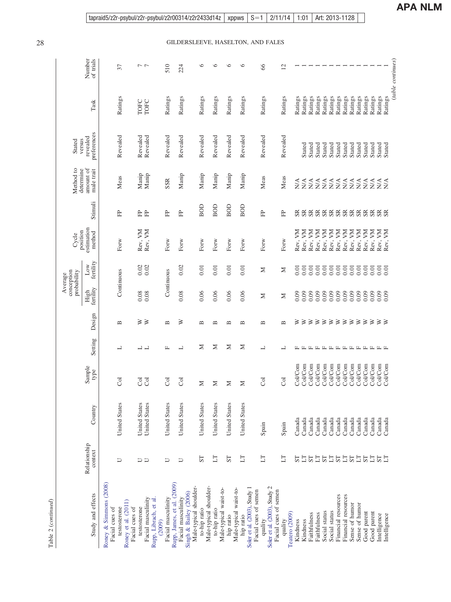**APA NLM**

Tapraid5/z2r-psybul/z2r-psybul/z2r00314/z2r2433d14z | xppws | S=1 | 2/11/14 | 1:01 | Art: 2013-1128

28 GILDERSLEEVE, HASELTON, AND FALES

|                                                                       |                         |                  |                    |         |                                           | conception<br>probability<br>Average |                  | Cycle                            |                  | Method to                            | Stated                            |                    |                     |
|-----------------------------------------------------------------------|-------------------------|------------------|--------------------|---------|-------------------------------------------|--------------------------------------|------------------|----------------------------------|------------------|--------------------------------------|-----------------------------------|--------------------|---------------------|
| Study and effects                                                     | Relationship<br>context | Country          | Sample<br>type     | Setting | Design                                    | fertility<br>High                    | fertility<br>Low | estimation<br>position<br>method | Stimuli          | amount of<br>determine<br>male trait | preferences<br>revealed<br>versus | Task               | of trials<br>Number |
| Roney & Simmons (2008)<br>Facial cues of                              |                         |                  |                    |         |                                           |                                      |                  |                                  |                  |                                      |                                   |                    |                     |
| Roney et al. (2011)<br>Facial cues of<br>testosterone                 | $\cup$                  | United States    | <b>Col</b>         | 凵       | $\mathbf{\underline{\underline{\alpha}}}$ | Continuous                           |                  | Forw                             | 丘                | Meas                                 | Revealed                          | Ratings            | 37                  |
| testosterone                                                          |                         | United States    | <b>Col</b>         |         |                                           | 0.08                                 | 0.02             | Rev, VM                          |                  | Manip                                | Revealed                          | TOFC               |                     |
| Facial masculinity<br>Rupp, Librach, et al<br>(2009)                  | ココ                      | United States    | <b>Col</b>         | ココ      | ≥ ≥                                       | 0.08                                 | 0.02             | Rev, VM                          | 山<br>田           | Manip                                | Revealed                          | TOFC               | 7                   |
| Rupp, James, et al. (2009)<br>Facial masculinity                      | コ                       | United States    | <b>Col</b>         | Щ       | $\mathbf{\Omega}$                         | Continuous                           |                  | $_{\rm Forw}$                    | 出                | SSR                                  | Revealed                          | Ratings            | 510                 |
| Male-typical shoulder-<br>Singh & Bailey (2006)<br>Facial masculinity | $\cup$                  | United States    | Col                | 凵       | ≽                                         | 0.08                                 | 0.02             | $_{\rm Forw}$                    | 丘                | Manip                                | Revealed                          | Ratings            | 224                 |
| to-hip ratio                                                          | S <sub>T</sub>          | United States    | Σ                  | z       | B                                         | 0.06                                 | 0.01             | Forw                             | <b>BOD</b>       | Manip                                | Revealed                          | Ratings            | ७                   |
| Male-typical shoulder-<br>to-hip ratio                                | ET                      | United States    | $\geq$             | Σ       | $\mathbf{\Xi}$                            | 0.06                                 | 0.01             | Forw                             | <b>BOD</b>       | Manip                                | Revealed                          | Ratings            | ७                   |
| Male-typical waist-to-<br>Male-typical waist-to-<br>hip ratio         | S <sub>T</sub>          | United States    | $\geq$             | ⊠       | $\mathbf{r}$                              | 0.06                                 | 0.01             | Forw                             | <b>BOD</b>       | Manip                                | Revealed                          | Ratings            | $\circ$             |
| Soler et al. (2003), Study 1<br>Facial cues of semen<br>hip ratio     | $\Box$                  | United States    | $\geq$             | ⋝       | $\mathbf{\Omega}$                         | 0.06                                 | 0.01             | $_{\rm Forw}$                    | <b>BOD</b>       | Manip                                | Revealed                          | Ratings            | $\circ$             |
| Soler et al. (2003), Study 2<br>Facial cues of semen<br>quality       | EI                      | Spain            | <b>Col</b>         | ┙       | $\mathbf{\Omega}$                         | Σ                                    | Σ                | Forw                             | 丘                | Meas                                 | Revealed                          | Ratings            | 66                  |
| Teatero (2009)<br>quality                                             | E                       | Spain            | <b>Col</b>         | 凵       | $\mathbf{\Omega}$                         | Z                                    | z                | Forw                             | 出                | Meas                                 | Revealed                          | Ratings            | 12                  |
| Kindness                                                              | 125                     | Canada           | Col/Com            |         | ≽                                         | 0.09                                 | 0.01             | Rev, VM                          | S <sub>R</sub>   | $\sum_{i=1}^{n}$                     |                                   | Ratings            |                     |
| Kindness                                                              |                         | Canada           | Col/Com            |         | ⋧                                         | 0.09                                 | 0.01             | Rev, VM                          | $S_{R}$          | $\sum_{i=1}^{n}$                     | Stated                            | Ratings            |                     |
| Faithfulness                                                          | <b>TIS</b>              | Canada           | Col/Com            |         | ≽                                         | 0.09                                 | 0.01             | Rev, VM                          | $S_{R}$          | $\frac{\triangleleft}{\triangle}$    | Stated                            | Ratings            |                     |
| Faithfulness                                                          |                         | Canada           | Col/Com            | LT.     | ≽                                         | 0.09                                 | 0.01             | Rev, VM                          | S <sub>R</sub>   | $N^{\mathcal{A}}$                    | Stated                            | Ratings            |                     |
| Social status                                                         |                         | Canada           | Col/Com            | LT.     | ⋗                                         | 0.09                                 | 0.01             | Rev, VM                          | S <sub>R</sub>   |                                      | Stated                            | Ratings            |                     |
| Social status                                                         |                         | Canada           | Col/Com<br>Col/Com | Œ<br>Œ  | ⋗<br>⋗                                    | 0.09<br>0.09                         | 0.01<br>0.01     | Rev, VM<br>Rev, VM               | S <sub>R</sub>   |                                      | Stated                            | Ratings            |                     |
| Financial resources<br>Financial resources                            | ERERERERE               | Canada<br>Canada | Col/Com            | Œ       | ⋗                                         | 0.09                                 | 0.01             | Rev, VM                          | $S\widetilde{R}$ | <b>AAAAAAA</b><br>ZZZZZZZ            | Stated<br>Stated                  | Ratings<br>Ratings |                     |
| Sense of humor                                                        |                         | Canada           | Col/Com            | Œ       | ⋗                                         | 0.09                                 | 0.01             | Rev, VM                          |                  |                                      | Stated                            | Ratings            |                     |
| Sense of humor                                                        |                         | Canada           | Col/Com            | LT.     | ≽                                         | 0.09                                 | 0.01             | Rev, VM                          | $S\tilde{R}$     |                                      | Stated                            | Ratings            |                     |
| Good parent                                                           |                         | Canada           | Col/Com            | Œ       | ≽                                         | 0.09                                 | 0.01             | Rev, VM                          |                  |                                      | Stated                            | Ratings            |                     |
| Good parent                                                           |                         | Canada           | Col/Com            | Œ       | ⋗                                         | 0.09                                 | 0.01             | Rev, VM                          | <b>EEEE</b>      | N/A                                  | Stated                            | Ratings            |                     |
| Intelligence                                                          |                         | Canada           | Col/Com            | L.      | $\geq$                                    | 0.09                                 | 0.01             | Rev, VM                          |                  | $\frac{4}{2}$                        | Stated                            | Ratings            |                     |
| Intelligence                                                          |                         | Canada           | Col/Com            | 工       |                                           | 0.09                                 | 0.01             | Rev, VM                          |                  |                                      | Stated                            | Ratings            | (table continues)   |
|                                                                       |                         |                  |                    |         |                                           |                                      |                  |                                  |                  |                                      |                                   |                    |                     |

Table 2 (*continued*)

 $Table~2~(continued)$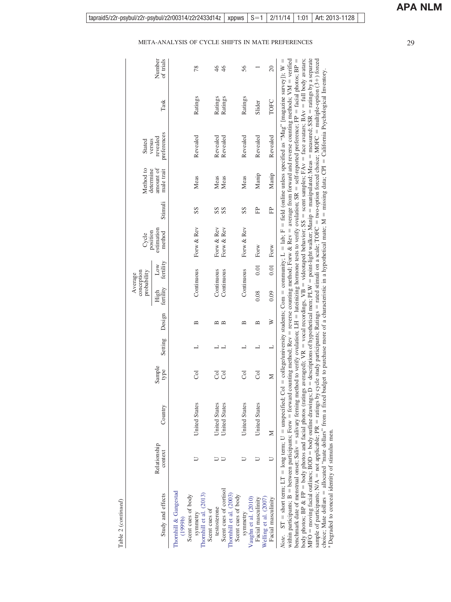|                                                                                                                                                                                                                                                                                                                                                                                                                                                                                                                                                                                                                                                                                                                                                                                                                                                                                                                                                                                                                                                                                                                                                                                                 | Relationship |                      | Sample |         |                | probability<br>conception<br>Average<br>High | Low         | estimation<br>position<br>Cycle |         | Method to<br>amount of<br>determine | revealed<br>Stated<br>versus |         | Number          |
|-------------------------------------------------------------------------------------------------------------------------------------------------------------------------------------------------------------------------------------------------------------------------------------------------------------------------------------------------------------------------------------------------------------------------------------------------------------------------------------------------------------------------------------------------------------------------------------------------------------------------------------------------------------------------------------------------------------------------------------------------------------------------------------------------------------------------------------------------------------------------------------------------------------------------------------------------------------------------------------------------------------------------------------------------------------------------------------------------------------------------------------------------------------------------------------------------|--------------|----------------------|--------|---------|----------------|----------------------------------------------|-------------|---------------------------------|---------|-------------------------------------|------------------------------|---------|-----------------|
| Study and effects                                                                                                                                                                                                                                                                                                                                                                                                                                                                                                                                                                                                                                                                                                                                                                                                                                                                                                                                                                                                                                                                                                                                                                               | context      | Country              | type   | Setting | Design         | fertility                                    | fertility   | method                          | Stimuli | male trait                          | preferences                  | Task    | of trials       |
| Thornhill & Gangestad<br>Scent cues of body<br>(1999b)                                                                                                                                                                                                                                                                                                                                                                                                                                                                                                                                                                                                                                                                                                                                                                                                                                                                                                                                                                                                                                                                                                                                          |              |                      |        |         |                |                                              |             |                                 |         |                                     |                              |         |                 |
| Thomhill et al. (2013)<br>Scent cues of<br>symmetry                                                                                                                                                                                                                                                                                                                                                                                                                                                                                                                                                                                                                                                                                                                                                                                                                                                                                                                                                                                                                                                                                                                                             |              | United States        | ය      | ᆜ       | $\mathbf{r}$   | Continuous                                   |             | Forw & Rev                      | SS      | Meas                                | Revealed                     | Ratings | 78              |
| testosterone                                                                                                                                                                                                                                                                                                                                                                                                                                                                                                                                                                                                                                                                                                                                                                                                                                                                                                                                                                                                                                                                                                                                                                                    |              | <b>Jnited States</b> | ටි     | ┙       | $\mathbf{\Xi}$ | Continuous                                   |             | Forw & Rev                      | SS      | Meas                                | Revealed                     | Ratings | $\frac{4}{6}$   |
| Scent cues of cortisol                                                                                                                                                                                                                                                                                                                                                                                                                                                                                                                                                                                                                                                                                                                                                                                                                                                                                                                                                                                                                                                                                                                                                                          |              | United States        | යි     |         | $\mathbf{p}$   | Continuous                                   |             | Forw & Rev                      | SS      | Meas                                | Revealed                     | Ratings | $\frac{4}{5}$   |
| Thornhill et al. (2003)                                                                                                                                                                                                                                                                                                                                                                                                                                                                                                                                                                                                                                                                                                                                                                                                                                                                                                                                                                                                                                                                                                                                                                         |              |                      |        |         |                |                                              |             |                                 |         |                                     |                              |         |                 |
| Scent cues of body                                                                                                                                                                                                                                                                                                                                                                                                                                                                                                                                                                                                                                                                                                                                                                                                                                                                                                                                                                                                                                                                                                                                                                              |              |                      |        |         |                |                                              |             |                                 |         |                                     |                              |         |                 |
| Vaughn et al. (2010)<br>symmetry                                                                                                                                                                                                                                                                                                                                                                                                                                                                                                                                                                                                                                                                                                                                                                                                                                                                                                                                                                                                                                                                                                                                                                |              | <b>United States</b> | 5      | ┙       | $\mathbf{r}$   | Continuous                                   |             | Forw & Rev                      | SS      | Meas                                | Revealed                     | Ratings | 56              |
| Facial masculinity                                                                                                                                                                                                                                                                                                                                                                                                                                                                                                                                                                                                                                                                                                                                                                                                                                                                                                                                                                                                                                                                                                                                                                              |              | United States        | ටි     | ┙       | $\mathbf{r}$   | 0.08                                         | 0.01        | Forw                            | 丘       | Manip                               | Revealed                     | Slider  |                 |
| Facial masculinity<br>Welling et al. (2007)                                                                                                                                                                                                                                                                                                                                                                                                                                                                                                                                                                                                                                                                                                                                                                                                                                                                                                                                                                                                                                                                                                                                                     |              | Σ                    | Σ      | ┙       | ≽              | 0.09                                         | $0.01$ Forw |                                 | 出       | Manip                               | Revealed                     | TOFC    | $\overline{20}$ |
| MFO = moving facial outlines; BOD = body outline drawings; D = descriptions of hypothetical men; PLW = point-light walker; Manip = manipulated; Meas = measured; SSR = ratings by a separate<br>body photos; BP & FP = body photos and facial photos (ratings averaged); VR = vocal recordings, VB = videotaped behavior; SS = scent samples; FAv = face avatars; BAv = full body avatars;<br>sample of participants, N/A = not applicable; PR = ratings by cycle study participants; Ratings = rated stimuli on a scale; TOFC = two-option forced choice; MOFC = multiple-option (3+) forced<br>within participants; $B =$ between participants; Forw = forward counting method; Rev = reverse counting method: Forw & Rev = average from forward and reverse counting methods; VM = verified<br>benchmark date of menstrual onset; Saliv = salivary ferning method to verify ovulation; LH = luteinizing hormone tests to verify ovulation; SR = self-reported preference; FP = facial photos; BP =<br>Note. ST = short term; LT = long term; U = unspecified; Col = college/university students; Com = community; L = lab; F = field (online unless specified as "Mag" [magazine survey]); W |              |                      |        |         |                |                                              |             |                                 |         |                                     |                              |         | II              |

choice; Mate dollars

Degraded to conceal identity of stimulus men.

allocated "mate dollars" from a fixed budget to purchase more of a characteristic in a hypothetical mate; M

missing data; CPI

California Psychological Inventory.

 $t$ apraid5/z2r-psybul/z2r-psybul/z2r00314/z2r2433d14z | xppws | S=1 | 2/11/14 | 1:01 | Art: 2013-1128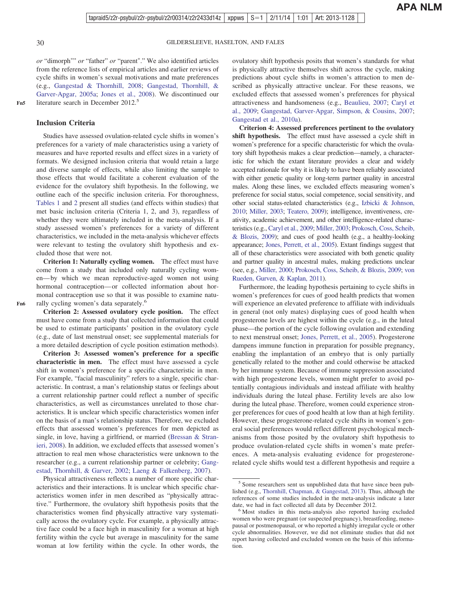**Fn5**

**Fn6**

30 GILDERSLEEVE, HASELTON, AND FALES

or "dimorph<sup>\*</sup>" or "father" or "parent<sup>\*</sup>." We also identified articles from the reference lists of empirical articles and earlier reviews of cycle shifts in women's sexual motivations and mate preferences (e.g., [Gangestad & Thornhill, 2008;](#page-51-0) [Gangestad, Thornhill, &](#page-51-20) [Garver-Apgar, 2005a;](#page-51-20) [Jones et al., 2008\)](#page-51-21). We discontinued our literature search in December 2012.<sup>5</sup>

# **Inclusion Criteria**

Studies have assessed ovulation-related cycle shifts in women's preferences for a variety of male characteristics using a variety of measures and have reported results and effect sizes in a variety of formats. We designed inclusion criteria that would retain a large and diverse sample of effects, while also limiting the sample to those effects that would facilitate a coherent evaluation of the evidence for the ovulatory shift hypothesis. In the following, we outline each of the specific inclusion criteria. For thoroughness, [Tables 1](#page-5-0) and [2](#page-18-0) present all studies (and effects within studies) that met basic inclusion criteria (Criteria 1, 2, and 3), regardless of whether they were ultimately included in the meta-analysis. If a study assessed women's preferences for a variety of different characteristics, we included in the meta-analysis whichever effects were relevant to testing the ovulatory shift hypothesis and excluded those that were not.

**Criterion 1: Naturally cycling women.** The effect must have come from a study that included only naturally cycling women— by which we mean reproductive-aged women not using hormonal contraception— or collected information about hormonal contraception use so that it was possible to examine naturally cycling women's data separately.6

**Criterion 2: Assessed ovulatory cycle position.** The effect must have come from a study that collected information that could be used to estimate participants' position in the ovulatory cycle (e.g., date of last menstrual onset; see supplemental materials for a more detailed description of cycle position estimation methods).

**Criterion 3: Assessed women's preference for a specific characteristic in men.** The effect must have assessed a cycle shift in women's preference for a specific characteristic in men. For example, "facial masculinity" refers to a single, specific characteristic. In contrast, a man's relationship status or feelings about a current relationship partner could reflect a number of specific characteristics, as well as circumstances unrelated to those characteristics. It is unclear which specific characteristics women infer on the basis of a man's relationship status. Therefore, we excluded effects that assessed women's preferences for men depicted as single, in love, having a girlfriend, or married [\(Bressan & Stran](#page-50-8)[ieri, 2008\)](#page-50-8). In addition, we excluded effects that assessed women's attraction to real men whose characteristics were unknown to the researcher (e.g., a current relationship partner or celebrity; [Gang](#page-51-22)[estad, Thornhill, & Garver, 2002;](#page-51-22) [Laeng & Falkenberg, 2007\)](#page-52-26).

Physical attractiveness reflects a number of more specific characteristics and their interactions. It is unclear which specific characteristics women infer in men described as "physically attractive." Furthermore, the ovulatory shift hypothesis posits that the characteristics women find physically attractive vary systematically across the ovulatory cycle. For example, a physically attractive face could be a face high in masculinity for a woman at high fertility within the cycle but average in masculinity for the same woman at low fertility within the cycle. In other words, the ovulatory shift hypothesis posits that women's standards for what is physically attractive themselves shift across the cycle, making predictions about cycle shifts in women's attraction to men described as physically attractive unclear. For these reasons, we excluded effects that assessed women's preferences for physical attractiveness and handsomeness (e.g., [Beaulieu, 2007;](#page-50-7) [Caryl et](#page-50-11) [al., 2009;](#page-50-11) [Gangestad, Garver-Apgar, Simpson, & Cousins, 2007;](#page-51-11) [Gangestad et al., 2010a\)](#page-51-23).

**Criterion 4: Assessed preferences pertinent to the ovulatory shift hypothesis.** The effect must have assessed a cycle shift in women's preference for a specific characteristic for which the ovulatory shift hypothesis makes a clear prediction—namely, a characteristic for which the extant literature provides a clear and widely accepted rationale for why it is likely to have been reliably associated with either genetic quality or long-term partner quality in ancestral males. Along these lines, we excluded effects measuring women's preference for social status, social competence, social sensitivity, and other social status-related characteristics (e.g., [Izbicki & Johnson,](#page-51-18) [2010;](#page-51-18) [Miller, 2003;](#page-52-19) [Teatero, 2009\)](#page-54-7); intelligence, inventiveness, creativity, academic achievement, and other intelligence-related characteristics (e.g., [Caryl et al., 2009;](#page-50-11) [Miller, 2003;](#page-52-19) [Prokosch, Coss, Scheib,](#page-53-17) [& Blozis, 2009\)](#page-53-17); and cues of good health (e.g., a healthy-looking appearance; [Jones, Perrett, et al., 2005\)](#page-52-27). Extant findings suggest that all of these characteristics were associated with both genetic quality and partner quality in ancestral males, making predictions unclear (see, e.g., [Miller, 2000;](#page-52-28) [Prokosch, Coss, Scheib, & Blozis, 2009;](#page-53-17) [von](#page-54-12) [Rueden, Gurven, & Kaplan, 2011\)](#page-54-12).

Furthermore, the leading hypothesis pertaining to cycle shifts in women's preferences for cues of good health predicts that women will experience an elevated preference to affiliate with individuals in general (not only mates) displaying cues of good health when progesterone levels are highest within the cycle (e.g., in the luteal phase—the portion of the cycle following ovulation and extending to next menstrual onset; [Jones, Perrett, et al., 2005\)](#page-52-27). Progesterone dampens immune function in preparation for possible pregnancy, enabling the implantation of an embryo that is only partially genetically related to the mother and could otherwise be attacked by her immune system. Because of immune suppression associated with high progesterone levels, women might prefer to avoid potentially contagious individuals and instead affiliate with healthy individuals during the luteal phase. Fertility levels are also low during the luteal phase. Therefore, women could experience stronger preferences for cues of good health at low than at high fertility. However, these progesterone-related cycle shifts in women's general social preferences would reflect different psychological mechanisms from those posited by the ovulatory shift hypothesis to produce ovulation-related cycle shifts in women's mate preferences. A meta-analysis evaluating evidence for progesteronerelated cycle shifts would test a different hypothesis and require a

<sup>5</sup> Some researchers sent us unpublished data that have since been published (e.g., [Thornhill, Chapman, & Gangestad, 2013\)](#page-54-9). Thus, although the references of some studies included in the meta-analysis indicate a later date, we had in fact collected all data by December 2012.<br><sup>6</sup> Most studies in this meta-analysis also reported having excluded

women who were pregnant (or suspected pregnancy), breastfeeding, menopausal or postmenopausal, or who reported a highly irregular cycle or other cycle abnormalities. However, we did not eliminate studies that did not report having collected and excluded women on the basis of this information.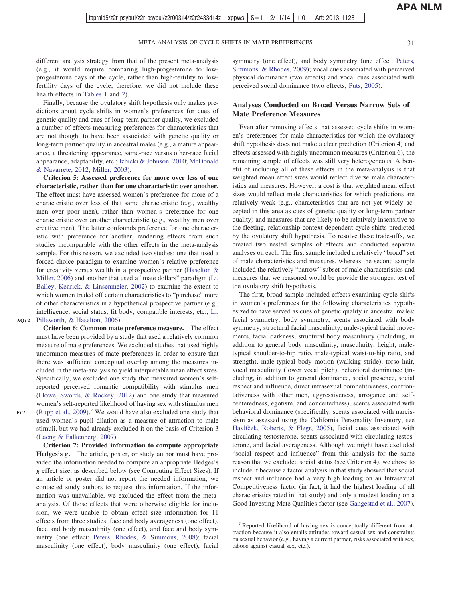different analysis strategy from that of the present meta-analysis (e.g., it would require comparing high-progesterone to lowprogesterone days of the cycle, rather than high-fertility to lowfertility days of the cycle; therefore, we did not include these health effects in [Tables 1](#page-5-0) and [2\)](#page-18-0).

Finally, because the ovulatory shift hypothesis only makes predictions about cycle shifts in women's preferences for cues of genetic quality and cues of long-term partner quality, we excluded a number of effects measuring preferences for characteristics that are not thought to have been associated with genetic quality or long-term partner quality in ancestral males (e.g., a mature appearance, a threatening appearance, same-race versus other-race facial appearance, adaptability, etc.; [Izbicki & Johnson, 2010;](#page-51-18) [McDonald](#page-52-18) [& Navarrete, 2012;](#page-52-18) [Miller, 2003\)](#page-52-19).

**Criterion 5: Assessed preference for more over less of one characteristic, rather than for one characteristic over another.** The effect must have assessed women's preference for more of a characteristic over less of that same characteristic (e.g., wealthy men over poor men), rather than women's preference for one characteristic over another characteristic (e.g., wealthy men over creative men). The latter confounds preference for one characteristic with preference for another, rendering effects from such studies incomparable with the other effects in the meta-analysis sample. For this reason, we excluded two studies: one that used a forced-choice paradigm to examine women's relative preference for creativity versus wealth in a prospective partner [\(Haselton &](#page-51-15) [Miller, 2006\)](#page-51-15) and another that used a "mate dollars" paradigm [\(Li,](#page-52-29) [Bailey, Kenrick, & Linsenmeier, 2002\)](#page-52-29) to examine the extent to which women traded off certain characteristics to "purchase" more of other characteristics in a hypothetical prospective partner (e.g., intelligence, social status, fit body, compatible interests, etc.; [Li,](#page-52-11) AQ: 2 [Pillsworth, & Haselton, 2006\)](#page-52-11).

**Fn7**

**Criterion 6: Common mate preference measure.** The effect must have been provided by a study that used a relatively common measure of mate preferences. We excluded studies that used highly uncommon measures of mate preferences in order to ensure that there was sufficient conceptual overlap among the measures included in the meta-analysis to yield interpretable mean effect sizes. Specifically, we excluded one study that measured women's selfreported perceived romantic compatibility with stimulus men [\(Flowe, Swords, & Rockey, 2012\)](#page-50-16) and one study that measured women's self-reported likelihood of having sex with stimulus men (Rupp et al.,  $2009$ ).<sup>7</sup> We would have also excluded one study that used women's pupil dilation as a measure of attraction to male stimuli, but we had already excluded it on the basis of Criterion 3 [\(Laeng & Falkenberg, 2007\)](#page-52-26).

**Criterion 7: Provided information to compute appropriate Hedges's** *g***.** The article, poster, or study author must have provided the information needed to compute an appropriate Hedges's *g* effect size, as described below (see Computing Effect Sizes). If an article or poster did not report the needed information, we contacted study authors to request this information. If the information was unavailable, we excluded the effect from the metaanalysis. Of those effects that were otherwise eligible for inclusion, we were unable to obtain effect size information for 11 effects from three studies: face and body averageness (one effect), face and body masculinity (one effect), and face and body symmetry (one effect; [Peters, Rhodes, & Simmons, 2008\)](#page-53-15); facial masculinity (one effect), body masculinity (one effect), facial

symmetry (one effect), and body symmetry (one effect; [Peters,](#page-53-16) [Simmons, & Rhodes, 2009\)](#page-53-16); vocal cues associated with perceived physical dominance (two effects) and vocal cues associated with perceived social dominance (two effects; [Puts, 2005\)](#page-53-19).

# **Analyses Conducted on Broad Versus Narrow Sets of Mate Preference Measures**

Even after removing effects that assessed cycle shifts in women's preferences for male characteristics for which the ovulatory shift hypothesis does not make a clear prediction (Criterion 4) and effects assessed with highly uncommon measures (Criterion 6), the remaining sample of effects was still very heterogeneous. A benefit of including all of these effects in the meta-analysis is that weighted mean effect sizes would reflect diverse male characteristics and measures. However, a cost is that weighted mean effect sizes would reflect male characteristics for which predictions are relatively weak (e.g., characteristics that are not yet widely accepted in this area as cues of genetic quality or long-term partner quality) and measures that are likely to be relatively insensitive to the fleeting, relationship context-dependent cycle shifts predicted by the ovulatory shift hypothesis. To resolve these trade-offs, we created two nested samples of effects and conducted separate analyses on each. The first sample included a relatively "broad" set of male characteristics and measures, whereas the second sample included the relatively "narrow" subset of male characteristics and measures that we reasoned would be provide the strongest test of the ovulatory shift hypothesis.

The first, broad sample included effects examining cycle shifts in women's preferences for the following characteristics hypothesized to have served as cues of genetic quality in ancestral males: facial symmetry, body symmetry, scents associated with body symmetry, structural facial masculinity, male-typical facial movements, facial darkness, structural body masculinity (including, in addition to general body masculinity, muscularity, height, maletypical shoulder-to-hip ratio, male-typical waist-to-hip ratio, and strength), male-typical body motion (walking stride), torso hair, vocal masculinity (lower vocal pitch), behavioral dominance (including, in addition to general dominance, social presence, social respect and influence, direct intrasexual competitiveness, confrontativeness with other men, aggressiveness, arrogance and selfcenteredness, egotism, and conceitedness), scents associated with behavioral dominance (specifically, scents associated with narcissism as assessed using the California Personality Inventory; see Havlíček, Roberts, & Flegr, 2005), facial cues associated with circulating testosterone, scents associated with circulating testosterone, and facial averageness. Although we might have excluded "social respect and influence" from this analysis for the same reason that we excluded social status (see Criterion 4), we chose to include it because a factor analysis in that study showed that social respect and influence had a very high loading on an Intrasexual Competitiveness factor (in fact, it had the highest loading of all characteristics rated in that study) and only a modest loading on a Good Investing Mate Qualities factor (see [Gangestad et al., 2007\)](#page-51-11).

<sup>7</sup> Reported likelihood of having sex is conceptually different from attraction because it also entails attitudes toward casual sex and constraints on sexual behavior (e.g., having a current partner, risks associated with sex, taboos against casual sex, etc.).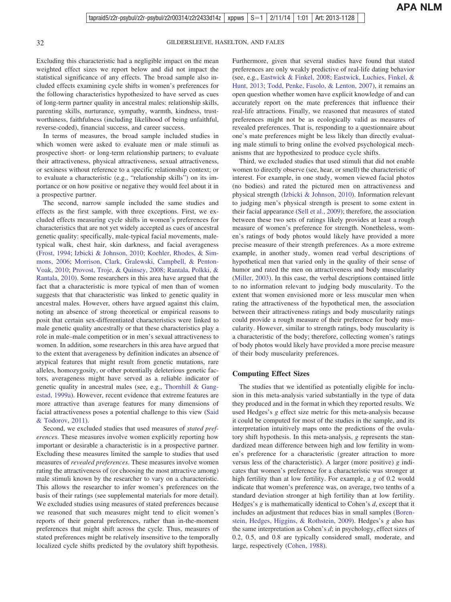Excluding this characteristic had a negligible impact on the mean weighted effect sizes we report below and did not impact the statistical significance of any effects. The broad sample also included effects examining cycle shifts in women's preferences for the following characteristics hypothesized to have served as cues of long-term partner quality in ancestral males: relationship skills, parenting skills, nurturance, sympathy, warmth, kindness, trustworthiness, faithfulness (including likelihood of being unfaithful, reverse-coded), financial success, and career success.

In terms of measures, the broad sample included studies in which women were asked to evaluate men or male stimuli as prospective short- or long-term relationship partners; to evaluate their attractiveness, physical attractiveness, sexual attractiveness, or sexiness without reference to a specific relationship context; or to evaluate a characteristic (e.g., "relationship skills") on its importance or on how positive or negative they would feel about it in a prospective partner.

The second, narrow sample included the same studies and effects as the first sample, with three exceptions. First, we excluded effects measuring cycle shifts in women's preferences for characteristics that are not yet widely accepted as cues of ancestral genetic quality: specifically, male-typical facial movements, maletypical walk, chest hair, skin darkness, and facial averageness [\(Frost, 1994;](#page-51-9) [Izbicki & Johnson, 2010;](#page-51-18) [Koehler, Rhodes, & Sim](#page-52-10)[mons, 2006;](#page-52-10) [Morrison, Clark, Gralewski, Campbell, & Penton-](#page-52-22)[Voak, 2010;](#page-52-22) [Provost, Troje, & Quinsey, 2008;](#page-53-18) [Rantala, Polkki, &](#page-53-21) [Rantala, 2010\)](#page-53-21). Some researchers in this area have argued that the fact that a characteristic is more typical of men than of women suggests that that characteristic was linked to genetic quality in ancestral males. However, others have argued against this claim, noting an absence of strong theoretical or empirical reasons to posit that certain sex-differentiated characteristics were linked to male genetic quality ancestrally or that these characteristics play a role in male–male competition or in men's sexual attractiveness to women. In addition, some researchers in this area have argued that to the extent that averageness by definition indicates an absence of atypical features that might result from genetic mutations, rare alleles, homozygosity, or other potentially deleterious genetic factors, averageness might have served as a reliable indicator of genetic quality in ancestral males (see, e.g., [Thornhill & Gang](#page-54-13)[estad, 1999a\)](#page-54-13). However, recent evidence that extreme features are more attractive than average features for many dimensions of facial attractiveness poses a potential challenge to this view [\(Said](#page-53-29) [& Todorov, 2011\)](#page-53-29).

Second, we excluded studies that used measures of *stated preferences*. These measures involve women explicitly reporting how important or desirable a characteristic is in a prospective partner. Excluding these measures limited the sample to studies that used measures of *revealed preferences*. These measures involve women rating the attractiveness of (or choosing the most attractive among) male stimuli known by the researcher to vary on a characteristic. This allows the researcher to infer women's preferences on the basis of their ratings (see supplemental materials for more detail). We excluded studies using measures of stated preferences because we reasoned that such measures might tend to elicit women's reports of their general preferences, rather than in-the-moment preferences that might shift across the cycle. Thus, measures of stated preferences might be relatively insensitive to the temporally localized cycle shifts predicted by the ovulatory shift hypothesis.

Furthermore, given that several studies have found that stated preferences are only weakly predictive of real-life dating behavior (see, e.g., [Eastwick & Finkel, 2008;](#page-50-17) [Eastwick, Luchies, Finkel, &](#page-50-18) [Hunt, 2013;](#page-50-18) [Todd, Penke, Fasolo, & Lenton, 2007\)](#page-54-14), it remains an open question whether women have explicit knowledge of and can accurately report on the mate preferences that influence their real-life attractions. Finally, we reasoned that measures of stated preferences might not be as ecologically valid as measures of revealed preferences. That is, responding to a questionnaire about one's mate preferences might be less likely than directly evaluating male stimuli to bring online the evolved psychological mechanisms that are hypothesized to produce cycle shifts.

Third, we excluded studies that used stimuli that did not enable women to directly observe (see, hear, or smell) the characteristic of interest. For example, in one study, women viewed facial photos (no bodies) and rated the pictured men on attractiveness and physical strength [\(Izbicki & Johnson, 2010\)](#page-51-18). Information relevant to judging men's physical strength is present to some extent in their facial appearance [\(Sell et al., 2009\)](#page-53-30); therefore, the association between these two sets of ratings likely provides at least a rough measure of women's preference for strength. Nonetheless, women's ratings of body photos would likely have provided a more precise measure of their strength preferences. As a more extreme example, in another study, women read verbal descriptions of hypothetical men that varied only in the quality of their sense of humor and rated the men on attractiveness and body muscularity [\(Miller, 2003\)](#page-52-19). In this case, the verbal descriptions contained little to no information relevant to judging body muscularity. To the extent that women envisioned more or less muscular men when rating the attractiveness of the hypothetical men, the association between their attractiveness ratings and body muscularity ratings could provide a rough measure of their preference for body muscularity. However, similar to strength ratings, body muscularity is a characteristic of the body; therefore, collecting women's ratings of body photos would likely have provided a more precise measure of their body muscularity preferences.

#### **Computing Effect Sizes**

The studies that we identified as potentially eligible for inclusion in this meta-analysis varied substantially in the type of data they produced and in the format in which they reported results. We used Hedges's *g* effect size metric for this meta-analysis because it could be computed for most of the studies in the sample, and its interpretation intuitively maps onto the predictions of the ovulatory shift hypothesis. In this meta-analysis, *g* represents the standardized mean difference between high and low fertility in women's preference for a characteristic (greater attraction to more versus less of the characteristic). A larger (more positive) *g* indicates that women's preference for a characteristic was stronger at high fertility than at low fertility. For example, a *g* of 0.2 would indicate that women's preference was, on average, two tenths of a standard deviation stronger at high fertility than at low fertility. Hedges's *g* is mathematically identical to Cohen's *d*, except that it includes an adjustment that reduces bias in small samples [\(Boren](#page-50-19)[stein, Hedges, Higgins, & Rothstein, 2009\)](#page-50-19). Hedges's *g* also has the same interpretation as Cohen's *d*; in psychology, effect sizes of 0.2, 0.5, and 0.8 are typically considered small, moderate, and large, respectively [\(Cohen, 1988\)](#page-50-20).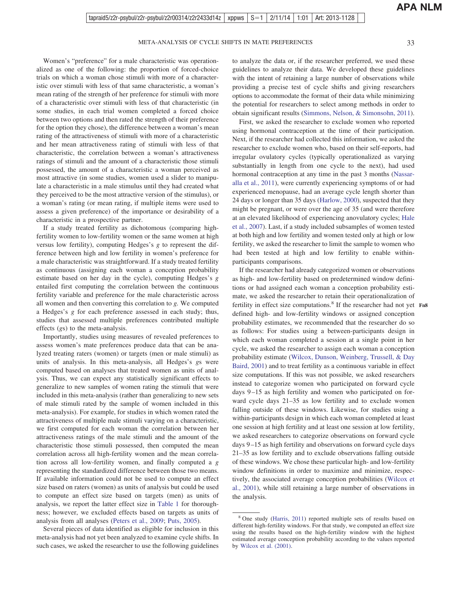Women's "preference" for a male characteristic was operationalized as one of the following: the proportion of forced-choice trials on which a woman chose stimuli with more of a characteristic over stimuli with less of that same characteristic, a woman's mean rating of the strength of her preference for stimuli with more of a characteristic over stimuli with less of that characteristic (in some studies, in each trial women completed a forced choice between two options and then rated the strength of their preference for the option they chose), the difference between a woman's mean rating of the attractiveness of stimuli with more of a characteristic and her mean attractiveness rating of stimuli with less of that characteristic, the correlation between a woman's attractiveness ratings of stimuli and the amount of a characteristic those stimuli possessed, the amount of a characteristic a woman perceived as most attractive (in some studies, women used a slider to manipulate a characteristic in a male stimulus until they had created what they perceived to be the most attractive version of the stimulus), or a woman's rating (or mean rating, if multiple items were used to assess a given preference) of the importance or desirability of a characteristic in a prospective partner.

If a study treated fertility as dichotomous (comparing highfertility women to low-fertility women or the same women at high versus low fertility), computing Hedges's *g* to represent the difference between high and low fertility in women's preference for a male characteristic was straightforward. If a study treated fertility as continuous (assigning each woman a conception probability estimate based on her day in the cycle), computing Hedges's *g* entailed first computing the correlation between the continuous fertility variable and preference for the male characteristic across all women and then converting this correlation to *g.* We computed a Hedges's *g* for each preference assessed in each study; thus, studies that assessed multiple preferences contributed multiple effects (*g*s) to the meta-analysis.

Importantly, studies using measures of revealed preferences to assess women's mate preferences produce data that can be analyzed treating raters (women) or targets (men or male stimuli) as units of analysis. In this meta-analysis, all Hedges's *g*s were computed based on analyses that treated women as units of analysis. Thus, we can expect any statistically significant effects to generalize to new samples of women rating the stimuli that were included in this meta-analysis (rather than generalizing to new sets of male stimuli rated by the sample of women included in this meta-analysis). For example, for studies in which women rated the attractiveness of multiple male stimuli varying on a characteristic, we first computed for each woman the correlation between her attractiveness ratings of the male stimuli and the amount of the characteristic those stimuli possessed, then computed the mean correlation across all high-fertility women and the mean correlation across all low-fertility women, and finally computed a *g* representing the standardized difference between those two means. If available information could not be used to compute an effect size based on raters (women) as units of analysis but could be used to compute an effect size based on targets (men) as units of analysis, we report the latter effect size in [Table 1](#page-5-0) for thoroughness; however, we excluded effects based on targets as units of analysis from all analyses [\(Peters et al., 2009;](#page-53-16) [Puts, 2005\)](#page-53-19).

Several pieces of data identified as eligible for inclusion in this meta-analysis had not yet been analyzed to examine cycle shifts. In such cases, we asked the researcher to use the following guidelines to analyze the data or, if the researcher preferred, we used these guidelines to analyze their data. We developed these guidelines with the intent of retaining a large number of observations while providing a precise test of cycle shifts and giving researchers options to accommodate the format of their data while minimizing the potential for researchers to select among methods in order to obtain significant results [\(Simmons, Nelson, & Simonsohn, 2011\)](#page-53-31).

First, we asked the researcher to exclude women who reported using hormonal contraception at the time of their participation. Next, if the researcher had collected this information, we asked the researcher to exclude women who, based on their self-reports, had irregular ovulatory cycles (typically operationalized as varying substantially in length from one cycle to the next), had used hormonal contraception at any time in the past 3 months [\(Nassar](#page-52-30)[alla et al., 2011\)](#page-52-30), were currently experiencing symptoms of or had experienced menopause, had an average cycle length shorter than 24 days or longer than 35 days [\(Harlow, 2000\)](#page-51-24), suspected that they might be pregnant, or were over the age of 35 (and were therefore at an elevated likelihood of experiencing anovulatory cycles; [Hale](#page-51-25) [et al., 2007\)](#page-51-25). Last, if a study included subsamples of women tested at both high and low fertility and women tested only at high or low fertility, we asked the researcher to limit the sample to women who had been tested at high and low fertility to enable withinparticipants comparisons.

If the researcher had already categorized women or observations as high- and low-fertility based on predetermined window definitions or had assigned each woman a conception probability estimate, we asked the researcher to retain their operationalization of fertility in effect size computations.<sup>8</sup> If the researcher had not yet **Fn8** defined high- and low-fertility windows or assigned conception probability estimates, we recommended that the researcher do so as follows: For studies using a between-participants design in which each woman completed a session at a single point in her cycle, we asked the researcher to assign each woman a conception probability estimate [\(Wilcox, Dunson, Weinberg, Trussell, & Day](#page-54-15) [Baird, 2001\)](#page-54-15) and to treat fertility as a continuous variable in effect size computations. If this was not possible, we asked researchers instead to categorize women who participated on forward cycle days 9-15 as high fertility and women who participated on forward cycle days 21–35 as low fertility and to exclude women falling outside of these windows. Likewise, for studies using a within-participants design in which each woman completed at least one session at high fertility and at least one session at low fertility, we asked researchers to categorize observations on forward cycle days 9 –15 as high fertility and observations on forward cycle days 21–35 as low fertility and to exclude observations falling outside of these windows. We chose these particular high- and low-fertility window definitions in order to maximize and minimize, respectively, the associated average conception probabilities [\(Wilcox et](#page-54-15) [al., 2001\)](#page-54-15), while still retaining a large number of observations in the analysis.

<sup>8</sup> One study [\(Harris, 2011\)](#page-51-14) reported multiple sets of results based on different high-fertility windows. For that study, we computed an effect size using the results based on the high-fertility window with the highest estimated average conception probability according to the values reported by [Wilcox et al. \(2001\).](#page-54-15)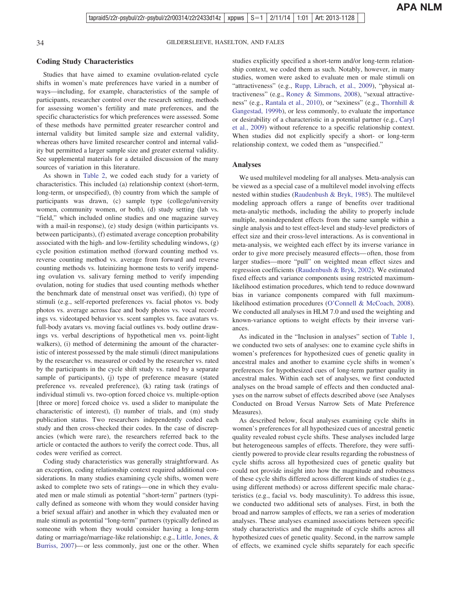# **Coding Study Characteristics**

Studies that have aimed to examine ovulation-related cycle shifts in women's mate preferences have varied in a number of ways—including, for example, characteristics of the sample of participants, researcher control over the research setting, methods for assessing women's fertility and mate preferences, and the specific characteristics for which preferences were assessed. Some of these methods have permitted greater researcher control and internal validity but limited sample size and external validity, whereas others have limited researcher control and internal validity but permitted a larger sample size and greater external validity. See supplemental materials for a detailed discussion of the many sources of variation in this literature.

As shown in [Table 2,](#page-18-0) we coded each study for a variety of characteristics. This included (a) relationship context (short-term, long-term, or unspecified), (b) country from which the sample of participants was drawn, (c) sample type (college/university women, community women, or both), (d) study setting (lab vs. "field," which included online studies and one magazine survey with a mail-in response), (e) study design (within participants vs. between participants), (f) estimated average conception probability associated with the high- and low-fertility scheduling windows, (g) cycle position estimation method (forward counting method vs. reverse counting method vs. average from forward and reverse counting methods vs. luteinizing hormone tests to verify impending ovulation vs. salivary ferning method to verify impending ovulation, noting for studies that used counting methods whether the benchmark date of menstrual onset was verified), (h) type of stimuli (e.g., self-reported preferences vs. facial photos vs. body photos vs. average across face and body photos vs. vocal recordings vs. videotaped behavior vs. scent samples vs. face avatars vs. full-body avatars vs. moving facial outlines vs. body outline drawings vs. verbal descriptions of hypothetical men vs. point-light walkers), (i) method of determining the amount of the characteristic of interest possessed by the male stimuli (direct manipulations by the researcher vs. measured or coded by the researcher vs. rated by the participants in the cycle shift study vs. rated by a separate sample of participants), (j) type of preference measure (stated preference vs. revealed preference), (k) rating task (ratings of individual stimuli vs. two-option forced choice vs. multiple-option [three or more] forced choice vs. used a slider to manipulate the characteristic of interest), (l) number of trials, and (m) study publication status. Two researchers independently coded each study and then cross-checked their codes. In the case of discrepancies (which were rare), the researchers referred back to the article or contacted the authors to verify the correct code. Thus, all codes were verified as correct.

Coding study characteristics was generally straightforward. As an exception, coding relationship context required additional considerations. In many studies examining cycle shifts, women were asked to complete two sets of ratings— one in which they evaluated men or male stimuli as potential "short-term" partners (typically defined as someone with whom they would consider having a brief sexual affair) and another in which they evaluated men or male stimuli as potential "long-term" partners (typically defined as someone with whom they would consider having a long-term dating or marriage/marriage-like relationship; e.g., [Little, Jones, &](#page-52-13) [Burriss, 2007\)](#page-52-13)— or less commonly, just one or the other. When studies explicitly specified a short-term and/or long-term relationship context, we coded them as such. Notably, however, in many studies, women were asked to evaluate men or male stimuli on "attractiveness" (e.g., [Rupp, Librach, et al., 2009\)](#page-53-25), "physical attractiveness" (e.g., [Roney & Simmons, 2008\)](#page-53-23), "sexual attractiveness" (e.g., [Rantala et al., 2010\)](#page-53-21), or "sexiness" (e.g., [Thornhill &](#page-54-8) [Gangestad, 1999b\)](#page-54-8), or less commonly, to evaluate the importance or desirability of a characteristic in a potential partner (e.g., [Caryl](#page-50-11) [et al., 2009\)](#page-50-11) without reference to a specific relationship context. When studies did not explicitly specify a short- or long-term relationship context, we coded them as "unspecified."

# **Analyses**

We used multilevel modeling for all analyses. Meta-analysis can be viewed as a special case of a multilevel model involving effects nested within studies [\(Raudenbush & Bryk, 1985\)](#page-53-32). The multilevel modeling approach offers a range of benefits over traditional meta-analytic methods, including the ability to properly include multiple, nonindependent effects from the same sample within a single analysis and to test effect-level and study-level predictors of effect size and their cross-level interactions. As is conventional in meta-analysis, we weighted each effect by its inverse variance in order to give more precisely measured effects— often, those from larger studies—more "pull" on weighted mean effect sizes and regression coefficients [\(Raudenbush & Bryk, 2002\)](#page-53-33). We estimated fixed effects and variance components using restricted maximumlikelihood estimation procedures, which tend to reduce downward bias in variance components compared with full maximumlikelihood estimation procedures [\(O'Connell & McCoach, 2008\)](#page-52-31). We conducted all analyses in HLM 7.0 and used the weighting and known-variance options to weight effects by their inverse variances.

As indicated in the "Inclusion in analyses" section of [Table 1,](#page-5-0) we conducted two sets of analyses: one to examine cycle shifts in women's preferences for hypothesized cues of genetic quality in ancestral males and another to examine cycle shifts in women's preferences for hypothesized cues of long-term partner quality in ancestral males. Within each set of analyses, we first conducted analyses on the broad sample of effects and then conducted analyses on the narrow subset of effects described above (see Analyses Conducted on Broad Versus Narrow Sets of Mate Preference Measures).

As described below, focal analyses examining cycle shifts in women's preferences for all hypothesized cues of ancestral genetic quality revealed robust cycle shifts. These analyses included large but heterogeneous samples of effects. Therefore, they were sufficiently powered to provide clear results regarding the robustness of cycle shifts across all hypothesized cues of genetic quality but could not provide insight into how the magnitude and robustness of these cycle shifts differed across different kinds of studies (e.g., using different methods) or across different specific male characteristics (e.g., facial vs. body masculinity). To address this issue, we conducted two additional sets of analyses. First, in both the broad and narrow samples of effects, we ran a series of moderation analyses. These analyses examined associations between specific study characteristics and the magnitude of cycle shifts across all hypothesized cues of genetic quality. Second, in the narrow sample of effects, we examined cycle shifts separately for each specific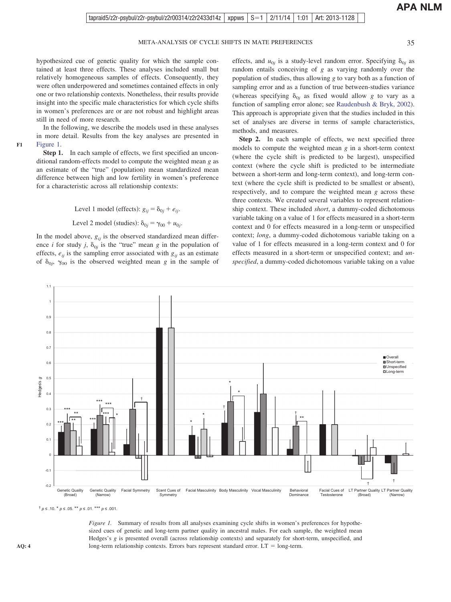hypothesized cue of genetic quality for which the sample contained at least three effects. These analyses included small but relatively homogeneous samples of effects. Consequently, they were often underpowered and sometimes contained effects in only one or two relationship contexts. Nonetheless, their results provide insight into the specific male characteristics for which cycle shifts in women's preferences are or are not robust and highlight areas still in need of more research.

In the following, we describe the models used in these analyses in more detail. Results from the key analyses are presented in [Figure 1.](#page-34-0)

**F1**

**Step 1.** In each sample of effects, we first specified an unconditional random-effects model to compute the weighted mean *g* as an estimate of the "true" (population) mean standardized mean difference between high and low fertility in women's preference for a characteristic across all relationship contexts:

> Level 1 model (effects):  $g_{ii} = \delta_{0i} + e_{ii}$ . Level 2 model (studies):  $\delta_{0j} = \gamma_{00} + u_{0j}$ .

In the model above,  $g_{ij}$  is the observed standardized mean difference *i* for study *j*,  $\delta_{0j}$  is the "true" mean *g* in the population of effects,  $e_{ij}$  is the sampling error associated with  $g_{ij}$  as an estimate of  $\delta_{0j}$ ,  $\gamma_{00}$  is the observed weighted mean *g* in the sample of

effects, and  $u_{0i}$  is a study-level random error. Specifying  $\delta_{0i}$  as random entails conceiving of *g* as varying randomly over the population of studies, thus allowing *g* to vary both as a function of sampling error and as a function of true between-studies variance (whereas specifying  $\delta_{0j}$  as fixed would allow *g* to vary as a function of sampling error alone; see [Raudenbush & Bryk, 2002\)](#page-53-33). This approach is appropriate given that the studies included in this set of analyses are diverse in terms of sample characteristics, methods, and measures.

**Step 2.** In each sample of effects, we next specified three models to compute the weighted mean *g* in a short-term context (where the cycle shift is predicted to be largest), unspecified context (where the cycle shift is predicted to be intermediate between a short-term and long-term context), and long-term context (where the cycle shift is predicted to be smallest or absent), respectively, and to compare the weighted mean *g* across these three contexts. We created several variables to represent relationship context. These included *short*, a dummy-coded dichotomous variable taking on a value of 1 for effects measured in a short-term context and 0 for effects measured in a long-term or unspecified context; *long*, a dummy-coded dichotomous variable taking on a value of 1 for effects measured in a long-term context and 0 for effects measured in a short-term or unspecified context; and *unspecified*, a dummy-coded dichotomous variable taking on a value



† *p* ≤ .10. \* *p* ≤ .05. \*\* *p* ≤ .01. \*\*\* *p* ≤ .001.

<span id="page-34-0"></span>*Figure 1.* Summary of results from all analyses examining cycle shifts in women's preferences for hypothesized cues of genetic and long-term partner quality in ancestral males. For each sample, the weighted mean Hedges's *g* is presented overall (across relationship contexts) and separately for short-term, unspecified, and long-term relationship contexts. Errors bars represent standard error.  $LT = long-term$ .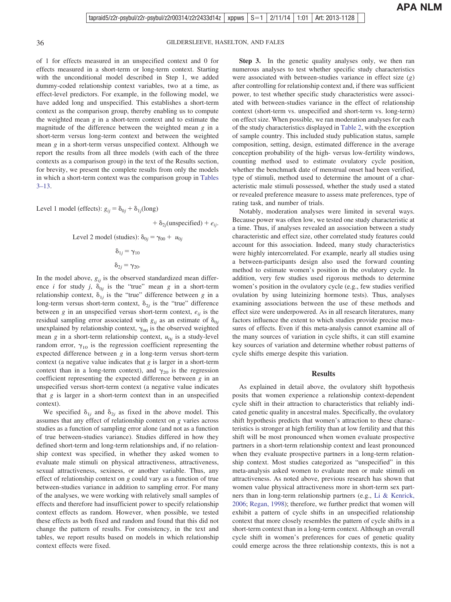of 1 for effects measured in an unspecified context and 0 for effects measured in a short-term or long-term context. Starting with the unconditional model described in Step 1, we added dummy-coded relationship context variables, two at a time, as effect-level predictors. For example, in the following model, we have added long and unspecified. This establishes a short-term context as the comparison group, thereby enabling us to compute the weighted mean *g* in a short-term context and to estimate the magnitude of the difference between the weighted mean *g* in a short-term versus long-term context and between the weighted mean *g* in a short-term versus unspecified context. Although we report the results from all three models (with each of the three contexts as a comparison group) in the text of the Results section, for brevity, we present the complete results from only the models in which a short-term context was the comparison group in Tables 3–13.

Level 1 model (effects):  $g_{ij} = \delta_{0j} + \delta_{1j}$ (long)

+  $\delta_{2j}$ (unspecified) +  $e_{ij}$ .

Level 2 model (studies): 
$$
\delta_{0j} = \gamma_{00} + u_{0j}
$$

$$
\delta_{1j} = \gamma_{10}
$$

$$
\delta_{2j} = \gamma_{20}
$$

In the model above,  $g_{ij}$  is the observed standardized mean difference *i* for study *j*,  $\delta_{0j}$  is the "true" mean *g* in a short-term relationship context,  $\delta_{1j}$  is the "true" difference between *g* in a long-term versus short-term context,  $\delta_{2j}$  is the "true" difference between *g* in an unspecified versus short-term context,  $e_{ii}$  is the residual sampling error associated with  $g_{ij}$  as an estimate of  $\delta_{0j}$ unexplained by relationship context,  $\gamma_{00}$  is the observed weighted mean *g* in a short-term relationship context,  $u_{0j}$  is a study-level random error,  $\gamma_{10}$  is the regression coefficient representing the expected difference between *g* in a long-term versus short-term context (a negative value indicates that *g* is larger in a short-term context than in a long-term context), and  $\gamma_{20}$  is the regression coefficient representing the expected difference between *g* in an unspecified versus short-term context (a negative value indicates that *g* is larger in a short-term context than in an unspecified context).

We specified  $\delta_{1j}$  and  $\delta_{2j}$  as fixed in the above model. This assumes that any effect of relationship context on *g* varies across studies as a function of sampling error alone (and not as a function of true between-studies variance). Studies differed in how they defined short-term and long-term relationships and, if no relationship context was specified, in whether they asked women to evaluate male stimuli on physical attractiveness, attractiveness, sexual attractiveness, sexiness, or another variable. Thus, any effect of relationship context on *g* could vary as a function of true between-studies variance in addition to sampling error. For many of the analyses, we were working with relatively small samples of effects and therefore had insufficient power to specify relationship context effects as random. However, when possible, we tested these effects as both fixed and random and found that this did not change the pattern of results. For consistency, in the text and tables, we report results based on models in which relationship context effects were fixed.

**Step 3.** In the genetic quality analyses only, we then ran numerous analyses to test whether specific study characteristics were associated with between-studies variance in effect size (*g*) after controlling for relationship context and, if there was sufficient power, to test whether specific study characteristics were associated with between-studies variance in the effect of relationship context (short-term vs. unspecified and short-term vs. long-term) on effect size. When possible, we ran moderation analyses for each of the study characteristics displayed in [Table 2,](#page-18-0) with the exception of sample country. This included study publication status, sample composition, setting, design, estimated difference in the average conception probability of the high- versus low-fertility windows, counting method used to estimate ovulatory cycle position, whether the benchmark date of menstrual onset had been verified, type of stimuli, method used to determine the amount of a characteristic male stimuli possessed, whether the study used a stated or revealed preference measure to assess mate preferences, type of rating task, and number of trials.

Notably, moderation analyses were limited in several ways. Because power was often low, we tested one study characteristic at a time. Thus, if analyses revealed an association between a study characteristic and effect size, other correlated study features could account for this association. Indeed, many study characteristics were highly intercorrelated. For example, nearly all studies using a between-participants design also used the forward counting method to estimate women's position in the ovulatory cycle. In addition, very few studies used rigorous methods to determine women's position in the ovulatory cycle (e.g., few studies verified ovulation by using luteinizing hormone tests). Thus, analyses examining associations between the use of these methods and effect size were underpowered. As in all research literatures, many factors influence the extent to which studies provide precise measures of effects. Even if this meta-analysis cannot examine all of the many sources of variation in cycle shifts, it can still examine key sources of variation and determine whether robust patterns of cycle shifts emerge despite this variation.

#### **Results**

As explained in detail above, the ovulatory shift hypothesis posits that women experience a relationship context-dependent cycle shift in their attraction to characteristics that reliably indicated genetic quality in ancestral males. Specifically, the ovulatory shift hypothesis predicts that women's attraction to these characteristics is stronger at high fertility than at low fertility and that this shift will be most pronounced when women evaluate prospective partners in a short-term relationship context and least pronounced when they evaluate prospective partners in a long-term relationship context. Most studies categorized as "unspecified" in this meta-analysis asked women to evaluate men or male stimuli on attractiveness. As noted above, previous research has shown that women value physical attractiveness more in short-term sex partners than in long-term relationship partners (e.g., [Li & Kenrick,](#page-52-5) [2006;](#page-52-5) [Regan, 1998\)](#page-53-2); therefore, we further predict that women will exhibit a pattern of cycle shifts in an unspecified relationship context that more closely resembles the pattern of cycle shifts in a short-term context than in a long-term context. Although an overall cycle shift in women's preferences for cues of genetic quality could emerge across the three relationship contexts, this is not a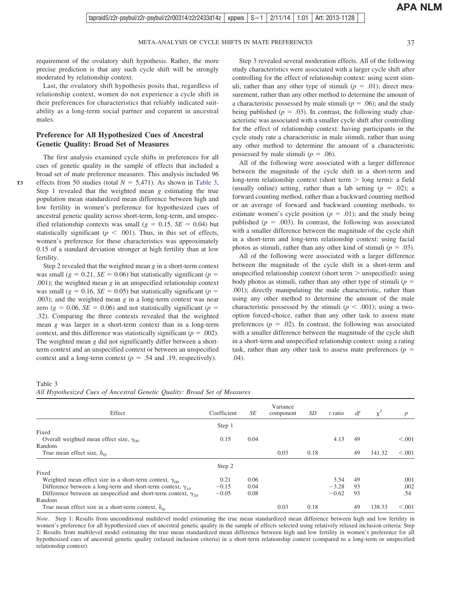requirement of the ovulatory shift hypothesis. Rather, the more precise prediction is that any such cycle shift will be strongly moderated by relationship context.

Last, the ovulatory shift hypothesis posits that, regardless of relationship context, women do not experience a cycle shift in their preferences for characteristics that reliably indicated suitability as a long-term social partner and coparent in ancestral males.

# **Preference for All Hypothesized Cues of Ancestral Genetic Quality: Broad Set of Measures**

The first analysis examined cycle shifts in preferences for all cues of genetic quality in the sample of effects that included a broad set of mate preference measures. This analysis included 96 effects from 50 studies (total  $N = 5,471$ ). As shown in [Table 3,](#page-36-0) Step 1 revealed that the weighted mean *g* estimating the true population mean standardized mean difference between high and low fertility in women's preference for hypothesized cues of ancestral genetic quality across short-term, long-term, and unspecified relationship contexts was small ( $g = 0.15$ ,  $SE = 0.04$ ) but statistically significant ( $p < .001$ ). Thus, in this set of effects, women's preference for these characteristics was approximately 0.15 of a standard deviation stronger at high fertility than at low fertility.

Step 2 revealed that the weighted mean *g* in a short-term context was small ( $g = 0.21$ ,  $SE = 0.06$ ) but statistically significant ( $p =$ .001); the weighted mean *g* in an unspecified relationship context was small ( $g = 0.16$ ,  $SE = 0.05$ ) but statistically significant ( $p =$ .003); and the weighted mean *g* in a long-term context was near zero ( $g = 0.06$ ,  $SE = 0.06$ ) and not statistically significant ( $p =$ .32). Comparing the three contexts revealed that the weighted mean *g* was larger in a short-term context than in a long-term context, and this difference was statistically significant ( $p = .002$ ). The weighted mean *g* did not significantly differ between a shortterm context and an unspecified context or between an unspecified context and a long-term context ( $p = .54$  and .19, respectively).

Step 3 revealed several moderation effects. All of the following study characteristics were associated with a larger cycle shift after controlling for the effect of relationship context: using scent stimuli, rather than any other type of stimuli  $(p = .01)$ ; direct measurement, rather than any other method to determine the amount of a characteristic possessed by male stimuli ( $p = .06$ ); and the study being published ( $p = .03$ ). In contrast, the following study characteristic was associated with a smaller cycle shift after controlling for the effect of relationship context: having participants in the cycle study rate a characteristic in male stimuli, rather than using any other method to determine the amount of a characteristic possessed by male stimuli ( $p = .06$ ).

All of the following were associated with a larger difference between the magnitude of the cycle shift in a short-term and long-term relationship context (short term  $>$  long term): a field (usually online) setting, rather than a lab setting  $(p = .02)$ ; a forward counting method, rather than a backward counting method or an average of forward and backward counting methods, to estimate women's cycle position  $(p = .01)$ ; and the study being published ( $p = .003$ ). In contrast, the following was associated with a smaller difference between the magnitude of the cycle shift in a short-term and long-term relationship context: using facial photos as stimuli, rather than any other kind of stimuli ( $p = .03$ ).

All of the following were associated with a larger difference between the magnitude of the cycle shift in a short-term and unspecified relationship context (short term  $>$  unspecified): using body photos as stimuli, rather than any other type of stimuli  $(p =$ .001); directly manipulating the male characteristic, rather than using any other method to determine the amount of the male characteristic possessed by the stimuli ( $p < .001$ ); using a twooption forced-choice, rather than any other task to assess mate preferences  $(p = .02)$ . In contrast, the following was associated with a smaller difference between the magnitude of the cycle shift in a short-term and unspecified relationship context: using a rating task, rather than any other task to assess mate preferences ( $p =$ .04).

<span id="page-36-0"></span>Table 3

*All Hypothesized Cues of Ancestral Genetic Quality: Broad Set of Measures*

| Effect                                                                  | Coefficient | SE   | Variance<br>component | SD   | t ratio | df | $\chi^2$ | p       |
|-------------------------------------------------------------------------|-------------|------|-----------------------|------|---------|----|----------|---------|
|                                                                         | Step 1      |      |                       |      |         |    |          |         |
| Fixed                                                                   |             |      |                       |      |         |    |          |         |
| Overall weighted mean effect size, $\gamma_{00}$                        | 0.15        | 0.04 |                       |      | 4.13    | 49 |          | < 0.001 |
| Random                                                                  |             |      |                       |      |         |    |          |         |
| True mean effect size, $\delta_{0i}$                                    |             |      | 0.03                  | 0.18 |         | 49 | 141.32   | < 0.001 |
|                                                                         | Step 2      |      |                       |      |         |    |          |         |
| Fixed                                                                   |             |      |                       |      |         |    |          |         |
| Weighted mean effect size in a short-term context, $\gamma_{00}$        | 0.21        | 0.06 |                       |      | 3.54    | 49 |          | .001    |
| Difference between a long-term and short-term context, $\gamma_{10}$    | $-0.15$     | 0.04 |                       |      | $-3.28$ | 93 |          | .002    |
| Difference between an unspecified and short-term context, $\gamma_{20}$ | $-0.05$     | 0.08 |                       |      | $-0.62$ | 93 |          | .54     |
| Random                                                                  |             |      |                       |      |         |    |          |         |
| True mean effect size in a short-term context, $\delta_{0i}$            |             |      | 0.03                  | 0.18 |         | 49 | 138.33   | < 0.001 |

*Note*. Step 1: Results from unconditional multilevel model estimating the true mean standardized mean difference between high and low fertility in women's preference for all hypothesized cues of ancestral genetic quality in the sample of effects selected using relatively relaxed inclusion criteria. Step 2: Results from multilevel model estimating the true mean standardized mean difference between high and low fertility in women's preference for all hypothesized cues of ancestral genetic quality (relaxed inclusion criteria) in a short-term relationship context (compared to a long-term or unspecified relationship context).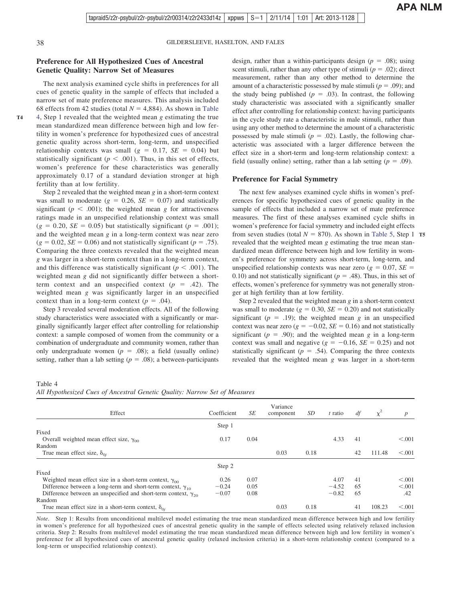# **Preference for All Hypothesized Cues of Ancestral Genetic Quality: Narrow Set of Measures**

**T4**

The next analysis examined cycle shifts in preferences for all cues of genetic quality in the sample of effects that included a narrow set of mate preference measures. This analysis included 68 effects from 42 studies (total  $N = 4,884$ ). As shown in [Table](#page-37-0) [4,](#page-37-0) Step 1 revealed that the weighted mean *g* estimating the true mean standardized mean difference between high and low fertility in women's preference for hypothesized cues of ancestral genetic quality across short-term, long-term, and unspecified relationship contexts was small  $(g = 0.17, SE = 0.04)$  but statistically significant ( $p < .001$ ). Thus, in this set of effects, women's preference for these characteristics was generally approximately 0.17 of a standard deviation stronger at high fertility than at low fertility.

Step 2 revealed that the weighted mean *g* in a short-term context was small to moderate  $(g = 0.26, SE = 0.07)$  and statistically significant ( $p < .001$ ); the weighted mean *g* for attractiveness ratings made in an unspecified relationship context was small  $(g = 0.20, SE = 0.05)$  but statistically significant  $(p = .001)$ ; and the weighted mean *g* in a long-term context was near zero  $(g = 0.02, SE = 0.06)$  and not statistically significant ( $p = .75$ ). Comparing the three contexts revealed that the weighted mean *g* was larger in a short-term context than in a long-term context, and this difference was statistically significant ( $p < .001$ ). The weighted mean *g* did not significantly differ between a shortterm context and an unspecified context  $(p = .42)$ . The weighted mean *g* was significantly larger in an unspecified context than in a long-term context  $(p = .04)$ .

Step 3 revealed several moderation effects. All of the following study characteristics were associated with a significantly or marginally significantly larger effect after controlling for relationship context: a sample composed of women from the community or a combination of undergraduate and community women, rather than only undergraduate women  $(p = .08)$ ; a field (usually online) setting, rather than a lab setting ( $p = .08$ ); a between-participants

design, rather than a within-participants design  $(p = .08)$ ; using scent stimuli, rather than any other type of stimuli ( $p = .02$ ); direct measurement, rather than any other method to determine the amount of a characteristic possessed by male stimuli  $(p = .09)$ ; and the study being published ( $p = .03$ ). In contrast, the following study characteristic was associated with a significantly smaller effect after controlling for relationship context: having participants in the cycle study rate a characteristic in male stimuli, rather than using any other method to determine the amount of a characteristic possessed by male stimuli ( $p = .02$ ). Lastly, the following characteristic was associated with a larger difference between the effect size in a short-term and long-term relationship context: a field (usually online) setting, rather than a lab setting  $(p = .09)$ .

# **Preference for Facial Symmetry**

The next few analyses examined cycle shifts in women's preferences for specific hypothesized cues of genetic quality in the sample of effects that included a narrow set of mate preference measures. The first of these analyses examined cycle shifts in women's preference for facial symmetry and included eight effects from seven studies (total  $N = 870$ ). As shown in [Table 5,](#page-38-0) Step 1 T5 revealed that the weighted mean *g* estimating the true mean standardized mean difference between high and low fertility in women's preference for symmetry across short-term, long-term, and unspecified relationship contexts was near zero ( $g = 0.07$ ,  $SE =$ 0.10) and not statistically significant ( $p = .48$ ). Thus, in this set of effects, women's preference for symmetry was not generally stronger at high fertility than at low fertility.

Step 2 revealed that the weighted mean *g* in a short-term context was small to moderate ( $g = 0.30$ ,  $SE = 0.20$ ) and not statistically significant ( $p = .19$ ); the weighted mean *g* in an unspecified context was near zero ( $g = -0.02$ ,  $SE = 0.16$ ) and not statistically significant ( $p = .90$ ); and the weighted mean  $g$  in a long-term context was small and negative ( $g = -0.16$ ,  $SE = 0.25$ ) and not statistically significant ( $p = .54$ ). Comparing the three contexts revealed that the weighted mean *g* was larger in a short-term

<span id="page-37-0"></span>Table 4

*All Hypothesized Cues of Ancestral Genetic Quality: Narrow Set of Measures*

| Effect                                                                  | Coefficient | SE   | Variance<br>component | SD   | t ratio | df | $\chi^2$ | p       |
|-------------------------------------------------------------------------|-------------|------|-----------------------|------|---------|----|----------|---------|
|                                                                         | Step 1      |      |                       |      |         |    |          |         |
| Fixed                                                                   |             |      |                       |      |         |    |          |         |
| Overall weighted mean effect size, $\gamma_{00}$                        | 0.17        | 0.04 |                       |      | 4.33    | 41 |          | < 0.001 |
| Random                                                                  |             |      |                       |      |         |    |          |         |
| True mean effect size, $\delta_{0i}$                                    |             |      | 0.03                  | 0.18 |         | 42 | 111.48   | < 0.001 |
|                                                                         | Step 2      |      |                       |      |         |    |          |         |
| Fixed                                                                   |             |      |                       |      |         |    |          |         |
| Weighted mean effect size in a short-term context, $\gamma_{00}$        | 0.26        | 0.07 |                       |      | 4.07    | 41 |          | < 0.001 |
| Difference between a long-term and short-term context, $\gamma_{10}$    | $-0.24$     | 0.05 |                       |      | $-4.52$ | 65 |          | < 0.001 |
| Difference between an unspecified and short-term context, $\gamma_{20}$ | $-0.07$     | 0.08 |                       |      | $-0.82$ | 65 |          | .42     |
| Random                                                                  |             |      |                       |      |         |    |          |         |
| True mean effect size in a short-term context, $\delta_{0i}$            |             |      | 0.03                  | 0.18 |         | 41 | 108.23   | < 0.001 |

*Note*. Step 1: Results from unconditional multilevel model estimating the true mean standardized mean difference between high and low fertility in women's preference for all hypothesized cues of ancestral genetic quality in the sample of effects selected using relatively relaxed inclusion criteria. Step 2: Results from multilevel model estimating the true mean standardized mean difference between high and low fertility in women's preference for all hypothesized cues of ancestral genetic quality (relaxed inclusion criteria) in a short-term relationship context (compared to a long-term or unspecified relationship context).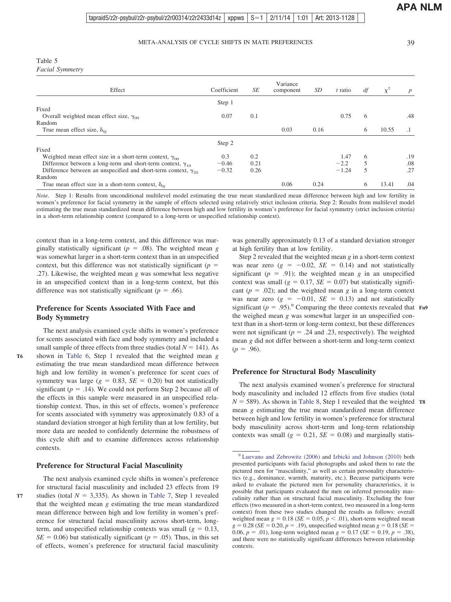<span id="page-38-0"></span>Table 5 *Facial Symmetry*

| Effect                                                                  | Coefficient | SE   | Variance<br>component | SD   | t ratio | df           | $\chi^2$ | p   |
|-------------------------------------------------------------------------|-------------|------|-----------------------|------|---------|--------------|----------|-----|
|                                                                         |             |      |                       |      |         |              |          |     |
|                                                                         | Step 1      |      |                       |      |         |              |          |     |
| Fixed                                                                   |             |      |                       |      |         |              |          |     |
| Overall weighted mean effect size, $\gamma_{00}$                        | 0.07        | 0.1  |                       |      | 0.75    | 6            |          | .48 |
| Random                                                                  |             |      |                       |      |         |              |          |     |
| True mean effect size, $\delta_{0i}$                                    |             |      | 0.03                  | 0.16 |         | 6            | 10.55    |     |
|                                                                         | Step 2      |      |                       |      |         |              |          |     |
| Fixed                                                                   |             |      |                       |      |         |              |          |     |
| Weighted mean effect size in a short-term context, $\gamma_{00}$        | 0.3         | 0.2  |                       |      | 1.47    | 6            |          | .19 |
| Difference between a long-term and short-term context, $\gamma_{10}$    | $-0.46$     | 0.21 |                       |      | $-2.2$  |              |          | .08 |
| Difference between an unspecified and short-term context, $\gamma_{20}$ | $-0.32$     | 0.26 |                       |      | $-1.24$ | 5            |          | .27 |
| Random                                                                  |             |      |                       |      |         |              |          |     |
| True mean effect size in a short-term context, $\delta_{0i}$            |             |      | 0.06                  | 0.24 |         | <sub>0</sub> | 13.41    | .04 |

*Note*. Step 1: Results from unconditional multilevel model estimating the true mean standardized mean difference between high and low fertility in women's preference for facial symmetry in the sample of effects selected using relatively strict inclusion criteria. Step 2: Results from multilevel model estimating the true mean standardized mean difference between high and low fertility in women's preference for facial symmetry (strict inclusion criteria) in a short-term relationship context (compared to a long-term or unspecified relationship context).

context than in a long-term context, and this difference was marginally statistically significant ( $p = .08$ ). The weighted mean *g* was somewhat larger in a short-term context than in an unspecified context, but this difference was not statistically significant ( $p =$ .27). Likewise, the weighted mean *g* was somewhat less negative in an unspecified context than in a long-term context, but this difference was not statistically significant ( $p = .66$ ).

# **Preference for Scents Associated With Face and Body Symmetry**

The next analysis examined cycle shifts in women's preference for scents associated with face and body symmetry and included a small sample of three effects from three studies (total  $N = 141$ ). As shown in [Table 6,](#page-39-0) Step 1 revealed that the weighted mean *g* estimating the true mean standardized mean difference between high and low fertility in women's preference for scent cues of symmetry was large ( $g = 0.83$ ,  $SE = 0.20$ ) but not statistically significant ( $p = .14$ ). We could not perform Step 2 because all of the effects in this sample were measured in an unspecified relationship context. Thus, in this set of effects, women's preference for scents associated with symmetry was approximately 0.83 of a standard deviation stronger at high fertility than at low fertility, but more data are needed to confidently determine the robustness of this cycle shift and to examine differences across relationship contexts.

#### **Preference for Structural Facial Masculinity**

**T7**

**T6**

The next analysis examined cycle shifts in women's preference for structural facial masculinity and included 23 effects from 19 studies (total  $N = 3,335$ ). As shown in [Table 7,](#page-39-1) Step 1 revealed that the weighted mean *g* estimating the true mean standardized mean difference between high and low fertility in women's preference for structural facial masculinity across short-term, longterm, and unspecified relationship contexts was small  $(g = 0.13,$  $SE = 0.06$ ) but statistically significant ( $p = .05$ ). Thus, in this set of effects, women's preference for structural facial masculinity

was generally approximately 0.13 of a standard deviation stronger at high fertility than at low fertility.

Step 2 revealed that the weighted mean *g* in a short-term context was near zero  $(g = -0.02, SE = 0.14)$  and not statistically significant ( $p = .91$ ); the weighted mean *g* in an unspecified context was small ( $g = 0.17$ ,  $SE = 0.07$ ) but statistically significant ( $p = .02$ ); and the weighted mean *g* in a long-term context was near zero  $(g = -0.01, SE = 0.13)$  and not statistically significant ( $p = .95$ ).<sup>9</sup> Comparing the three contexts revealed that **Fn9** the weighed mean *g* was somewhat larger in an unspecified context than in a short-term or long-term context, but these differences were not significant ( $p = .24$  and .23, respectively). The weighted mean *g* did not differ between a short-term and long-term context  $(p = .96)$ .

# **Preference for Structural Body Masculinity**

The next analysis examined women's preference for structural body masculinity and included 12 effects from five studies (total  $N = 589$ ). As shown in [Table 8,](#page-40-0) Step 1 revealed that the weighted **T8** mean *g* estimating the true mean standardized mean difference between high and low fertility in women's preference for structural body masculinity across short-term and long-term relationship contexts was small ( $g = 0.21$ ,  $SE = 0.08$ ) and marginally statis-

<sup>9</sup> [Luevano and Zebrowitz \(2006\)](#page-52-15) and [Izbicki and Johnson \(2010\)](#page-51-18) both presented participants with facial photographs and asked them to rate the pictured men for "masculinity," as well as certain personality characteristics (e.g., dominance, warmth, maturity, etc.). Because participants were asked to evaluate the pictured men for personality characteristics, it is possible that participants evaluated the men on inferred personality masculinity rather than on structural facial masculinity. Excluding the four effects (two measured in a short-term context, two measured in a long-term context) from these two studies changed the results as follows: overall weighted mean  $g = 0.18$  (*SE* = 0.05,  $p < .01$ ), short-term weighted mean  $g = 0.28$  (*SE* = 0.20, *p* = .19), unspecified weighted mean  $g = 0.18$  (*SE* = 0.06,  $p = .01$ ), long-term weighted mean  $g = 0.17$  (*SE* = 0.19,  $p = .38$ ), and there were no statistically significant differences between relationship contexts.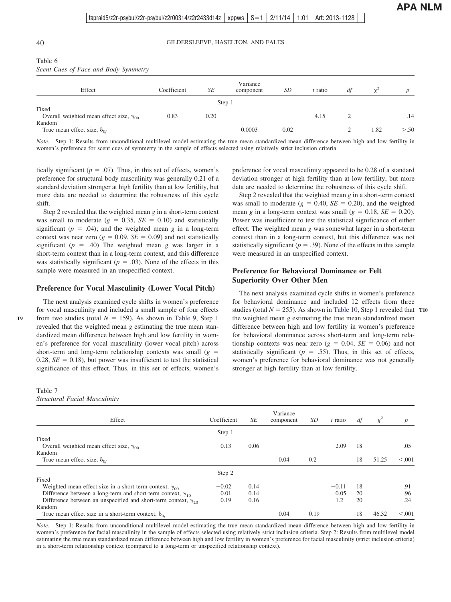<span id="page-39-0"></span>

| Table 6 |  |  |                                      |
|---------|--|--|--------------------------------------|
|         |  |  | Scent Cues of Face and Body Symmetry |

| Effect                                           | Coefficient | SE     | Variance<br>component | <i>SD</i> | $t$ ratio | df            |      | $\boldsymbol{p}$ |
|--------------------------------------------------|-------------|--------|-----------------------|-----------|-----------|---------------|------|------------------|
|                                                  |             | Step 1 |                       |           |           |               |      |                  |
| Fixed                                            |             |        |                       |           |           |               |      |                  |
| Overall weighted mean effect size, $\gamma_{00}$ | 0.83        | 0.20   |                       |           | 4.15      |               |      | .14              |
| Random                                           |             |        |                       |           |           |               |      |                  |
| True mean effect size, $\delta_{0i}$             |             |        | 0.0003                | 0.02      |           | $\mathcal{L}$ | 1.82 | > 0.50           |

*Note*. Step 1: Results from unconditional multilevel model estimating the true mean standardized mean difference between high and low fertility in women's preference for scent cues of symmetry in the sample of effects selected using relatively strict inclusion criteria.

tically significant ( $p = .07$ ). Thus, in this set of effects, women's preference for structural body masculinity was generally 0.21 of a standard deviation stronger at high fertility than at low fertility, but more data are needed to determine the robustness of this cycle shift.

Step 2 revealed that the weighted mean *g* in a short-term context was small to moderate  $(g = 0.35, SE = 0.10)$  and statistically significant ( $p = .04$ ); and the weighted mean *g* in a long-term context was near zero ( $g = 0.09$ ,  $SE = 0.09$ ) and not statistically significant  $(p = .40)$  The weighted mean *g* was larger in a short-term context than in a long-term context, and this difference was statistically significant ( $p = .03$ ). None of the effects in this sample were measured in an unspecified context.

#### **Preference for Vocal Masculinity (Lower Vocal Pitch)**

**T9**

The next analysis examined cycle shifts in women's preference for vocal masculinity and included a small sample of four effects from two studies (total  $N = 159$ ). As shown in [Table 9,](#page-40-1) Step 1 revealed that the weighted mean *g* estimating the true mean standardized mean difference between high and low fertility in women's preference for vocal masculinity (lower vocal pitch) across short-term and long-term relationship contexts was small  $(g =$ 0.28,  $SE = 0.18$ ), but power was insufficient to test the statistical significance of this effect. Thus, in this set of effects, women's

preference for vocal masculinity appeared to be 0.28 of a standard deviation stronger at high fertility than at low fertility, but more data are needed to determine the robustness of this cycle shift.

Step 2 revealed that the weighted mean *g* in a short-term context was small to moderate ( $g = 0.40$ ,  $SE = 0.20$ ), and the weighted mean *g* in a long-term context was small ( $g = 0.18$ ,  $SE = 0.20$ ). Power was insufficient to test the statistical significance of either effect. The weighted mean *g* was somewhat larger in a short-term context than in a long-term context, but this difference was not statistically significant ( $p = .39$ ). None of the effects in this sample were measured in an unspecified context.

# **Preference for Behavioral Dominance or Felt Superiority Over Other Men**

The next analysis examined cycle shifts in women's preference for behavioral dominance and included 12 effects from three studies (total  $N = 255$ ). As shown in [Table 10,](#page-41-0) Step 1 revealed that **T10** the weighted mean *g* estimating the true mean standardized mean difference between high and low fertility in women's preference for behavioral dominance across short-term and long-term relationship contexts was near zero  $(g = 0.04, SE = 0.06)$  and not statistically significant ( $p = .55$ ). Thus, in this set of effects, women's preference for behavioral dominance was not generally stronger at high fertility than at low fertility.

<span id="page-39-1"></span>

| Table 7                              |  |
|--------------------------------------|--|
| <b>Structural Facial Masculinity</b> |  |

| Effect                                                                  | Coefficient | SE   | Variance<br>component | SD   | t ratio | df | $\chi^2$ | p       |
|-------------------------------------------------------------------------|-------------|------|-----------------------|------|---------|----|----------|---------|
|                                                                         | Step 1      |      |                       |      |         |    |          |         |
| Fixed                                                                   |             |      |                       |      |         |    |          |         |
| Overall weighted mean effect size, $\gamma_{00}$                        | 0.13        | 0.06 |                       |      | 2.09    | 18 |          | .05     |
| Random                                                                  |             |      |                       |      |         |    |          |         |
| True mean effect size, $\delta_{0i}$                                    |             |      | 0.04                  | 0.2  |         | 18 | 51.25    | < 0.001 |
|                                                                         | Step 2      |      |                       |      |         |    |          |         |
| Fixed                                                                   |             |      |                       |      |         |    |          |         |
| Weighted mean effect size in a short-term context, $\gamma_{00}$        | $-0.02$     | 0.14 |                       |      | $-0.11$ | 18 |          | .91     |
| Difference between a long-term and short-term context, $\gamma_{10}$    | 0.01        | 0.14 |                       |      | 0.05    | 20 |          | .96     |
| Difference between an unspecified and short-term context, $\gamma_{20}$ | 0.19        | 0.16 |                       |      | 1.2     | 20 |          | .24     |
| Random                                                                  |             |      |                       |      |         |    |          |         |
| True mean effect size in a short-term context, $\delta_{0i}$            |             |      | 0.04                  | 0.19 |         | 18 | 46.32    | < 0.001 |

*Note*. Step 1: Results from unconditional multilevel model estimating the true mean standardized mean difference between high and low fertility in women's preference for facial masculinity in the sample of effects selected using relatively strict inclusion criteria. Step 2: Results from multilevel model estimating the true mean standardized mean difference between high and low fertility in women's preference for facial masculinity (strict inclusion criteria) in a short-term relationship context (compared to a long-term or unspecified relationship context).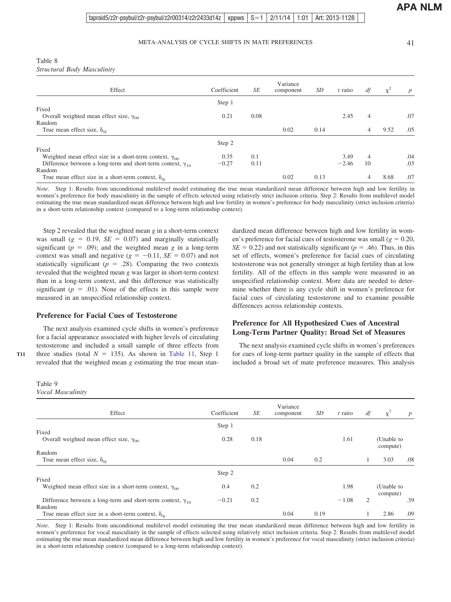<span id="page-40-0"></span>Table 8 *Structural Body Masculinity*

| Effect                                                               | Coefficient | SE   | Variance<br>component | SD   | $t$ ratio | df             | $\chi^2$ | $\boldsymbol{p}$ |
|----------------------------------------------------------------------|-------------|------|-----------------------|------|-----------|----------------|----------|------------------|
|                                                                      | Step 1      |      |                       |      |           |                |          |                  |
| Fixed                                                                |             |      |                       |      |           |                |          |                  |
| Overall weighted mean effect size, $\gamma_{00}$                     | 0.21        | 0.08 |                       |      | 2.45      | $\overline{4}$ |          | .07              |
| Random<br>True mean effect size, $\delta_{0i}$                       |             |      | 0.02                  | 0.14 |           | $\overline{4}$ | 9.52     | .05              |
|                                                                      | Step 2      |      |                       |      |           |                |          |                  |
| Fixed                                                                |             |      |                       |      |           |                |          |                  |
| Weighted mean effect size in a short-term context, $\gamma_{00}$     | 0.35        | 0.1  |                       |      | 3.49      | $\overline{4}$ |          | .04              |
| Difference between a long-term and short-term context, $\gamma_{10}$ | $-0.27$     | 0.11 |                       |      | $-2.46$   | 10             |          | .03              |
| Random                                                               |             |      |                       |      |           |                |          |                  |
| True mean effect size in a short-term context, $\delta_{0i}$         |             |      | 0.02                  | 0.13 |           | 4              | 8.68     | .07              |

*Note*. Step 1: Results from unconditional multilevel model estimating the true mean standardized mean difference between high and low fertility in women's preference for body masculinity in the sample of effects selected using relatively strict inclusion criteria. Step 2: Results from multilevel model estimating the true mean standardized mean difference between high and low fertility in women's preference for body masculinity (strict inclusion criteria) in a short-term relationship context (compared to a long-term relationship context).

Step 2 revealed that the weighted mean *g* in a short-term context was small  $(g = 0.19, SE = 0.07)$  and marginally statistically significant ( $p = .09$ ); and the weighted mean  $g$  in a long-term context was small and negative ( $g = -0.11$ ,  $SE = 0.07$ ) and not statistically significant ( $p = .28$ ). Comparing the two contexts revealed that the weighted mean *g* was larger in short-term context than in a long-term context, and this difference was statistically significant ( $p = .01$ ). None of the effects in this sample were measured in an unspecified relationship context.

# **Preference for Facial Cues of Testosterone**

The next analysis examined cycle shifts in women's preference for a facial appearance associated with higher levels of circulating testosterone and included a small sample of three effects from three studies (total  $N = 135$ ). As shown in [Table 11,](#page-41-1) Step 1 revealed that the weighted mean *g* estimating the true mean standardized mean difference between high and low fertility in women's preference for facial cues of testosterone was small ( $g = 0.20$ ,  $SE = 0.22$ ) and not statistically significant ( $p = .46$ ). Thus, in this set of effects, women's preference for facial cues of circulating testosterone was not generally stronger at high fertility than at low fertility. All of the effects in this sample were measured in an unspecified relationship context. More data are needed to determine whether there is any cycle shift in women's preference for facial cues of circulating testosterone and to examine possible differences across relationship contexts.

# **Preference for All Hypothesized Cues of Ancestral Long-Term Partner Quality: Broad Set of Measures**

The next analysis examined cycle shifts in women's preferences for cues of long-term partner quality in the sample of effects that included a broad set of mate preference measures. This analysis

<span id="page-40-1"></span>Table 9 *Vocal Masculinity*

**T11**

| Effect                                                                         | Coefficient | SE   | Variance<br>component | SD   | $t$ ratio | df | $\chi^2$               | $\boldsymbol{p}$ |
|--------------------------------------------------------------------------------|-------------|------|-----------------------|------|-----------|----|------------------------|------------------|
|                                                                                | Step 1      |      |                       |      |           |    |                        |                  |
| Fixed<br>Overall weighted mean effect size, $\gamma_{00}$                      | 0.28        | 0.18 |                       |      | 1.61      |    | (Unable to<br>compute) |                  |
| Random<br>True mean effect size, $\delta_{0i}$                                 |             |      | 0.04                  | 0.2  |           |    | 3.03                   | .08              |
|                                                                                | Step 2      |      |                       |      |           |    |                        |                  |
| Fixed<br>Weighted mean effect size in a short-term context, $\gamma_{00}$      | 0.4         | 0.2  |                       |      | 1.98      |    | (Unable to<br>compute) |                  |
| Difference between a long-term and short-term context, $\gamma_{10}$<br>Random | $-0.21$     | 0.2  |                       |      | $-1.08$   | 2  |                        | .39              |
| True mean effect size in a short-term context, $\delta_{0i}$                   |             |      | 0.04                  | 0.19 |           |    | 2.86                   | .09              |

*Note*. Step 1: Results from unconditional multilevel model estimating the true mean standardized mean difference between high and low fertility in women's preference for vocal masculinity in the sample of effects selected using relatively strict inclusion criteria. Step 2: Results from multilevel model estimating the true mean standardized mean difference between high and low fertility in women's preference for vocal masculinity (strict inclusion criteria) in a short-term relationship context (compared to a long-term relationship context).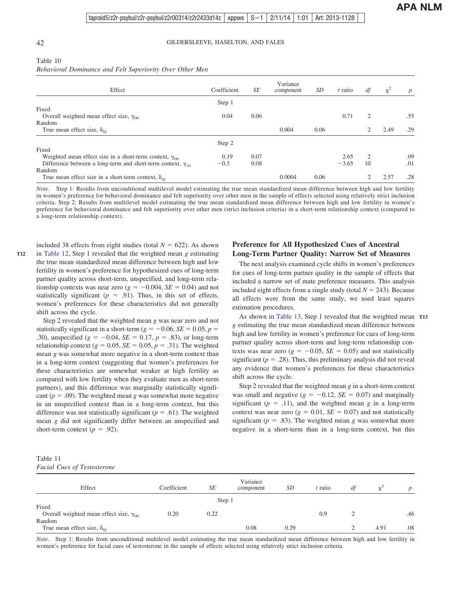**T12**

<span id="page-41-0"></span>42 GILDERSLEEVE, HASELTON, AND FALES

Table 10

*Behavioral Dominance and Felt Superiority Over Other Men*

| Effect                                                               | Coefficient | SE   | Variance<br>component | SD   | t ratio | df                          | $\chi^2$ | $\boldsymbol{p}$ |
|----------------------------------------------------------------------|-------------|------|-----------------------|------|---------|-----------------------------|----------|------------------|
|                                                                      | Step 1      |      |                       |      |         |                             |          |                  |
| Fixed                                                                |             |      |                       |      |         |                             |          |                  |
| Overall weighted mean effect size, $\gamma_{00}$                     | 0.04        | 0.06 |                       |      | 0.71    | 2                           |          | .55              |
| Random                                                               |             |      |                       |      |         |                             |          |                  |
| True mean effect size, $\delta_{0i}$                                 |             |      | 0.004                 | 0.06 |         | 2                           | 2.49     | .29              |
|                                                                      | Step 2      |      |                       |      |         |                             |          |                  |
| Fixed                                                                |             |      |                       |      |         |                             |          |                  |
| Weighted mean effect size in a short-term context, $\gamma_{00}$     | 0.19        | 0.07 |                       |      | 2.65    | $\mathcal{D}_{\mathcal{L}}$ |          | .09              |
| Difference between a long-term and short-term context, $\gamma_{10}$ | $-0.3$      | 0.08 |                       |      | $-3.65$ | 10                          |          | .01              |
| Random                                                               |             |      |                       |      |         |                             |          |                  |
| True mean effect size in a short-term context, $\delta_{0i}$         |             |      | 0.0004                | 0.06 |         |                             | 2.57     | .28              |

*Note*. Step 1: Results from unconditional multilevel model estimating the true mean standardized mean difference between high and low fertility in women's preference for behavioral dominance and felt superiority over other men in the sample of effects selected using relatively strict inclusion criteria. Step 2: Results from multilevel model estimating the true mean standardized mean difference between high and low fertility in women's preference for behavioral dominance and felt superiority over other men (strict inclusion criteria) in a short-term relationship context (compared to a long-term relationship context).

included 38 effects from eight studies (total  $N = 622$ ). As shown in [Table 12,](#page-42-0) Step 1 revealed that the weighted mean *g* estimating the true mean standardized mean difference between high and low fertility in women's preference for hypothesized cues of long-term partner quality across short-term, unspecified, and long-term relationship contexts was near zero ( $g = -0.004$ ,  $SE = 0.04$ ) and not statistically significant ( $p = .91$ ). Thus, in this set of effects, women's preferences for these characteristics did not generally shift across the cycle.

Step 2 revealed that the weighted mean *g* was near zero and not statistically significant in a short-term ( $g = -0.06$ ,  $SE = 0.05$ ,  $p =$ .30), unspecified ( $g = -0.04$ ,  $SE = 0.17$ ,  $p = .83$ ), or long-term relationship context ( $g = 0.05$ ,  $SE = 0.05$ ,  $p = .31$ ). The weighted mean *g* was somewhat more negative in a short-term context than in a long-term context (suggesting that women's preferences for these characteristics are somewhat weaker at high fertility as compared with low fertility when they evaluate men as short-term partners), and this difference was marginally statistically significant ( $p = .09$ ). The weighted mean *g* was somewhat more negative in an unspecified context than in a long-term context, but this difference was not statistically significant ( $p = .61$ ). The weighted mean *g* did not significantly differ between an unspecified and short-term context ( $p = .92$ ).

# **Preference for All Hypothesized Cues of Ancestral Long-Term Partner Quality: Narrow Set of Measures**

The next analysis examined cycle shifts in women's preferences for cues of long-term partner quality in the sample of effects that included a narrow set of mate preference measures. This analysis included eight effects from a single study (total  $N = 243$ ). Because all effects were from the same study, we used least squares estimation procedures.

As shown in [Table 13,](#page-42-1) Step 1 revealed that the weighted mean **T13** *g* estimating the true mean standardized mean difference between high and low fertility in women's preference for cues of long-term partner quality across short-term and long-term relationship contexts was near zero ( $g = -0.05$ ,  $SE = 0.05$ ) and not statistically significant ( $p = .28$ ). Thus, this preliminary analysis did not reveal any evidence that women's preferences for these characteristics shift across the cycle.

Step 2 revealed that the weighted mean *g* in a short-term context was small and negative  $(g = -0.12, SE = 0.07)$  and marginally significant ( $p = .11$ ), and the weighted mean  $g$  in a long-term context was near zero ( $g = 0.01$ ,  $SE = 0.07$ ) and not statistically significant ( $p = .83$ ). The weighted mean *g* was somewhat more negative in a short-term than in a long-term context, but this

<span id="page-41-1"></span>

| Table 11 |  |                                    |  |
|----------|--|------------------------------------|--|
|          |  | <b>Facial Cues of Testosterone</b> |  |

| Effect                                           | Coefficient | SE     | Variance<br>component | SD   | t ratio | df |      | $\boldsymbol{D}$ |
|--------------------------------------------------|-------------|--------|-----------------------|------|---------|----|------|------------------|
|                                                  |             | Step 1 |                       |      |         |    |      |                  |
| Fixed                                            |             |        |                       |      |         |    |      |                  |
| Overall weighted mean effect size, $\gamma_{00}$ | 0.20        | 0.22   |                       |      | 0.9     |    |      | .46              |
| Random                                           |             |        |                       |      |         |    |      |                  |
| True mean effect size, $\delta_{0i}$             |             |        | 0.08                  | 0.29 |         |    | 4.91 | .08              |

*Note*. Step 1: Results from unconditional multilevel model estimating the true mean standardized mean difference between high and low fertility in women's preference for facial cues of testosterone in the sample of effects selected using relatively strict inclusion criteria.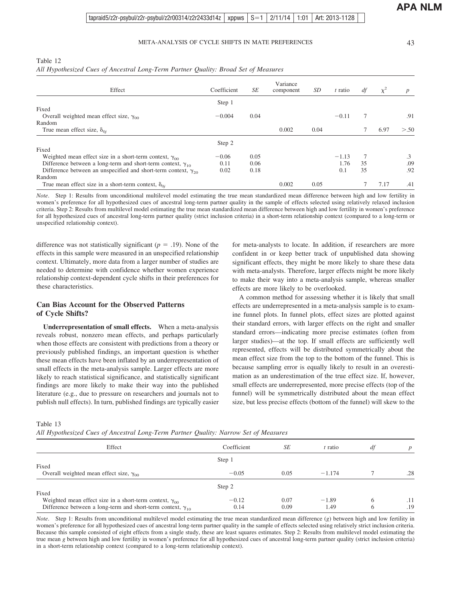<span id="page-42-0"></span>Table 12

*All Hypothesized Cues of Ancestral Long-Term Partner Quality: Broad Set of Measures*

| Effect                                                                  | Coefficient | SE   | Variance<br>component | SD   | t ratio | df | $\chi^2$ | $\boldsymbol{p}$ |
|-------------------------------------------------------------------------|-------------|------|-----------------------|------|---------|----|----------|------------------|
|                                                                         | Step 1      |      |                       |      |         |    |          |                  |
| Fixed                                                                   |             |      |                       |      |         |    |          |                  |
| Overall weighted mean effect size, $\gamma_{00}$                        | $-0.004$    | 0.04 |                       |      | $-0.11$ |    |          | .91              |
| Random                                                                  |             |      |                       |      |         |    |          |                  |
| True mean effect size, $\delta_{0i}$                                    |             |      | 0.002                 | 0.04 |         |    | 6.97     | > 0.50           |
|                                                                         | Step 2      |      |                       |      |         |    |          |                  |
| Fixed                                                                   |             |      |                       |      |         |    |          |                  |
| Weighted mean effect size in a short-term context, $\gamma_{00}$        | $-0.06$     | 0.05 |                       |      | $-1.13$ |    |          | .3               |
| Difference between a long-term and short-term context, $\gamma_{10}$    | 0.11        | 0.06 |                       |      | 1.76    | 35 |          | .09              |
| Difference between an unspecified and short-term context, $\gamma_{20}$ | 0.02        | 0.18 |                       |      | 0.1     | 35 |          | .92              |
| Random                                                                  |             |      |                       |      |         |    |          |                  |
| True mean effect size in a short-term context, $\delta_{0i}$            |             |      | 0.002                 | 0.05 |         |    | 7.17     | .41              |

*Note*. Step 1: Results from unconditional multilevel model estimating the true mean standardized mean difference between high and low fertility in women's preference for all hypothesized cues of ancestral long-term partner quality in the sample of effects selected using relatively relaxed inclusion criteria. Step 2: Results from multilevel model estimating the true mean standardized mean difference between high and low fertility in women's preference for all hypothesized cues of ancestral long-term partner quality (strict inclusion criteria) in a short-term relationship context (compared to a long-term or unspecified relationship context).

difference was not statistically significant ( $p = .19$ ). None of the effects in this sample were measured in an unspecified relationship context. Ultimately, more data from a larger number of studies are needed to determine with confidence whether women experience relationship context-dependent cycle shifts in their preferences for these characteristics.

# **Can Bias Account for the Observed Patterns of Cycle Shifts?**

**Underrepresentation of small effects.** When a meta-analysis reveals robust, nonzero mean effects, and perhaps particularly when those effects are consistent with predictions from a theory or previously published findings, an important question is whether these mean effects have been inflated by an underrepresentation of small effects in the meta-analysis sample. Larger effects are more likely to reach statistical significance, and statistically significant findings are more likely to make their way into the published literature (e.g., due to pressure on researchers and journals not to publish null effects). In turn, published findings are typically easier

for meta-analysts to locate. In addition, if researchers are more confident in or keep better track of unpublished data showing significant effects, they might be more likely to share these data with meta-analysts. Therefore, larger effects might be more likely to make their way into a meta-analysis sample, whereas smaller effects are more likely to be overlooked.

A common method for assessing whether it is likely that small effects are underrepresented in a meta-analysis sample is to examine funnel plots. In funnel plots, effect sizes are plotted against their standard errors, with larger effects on the right and smaller standard errors—indicating more precise estimates (often from larger studies)—at the top. If small effects are sufficiently well represented, effects will be distributed symmetrically about the mean effect size from the top to the bottom of the funnel. This is because sampling error is equally likely to result in an overestimation as an underestimation of the true effect size. If, however, small effects are underrepresented, more precise effects (top of the funnel) will be symmetrically distributed about the mean effect size, but less precise effects (bottom of the funnel) will skew to the

<span id="page-42-1"></span>Table 13

*All Hypothesized Cues of Ancestral Long-Term Partner Quality: Narrow Set of Measures*

| Effect                                                               | Coefficient | SE   | t ratio  | df           | $\boldsymbol{p}$ |
|----------------------------------------------------------------------|-------------|------|----------|--------------|------------------|
|                                                                      | Step 1      |      |          |              |                  |
| Fixed                                                                |             |      |          |              |                  |
| Overall weighted mean effect size, $\gamma_{00}$                     | $-0.05$     | 0.05 | $-1.174$ |              | .28              |
|                                                                      | Step 2      |      |          |              |                  |
| Fixed                                                                |             |      |          |              |                  |
| Weighted mean effect size in a short-term context, $\gamma_{00}$     | $-0.12$     | 0.07 | $-1.89$  | <sub>(</sub> | .11              |
| Difference between a long-term and short-term context, $\gamma_{10}$ | 0.14        | 0.09 | 1.49     | O            | .19              |

*Note*. Step 1: Results from unconditional multilevel model estimating the true mean standardized mean difference (*g*) between high and low fertility in women's preference for all hypothesized cues of ancestral long-term partner quality in the sample of effects selected using relatively strict inclusion criteria. Because this sample consisted of eight effects from a single study, these are least squares estimates. Step 2: Results from multilevel model estimating the true mean *g* between high and low fertility in women's preference for all hypothesized cues of ancestral long-term partner quality (strict inclusion criteria) in a short-term relationship context (compared to a long-term relationship context).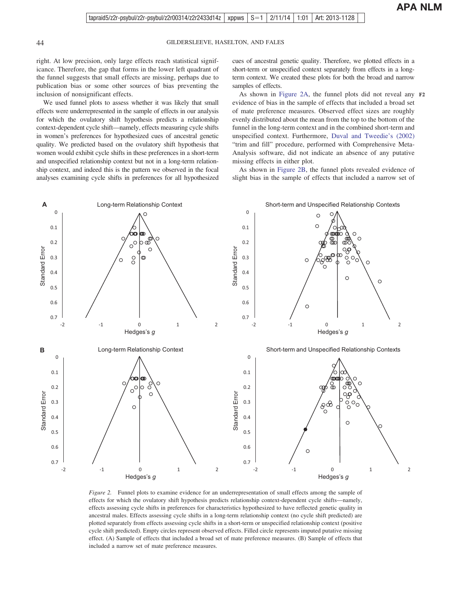right. At low precision, only large effects reach statistical significance. Therefore, the gap that forms in the lower left quadrant of the funnel suggests that small effects are missing, perhaps due to publication bias or some other sources of bias preventing the inclusion of nonsignificant effects.

We used funnel plots to assess whether it was likely that small effects were underrepresented in the sample of effects in our analysis for which the ovulatory shift hypothesis predicts a relationship context-dependent cycle shift—namely, effects measuring cycle shifts in women's preferences for hypothesized cues of ancestral genetic quality. We predicted based on the ovulatory shift hypothesis that women would exhibit cycle shifts in these preferences in a short-term and unspecified relationship context but not in a long-term relationship context, and indeed this is the pattern we observed in the focal analyses examining cycle shifts in preferences for all hypothesized

cues of ancestral genetic quality. Therefore, we plotted effects in a short-term or unspecified context separately from effects in a longterm context. We created these plots for both the broad and narrow samples of effects.

As shown in [Figure 2A,](#page-43-0) the funnel plots did not reveal any **F2** evidence of bias in the sample of effects that included a broad set of mate preference measures. Observed effect sizes are roughly evenly distributed about the mean from the top to the bottom of the funnel in the long-term context and in the combined short-term and unspecified context. Furthermore, [Duval and Tweedie's \(2002\)](#page-50-21) "trim and fill" procedure, performed with Comprehensive Meta-Analysis software, did not indicate an absence of any putative missing effects in either plot.

As shown in [Figure 2B,](#page-43-0) the funnel plots revealed evidence of slight bias in the sample of effects that included a narrow set of



<span id="page-43-0"></span>*Figure 2.* Funnel plots to examine evidence for an underrepresentation of small effects among the sample of effects for which the ovulatory shift hypothesis predicts relationship context-dependent cycle shifts—namely, effects assessing cycle shifts in preferences for characteristics hypothesized to have reflected genetic quality in ancestral males. Effects assessing cycle shifts in a long-term relationship context (no cycle shift predicted) are plotted separately from effects assessing cycle shifts in a short-term or unspecified relationship context (positive cycle shift predicted). Empty circles represent observed effects. Filled circle represents imputed putative missing effect. (A) Sample of effects that included a broad set of mate preference measures. (B) Sample of effects that included a narrow set of mate preference measures.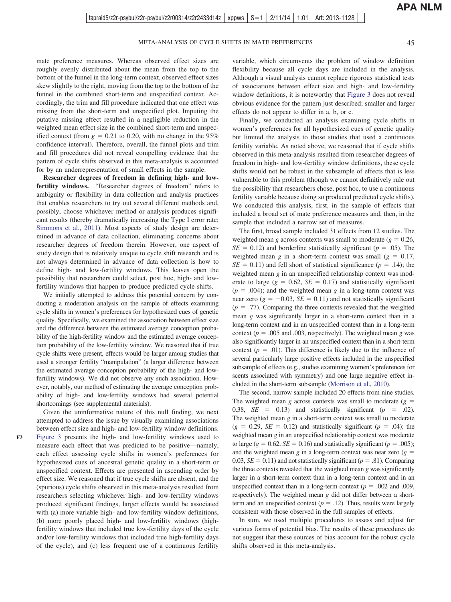**APA NLM**

mate preference measures. Whereas observed effect sizes are roughly evenly distributed about the mean from the top to the bottom of the funnel in the long-term context, observed effect sizes skew slightly to the right, moving from the top to the bottom of the funnel in the combined short-term and unspecified context. Accordingly, the trim and fill procedure indicated that one effect was missing from the short-term and unspecified plot. Imputing the putative missing effect resulted in a negligible reduction in the weighted mean effect size in the combined short-term and unspecified context (from  $g = 0.21$  to 0.20, with no change in the 95% confidence interval). Therefore, overall, the funnel plots and trim and fill procedures did not reveal compelling evidence that the pattern of cycle shifts observed in this meta-analysis is accounted for by an underrepresentation of small effects in the sample.

**Researcher degrees of freedom in defining high- and lowfertility windows.** "Researcher degrees of freedom" refers to ambiguity or flexibility in data collection and analysis practices that enables researchers to try out several different methods and, possibly, choose whichever method or analysis produces significant results (thereby dramatically increasing the Type I error rate; [Simmons et al., 2011\)](#page-53-31). Most aspects of study design are determined in advance of data collection, eliminating concerns about researcher degrees of freedom therein. However, one aspect of study design that is relatively unique to cycle shift research and is not always determined in advance of data collection is how to define high- and low-fertility windows. This leaves open the possibility that researchers could select, post hoc, high- and lowfertility windows that happen to produce predicted cycle shifts.

We initially attempted to address this potential concern by conducting a moderation analysis on the sample of effects examining cycle shifts in women's preferences for hypothesized cues of genetic quality. Specifically, we examined the association between effect size and the difference between the estimated average conception probability of the high-fertility window and the estimated average conception probability of the low-fertility window. We reasoned that if true cycle shifts were present, effects would be larger among studies that used a stronger fertility "manipulation" (a larger difference between the estimated average conception probability of the high- and lowfertility windows). We did not observe any such association. However, notably, our method of estimating the average conception probability of high- and low-fertility windows had several potential shortcomings (see supplemental materials).

Given the uninformative nature of this null finding, we next

attempted to address the issue by visually examining associations between effect size and high- and low-fertility window definitions. [Figure 3](#page-45-0) presents the high- and low-fertility windows used to measure each effect that was predicted to be positive—namely, each effect assessing cycle shifts in women's preferences for hypothesized cues of ancestral genetic quality in a short-term or unspecified context. Effects are presented in ascending order by effect size. We reasoned that if true cycle shifts are absent, and the (spurious) cycle shifts observed in this meta-analysis resulted from researchers selecting whichever high- and low-fertility windows produced significant findings, larger effects would be associated with (a) more variable high- and low-fertility window definitions, (b) more poorly placed high- and low-fertility windows (highfertility windows that included true low-fertility days of the cycle and/or low-fertility windows that included true high-fertility days of the cycle), and (c) less frequent use of a continuous fertility

variable, which circumvents the problem of window definition flexibility because all cycle days are included in the analysis. Although a visual analysis cannot replace rigorous statistical tests of associations between effect size and high- and low-fertility window definitions, it is noteworthy that [Figure 3](#page-45-0) does not reveal obvious evidence for the pattern just described; smaller and larger effects do not appear to differ in a, b, or c.

Finally, we conducted an analysis examining cycle shifts in women's preferences for all hypothesized cues of genetic quality but limited the analysis to those studies that used a continuous fertility variable. As noted above, we reasoned that if cycle shifts observed in this meta-analysis resulted from researcher degrees of freedom in high- and low-fertility window definitions, these cycle shifts would not be robust in the subsample of effects that is less vulnerable to this problem (though we cannot definitively rule out the possibility that researchers chose, post hoc, to use a continuous fertility variable because doing so produced predicted cycle shifts). We conducted this analysis, first, in the sample of effects that included a broad set of mate preference measures and, then, in the sample that included a narrow set of measures.

The first, broad sample included 31 effects from 12 studies. The weighted mean *g* across contexts was small to moderate ( $g = 0.26$ ,  $SE = 0.12$ ) and borderline statistically significant ( $p = .05$ ). The weighted mean *g* in a short-term context was small  $(g = 0.17,$  $SE = 0.11$ ) and fell short of statistical significance ( $p = .14$ ); the weighted mean *g* in an unspecified relationship context was moderate to large ( $g = 0.62$ ,  $SE = 0.17$ ) and statistically significant  $(p = .004)$ ; and the weighted mean *g* in a long-term context was near zero ( $g = -0.03$ ,  $SE = 0.11$ ) and not statistically significant  $(p = .77)$ . Comparing the three contexts revealed that the weighted mean *g* was significantly larger in a short-term context than in a long-term context and in an unspecified context than in a long-term context ( $p = .005$  and .003, respectively). The weighted mean *g* was also significantly larger in an unspecified context than in a short-term context  $(p = .01)$ . This difference is likely due to the influence of several particularly large positive effects included in the unspecified subsample of effects (e.g., studies examining women's preferences for scents associated with symmetry) and one large negative effect included in the short-term subsample [\(Morrison et al., 2010\)](#page-52-22).

The second, narrow sample included 20 effects from nine studies. The weighted mean *g* across contexts was small to moderate  $(g =$ 0.38,  $SE = 0.13$  and statistically significant ( $p = .02$ ). The weighted mean *g* in a short-term context was small to moderate  $(g = 0.29, SE = 0.12)$  and statistically significant  $(p = .04)$ ; the weighted mean *g* in an unspecified relationship context was moderate to large ( $g = 0.62$ ,  $SE = 0.16$ ) and statistically significant ( $p = .005$ ); and the weighted mean *g* in a long-term context was near zero  $(g =$ 0.03,  $SE = 0.11$ ) and not statistically significant ( $p = .81$ ). Comparing the three contexts revealed that the weighted mean *g* was significantly larger in a short-term context than in a long-term context and in an unspecified context than in a long-term context ( $p = .002$  and .009, respectively). The weighted mean *g* did not differ between a shortterm and an unspecified context ( $p = .12$ ). Thus, results were largely consistent with those observed in the full samples of effects.

In sum, we used multiple procedures to assess and adjust for various forms of potential bias. The results of these procedures do not suggest that these sources of bias account for the robust cycle shifts observed in this meta-analysis.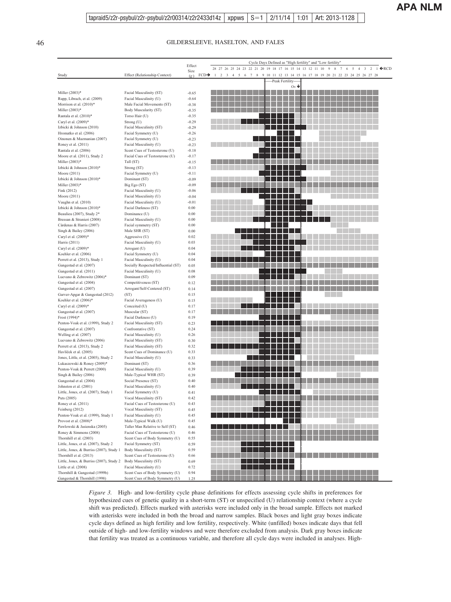|                                                                 |                                                               |                    |                                 |  |   |                  | Cycle Days Defined as "High fertility" and "Low fertility" |  |   |                                |                  |  |                                    |
|-----------------------------------------------------------------|---------------------------------------------------------------|--------------------|---------------------------------|--|---|------------------|------------------------------------------------------------|--|---|--------------------------------|------------------|--|------------------------------------|
|                                                                 |                                                               | Effect<br>Size     |                                 |  |   |                  | 28 27 26 25 24 23 22 21 20 19 18 17 16 15 14 13 12 11 10   |  | 9 | $\,$ 8 $\,$<br>$7\phantom{.0}$ | $\sqrt{6}$<br>54 |  | $3 \quad 2 \quad 1 \in \text{RCD}$ |
| Study                                                           | Effect (Relationship Context)                                 | (g)                | $FCD \rightarrow 1$ 2 3 4 5 6 7 |  | 8 |                  | 9 10 11 12 13 14 15 16 17 18 19 20 21 22 23 24 25 26 27 28 |  |   |                                |                  |  |                                    |
|                                                                 |                                                               |                    |                                 |  |   | -Peak Fertility- |                                                            |  |   |                                |                  |  |                                    |
|                                                                 |                                                               |                    |                                 |  |   |                  | Ov v                                                       |  |   |                                |                  |  |                                    |
| Miller $(2003)*$                                                | Facial Masculinity (ST)                                       | $-0.65$            |                                 |  |   |                  |                                                            |  |   |                                |                  |  |                                    |
| Rupp, Librach, et al. (2009)                                    | Facial Masculinity (U)                                        | $-0.64$            |                                 |  |   |                  |                                                            |  |   |                                |                  |  |                                    |
| Morrison et al. (2010)*                                         | Male Facial Movements (ST)                                    | $-0.38$            |                                 |  |   |                  |                                                            |  |   |                                |                  |  |                                    |
| Miller $(2003)*$                                                | Body Muscularity (ST)                                         | $-0.35$            |                                 |  |   |                  |                                                            |  |   |                                |                  |  |                                    |
| Rantala et al. (2010)*                                          | Torso Hair (U)                                                | $-0.35$            |                                 |  |   |                  |                                                            |  |   |                                |                  |  |                                    |
| Caryl et al. (2009)*                                            | Strong (U)                                                    | $-0.29$            |                                 |  |   |                  |                                                            |  |   |                                |                  |  |                                    |
| Izbicki & Johnson (2010)                                        | Facial Masculinity (ST)                                       | $-0.29$            |                                 |  |   |                  |                                                            |  |   |                                |                  |  |                                    |
| Hromatko et al. (2006)                                          | Facial Symmetry (U)                                           | $-0.26$            |                                 |  |   |                  |                                                            |  |   |                                |                  |  |                                    |
| Oinonen & Mazmanian (2007)<br>Roney et al. (2011)               | Facial Symmetry (U)                                           | $-0.23$            |                                 |  |   |                  |                                                            |  |   |                                |                  |  |                                    |
| Rantala et al. (2006)                                           | Facial Masculinity (U)<br>Scent Cues of Testosterone (U)      | $-0.23$<br>$-0.18$ |                                 |  |   |                  |                                                            |  |   |                                |                  |  |                                    |
| Moore et al. (2011), Study 2                                    | Facial Cues of Testosterone (U)                               | $-0.17$            |                                 |  |   |                  |                                                            |  |   |                                |                  |  |                                    |
| Miller $(2003)*$                                                | Tall (ST)                                                     | $-0.15$            |                                 |  |   |                  |                                                            |  |   |                                |                  |  |                                    |
| Izbicki & Johnson (2010)*                                       | Strong (ST)                                                   | $-0.13$            |                                 |  |   |                  |                                                            |  |   |                                |                  |  |                                    |
| Moore (2011)                                                    | Facial Symmetry (U)                                           | $-0.11$            |                                 |  |   |                  |                                                            |  |   |                                |                  |  |                                    |
| Izbicki & Johnson (2010)*                                       | Dominant (ST)                                                 | $-0.09$            |                                 |  |   |                  |                                                            |  |   |                                |                  |  |                                    |
| Miller $(2003)*$                                                | Big Ego (ST)                                                  | $-0.09$            |                                 |  |   |                  |                                                            |  |   |                                |                  |  |                                    |
| Fink (2012)                                                     | Facial Masculinity (U)                                        | $-0.06$            |                                 |  |   |                  |                                                            |  |   |                                |                  |  |                                    |
| Moore $(2011)$                                                  | Facial Masculinity (U)                                        | $-0.04$            |                                 |  |   |                  |                                                            |  |   |                                |                  |  |                                    |
| Vaughn et al. (2010)                                            | Facial Masculinity (U)                                        | $-0.01$            |                                 |  |   |                  |                                                            |  |   |                                |                  |  |                                    |
| Izbicki & Johnson (2010)*                                       | Facial Darkness (ST)                                          | 0.00               |                                 |  |   |                  |                                                            |  |   |                                |                  |  |                                    |
| Beaulieu (2007), Study 2*                                       | Dominance (U)                                                 | 0.00               |                                 |  |   |                  |                                                            |  |   |                                |                  |  |                                    |
| Bressan & Stranieri (2008)                                      | Facial Masculinity (U)                                        | 0.00               |                                 |  |   |                  |                                                            |  |   |                                |                  |  |                                    |
| Cárdenas & Harris (2007)                                        | Facial symmetry (ST)                                          | 0.00               |                                 |  |   |                  |                                                            |  |   |                                |                  |  |                                    |
| Singh & Bailey (2006)                                           | Male SHR (ST)                                                 | 0.00               |                                 |  |   |                  |                                                            |  |   |                                |                  |  |                                    |
| Caryl et al. (2009)*                                            | Aggressive (U)                                                | 0.02               |                                 |  |   |                  |                                                            |  |   |                                |                  |  |                                    |
| Harris (2011)                                                   | Facial Masculinity (U)                                        | 0.03               |                                 |  |   |                  |                                                            |  |   |                                |                  |  |                                    |
| Caryl et al. (2009)*                                            | Arrogant (U)                                                  | 0.04               |                                 |  |   |                  |                                                            |  |   |                                |                  |  |                                    |
| Koehler et al. (2006)                                           | Facial Symmetry (U)                                           | 0.04               |                                 |  |   |                  |                                                            |  |   |                                |                  |  |                                    |
| Perrett et al. (2013), Study 1<br>Gangestad et al. (2007)       | Facial Masculinity (U)<br>Socially Respected/Influential (ST) | 0.04               |                                 |  |   |                  |                                                            |  |   |                                |                  |  |                                    |
| Gangestad et al. (2011)                                         | Facial Masculinity (U)                                        | 0.05<br>0.08       |                                 |  |   |                  |                                                            |  |   |                                |                  |  |                                    |
| Luevano & Zebrowitz (2006)*                                     | Dominant (ST)                                                 | 0.09               |                                 |  |   |                  |                                                            |  |   |                                |                  |  |                                    |
| Gangestad et al. (2004)                                         | Competitiveness (ST)                                          | 0.12               |                                 |  |   |                  |                                                            |  |   |                                |                  |  |                                    |
| Gangestad et al. (2007)                                         | Arrogant/Self-Centered (ST)                                   | 0.14               |                                 |  |   |                  |                                                            |  |   |                                |                  |  |                                    |
| Garver-Apgar & Gangestad (2012)                                 | (ST)                                                          | 0.15               |                                 |  |   |                  |                                                            |  |   |                                |                  |  |                                    |
| Koehler et al. (2006)*                                          | Facial Averageness (U)                                        | 0.15               |                                 |  |   |                  |                                                            |  |   |                                |                  |  |                                    |
| Caryl et al. (2009)*                                            | Conceited (U)                                                 | 0.17               |                                 |  |   |                  |                                                            |  |   |                                |                  |  |                                    |
| Gangestad et al. (2007)                                         | Muscular (ST)                                                 | 0.17               |                                 |  |   |                  |                                                            |  |   |                                |                  |  |                                    |
| Frost (1994)*                                                   | Facial Darkness (U)                                           | 0.19               |                                 |  |   |                  |                                                            |  |   |                                |                  |  |                                    |
| Penton-Voak et al. (1999), Study 2                              | Facial Masculinity (ST)                                       | 0.23               |                                 |  |   |                  |                                                            |  |   |                                |                  |  |                                    |
| Gangestad et al. (2007)                                         | Confrontative (ST)                                            | 0.24               |                                 |  |   |                  |                                                            |  |   |                                |                  |  |                                    |
| Welling et al. (2007)                                           | Facial Masculinity (U)                                        | 0.26               |                                 |  |   |                  |                                                            |  |   |                                |                  |  |                                    |
| Luevano & Zebrowitz (2006)                                      | Facial Masculinity (ST)                                       | 0.30               |                                 |  |   |                  |                                                            |  |   |                                |                  |  |                                    |
| Perrett et al. (2013), Study 2                                  | Facial Masculinity (ST)                                       | 0.32               |                                 |  |   |                  |                                                            |  |   |                                |                  |  |                                    |
| Havlíček et al. (2005)                                          | Scent Cues of Dominance (U)                                   | 0.33               |                                 |  |   |                  |                                                            |  |   |                                |                  |  |                                    |
| Jones, Little, et al. (2005), Study 2                           | Facial Masculinity (U)                                        | 0.33               |                                 |  |   |                  |                                                            |  |   |                                |                  |  |                                    |
| Lukaszewski & Roney (2009)*                                     | Dominant (ST)                                                 | 0.36               |                                 |  |   |                  |                                                            |  |   |                                |                  |  |                                    |
| Penton-Voak & Perrett (2000)                                    | Facial Masculinity (U)                                        | 0.39               |                                 |  |   |                  |                                                            |  |   |                                |                  |  |                                    |
| Singh & Bailey (2006)                                           | Male-Typical WHR (ST)                                         | 0.39               |                                 |  |   |                  |                                                            |  |   |                                |                  |  |                                    |
| Gangestad et al. (2004)                                         | Social Presence (ST)                                          | 0.40               |                                 |  |   |                  |                                                            |  |   |                                |                  |  |                                    |
| Johnston et al. (2001)<br>Little, Jones, et al. (2007), Study 1 | Facial Masculinity (U)                                        | 0.40               |                                 |  |   |                  |                                                            |  |   |                                |                  |  |                                    |
| Puts (2005)                                                     | Facial Symmetry (U)<br>Vocal Masculinity (ST)                 | 0.41<br>0.42       |                                 |  |   |                  |                                                            |  |   |                                |                  |  |                                    |
| Roney et al. (2011)                                             | Facial Cues of Testosterone (U)                               | 0.43               |                                 |  |   |                  |                                                            |  |   |                                |                  |  |                                    |
| Feinberg (2012)                                                 | Vocal Masculinity (ST)                                        | 0.45               |                                 |  |   |                  |                                                            |  |   |                                |                  |  |                                    |
| Penton-Voak et al. (1999), Study 1                              | Facial Masculinity (U)                                        | 0.45               |                                 |  |   |                  |                                                            |  |   |                                |                  |  |                                    |
| Provost et al. (2008)*                                          | Male-Typical Walk (U)                                         | 0.45               |                                 |  |   |                  |                                                            |  |   |                                |                  |  |                                    |
| Pawlowski & Jasienska (2005)                                    | Taller Man Relative to Self (ST)                              | 0.46               |                                 |  |   |                  |                                                            |  |   |                                |                  |  |                                    |
| Roney & Simmons (2008)                                          | Facial Cues of Testosterone (U)                               | 0.46               |                                 |  |   |                  |                                                            |  |   |                                |                  |  |                                    |
| Thornhill et al. (2003)                                         | Scent Cues of Body Symmetry (U)                               | 0.55               |                                 |  |   |                  |                                                            |  |   |                                |                  |  |                                    |
| Little, Jones, et al. (2007), Study 2                           | Facial Symmetry (ST)                                          | 0.59               |                                 |  |   |                  |                                                            |  |   |                                |                  |  |                                    |
| Little, Jones, & Burriss (2007), Study 1                        | Body Masculinity (ST)                                         | 0.59               |                                 |  |   |                  |                                                            |  |   |                                |                  |  |                                    |
| Thornhill et al. (2013)                                         | Scent Cues of Testosterone (U)                                | 0.66               |                                 |  |   |                  |                                                            |  |   |                                |                  |  |                                    |
| Little, Jones, & Burriss (2007), Study 2                        | Body Masculinity (ST)                                         | 0.69               |                                 |  |   |                  |                                                            |  |   |                                |                  |  |                                    |
| Little et al. (2008)                                            | Facial Masculinity (U)                                        | 0.72               |                                 |  |   |                  |                                                            |  |   |                                |                  |  |                                    |
| Thornhill & Gangestad (1999b)                                   | Scent Cues of Body Symmetry (U)                               | 0.94               |                                 |  |   |                  |                                                            |  |   |                                |                  |  |                                    |
| Gangestad & Thornhill (1998)                                    | Scent Cues of Body Symmetry (U)                               | 1.25               |                                 |  |   |                  |                                                            |  |   |                                |                  |  |                                    |

<span id="page-45-0"></span>*Figure 3.* High- and low-fertility cycle phase definitions for effects assessing cycle shifts in preferences for hypothesized cues of genetic quality in a short-term (ST) or unspecified (U) relationship context (where a cycle shift was predicted). Effects marked with asterisks were included only in the broad sample. Effects not marked with asterisks were included in both the broad and narrow samples. Black boxes and light gray boxes indicate cycle days defined as high fertility and low fertility, respectively. White (unfilled) boxes indicate days that fell outside of high- and low-fertility windows and were therefore excluded from analysis. Dark gray boxes indicate that fertility was treated as a continuous variable, and therefore all cycle days were included in analyses. High-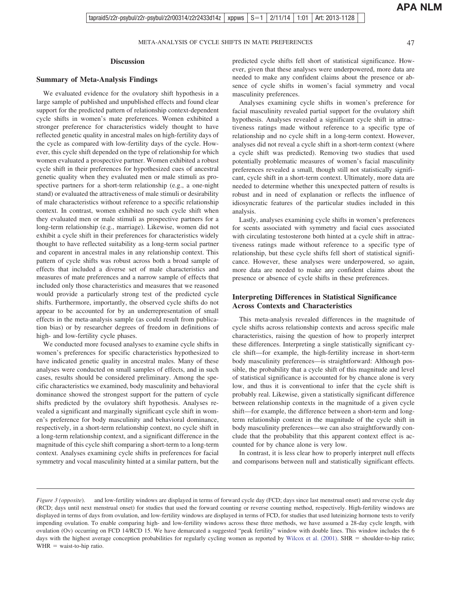## **Discussion**

# **Summary of Meta-Analysis Findings**

We evaluated evidence for the ovulatory shift hypothesis in a large sample of published and unpublished effects and found clear support for the predicted pattern of relationship context-dependent cycle shifts in women's mate preferences. Women exhibited a stronger preference for characteristics widely thought to have reflected genetic quality in ancestral males on high-fertility days of the cycle as compared with low-fertility days of the cycle. However, this cycle shift depended on the type of relationship for which women evaluated a prospective partner. Women exhibited a robust cycle shift in their preferences for hypothesized cues of ancestral genetic quality when they evaluated men or male stimuli as prospective partners for a short-term relationship (e.g., a one-night stand) or evaluated the attractiveness of male stimuli or desirability of male characteristics without reference to a specific relationship context. In contrast, women exhibited no such cycle shift when they evaluated men or male stimuli as prospective partners for a long-term relationship (e.g., marriage). Likewise, women did not exhibit a cycle shift in their preferences for characteristics widely thought to have reflected suitability as a long-term social partner and coparent in ancestral males in any relationship context. This pattern of cycle shifts was robust across both a broad sample of effects that included a diverse set of male characteristics and measures of mate preferences and a narrow sample of effects that included only those characteristics and measures that we reasoned would provide a particularly strong test of the predicted cycle shifts. Furthermore, importantly, the observed cycle shifts do not appear to be accounted for by an underrepresentation of small effects in the meta-analysis sample (as could result from publication bias) or by researcher degrees of freedom in definitions of high- and low-fertility cycle phases.

We conducted more focused analyses to examine cycle shifts in women's preferences for specific characteristics hypothesized to have indicated genetic quality in ancestral males. Many of these analyses were conducted on small samples of effects, and in such cases, results should be considered preliminary. Among the specific characteristics we examined, body masculinity and behavioral dominance showed the strongest support for the pattern of cycle shifts predicted by the ovulatory shift hypothesis. Analyses revealed a significant and marginally significant cycle shift in women's preference for body masculinity and behavioral dominance, respectively, in a short-term relationship context, no cycle shift in a long-term relationship context, and a significant difference in the magnitude of this cycle shift comparing a short-term to a long-term context. Analyses examining cycle shifts in preferences for facial symmetry and vocal masculinity hinted at a similar pattern, but the

predicted cycle shifts fell short of statistical significance. However, given that these analyses were underpowered, more data are needed to make any confident claims about the presence or absence of cycle shifts in women's facial symmetry and vocal masculinity preferences.

Analyses examining cycle shifts in women's preference for facial masculinity revealed partial support for the ovulatory shift hypothesis. Analyses revealed a significant cycle shift in attractiveness ratings made without reference to a specific type of relationship and no cycle shift in a long-term context. However, analyses did not reveal a cycle shift in a short-term context (where a cycle shift was predicted). Removing two studies that used potentially problematic measures of women's facial masculinity preferences revealed a small, though still not statistically significant, cycle shift in a short-term context. Ultimately, more data are needed to determine whether this unexpected pattern of results is robust and in need of explanation or reflects the influence of idiosyncratic features of the particular studies included in this analysis.

Lastly, analyses examining cycle shifts in women's preferences for scents associated with symmetry and facial cues associated with circulating testosterone both hinted at a cycle shift in attractiveness ratings made without reference to a specific type of relationship, but these cycle shifts fell short of statistical significance. However, these analyses were underpowered, so again, more data are needed to make any confident claims about the presence or absence of cycle shifts in these preferences.

# **Interpreting Differences in Statistical Significance Across Contexts and Characteristics**

This meta-analysis revealed differences in the magnitude of cycle shifts across relationship contexts and across specific male characteristics, raising the question of how to properly interpret these differences. Interpreting a single statistically significant cycle shift—for example, the high-fertility increase in short-term body masculinity preferences—is straightforward: Although possible, the probability that a cycle shift of this magnitude and level of statistical significance is accounted for by chance alone is very low, and thus it is conventional to infer that the cycle shift is probably real. Likewise, given a statistically significant difference between relationship contexts in the magnitude of a given cycle shift—for example, the difference between a short-term and longterm relationship context in the magnitude of the cycle shift in body masculinity preferences—we can also straightforwardly conclude that the probability that this apparent context effect is accounted for by chance alone is very low.

In contrast, it is less clear how to properly interpret null effects and comparisons between null and statistically significant effects.

*Figure 3 (opposite).* and low-fertility windows are displayed in terms of forward cycle day (FCD; days since last menstrual onset) and reverse cycle day (RCD; days until next menstrual onset) for studies that used the forward counting or reverse counting method, respectively. High-fertility windows are displayed in terms of days from ovulation, and low-fertility windows are displayed in terms of FCD, for studies that used luteinizing hormone tests to verify impending ovulation. To enable comparing high- and low-fertility windows across these three methods, we have assumed a 28-day cycle length, with ovulation (Ov) occurring on FCD 14/RCD 15. We have demarcated a suggested "peak fertility" window with double lines. This window includes the 6 days with the highest average conception probabilities for regularly cycling women as reported by [Wilcox et al. \(2001\).](#page-54-15) SHR = shoulder-to-hip ratio;  $WHR = \text{waist-to-hip ratio}.$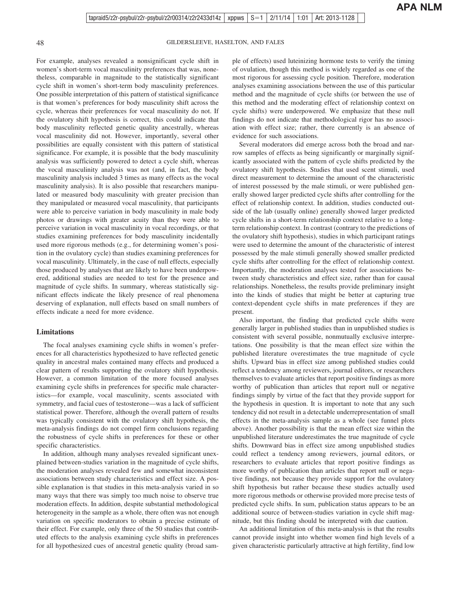For example, analyses revealed a nonsignificant cycle shift in women's short-term vocal masculinity preferences that was, nonetheless, comparable in magnitude to the statistically significant cycle shift in women's short-term body masculinity preferences. One possible interpretation of this pattern of statistical significance is that women's preferences for body masculinity shift across the cycle, whereas their preferences for vocal masculinity do not. If the ovulatory shift hypothesis is correct, this could indicate that body masculinity reflected genetic quality ancestrally, whereas vocal masculinity did not. However, importantly, several other possibilities are equally consistent with this pattern of statistical significance. For example, it is possible that the body masculinity analysis was sufficiently powered to detect a cycle shift, whereas the vocal masculinity analysis was not (and, in fact, the body masculinity analysis included 3 times as many effects as the vocal masculinity analysis). It is also possible that researchers manipulated or measured body masculinity with greater precision than they manipulated or measured vocal masculinity, that participants were able to perceive variation in body masculinity in male body photos or drawings with greater acuity than they were able to perceive variation in vocal masculinity in vocal recordings, or that studies examining preferences for body masculinity incidentally used more rigorous methods (e.g., for determining women's position in the ovulatory cycle) than studies examining preferences for vocal masculinity. Ultimately, in the case of null effects, especially those produced by analyses that are likely to have been underpowered, additional studies are needed to test for the presence and magnitude of cycle shifts. In summary, whereas statistically significant effects indicate the likely presence of real phenomena deserving of explanation, null effects based on small numbers of effects indicate a need for more evidence.

## **Limitations**

The focal analyses examining cycle shifts in women's preferences for all characteristics hypothesized to have reflected genetic quality in ancestral males contained many effects and produced a clear pattern of results supporting the ovulatory shift hypothesis. However, a common limitation of the more focused analyses examining cycle shifts in preferences for specific male characteristics—for example, vocal masculinity, scents associated with symmetry, and facial cues of testosterone—was a lack of sufficient statistical power. Therefore, although the overall pattern of results was typically consistent with the ovulatory shift hypothesis, the meta-analysis findings do not compel firm conclusions regarding the robustness of cycle shifts in preferences for these or other specific characteristics.

In addition, although many analyses revealed significant unexplained between-studies variation in the magnitude of cycle shifts, the moderation analyses revealed few and somewhat inconsistent associations between study characteristics and effect size. A possible explanation is that studies in this meta-analysis varied in so many ways that there was simply too much noise to observe true moderation effects. In addition, despite substantial methodological heterogeneity in the sample as a whole, there often was not enough variation on specific moderators to obtain a precise estimate of their effect. For example, only three of the 50 studies that contributed effects to the analysis examining cycle shifts in preferences for all hypothesized cues of ancestral genetic quality (broad sam-

ple of effects) used luteinizing hormone tests to verify the timing of ovulation, though this method is widely regarded as one of the most rigorous for assessing cycle position. Therefore, moderation analyses examining associations between the use of this particular method and the magnitude of cycle shifts (or between the use of this method and the moderating effect of relationship context on cycle shifts) were underpowered. We emphasize that these null findings do not indicate that methodological rigor has no association with effect size; rather, there currently is an absence of evidence for such associations.

Several moderators did emerge across both the broad and narrow samples of effects as being significantly or marginally significantly associated with the pattern of cycle shifts predicted by the ovulatory shift hypothesis. Studies that used scent stimuli, used direct measurement to determine the amount of the characteristic of interest possessed by the male stimuli, or were published generally showed larger predicted cycle shifts after controlling for the effect of relationship context. In addition, studies conducted outside of the lab (usually online) generally showed larger predicted cycle shifts in a short-term relationship context relative to a longterm relationship context. In contrast (contrary to the predictions of the ovulatory shift hypothesis), studies in which participant ratings were used to determine the amount of the characteristic of interest possessed by the male stimuli generally showed smaller predicted cycle shifts after controlling for the effect of relationship context. Importantly, the moderation analyses tested for associations between study characteristics and effect size, rather than for causal relationships. Nonetheless, the results provide preliminary insight into the kinds of studies that might be better at capturing true context-dependent cycle shifts in mate preferences if they are present.

Also important, the finding that predicted cycle shifts were generally larger in published studies than in unpublished studies is consistent with several possible, nonmutually exclusive interpretations. One possibility is that the mean effect size within the published literature overestimates the true magnitude of cycle shifts. Upward bias in effect size among published studies could reflect a tendency among reviewers, journal editors, or researchers themselves to evaluate articles that report positive findings as more worthy of publication than articles that report null or negative findings simply by virtue of the fact that they provide support for the hypothesis in question. It is important to note that any such tendency did not result in a detectable underrepresentation of small effects in the meta-analysis sample as a whole (see funnel plots above). Another possibility is that the mean effect size within the unpublished literature underestimates the true magnitude of cycle shifts. Downward bias in effect size among unpublished studies could reflect a tendency among reviewers, journal editors, or researchers to evaluate articles that report positive findings as more worthy of publication than articles that report null or negative findings, not because they provide support for the ovulatory shift hypothesis but rather because these studies actually used more rigorous methods or otherwise provided more precise tests of predicted cycle shifts. In sum, publication status appears to be an additional source of between-studies variation in cycle shift magnitude, but this finding should be interpreted with due caution.

An additional limitation of this meta-analysis is that the results cannot provide insight into whether women find high levels of a given characteristic particularly attractive at high fertility, find low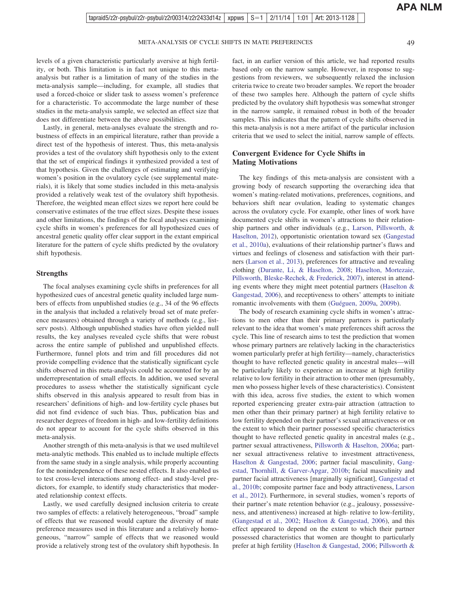levels of a given characteristic particularly aversive at high fertility, or both. This limitation is in fact not unique to this metaanalysis but rather is a limitation of many of the studies in the meta-analysis sample—including, for example, all studies that used a forced-choice or slider task to assess women's preference for a characteristic. To accommodate the large number of these studies in the meta-analysis sample, we selected an effect size that does not differentiate between the above possibilities.

Lastly, in general, meta-analyses evaluate the strength and robustness of effects in an empirical literature, rather than provide a direct test of the hypothesis of interest. Thus, this meta-analysis provides a test of the ovulatory shift hypothesis only to the extent that the set of empirical findings it synthesized provided a test of that hypothesis. Given the challenges of estimating and verifying women's position in the ovulatory cycle (see supplemental materials), it is likely that some studies included in this meta-analysis provided a relatively weak test of the ovulatory shift hypothesis. Therefore, the weighted mean effect sizes we report here could be conservative estimates of the true effect sizes. Despite these issues and other limitations, the findings of the focal analyses examining cycle shifts in women's preferences for all hypothesized cues of ancestral genetic quality offer clear support in the extant empirical literature for the pattern of cycle shifts predicted by the ovulatory shift hypothesis.

#### **Strengths**

The focal analyses examining cycle shifts in preferences for all hypothesized cues of ancestral genetic quality included large numbers of effects from unpublished studies (e.g., 34 of the 96 effects in the analysis that included a relatively broad set of mate preference measures) obtained through a variety of methods (e.g., listserv posts). Although unpublished studies have often yielded null results, the key analyses revealed cycle shifts that were robust across the entire sample of published and unpublished effects. Furthermore, funnel plots and trim and fill procedures did not provide compelling evidence that the statistically significant cycle shifts observed in this meta-analysis could be accounted for by an underrepresentation of small effects. In addition, we used several procedures to assess whether the statistically significant cycle shifts observed in this analysis appeared to result from bias in researchers' definitions of high- and low-fertility cycle phases but did not find evidence of such bias. Thus, publication bias and researcher degrees of freedom in high- and low-fertility definitions do not appear to account for the cycle shifts observed in this meta-analysis.

Another strength of this meta-analysis is that we used multilevel meta-analytic methods. This enabled us to include multiple effects from the same study in a single analysis, while properly accounting for the nonindependence of these nested effects. It also enabled us to test cross-level interactions among effect- and study-level predictors, for example, to identify study characteristics that moderated relationship context effects.

Lastly, we used carefully designed inclusion criteria to create two samples of effects: a relatively heterogeneous, "broad" sample of effects that we reasoned would capture the diversity of mate preference measures used in this literature and a relatively homogeneous, "narrow" sample of effects that we reasoned would provide a relatively strong test of the ovulatory shift hypothesis. In

fact, in an earlier version of this article, we had reported results based only on the narrow sample. However, in response to suggestions from reviewers, we subsequently relaxed the inclusion criteria twice to create two broader samples. We report the broader of these two samples here. Although the pattern of cycle shifts predicted by the ovulatory shift hypothesis was somewhat stronger in the narrow sample, it remained robust in both of the broader samples. This indicates that the pattern of cycle shifts observed in this meta-analysis is not a mere artifact of the particular inclusion criteria that we used to select the initial, narrow sample of effects.

# **Convergent Evidence for Cycle Shifts in Mating Motivations**

The key findings of this meta-analysis are consistent with a growing body of research supporting the overarching idea that women's mating-related motivations, preferences, cognitions, and behaviors shift near ovulation, leading to systematic changes across the ovulatory cycle. For example, other lines of work have documented cycle shifts in women's attractions to their relationship partners and other individuals (e.g., [Larson, Pillsworth, &](#page-52-32) [Haselton, 2012\)](#page-52-32), opportunistic orientation toward sex [\(Gangestad](#page-51-23) [et al., 2010a\)](#page-51-23), evaluations of their relationship partner's flaws and virtues and feelings of closeness and satisfaction with their partners [\(Larson et al., 2013\)](#page-52-0), preferences for attractive and revealing clothing [\(Durante, Li, & Haselton, 2008;](#page-50-22) [Haselton, Mortezaie,](#page-51-26) [Pillsworth, Bleske-Rechek, & Frederick, 2007\)](#page-51-26), interest in attending events where they might meet potential partners [\(Haselton &](#page-51-27) [Gangestad, 2006\)](#page-51-27), and receptiveness to others' attempts to initiate romantic involvements with them [\(Guéguen, 2009a,](#page-51-28) [2009b\)](#page-51-29).

The body of research examining cycle shifts in women's attractions to men other than their primary partners is particularly relevant to the idea that women's mate preferences shift across the cycle. This line of research aims to test the prediction that women whose primary partners are relatively lacking in the characteristics women particularly prefer at high fertility—namely, characteristics thought to have reflected genetic quality in ancestral males—will be particularly likely to experience an increase at high fertility relative to low fertility in their attraction to other men (presumably, men who possess higher levels of these characteristics). Consistent with this idea, across five studies, the extent to which women reported experiencing greater extra-pair attraction (attraction to men other than their primary partner) at high fertility relative to low fertility depended on their partner's sexual attractiveness or on the extent to which their partner possessed specific characteristics thought to have reflected genetic quality in ancestral males (e.g., partner sexual attractiveness, [Pillsworth & Haselton, 2006a;](#page-53-34) partner sexual attractiveness relative to investment attractiveness, [Haselton & Gangestad, 2006;](#page-51-27) partner facial masculinity, [Gang](#page-51-30)[estad, Thornhill, & Garver-Apgar, 2010b;](#page-51-30) facial masculinity and partner facial attractiveness [marginally significant], [Gangestad et](#page-51-30) [al., 2010b;](#page-51-30) composite partner face and body attractiveness, [Larson](#page-52-32) [et al., 2012\)](#page-52-32). Furthermore, in several studies, women's reports of their partner's mate retention behavior (e.g., jealousy, possessiveness, and attentiveness) increased at high- relative to low-fertility, [\(Gangestad et al., 2002;](#page-51-22) [Haselton & Gangestad, 2006\)](#page-51-27), and this effect appeared to depend on the extent to which their partner possessed characteristics that women are thought to particularly prefer at high fertility [\(Haselton & Gangestad, 2006;](#page-51-27) [Pillsworth &](#page-53-34)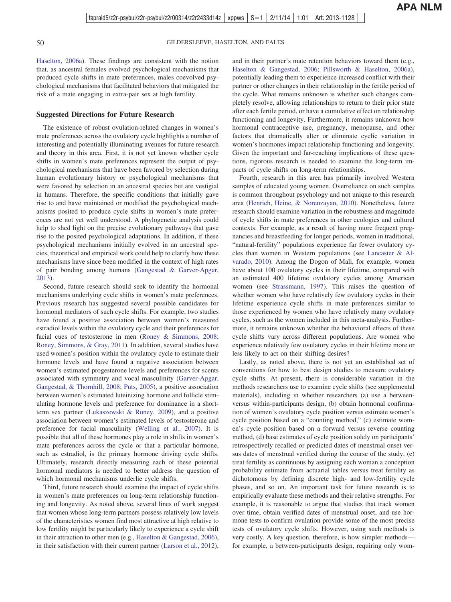[Haselton, 2006a\)](#page-53-34). These findings are consistent with the notion that, as ancestral females evolved psychological mechanisms that produced cycle shifts in mate preferences, males coevolved psychological mechanisms that facilitated behaviors that mitigated the risk of a mate engaging in extra-pair sex at high fertility.

## **Suggested Directions for Future Research**

The existence of robust ovulation-related changes in women's mate preferences across the ovulatory cycle highlights a number of interesting and potentially illuminating avenues for future research and theory in this area. First, it is not yet known whether cycle shifts in women's mate preferences represent the output of psychological mechanisms that have been favored by selection during human evolutionary history or psychological mechanisms that were favored by selection in an ancestral species but are vestigial in humans. Therefore, the specific conditions that initially gave rise to and have maintained or modified the psychological mechanisms posited to produce cycle shifts in women's mate preferences are not yet well understood. A phylogenetic analysis could help to shed light on the precise evolutionary pathways that gave rise to the posited psychological adaptations. In addition, if these psychological mechanisms initially evolved in an ancestral species, theoretical and empirical work could help to clarify how these mechanisms have since been modified in the context of high rates of pair bonding among humans [\(Gangestad & Garver-Apgar,](#page-51-3) [2013\)](#page-51-3).

Second, future research should seek to identify the hormonal mechanisms underlying cycle shifts in women's mate preferences. Previous research has suggested several possible candidates for hormonal mediators of such cycle shifts. For example, two studies have found a positive association between women's measured estradiol levels within the ovulatory cycle and their preferences for facial cues of testosterone in men [\(Roney & Simmons, 2008;](#page-53-23) [Roney, Simmons, & Gray, 2011\)](#page-53-24). In addition, several studies have used women's position within the ovulatory cycle to estimate their hormone levels and have found a negative association between women's estimated progesterone levels and preferences for scents associated with symmetry and vocal masculinity [\(Garver-Apgar,](#page-51-31) [Gangestad, & Thornhill, 2008;](#page-51-31) [Puts, 2005\)](#page-53-19), a positive association between women's estimated luteinizing hormone and follicle stimulating hormone levels and preference for dominance in a shortterm sex partner [\(Lukaszewski & Roney, 2009\)](#page-52-16), and a positive association between women's estimated levels of testosterone and preference for facial masculinity [\(Welling et al., 2007\)](#page-54-11). It is possible that all of these hormones play a role in shifts in women's mate preferences across the cycle or that a particular hormone, such as estradiol, is the primary hormone driving cycle shifts. Ultimately, research directly measuring each of these potential hormonal mediators is needed to better address the question of which hormonal mechanisms underlie cycle shifts.

Third, future research should examine the impact of cycle shifts in women's mate preferences on long-term relationship functioning and longevity. As noted above, several lines of work suggest that women whose long-term partners possess relatively low levels of the characteristics women find most attractive at high relative to low fertility might be particularly likely to experience a cycle shift in their attraction to other men (e.g., [Haselton & Gangestad, 2006\)](#page-51-27), in their satisfaction with their current partner [\(Larson et al., 2012\)](#page-52-32), and in their partner's mate retention behaviors toward them (e.g., [Haselton & Gangestad, 2006;](#page-51-27) [Pillsworth & Haselton, 2006a\)](#page-53-34), potentially leading them to experience increased conflict with their partner or other changes in their relationship in the fertile period of the cycle. What remains unknown is whether such changes completely resolve, allowing relationships to return to their prior state after each fertile period, or have a cumulative effect on relationship functioning and longevity. Furthermore, it remains unknown how hormonal contraceptive use, pregnancy, menopause, and other factors that dramatically alter or eliminate cyclic variation in women's hormones impact relationship functioning and longevity. Given the important and far-reaching implications of these questions, rigorous research is needed to examine the long-term impacts of cycle shifts on long-term relationships.

Fourth, research in this area has primarily involved Western samples of educated young women. Overreliance on such samples is common throughout psychology and not unique to this research area [\(Henrich, Heine, & Norenzayan, 2010\)](#page-51-32). Nonetheless, future research should examine variation in the robustness and magnitude of cycle shifts in mate preferences in other ecologies and cultural contexts. For example, as a result of having more frequent pregnancies and breastfeeding for longer periods, women in traditional, "natural-fertility" populations experience far fewer ovulatory cycles than women in Western populations (see [Lancaster & Al](#page-52-33)[varado, 2010\)](#page-52-33). Among the Dogon of Mali, for example, women have about 100 ovulatory cycles in their lifetime, compared with an estimated 400 lifetime ovulatory cycles among American women (see [Strassmann, 1997\)](#page-53-35). This raises the question of whether women who have relatively few ovulatory cycles in their lifetime experience cycle shifts in mate preferences similar to those experienced by women who have relatively many ovulatory cycles, such as the women included in this meta-analysis. Furthermore, it remains unknown whether the behavioral effects of these cycle shifts vary across different populations. Are women who experience relatively few ovulatory cycles in their lifetime more or less likely to act on their shifting desires?

Lastly, as noted above, there is not yet an established set of conventions for how to best design studies to measure ovulatory cycle shifts. At present, there is considerable variation in the methods researchers use to examine cycle shifts (see supplemental materials), including in whether researchers (a) use a betweenversus within-participants design, (b) obtain hormonal confirmation of women's ovulatory cycle position versus estimate women's cycle position based on a "counting method," (c) estimate women's cycle position based on a forward versus reverse counting method, (d) base estimates of cycle position solely on participants' retrospectively recalled or predicted dates of menstrual onset versus dates of menstrual verified during the course of the study, (e) treat fertility as continuous by assigning each woman a conception probability estimate from actuarial tables versus treat fertility as dichotomous by defining discrete high- and low-fertility cycle phases, and so on. An important task for future research is to empirically evaluate these methods and their relative strengths. For example, it is reasonable to argue that studies that track women over time, obtain verified dates of menstrual onset, and use hormone tests to confirm ovulation provide some of the most precise tests of ovulatory cycle shifts. However, using such methods is very costly. A key question, therefore, is how simpler methods for example, a between-participants design, requiring only wom-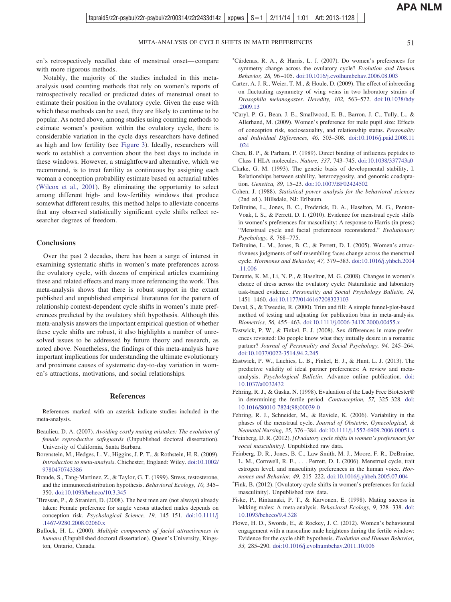<span id="page-50-5"></span>en's retrospectively recalled date of menstrual onset— compare with more rigorous methods.

Notably, the majority of the studies included in this metaanalysis used counting methods that rely on women's reports of retrospectively recalled or predicted dates of menstrual onset to estimate their position in the ovulatory cycle. Given the ease with which these methods can be used, they are likely to continue to be popular. As noted above, among studies using counting methods to estimate women's position within the ovulatory cycle, there is considerable variation in the cycle days researchers have defined as high and low fertility (see [Figure 3\)](#page-45-0). Ideally, researchers will work to establish a convention about the best days to include in these windows. However, a straightforward alternative, which we recommend, is to treat fertility as continuous by assigning each woman a conception probability estimate based on actuarial tables [\(Wilcox et al., 2001\)](#page-54-15). By eliminating the opportunity to select among different high- and low-fertility windows that produce somewhat different results, this method helps to alleviate concerns that any observed statistically significant cycle shifts reflect researcher degrees of freedom.

# **Conclusions**

Over the past 2 decades, there has been a surge of interest in examining systematic shifts in women's mate preferences across the ovulatory cycle, with dozens of empirical articles examining these and related effects and many more referencing the work. This meta-analysis shows that there is robust support in the extant published and unpublished empirical literatures for the pattern of relationship context-dependent cycle shifts in women's mate preferences predicted by the ovulatory shift hypothesis. Although this meta-analysis answers the important empirical question of whether these cycle shifts are robust, it also highlights a number of unresolved issues to be addressed by future theory and research, as noted above. Nonetheless, the findings of this meta-analysis have important implications for understanding the ultimate evolutionary and proximate causes of systematic day-to-day variation in women's attractions, motivations, and social relationships.

#### **References**

<span id="page-50-7"></span>References marked with an asterisk indicate studies included in the meta-analysis.

- <span id="page-50-19"></span>Beaulieu, D. A. (2007). *Avoiding costly mating mistakes: The evolution of female reproductive safeguards* (Unpublished doctoral dissertation). University of California, Santa Barbara.
- <span id="page-50-6"></span>Borenstein, M., Hedges, L. V., Higgins, J. P. T., & Rothstein, H. R. (2009). *Introduction to meta-analysis*. Chichester, England: Wiley. [doi:10.1002/](http://dx.doi.org/10.1002/9780470743386) [9780470743386](http://dx.doi.org/10.1002/9780470743386)
- <span id="page-50-8"></span>Braude, S., Tang-Martinez, Z., & Taylor, G. T. (1999). Stress, testosterone, and the immunoredistribution hypothesis. *Behavioral Ecology, 10,* 345– 350. [doi:10.1093/beheco/10.3.345](http://dx.doi.org/10.1093/beheco/10.3.345)
- ! Bressan, P., & Stranieri, D. (2008). The best men are (not always) already taken: Female preference for single versus attached males depends on conception risk. *Psychological Science, 19,* 145–151. [doi:10.1111/j](http://dx.doi.org/10.1111/j.1467-9280.2008.02060.x) [.1467-9280.2008.02060.x](http://dx.doi.org/10.1111/j.1467-9280.2008.02060.x)
- <span id="page-50-9"></span>Bullock, H. L. (2000). *Multiple components of facial attractiveness in humans* (Unpublished doctoral dissertation). Queen's University, Kingston, Ontario, Canada.
- <span id="page-50-10"></span>! Cárdenas, R. A., & Harris, L. J. (2007). Do women's preferences for symmetry change across the ovulatory cycle? *Evolution and Human Behavior, 28,* 96 –105. [doi:10.1016/j.evolhumbehav.2006.08.003](http://dx.doi.org/10.1016/j.evolhumbehav.2006.08.003)
- <span id="page-50-2"></span>Carter, A. J. R., Weier, T. M., & Houle, D. (2009). The effect of inbreeding on fluctuating asymmetry of wing veins in two laboratory strains of *Drosophila melanogaster*. *Heredity, 102,* 563–572. [doi:10.1038/hdy](http://dx.doi.org/10.1038/hdy.2009.13) [.2009.13](http://dx.doi.org/10.1038/hdy.2009.13)
- <span id="page-50-11"></span>! Caryl, P. G., Bean, J. E., Smallwood, E. B., Barron, J. C., Tully, L., & Allerhand, M. (2009). Women's preference for male pupil size: Effects of conception risk, sociosexuality, and relationship status. *Personality and Individual Differences, 46,* 503–508. [doi:10.1016/j.paid.2008.11](http://dx.doi.org/10.1016/j.paid.2008.11.024) [.024](http://dx.doi.org/10.1016/j.paid.2008.11.024)
- <span id="page-50-3"></span><span id="page-50-1"></span>Chen, B. P., & Parham, P. (1989). Direct binding of influenza peptides to Class I HLA molecules. *Nature, 337,* 743–745. [doi:10.1038/337743a0](http://dx.doi.org/10.1038/337743a0)
- Clarke, G. M. (1993). The genetic basis of developmental stability, I. Relationships between stability, heterozygosity, and genomic coadaptation. *Genetica, 89,* 15–23. [doi:10.1007/BF02424502](http://dx.doi.org/10.1007/BF02424502)
- <span id="page-50-20"></span><span id="page-50-0"></span>Cohen, J. (1988). *Statistical power analysis for the behavioral sciences* (2nd ed.). Hillsdale, NJ: Erlbaum.
- DeBruine, L., Jones, B. C., Frederick, D. A., Haselton, M. G., Penton-Voak, I. S., & Perrett, D. I. (2010). Evidence for menstrual cycle shifts in women's preferences for masculinity: A response to Harris (in press) "Menstrual cycle and facial preferences reconsidered." *Evolutionary Psychology, 8,* 768 –775.
- <span id="page-50-12"></span>DeBruine, L. M., Jones, B. C., & Perrett, D. I. (2005). Women's attractiveness judgments of self-resembling faces change across the menstrual cycle. *Hormones and Behavior, 47,* 379 –383. [doi:10.1016/j.yhbeh.2004](http://dx.doi.org/10.1016/j.yhbeh.2004.11.006) [.11.006](http://dx.doi.org/10.1016/j.yhbeh.2004.11.006)
- <span id="page-50-22"></span>Durante, K. M., Li, N. P., & Haselton, M. G. (2008). Changes in women's choice of dress across the ovulatory cycle: Naturalistic and laboratory task-based evidence. *Personality and Social Psychology Bulletin, 34,* 1451–1460. [doi:10.1177/0146167208323103](http://dx.doi.org/10.1177/0146167208323103)
- <span id="page-50-21"></span>Duval, S., & Tweedie, R. (2000). Trim and fill: A simple funnel-plot-based method of testing and adjusting for publication bias in meta-analysis. *Biometrics, 56,* 455– 463. [doi:10.1111/j.0006-341X.2000.00455.x](http://dx.doi.org/10.1111/j.0006-341X.2000.00455.x)
- <span id="page-50-17"></span>Eastwick, P. W., & Finkel, E. J. (2008). Sex differences in mate preferences revisited: Do people know what they initially desire in a romantic partner? *Journal of Personality and Social Psychology, 94,* 245–264. [doi:10.1037/0022-3514.94.2.245](http://dx.doi.org/10.1037/0022-3514.94.2.245)
- <span id="page-50-18"></span>Eastwick, P. W., Luchies, L. B., Finkel, E. J., & Hunt, L. J. (2013). The predictive validity of ideal partner preferences: A review and metaanalysis. *Psychological Bulletin*. Advance online publication. [doi:](http://dx.doi.org/10.1037/a0032432) [10.1037/a0032432](http://dx.doi.org/10.1037/a0032432)
- Fehring, R. J., & Gaska, N. (1998). Evaluation of the Lady Free Biotester® in determining the fertile period. *Contraception, 57,* 325–328. [doi:](http://dx.doi.org/10.1016/S0010-7824%2898%2900039-0) [10.1016/S0010-7824\(98\)00039-0](http://dx.doi.org/10.1016/S0010-7824%2898%2900039-0)
- <span id="page-50-14"></span>Fehring, R. J., Schneider, M., & Raviele, K. (2006). Variability in the phases of the menstrual cycle. *Journal of Obstetric, Gynecological, & Neonatal Nursing, 35,* 376 –384. [doi:10.1111/j.1552-6909.2006.00051.x](http://dx.doi.org/10.1111/j.1552-6909.2006.00051.x)
- <span id="page-50-13"></span>! Feinberg, D. R. (2012). *[Ovulatory cycle shifts in women's preferences for vocal masculinity]*. Unpublished raw data.
- Feinberg, D. R., Jones, B. C., Law Smith, M. J., Moore, F. R., DeBruine, L. M., Cornwell, R. E.,... Perrett, D. I. (2006). Menstrual cycle, trait estrogen level, and masculinity preferences in the human voice. *Hormones and Behavior, 49,* 215–222. [doi:10.1016/j.yhbeh.2005.07.004](http://dx.doi.org/10.1016/j.yhbeh.2005.07.004)
- <span id="page-50-15"></span><span id="page-50-4"></span>! Fink, B. (2012). [Ovulatory cycle shifts in women's preferences for facial masculinity]. Unpublished raw data.
- <span id="page-50-16"></span>Fiske, P., Rintamaki, P. T., & Karvonen, E. (1998). Mating success in lekking males: A meta-analysis. *Behavioral Ecology, 9,* 328 –338. [doi:](http://dx.doi.org/10.1093/beheco/9.4.328) [10.1093/beheco/9.4.328](http://dx.doi.org/10.1093/beheco/9.4.328)
- Flowe, H. D., Swords, E., & Rockey, J. C. (2012). Women's behavioural engagement with a masculine male heightens during the fertile window: Evidence for the cycle shift hypothesis. *Evolution and Human Behavior, 33,* 285–290. [doi:10.1016/j.evolhumbehav.2011.10.006](http://dx.doi.org/10.1016/j.evolhumbehav.2011.10.006)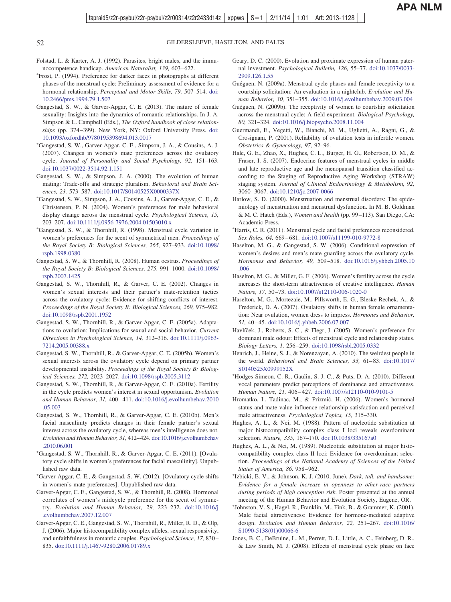- <span id="page-51-9"></span>Folstad, I., & Karter, A. J. (1992). Parasites, bright males, and the immunocompetence handicap. *American Naturalist, 139,* 603– 622.
- ! Frost, P. (1994). Preference for darker faces in photographs at different phases of the menstrual cycle: Preliminary assessment of evidence for a hormonal relationship. *Perceptual and Motor Skills, 79,* 507–514. [doi:](http://dx.doi.org/10.2466/pms.1994.79.1.507) [10.2466/pms.1994.79.1.507](http://dx.doi.org/10.2466/pms.1994.79.1.507)
- <span id="page-51-3"></span>Gangestad, S. W., & Garver-Apgar, C. E. (2013). The nature of female sexuality: Insights into the dynamics of romantic relationships. In J. A. Simpson & L. Campbell (Eds.), *The Oxford handbook of close relationships* (pp. 374 –399). New York, NY: Oxford University Press. [doi:](http://dx.doi.org/10.1093/oxfordhb/9780195398694.013.0017) [10.1093/oxfordhb/9780195398694.013.0017](http://dx.doi.org/10.1093/oxfordhb/9780195398694.013.0017)
- <span id="page-51-11"></span>! Gangestad, S. W., Garver-Apgar, C. E., Simpson, J. A., & Cousins, A. J. (2007). Changes in women's mate preferences across the ovulatory cycle. *Journal of Personality and Social Psychology, 92,* 151–163. [doi:10.1037/0022-3514.92.1.151](http://dx.doi.org/10.1037/0022-3514.92.1.151)
- <span id="page-51-5"></span>Gangestad, S. W., & Simpson, J. A. (2000). The evolution of human mating: Trade-offs and strategic pluralism. *Behavioral and Brain Sciences, 23,* 573–587. [doi:10.1017/S0140525X0000337X](http://dx.doi.org/10.1017/S0140525X0000337X)
- <span id="page-51-10"></span>! Gangestad, S. W., Simpson, J. A., Cousins, A. J., Garver-Apgar, C. E., & Christensen, P. N. (2004). Women's preferences for male behavioral display change across the menstrual cycle. *Psychological Science, 15,* 203–207. [doi:10.1111/j.0956-7976.2004.01503010.x](http://dx.doi.org/10.1111/j.0956-7976.2004.01503010.x)
- <span id="page-51-1"></span>! Gangestad, S. W., & Thornhill, R. (1998). Menstrual cycle variation in women's preferences for the scent of symmetrical men. *Proceedings of the Royal Society B: Biological Sciences, 265,* 927–933. [doi:10.1098/](http://dx.doi.org/10.1098/rspb.1998.0380) [rspb.1998.0380](http://dx.doi.org/10.1098/rspb.1998.0380)
- <span id="page-51-0"></span>Gangestad, S. W., & Thornhill, R. (2008). Human oestrus. *Proceedings of the Royal Society B: Biological Sciences, 275,* 991–1000. [doi:10.1098/](http://dx.doi.org/10.1098/rspb.2007.1425) [rspb.2007.1425](http://dx.doi.org/10.1098/rspb.2007.1425)
- <span id="page-51-22"></span>Gangestad, S. W., Thornhill, R., & Garver, C. E. (2002). Changes in women's sexual interests and their partner's mate-retention tactics across the ovulatory cycle: Evidence for shifting conflicts of interest. *Proceedings of the Royal Society B: Biological Sciences, 269,* 975–982. [doi:10.1098/rspb.2001.1952](http://dx.doi.org/10.1098/rspb.2001.1952)
- <span id="page-51-20"></span>Gangestad, S. W., Thornhill, R., & Garver-Apgar, C. E. (2005a). Adaptations to ovulation: Implications for sexual and social behavior. *Current Directions in Psychological Science, 14,* 312–316. [doi:10.1111/j.0963-](http://dx.doi.org/10.1111/j.0963-7214.2005.00388.x) [7214.2005.00388.x](http://dx.doi.org/10.1111/j.0963-7214.2005.00388.x)
- <span id="page-51-2"></span>Gangestad, S. W., Thornhill, R., & Garver-Apgar, C. E. (2005b). Women's sexual interests across the ovulatory cycle depend on primary partner developmental instability. *Proceedings of the Royal Society B: Biological Sciences, 272,* 2023–2027. [doi:10.1098/rspb.2005.3112](http://dx.doi.org/10.1098/rspb.2005.3112)
- <span id="page-51-23"></span>Gangestad, S. W., Thornhill, R., & Garver-Apgar, C. E. (2010a). Fertility in the cycle predicts women's interest in sexual opportunism. *Evolution and Human Behavior, 31,* 400 – 411. [doi:10.1016/j.evolhumbehav.2010](http://dx.doi.org/10.1016/j.evolhumbehav.2010.05.003) [.05.003](http://dx.doi.org/10.1016/j.evolhumbehav.2010.05.003)
- <span id="page-51-30"></span>Gangestad, S. W., Thornhill, R., & Garver-Apgar, C. E. (2010b). Men's facial masculinity predicts changes in their female partner's sexual interest across the ovulatory cycle, whereas men's intelligence does not. *Evolution and Human Behavior, 31,* 412– 424. [doi:10.1016/j.evolhumbehav](http://dx.doi.org/10.1016/j.evolhumbehav.2010.06.001) [.2010.06.001](http://dx.doi.org/10.1016/j.evolhumbehav.2010.06.001)
- <span id="page-51-12"></span>! Gangestad, S. W., Thornhill, R., & Garver-Apgar, C. E. (2011). [Ovulatory cycle shifts in women's preferences for facial masculinity]. Unpublished raw data.
- <span id="page-51-31"></span><span id="page-51-13"></span>! Garver-Apgar, C. E., & Gangestad, S. W. (2012). [Ovulatory cycle shifts in women's mate preferences]. Unpublished raw data.
- Garver-Apgar, C. E., Gangestad, S. W., & Thornhill, R. (2008). Hormonal correlates of women's midcycle preference for the scent of symmetry. *Evolution and Human Behavior, 29,* 223–232. [doi:10.1016/j](http://dx.doi.org/10.1016/j.evolhumbehav.2007.12.007) [.evolhumbehav.2007.12.007](http://dx.doi.org/10.1016/j.evolhumbehav.2007.12.007)
- <span id="page-51-8"></span>Garver-Apgar, C. E., Gangestad, S. W., Thornhill, R., Miller, R. D., & Olp, J. (2006). Major histocompatibility complex alleles, sexual responsivity, and unfaithfulness in romantic couples. *Psychological Science, 17,* 830 – 835. [doi:10.1111/j.1467-9280.2006.01789.x](http://dx.doi.org/10.1111/j.1467-9280.2006.01789.x)
- <span id="page-51-4"></span>Geary, D. C. (2000). Evolution and proximate expression of human paternal investment. *Psychological Bulletin, 126,* 55–77. [doi:10.1037/0033-](http://dx.doi.org/10.1037/0033-2909.126.1.55) [2909.126.1.55](http://dx.doi.org/10.1037/0033-2909.126.1.55)
- <span id="page-51-28"></span>Guéguen, N. (2009a). Menstrual cycle phases and female receptivity to a courtship solicitation: An evaluation in a nightclub. *Evolution and Human Behavior, 30,* 351–355. [doi:10.1016/j.evolhumbehav.2009.03.004](http://dx.doi.org/10.1016/j.evolhumbehav.2009.03.004)
- <span id="page-51-29"></span>Guéguen, N. (2009b). The receptivity of women to courtship solicitation across the menstrual cycle: A field experiment. *Biological Psychology, 80,* 321–324. [doi:10.1016/j.biopsycho.2008.11.004](http://dx.doi.org/10.1016/j.biopsycho.2008.11.004)
- Guermandi, E., Vegetti, W., Bianchi, M. M., Uglietti, A., Ragni, G., & Crosignani, P. (2001). Reliability of ovulation tests in infertile women. *Obstetrics & Gynecology, 97,* 92–96.
- <span id="page-51-25"></span>Hale, G. E., Zhao, X., Hughes, C. L., Burger, H. G., Robertson, D. M., & Fraser, I. S. (2007). Endocrine features of menstrual cycles in middle and late reproductive age and the menopausal transition classified according to the Staging of Reproductive Aging Workshop (STRAW) staging system. *Journal of Clinical Endocrinology & Metabolism, 92,* 3060 –3067. [doi:10.1210/jc.2007-0066](http://dx.doi.org/10.1210/jc.2007-0066)
- <span id="page-51-24"></span>Harlow, S. D. (2000). Menstruation and menstrual disorders: The epidemiology of menstruation and menstrual dysfunction. In M. B. Goldman & M. C. Hatch (Eds.), *Women and health* (pp. 99 –113). San Diego, CA: Academic Press.
- <span id="page-51-27"></span><span id="page-51-14"></span>! Harris, C. R. (2011). Menstrual cycle and facial preferences reconsidered. *Sex Roles, 64,* 669 – 681. [doi:10.1007/s11199-010-9772-8](http://dx.doi.org/10.1007/s11199-010-9772-8)
- Haselton, M. G., & Gangestad, S. W. (2006). Conditional expression of women's desires and men's mate guarding across the ovulatory cycle. *Hormones and Behavior, 49,* 509 –518. [doi:10.1016/j.yhbeh.2005.10](http://dx.doi.org/10.1016/j.yhbeh.2005.10.006) [.006](http://dx.doi.org/10.1016/j.yhbeh.2005.10.006)
- <span id="page-51-15"></span>Haselton, M. G., & Miller, G. F. (2006). Women's fertility across the cycle increases the short-term attractiveness of creative intelligence. *Human Nature, 17,* 50 –73. [doi:10.1007/s12110-006-1020-0](http://dx.doi.org/10.1007/s12110-006-1020-0)
- <span id="page-51-26"></span>Haselton, M. G., Mortezaie, M., Pillsworth, E. G., Bleske-Rechek, A., & Frederick, D. A. (2007). Ovulatory shifts in human female ornamentation: Near ovulation, women dress to impress. *Hormones and Behavior, 51,* 40 – 45. [doi:10.1016/j.yhbeh.2006.07.007](http://dx.doi.org/10.1016/j.yhbeh.2006.07.007)
- <span id="page-51-16"></span>Havlíček, J., Roberts, S. C., & Flegr, J. (2005). Women's preference for dominant male odour: Effects of menstrual cycle and relationship status. *Biology Letters, 1,* 256 –259. [doi:10.1098/rsbl.2005.0332](http://dx.doi.org/10.1098/rsbl.2005.0332)
- <span id="page-51-32"></span>Henrich, J., Heine, S. J., & Norenzayan, A. (2010). The weirdest people in the world. *Behavioral and Brain Sciences*, 33, 61-83. [doi:10.1017/](http://dx.doi.org/10.1017/S0140525X0999152X) [S0140525X0999152X](http://dx.doi.org/10.1017/S0140525X0999152X)
- ! Hodges-Simeon, C. R., Gaulin, S. J. C., & Puts, D. A. (2010). Different vocal parameters predict perceptions of dominance and attractiveness. *Human Nature, 21,* 406 – 427. [doi:10.1007/s12110-010-9101-5](http://dx.doi.org/10.1007/s12110-010-9101-5)
- <span id="page-51-17"></span>Hromatko, I., Tadinac, M., & Prizmić, H. (2006). Women's hormonal status and mate value influence relationship satisfaction and perceived male attractiveness. *Psychological Topics, 15,* 315–330.
- <span id="page-51-7"></span><span id="page-51-6"></span>Hughes, A. L., & Nei, M. (1988). Pattern of nucleotide substitution at major histocompatibility complex class I loci reveals overdominant selection. *Nature, 335,* 167–170. [doi:10.1038/335167a0](http://dx.doi.org/10.1038/335167a0)
- Hughes, A. L., & Nei, M. (1989). Nucleotide substitution at major histocompatibility complex class II loci: Evidence for overdominant selection. *Proceedings of the National Academy of Sciences of the United States of America, 86,* 958 –962.
- <span id="page-51-18"></span>! Izbicki, E. V., & Johnson, K. J. (2010, June). *Dark, tall, and handsome: Evidence for a female increase in openness to other-race partners during periods of high conception risk*. Poster presented at the annual meeting of the Human Behavior and Evolution Society, Eugene, OR.
- <span id="page-51-19"></span>! Johnston, V. S., Hagel, R., Franklin, M., Fink, B., & Grammer, K. (2001). Male facial attractiveness: Evidence for hormone-mediated adaptive design. *Evolution and Human Behavior, 22,* 251–267. [doi:10.1016/](http://dx.doi.org/10.1016/S1090-5138%2801%2900066-6) [S1090-5138\(01\)00066-6](http://dx.doi.org/10.1016/S1090-5138%2801%2900066-6)
- <span id="page-51-21"></span>Jones, B. C., DeBruine, L. M., Perrett, D. I., Little, A. C., Feinberg, D. R., & Law Smith, M. J. (2008). Effects of menstrual cycle phase on face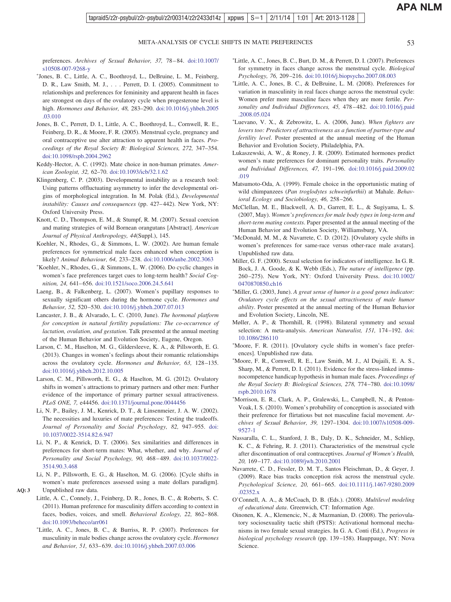<span id="page-52-25"></span>preferences. *Archives of Sexual Behavior, 37,* 78 – 84. [doi:10.1007/](http://dx.doi.org/10.1007/s10508-007-9268-y) [s10508-007-9268-y](http://dx.doi.org/10.1007/s10508-007-9268-y)

- <span id="page-52-9"></span>! Jones, B. C., Little, A. C., Boothroyd, L., DeBruine, L. M., Feinberg, D. R., Law Smith, M. J.,... Perrett, D. I. (2005). Commitment to relationships and preferences for femininity and apparent health in faces are strongest on days of the ovulatory cycle when progesterone level is high. *Hormones and Behavior, 48,* 283–290. [doi:10.1016/j.yhbeh.2005](http://dx.doi.org/10.1016/j.yhbeh.2005.03.010) [.03.010](http://dx.doi.org/10.1016/j.yhbeh.2005.03.010)
- <span id="page-52-27"></span>Jones, B. C., Perrett, D. I., Little, A. C., Boothroyd, L., Cornwell, R. E., Feinberg, D. R., & Moore, F. R. (2005). Menstrual cycle, pregnancy and oral contraceptive use alter attraction to apparent health in faces. *Proceedings of the Royal Society B: Biological Sciences, 272,* 347–354. [doi:10.1098/rspb.2004.2962](http://dx.doi.org/10.1098/rspb.2004.2962)
- <span id="page-52-6"></span><span id="page-52-3"></span>Keddy-Hector, A. C. (1992). Mate choice in non-human primates. *American Zoologist, 32,* 62–70. [doi:10.1093/icb/32.1.62](http://dx.doi.org/10.1093/icb/32.1.62)
- Klingenberg, C. P. (2003). Developmental instability as a research tool: Using patterns offluctuating asymmetry to infer the developmental origins of morphological integration. In M. Polak (Ed.), *Developmental* instability: Causes and consequences (pp. 427-442). New York, NY: Oxford University Press.
- <span id="page-52-2"></span>Knott, C. D., Thompson, E. M., & Stumpf, R. M. (2007). Sexual coercion and mating strategies of wild Bornean orangutans [Abstract]. *American Journal of Physical Anthropology, 44*(Suppl.), 145.
- <span id="page-52-1"></span>Koehler, N., Rhodes, G., & Simmons, L. W. (2002). Are human female preferences for symmetrical male faces enhanced when conception is likely? *Animal Behaviour, 64,* 233–238. [doi:10.1006/anbe.2002.3063](http://dx.doi.org/10.1006/anbe.2002.3063)
- <span id="page-52-10"></span>! Koehler, N., Rhodes, G., & Simmons, L. W. (2006). Do cyclic changes in women's face preferences target cues to long-term health? *Social Cognition, 24,* 641– 656. [doi:10.1521/soco.2006.24.5.641](http://dx.doi.org/10.1521/soco.2006.24.5.641)
- <span id="page-52-26"></span>Laeng, B., & Falkenberg, L. (2007). Women's pupillary responses to sexually significant others during the hormone cycle. *Hormones and Behavior, 52,* 520 –530. [doi:10.1016/j.yhbeh.2007.07.013](http://dx.doi.org/10.1016/j.yhbeh.2007.07.013)
- <span id="page-52-33"></span>Lancaster, J. B., & Alvarado, L. C. (2010, June). *The hormonal platform for conception in natural fertility populations: The co-occurrence of lactation, ovulation, and gestation*. Talk presented at the annual meeting of the Human Behavior and Evolution Society, Eugene, Oregon.
- <span id="page-52-0"></span>Larson, C. M., Haselton, M. G., Gildersleeve, K. A., & Pillsworth, E. G. (2013). Changes in women's feelings about their romantic relationships across the ovulatory cycle. *Hormones and Behavior, 63,* 128 –135. [doi:10.1016/j.yhbeh.2012.10.005](http://dx.doi.org/10.1016/j.yhbeh.2012.10.005)
- <span id="page-52-32"></span>Larson, C. M., Pillsworth, E. G., & Haselton, M. G. (2012). Ovulatory shifts in women's attractions to primary partners and other men: Further evidence of the importance of primary partner sexual attractiveness. *PLoS ONE, 7,* e44456. [doi:10.1371/journal.pone.0044456](http://dx.doi.org/10.1371/journal.pone.0044456)
- <span id="page-52-29"></span>Li, N. P., Bailey, J. M., Kenrick, D. T., & Linsenmeier, J. A. W. (2002). The necessities and luxuries of mate preferences: Testing the tradeoffs. *Journal of Personality and Social Psychology, 82,* 947–955. [doi:](http://dx.doi.org/10.1037/0022-3514.82.6.947) [10.1037/0022-3514.82.6.947](http://dx.doi.org/10.1037/0022-3514.82.6.947)
- <span id="page-52-5"></span>Li, N. P., & Kenrick, D. T. (2006). Sex similarities and differences in preferences for short-term mates: What, whether, and why. *Journal of Personality and Social Psychology, 90,* 468 – 489. [doi:10.1037/0022-](http://dx.doi.org/10.1037/0022-3514.90.3.468) [3514.90.3.468](http://dx.doi.org/10.1037/0022-3514.90.3.468)
- <span id="page-52-11"></span><span id="page-52-8"></span>Li, N. P., Pillsworth, E. G., & Haselton, M. G. (2006). [Cycle shifts in women's mate preferences assessed using a mate dollars paradigm]. Unpublished raw data.

**AQ: 3**

- <span id="page-52-13"></span>Little, A. C., Connely, J., Feinberg, D. R., Jones, B. C., & Roberts, S. C. (2011). Human preference for masculinity differs according to context in faces, bodies, voices, and smell. *Behavioral Ecology, 22,* 862– 868. [doi:10.1093/beheco/arr061](http://dx.doi.org/10.1093/beheco/arr061)
	- ! Little, A. C., Jones, B. C., & Burriss, R. P. (2007). Preferences for masculinity in male bodies change across the ovulatory cycle. *Hormones and Behavior, 51,* 633– 639. [doi:10.1016/j.yhbeh.2007.03.006](http://dx.doi.org/10.1016/j.yhbeh.2007.03.006)
- <span id="page-52-12"></span>! Little, A. C., Jones, B. C., Burt, D. M., & Perrett, D. I. (2007). Preferences for symmetry in faces change across the menstrual cycle. *Biological Psychology, 76,* 209 –216. [doi:10.1016/j.biopsycho.2007.08.003](http://dx.doi.org/10.1016/j.biopsycho.2007.08.003)
- <span id="page-52-14"></span>! Little, A. C., Jones, B. C., & DeBruine, L. M. (2008). Preferences for variation in masculinity in real faces change across the menstrual cycle: Women prefer more masculine faces when they are more fertile. *Personality and Individual Differences, 45,* 478 – 482. [doi:10.1016/j.paid](http://dx.doi.org/10.1016/j.paid.2008.05.024) [.2008.05.024](http://dx.doi.org/10.1016/j.paid.2008.05.024)
- <span id="page-52-15"></span>! Luevano, V. X., & Zebrowitz, L. A. (2006, June). *When fighters are lovers too: Predictors of attractiveness as a function of partner-type and fertility level*. Poster presented at the annual meeting of the Human Behavior and Evolution Society, Philadelphia, PA.
- <span id="page-52-16"></span>Lukaszewski, A. W., & Roney, J. R. (2009). Estimated hormones predict women's mate preferences for dominant personality traits. *Personality and Individual Differences, 47,* 191–196. [doi:10.1016/j.paid.2009.02](http://dx.doi.org/10.1016/j.paid.2009.02.019) [.019](http://dx.doi.org/10.1016/j.paid.2009.02.019)
- <span id="page-52-4"></span>Matsumoto-Oda, A. (1999). Female choice in the opportunistic mating of wild chimpanzees (*Pan troglodytes schweinfurthii*) at Mahale. *Behavioral Ecology and Sociobiology, 46,* 258 –266.
- <span id="page-52-17"></span>McClellan, M. E., Blackwell, A. D., Garrett, E. L., & Sugiyama, L. S. (2007, May). *Women's preferences for male body types in long-term and short-term mating contexts*. Paper presented at the annual meeting of the Human Behavior and Evolution Society, Williamsburg, VA.
- <span id="page-52-18"></span>! McDonald, M. M., & Navarrete, C. D. (2012). [Ovulatory cycle shifts in women's preferences for same-race versus other-race male avatars]. Unpublished raw data.
- <span id="page-52-28"></span>Miller, G. F. (2000). Sexual selection for indicators of intelligence. In G. R. Bock, J. A. Goode, & K. Webb (Eds.), *The nature of intelligence* (pp. 260 –275). New York, NY: Oxford University Press. [doi:10.1002/](http://dx.doi.org/10.1002/0470870850.ch16) [0470870850.ch16](http://dx.doi.org/10.1002/0470870850.ch16)
- <span id="page-52-19"></span>! Miller, G. (2003, June). *A great sense of humor is a good genes indicator: Ovulatory cycle effects on the sexual attractiveness of male humor ability*. Poster presented at the annual meeting of the Human Behavior and Evolution Society, Lincoln, NE.
- <span id="page-52-7"></span>Møller, A. P., & Thornhill, R. (1998). Bilateral symmetry and sexual selection: A meta-analysis. *American Naturalist, 151,* 174 –192. [doi:](http://dx.doi.org/10.1086/286110) [10.1086/286110](http://dx.doi.org/10.1086/286110)
- <span id="page-52-21"></span><span id="page-52-20"></span>! Moore, F. R. (2011). [Ovulatory cycle shifts in women's face preferences]. Unpublished raw data.
- ! Moore, F. R., Cornwell, R. E., Law Smith, M. J., Al Dujaili, E. A. S., Sharp, M., & Perrett, D. I. (2011). Evidence for the stress-linked immunocompetence handicap hypothesis in human male faces. *Proceedings of the Royal Society B: Biological Sciences, 278,* 774 –780. [doi:10.1098/](http://dx.doi.org/10.1098/rspb.2010.1678) [rspb.2010.1678](http://dx.doi.org/10.1098/rspb.2010.1678)
- <span id="page-52-22"></span>! Morrison, E. R., Clark, A. P., Gralewski, L., Campbell, N., & Penton-Voak, I. S. (2010). Women's probability of conception is associated with their preference for flirtatious but not masculine facial movement. *Archives of Sexual Behavior, 39,* 1297–1304. [doi:10.1007/s10508-009-](http://dx.doi.org/10.1007/s10508-009-9527-1) [9527-1](http://dx.doi.org/10.1007/s10508-009-9527-1)
- <span id="page-52-30"></span>Nassaralla, C. L., Stanford, J. B., Daly, D. K., Schneider, M., Schliep, K. C., & Fehring, R. J. (2011). Characteristics of the menstrual cycle after discontinuation of oral contraceptives. *Journal of Women's Health, 20,* 169 –177. [doi:10.1089/jwh.2010.2001](http://dx.doi.org/10.1089/jwh.2010.2001)
- <span id="page-52-23"></span>Navarrete, C. D., Fessler, D. M. T., Santos Fleischman, D., & Geyer, J. (2009). Race bias tracks conception risk across the menstrual cycle. *Psychological Science, 20,* 661– 665. [doi:10.1111/j.1467-9280.2009](http://dx.doi.org/10.1111/j.1467-9280.2009.02352.x) [.02352.x](http://dx.doi.org/10.1111/j.1467-9280.2009.02352.x)
- <span id="page-52-31"></span><span id="page-52-24"></span>O'Connell, A. A., & McCoach, D. B. (Eds.). (2008). *Multilevel modeling of educational data*. Greenwich, CT: Information Age.
- Oinonen, K. A., Klemencic, N., & Mazmanian, D. (2008). The periovulatory sociosexuality tactic shift (PSTS): Activational hormonal mechanisms in two female sexual strategies. In G. A. Conti (Ed.), *Progress in biological psychology research* (pp. 139 –158). Hauppauge, NY: Nova Science.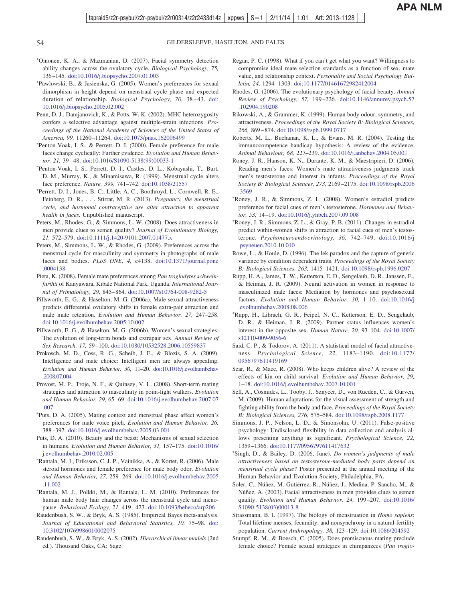- ! Oinonen, K. A., & Mazmanian, D. (2007). Facial symmetry detection ability changes across the ovulatory cycle. *Biological Psychology, 75,* 136 –145. [doi:10.1016/j.biopsycho.2007.01.003](http://dx.doi.org/10.1016/j.biopsycho.2007.01.003)
- <span id="page-53-11"></span>! Pawlowski, B., & Jasienska, G. (2005). Women's preferences for sexual dimorphism in height depend on menstrual cycle phase and expected duration of relationship. *Biological Psychology, 70, 38-43.* [doi:](http://dx.doi.org/10.1016/j.biopsycho.2005.02.002) [10.1016/j.biopsycho.2005.02.002](http://dx.doi.org/10.1016/j.biopsycho.2005.02.002)
- <span id="page-53-6"></span>Penn, D. J., Damjanovich, K., & Potts, W. K. (2002). MHC heterozygosity confers a selective advantage against multiple-strain infections. *Proceedings of the National Academy of Sciences of the United States of America, 99,* 11260 –11264. [doi:10.1073/pnas.162006499](http://dx.doi.org/10.1073/pnas.162006499)
- <span id="page-53-12"></span>! Penton-Voak, I. S., & Perrett, D. I. (2000). Female preference for male faces change cyclically: Further evidence. *Evolution and Human Behavior, 21,* 39 – 48. [doi:10.1016/S1090-5138\(99\)00033-1](http://dx.doi.org/10.1016/S1090-5138%2899%2900033-1)
- <span id="page-53-13"></span>! Penton-Voak, I. S., Perrett, D. I., Castles, D. L., Kobayashi, T., Burt, D. M., Murray, K., & Minamisawa, R. (1999). Menstrual cycle alters face preference. *Nature, 399,* 741–742. [doi:10.1038/21557](http://dx.doi.org/10.1038/21557)
- <span id="page-53-14"></span>! Perrett, D. I., Jones, B. C., Little, A. C., Boothroyd, L., Cornwell, R. E., Feinberg, D. R.,... Stirrat, M. R. (2013). *Pregnancy, the menstrual cycle, and hormonal contraceptive use alter attraction to apparent health in faces*. Unpublished manuscript.
- <span id="page-53-15"></span>Peters, M., Rhodes, G., & Simmons, L. W. (2008). Does attractiveness in men provide clues to semen quality? *Journal of Evolutionary Biology, 21,* 572–579. [doi:10.1111/j.1420-9101.2007.01477.x](http://dx.doi.org/10.1111/j.1420-9101.2007.01477.x)
- <span id="page-53-16"></span>Peters, M., Simmons, L. W., & Rhodes, G. (2009). Preferences across the menstrual cycle for masculinity and symmetry in photographs of male faces and bodies. *PLoS ONE, 4,* e4138. [doi:10.1371/journal.pone](http://dx.doi.org/10.1371/journal.pone.0004138) [.0004138](http://dx.doi.org/10.1371/journal.pone.0004138)
- <span id="page-53-0"></span>Pieta, K. (2008). Female mate preferences among *Pan troglodytes schweinfurthii* of Kanyawara, Kibale National Park, Uganda. *International Journal of Primatology, 29,* 845– 864. [doi:10.1007/s10764-008-9282-5](http://dx.doi.org/10.1007/s10764-008-9282-5)
- <span id="page-53-34"></span>Pillsworth, E. G., & Haselton, M. G. (2006a). Male sexual attractiveness predicts differential ovulatory shifts in female extra-pair attraction and male mate retention. *Evolution and Human Behavior, 27,* 247–258. [doi:10.1016/j.evolhumbehav.2005.10.002](http://dx.doi.org/10.1016/j.evolhumbehav.2005.10.002)
- <span id="page-53-3"></span>Pillsworth, E. G., & Haselton, M. G. (2006b). Women's sexual strategies: The evolution of long-term bonds and extrapair sex. *Annual Review of Sex Research, 17,* 59 –100. [doi:10.1080/10532528.2006.10559837](http://dx.doi.org/10.1080/10532528.2006.10559837)
- <span id="page-53-17"></span>Prokosch, M. D., Coss, R. G., Scheib, J. E., & Blozis, S. A. (2009). Intelligence and mate choice: Intelligent men are always appealing. *Evolution and Human Behavior, 30,* 11–20. [doi:10.1016/j.evolhumbehav](http://dx.doi.org/10.1016/j.evolhumbehav.2008.07.004) [.2008.07.004](http://dx.doi.org/10.1016/j.evolhumbehav.2008.07.004)
- <span id="page-53-18"></span>Provost, M. P., Troje, N. F., & Quinsey, V. L. (2008). Short-term mating strategies and attraction to masculinity in point-light walkers. *Evolution and Human Behavior, 29,* 65– 69. [doi:10.1016/j.evolhumbehav.2007.07](http://dx.doi.org/10.1016/j.evolhumbehav.2007.07.007) [.007](http://dx.doi.org/10.1016/j.evolhumbehav.2007.07.007)
- <span id="page-53-19"></span>! Puts, D. A. (2005). Mating context and menstrual phase affect women's preferences for male voice pitch. *Evolution and Human Behavior, 26,* 388 –397. [doi:10.1016/j.evolhumbehav.2005.03.001](http://dx.doi.org/10.1016/j.evolhumbehav.2005.03.001)
- <span id="page-53-20"></span><span id="page-53-8"></span>Puts, D. A. (2010). Beauty and the beast: Mechanisms of sexual selection in humans. *Evolution and Human Behavior, 31,* 157–175. [doi:10.1016/](http://dx.doi.org/10.1016/j.evolhumbehav.2010.02.005) [j.evolhumbehav.2010.02.005](http://dx.doi.org/10.1016/j.evolhumbehav.2010.02.005)
- ! Rantala, M. J., Eriksson, C. J. P., Vainikka, A., & Kortet, R. (2006). Male steroid hormones and female preference for male body odor. *Evolution and Human Behavior, 27,* 259 –269. [doi:10.1016/j.evolhumbehav.2005](http://dx.doi.org/10.1016/j.evolhumbehav.2005.11.002) [.11.002](http://dx.doi.org/10.1016/j.evolhumbehav.2005.11.002)
- <span id="page-53-32"></span><span id="page-53-21"></span>! Rantala, M. J., Polkki, M., & Rantala, L. M. (2010). Preferences for human male body hair changes across the menstrual cycle and menopause. *Behavioral Ecology, 21,* 419 – 423. [doi:10.1093/beheco/arp206](http://dx.doi.org/10.1093/beheco/arp206)
- <span id="page-53-33"></span>Raudenbush, S. W., & Bryk, A. S. (1985). Empirical Bayes meta-analysis. *Journal of Educational and Behavioral Statistics, 10,* 75–98. [doi:](http://dx.doi.org/10.3102/10769986010002075) [10.3102/10769986010002075](http://dx.doi.org/10.3102/10769986010002075)
- Raudenbush, S. W., & Bryk, A. S. (2002). *Hierarchical linear models* (2nd ed.). Thousand Oaks, CA: Sage.
- <span id="page-53-2"></span>Regan, P. C. (1998). What if you can't get what you want? Willingness to compromise ideal mate selection standards as a function of sex, mate value, and relationship context. *Personality and Social Psychology Bulletin, 24,* 1294 –1303. [doi:10.1177/01461672982412004](http://dx.doi.org/10.1177/01461672982412004)
- <span id="page-53-5"></span>Rhodes, G. (2006). The evolutionary psychology of facial beauty. *Annual Review of Psychology, 57,* 199 –226. [doi:10.1146/annurev.psych.57](http://dx.doi.org/10.1146/annurev.psych.57.102904.190208) [.102904.190208](http://dx.doi.org/10.1146/annurev.psych.57.102904.190208)
- <span id="page-53-22"></span>Rikowski, A., & Grammer, K. (1999). Human body odour, symmetry, and attractiveness. *Proceedings of the Royal Society B: Biological Sciences, 266,* 869 – 874. [doi:10.1098/rspb.1999.0717](http://dx.doi.org/10.1098/rspb.1999.0717)
- <span id="page-53-10"></span>Roberts, M. L., Buchanan, K. L., & Evans, M. R. (2004). Testing the immunocompetence handicap hypothesis: A review of the evidence. *Animal Behaviour, 68,* 227–239. [doi:10.1016/j.anbehav.2004.05.001](http://dx.doi.org/10.1016/j.anbehav.2004.05.001)
- <span id="page-53-9"></span>Roney, J. R., Hanson, K. N., Durante, K. M., & Maestripieri, D. (2006). Reading men's faces: Women's mate attractiveness judgments track men's testosterone and interest in infants. *Proceedings of the Royal Society B: Biological Sciences, 273,* 2169 –2175. [doi:10.1098/rspb.2006](http://dx.doi.org/10.1098/rspb.2006.3569) [.3569](http://dx.doi.org/10.1098/rspb.2006.3569)
- <span id="page-53-23"></span>! Roney, J. R., & Simmons, Z. L. (2008). Women's estradiol predicts preference for facial cues of men's testosterone. *Hormones and Behavior, 53,* 14 –19. [doi:10.1016/j.yhbeh.2007.09.008](http://dx.doi.org/10.1016/j.yhbeh.2007.09.008)
- <span id="page-53-24"></span>! Roney, J. R., Simmons, Z. L., & Gray, P. B. (2011). Changes in estradiol predict within-women shifts in attraction to facial cues of men's testosterone. *Psychoneuroendocrinology, 36,* 742–749. [doi:10.1016/j](http://dx.doi.org/10.1016/j.psyneuen.2010.10.010) [.psyneuen.2010.10.010](http://dx.doi.org/10.1016/j.psyneuen.2010.10.010)
- <span id="page-53-7"></span>Rowe, L., & Houle, D. (1996). The lek paradox and the capture of genetic variance by condition dependent traits. *Proceedings of the Royal Society B: Biological Sciences, 263,* 1415–1421. [doi:10.1098/rspb.1996.0207](http://dx.doi.org/10.1098/rspb.1996.0207)
- <span id="page-53-26"></span>Rupp, H. A., James, T. W., Ketterson, E. D., Sengelaub, D. R., Janssen, E., & Heiman, J. R. (2009). Neural activation in women in response to masculinized male faces: Mediation by hormones and psychosexual factors. *Evolution and Human Behavior, 30,* 1–10. [doi:10.1016/j](http://dx.doi.org/10.1016/j.evolhumbehav.2008.08.006) [.evolhumbehav.2008.08.006](http://dx.doi.org/10.1016/j.evolhumbehav.2008.08.006)
- <span id="page-53-25"></span>! Rupp, H., Librach, G. R., Feipel, N. C., Ketterson, E. D., Sengelaub, D. R., & Heiman, J. R. (2009). Partner status influences women's interest in the opposite sex. *Human Nature, 20,* 93–104. [doi:10.1007/](http://dx.doi.org/10.1007/s12110-009-9056-6) [s12110-009-9056-6](http://dx.doi.org/10.1007/s12110-009-9056-6)
- <span id="page-53-29"></span>Said, C. P., & Todorov, A. (2011). A statistical model of facial attractiveness. *Psychological Science, 22,* 1183–1190. [doi:10.1177/](http://dx.doi.org/10.1177/0956797611419169) [0956797611419169](http://dx.doi.org/10.1177/0956797611419169)
- <span id="page-53-4"></span>Sear, R., & Mace, R. (2008). Who keeps children alive? A review of the effects of kin on child survival. *Evolution and Human Behavior, 29,* 1–18. [doi:10.1016/j.evolhumbehav.2007.10.001](http://dx.doi.org/10.1016/j.evolhumbehav.2007.10.001)
- <span id="page-53-30"></span>Sell, A., Cosmides, L., Tooby, J., Sznycer, D., von Rueden, C., & Gurven, M. (2009). Human adaptations for the visual assessment of strength and fighting ability from the body and face. *Proceedings of the Royal Society B: Biological Sciences, 276,* 575–584. [doi:10.1098/rspb.2008.1177](http://dx.doi.org/10.1098/rspb.2008.1177)
- <span id="page-53-31"></span>Simmons, J. P., Nelson, L. D., & Simonsohn, U. (2011). False-positive psychology: Undisclosed flexibility in data collection and analysis allows presenting anything as significant. *Psychological Science, 22,* 1359 –1366. [doi:10.1177/0956797611417632](http://dx.doi.org/10.1177/0956797611417632)
- <span id="page-53-27"></span>! Singh, D., & Bailey, D. (2006, June). *Do women's judgments of male attractiveness based on testosterone-mediated body parts depend on menstrual cycle phase?* Poster presented at the annual meeting of the Human Behavior and Evolution Society, Philadelphia, PA.
- <span id="page-53-28"></span>Soler, C., Núñez, M. Gutiérrez, R., Núñez, J., Medina, P. Sancho, M., & Núñez, A. (2003). Facial attractiveness in men provides clues to semen quality. *Evolution and Human Behavior, 24,* 199 –207. [doi:10.1016/](http://dx.doi.org/10.1016/S1090-5138%2803%2900013-8) [S1090-5138\(03\)00013-8](http://dx.doi.org/10.1016/S1090-5138%2803%2900013-8)
- <span id="page-53-35"></span><span id="page-53-1"></span>Strassmann, B. I. (1997). The biology of menstruation in *Homo sapiens*: Total lifetime menses, fecundity, and nonsynchrony in a natural-fertility population. *Current Anthropology, 38,* 123–129. [doi:10.1086/204592](http://dx.doi.org/10.1086/204592)
- Stumpf, R. M., & Boesch, C. (2005). Does promiscuous mating preclude female choice? Female sexual strategies in chimpanzees (*Pan troglo-*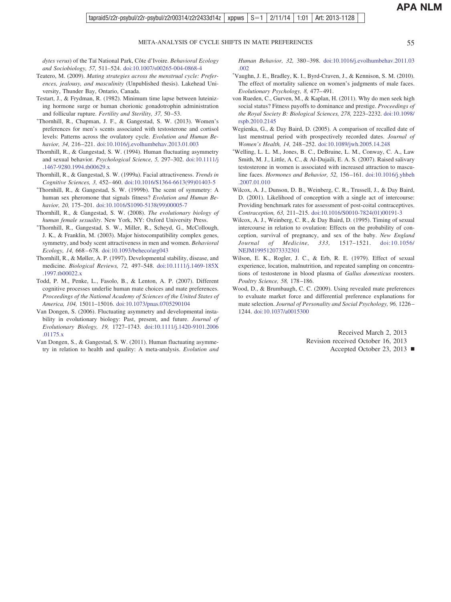- <span id="page-54-7"></span>Teatero, M. (2009). *Mating strategies across the menstrual cycle: Preferences, jealousy, and masculinity* (Unpublished thesis). Lakehead University, Thunder Bay, Ontario, Canada.
- Testart, J., & Frydman, R. (1982). Minimum time lapse between luteinizing hormone surge or human chorionic gonadotrophin administration and follicular rupture. *Fertility and Sterility, 37,* 50 –53.
- <span id="page-54-9"></span>! Thornhill, R., Chapman, J. F., & Gangestad, S. W. (2013). Women's preferences for men's scents associated with testosterone and cortisol levels: Patterns across the ovulatory cycle. *Evolution and Human Behavior, 34,* 216 –221. [doi:10.1016/j.evolhumbehav.2013.01.003](http://dx.doi.org/10.1016/j.evolhumbehav.2013.01.003)
- <span id="page-54-3"></span>Thornhill, R., & Gangestad, S. W. (1994). Human fluctuating asymmetry and sexual behavior. *Psychological Science, 5,* 297–302. [doi:10.1111/j](http://dx.doi.org/10.1111/j.1467-9280.1994.tb00629.x) [.1467-9280.1994.tb00629.x](http://dx.doi.org/10.1111/j.1467-9280.1994.tb00629.x)
- <span id="page-54-13"></span><span id="page-54-8"></span>Thornhill, R., & Gangestad, S. W. (1999a). Facial attractiveness. *Trends in Cognitive Sciences, 3,* 452– 460. [doi:10.1016/S1364-6613\(99\)01403-5](http://dx.doi.org/10.1016/S1364-6613%2899%2901403-5)
- ! Thornhill, R., & Gangestad, S. W. (1999b). The scent of symmetry: A human sex pheromone that signals fitness? *Evolution and Human Behavior, 20,* 175–201. [doi:10.1016/S1090-5138\(99\)00005-7](http://dx.doi.org/10.1016/S1090-5138%2899%2900005-7)
- <span id="page-54-5"></span><span id="page-54-0"></span>Thornhill, R., & Gangestad, S. W. (2008). *The evolutionary biology of human female sexuality*. New York, NY: Oxford University Press.
- ! Thornhill, R., Gangestad, S. W., Miller, R., Scheyd, G., McCollough, J. K., & Franklin, M. (2003). Major histocompatibility complex genes, symmetry, and body scent attractiveness in men and women. *Behavioral Ecology, 14,* 668 – 678. [doi:10.1093/beheco/arg043](http://dx.doi.org/10.1093/beheco/arg043)
- <span id="page-54-4"></span>Thornhill, R., & Møller, A. P. (1997). Developmental stability, disease, and medicine. *Biological Reviews, 72,* 497–548. [doi:10.1111/j.1469-185X](http://dx.doi.org/10.1111/j.1469-185X.1997.tb00022.x) [.1997.tb00022.x](http://dx.doi.org/10.1111/j.1469-185X.1997.tb00022.x)
- <span id="page-54-14"></span>Todd, P. M., Penke, L., Fasolo, B., & Lenton, A. P. (2007). Different cognitive processes underlie human mate choices and mate preferences. *Proceedings of the National Academy of Sciences of the United States of America, 104,* 15011–15016. [doi:10.1073/pnas.0705290104](http://dx.doi.org/10.1073/pnas.0705290104)
- <span id="page-54-2"></span>Van Dongen, S. (2006). Fluctuating asymmetry and developmental instability in evolutionary biology: Past, present, and future. *Journal of Evolutionary Biology, 19,* 1727–1743. [doi:10.1111/j.1420-9101.2006](http://dx.doi.org/10.1111/j.1420-9101.2006.01175.x) [.01175.x](http://dx.doi.org/10.1111/j.1420-9101.2006.01175.x)
- <span id="page-54-1"></span>Van Dongen, S., & Gangestad, S. W. (2011). Human fluctuating asymmetry in relation to health and quality: A meta-analysis. *Evolution and*

*Human Behavior, 32,* 380 –398. [doi:10.1016/j.evolhumbehav.2011.03](http://dx.doi.org/10.1016/j.evolhumbehav.2011.03.002) [.002](http://dx.doi.org/10.1016/j.evolhumbehav.2011.03.002)

- <span id="page-54-10"></span>! Vaughn, J. E., Bradley, K. I., Byrd-Craven, J., & Kennison, S. M. (2010). The effect of mortality salience on women's judgments of male faces. *Evolutionary Psychology, 8,* 477– 491.
- <span id="page-54-12"></span>von Rueden, C., Gurven, M., & Kaplan, H. (2011). Why do men seek high social status? Fitness payoffs to dominance and prestige. *Proceedings of the Royal Society B: Biological Sciences, 278,* 2223–2232. [doi:10.1098/](http://dx.doi.org/10.1098/rspb.2010.2145) [rspb.2010.2145](http://dx.doi.org/10.1098/rspb.2010.2145)
- Wegienka, G., & Day Baird, D. (2005). A comparison of recalled date of last menstrual period with prospectively recorded dates. *Journal of Women's Health, 14,* 248 –252. [doi:10.1089/jwh.2005.14.248](http://dx.doi.org/10.1089/jwh.2005.14.248)
- <span id="page-54-11"></span>! Welling, L. L. M., Jones, B. C., DeBruine, L. M., Conway, C. A., Law Smith, M. J., Little, A. C., & Al-Dujaili, E. A. S. (2007). Raised salivary testosterone in women is associated with increased attraction to masculine faces. *Hormones and Behavior, 52,* 156 –161. [doi:10.1016/j.yhbeh](http://dx.doi.org/10.1016/j.yhbeh.2007.01.010) [.2007.01.010](http://dx.doi.org/10.1016/j.yhbeh.2007.01.010)
- <span id="page-54-15"></span>Wilcox, A. J., Dunson, D. B., Weinberg, C. R., Trussell, J., & Day Baird, D. (2001). Likelihood of conception with a single act of intercourse: Providing benchmark rates for assessment of post-coital contraceptives. *Contraception, 63,* 211–215. [doi:10.1016/S0010-7824\(01\)00191-3](http://dx.doi.org/10.1016/S0010-7824%2801%2900191-3)
- Wilcox, A. J., Weinberg, C. R., & Day Baird, D. (1995). Timing of sexual intercourse in relation to ovulation: Effects on the probability of conception, survival of pregnancy, and sex of the baby. *New England Journal of Medicine, 333,* 1517–1521. [doi:10.1056/](http://dx.doi.org/10.1056/NEJM199512073332301) [NEJM199512073332301](http://dx.doi.org/10.1056/NEJM199512073332301)
- <span id="page-54-6"></span>Wilson, E. K., Rogler, J. C., & Erb, R. E. (1979). Effect of sexual experience, location, malnutrition, and repeated sampling on concentrations of testosterone in blood plasma of *Gallus domesticus* roosters. *Poultry Science, 58,* 178 –186.
- Wood, D., & Brumbaugh, C. C. (2009). Using revealed mate preferences to evaluate market force and differential preference explanations for mate selection. *Journal of Personality and Social Psychology, 96,* 1226 – 1244. [doi:10.1037/a0015300](http://dx.doi.org/10.1037/a0015300)

Received March 2, 2013

Revision received October 16, 2013

Accepted October 23, 2013 **■**